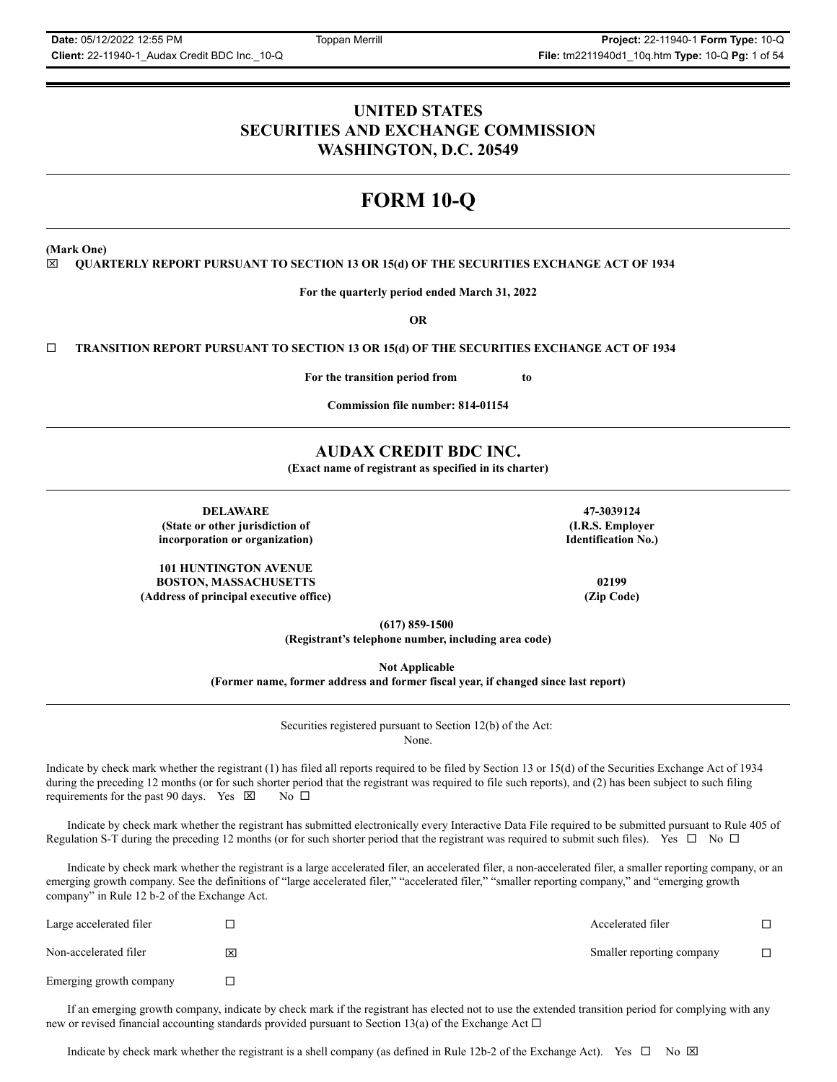# **UNITED STATES SECURITIES AND EXCHANGE COMMISSION WASHINGTON, D.C. 20549**

# **FORM 10-Q**

**(Mark One)**

x **QUARTERLY REPORT PURSUANT TO SECTION 13 OR 15(d) OF THE SECURITIES EXCHANGE ACT OF 1934**

**For the quarterly period ended March 31, 2022**

**OR**

¨ **TRANSITION REPORT PURSUANT TO SECTION 13 OR 15(d) OF THE SECURITIES EXCHANGE ACT OF 1934**

**For the transition period from to**

**Commission file number: 814-01154**

## **AUDAX CREDIT BDC INC.**

**(Exact name of registrant as specified in its charter)**

**DELAWARE 47-3039124 (State or other jurisdiction of incorporation or organization)**

**101 HUNTINGTON AVENUE BOSTON, MASSACHUSETTS 02199 (Address of principal executive office) (Zip Code)**

**(I.R.S. Employer Identification No.)**

**(617) 859-1500**

**(Registrant's telephone number, including area code)**

**Not Applicable**

**(Former name, former address and former fiscal year, if changed since last report)**

Securities registered pursuant to Section 12(b) of the Act: None.

Indicate by check mark whether the registrant (1) has filed all reports required to be filed by Section 13 or 15(d) of the Securities Exchange Act of 1934 during the preceding 12 months (or for such shorter period that the registrant was required to file such reports), and (2) has been subject to such filing requirements for the past 90 days. Yes  $\boxtimes$  No  $\square$ 

Indicate by check mark whether the registrant has submitted electronically every Interactive Data File required to be submitted pursuant to Rule 405 of Regulation S-T during the preceding 12 months (or for such shorter period that the registrant was required to submit such files). Yes  $\Box$  No  $\Box$ 

Indicate by check mark whether the registrant is a large accelerated filer, an accelerated filer, a non-accelerated filer, a smaller reporting company, or an emerging growth company. See the definitions of "large accelerated filer," "accelerated filer," "smaller reporting company," and "emerging growth company" in Rule 12 b-2 of the Exchange Act.

| Large accelerated filer |     | Accelerated filer         |  |
|-------------------------|-----|---------------------------|--|
| Non-accelerated filer   | 1ें | Smaller reporting company |  |
| Emerging growth company |     |                           |  |

If an emerging growth company, indicate by check mark if the registrant has elected not to use the extended transition period for complying with any new or revised financial accounting standards provided pursuant to Section 13(a) of the Exchange Act  $\Box$ 

Indicate by check mark whether the registrant is a shell company (as defined in Rule 12b-2 of the Exchange Act). Yes  $\Box$  No  $\boxtimes$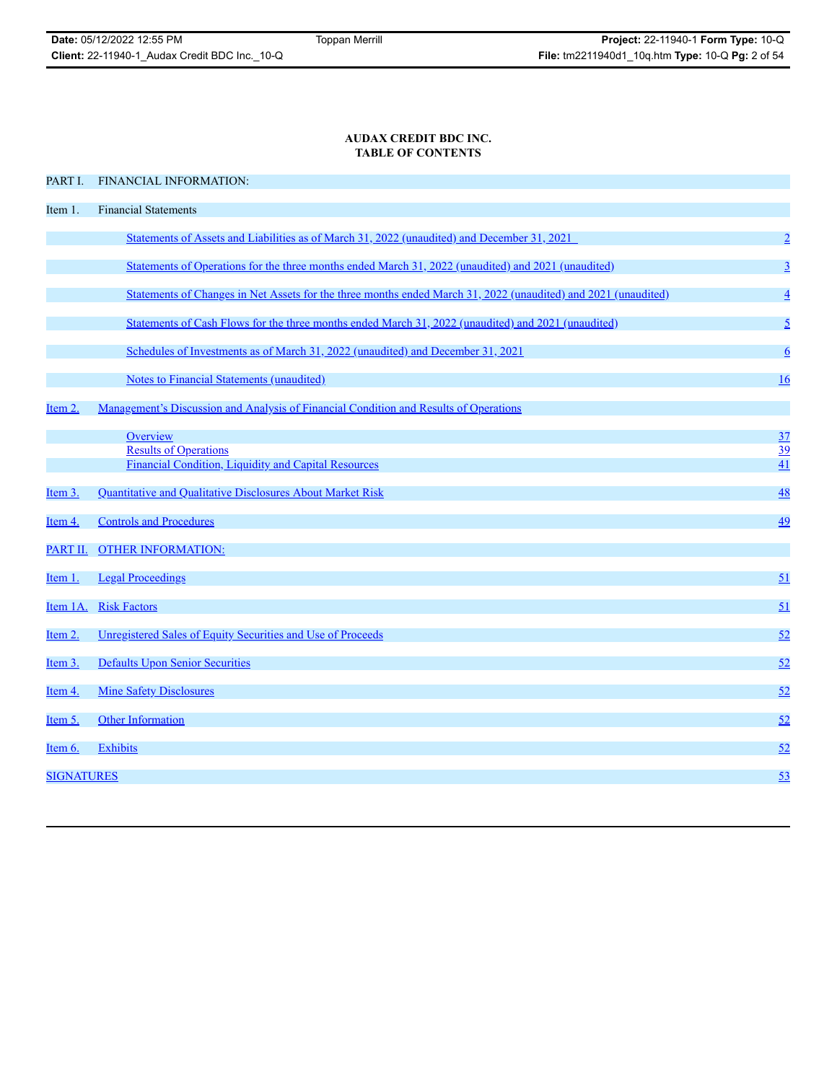## **AUDAX CREDIT BDC INC. TABLE OF CONTENTS**

| PART I.           | FINANCIAL INFORMATION:                                                                                         |                            |
|-------------------|----------------------------------------------------------------------------------------------------------------|----------------------------|
| Item 1.           | <b>Financial Statements</b>                                                                                    |                            |
|                   | Statements of Assets and Liabilities as of March 31, 2022 (unaudited) and December 31, 2021                    | $\overline{2}$             |
|                   | Statements of Operations for the three months ended March 31, 2022 (unaudited) and 2021 (unaudited)            | $\overline{3}$             |
|                   | Statements of Changes in Net Assets for the three months ended March 31, 2022 (unaudited) and 2021 (unaudited) | $\overline{4}$             |
|                   | Statements of Cash Flows for the three months ended March 31, 2022 (unaudited) and 2021 (unaudited)            | $\overline{5}$             |
|                   | Schedules of Investments as of March 31, 2022 (unaudited) and December 31, 2021                                | $\underline{6}$            |
|                   | <b>Notes to Financial Statements (unaudited)</b>                                                               | 16                         |
| Item 2.           | Management's Discussion and Analysis of Financial Condition and Results of Operations                          |                            |
|                   | Overview<br><b>Results of Operations</b><br>Financial Condition, Liquidity and Capital Resources               | 37<br>$\frac{1}{39}$<br>41 |
| Item 3.           | Quantitative and Qualitative Disclosures About Market Risk                                                     | 48                         |
| Item 4.           | <b>Controls and Procedures</b>                                                                                 | 49                         |
| PART II.          | <b>OTHER INFORMATION:</b>                                                                                      |                            |
| <u>Item 1.</u>    | <b>Legal Proceedings</b>                                                                                       | 51                         |
| Item 1A.          | <b>Risk Factors</b>                                                                                            | 51                         |
| Item 2.           | Unregistered Sales of Equity Securities and Use of Proceeds                                                    | 52                         |
| Item $3.$         | Defaults Upon Senior Securities                                                                                | 52                         |
| <u>Item 4.</u>    | <b>Mine Safety Disclosures</b>                                                                                 | 52                         |
| Item 5.           | <b>Other Information</b>                                                                                       | 52                         |
| Item 6.           | <b>Exhibits</b>                                                                                                | 52                         |
| <b>SIGNATURES</b> |                                                                                                                | 53                         |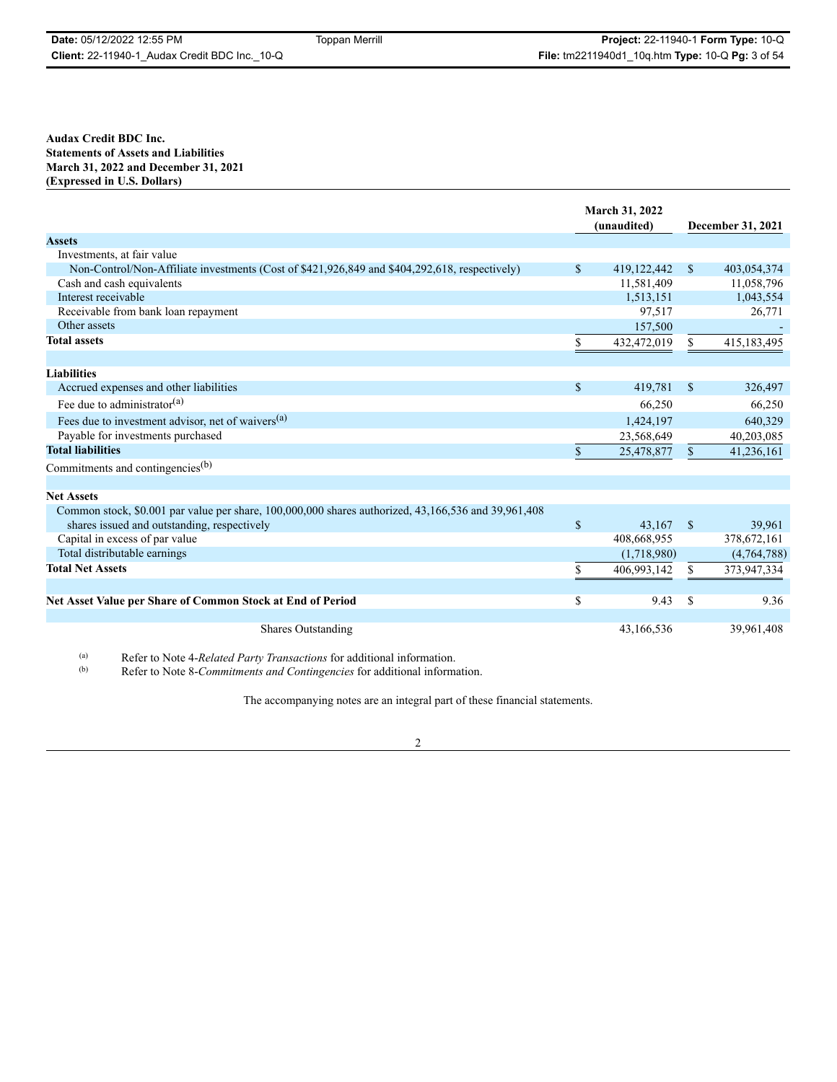## **Audax Credit BDC Inc. Statements of Assets and Liabilities March 31, 2022 and December 31, 2021 (Expressed in U.S. Dollars)**

|                                                                                                     |               | <b>March 31, 2022</b><br>(unaudited) |               | December 31, 2021 |  |  |
|-----------------------------------------------------------------------------------------------------|---------------|--------------------------------------|---------------|-------------------|--|--|
| <b>Assets</b>                                                                                       |               |                                      |               |                   |  |  |
| Investments, at fair value                                                                          |               |                                      |               |                   |  |  |
| Non-Control/Non-Affiliate investments (Cost of \$421,926,849 and \$404,292,618, respectively)       | <sup>\$</sup> | 419, 122, 442                        | <sup>\$</sup> | 403,054,374       |  |  |
| Cash and cash equivalents                                                                           |               | 11,581,409                           |               | 11,058,796        |  |  |
| Interest receivable                                                                                 |               | 1,513,151                            |               | 1,043,554         |  |  |
| Receivable from bank loan repayment                                                                 |               | 97,517                               |               | 26,771            |  |  |
| Other assets                                                                                        |               | 157,500                              |               |                   |  |  |
| <b>Total assets</b>                                                                                 | S             | 432,472,019                          | S             | 415,183,495       |  |  |
|                                                                                                     |               |                                      |               |                   |  |  |
| <b>Liabilities</b>                                                                                  |               |                                      |               |                   |  |  |
| Accrued expenses and other liabilities                                                              | $\mathbb{S}$  | 419,781                              | <sup>\$</sup> | 326,497           |  |  |
| Fee due to administrator <sup>(a)</sup>                                                             |               | 66,250                               |               | 66,250            |  |  |
| Fees due to investment advisor, net of waivers <sup>(a)</sup>                                       |               | 1,424,197                            |               | 640,329           |  |  |
| Payable for investments purchased                                                                   |               | 23,568,649                           |               | 40,203,085        |  |  |
| <b>Total liabilities</b>                                                                            | $\mathbb{S}$  | 25,478,877                           | $\mathcal{S}$ | 41,236,161        |  |  |
| Commitments and contingencies <sup>(b)</sup>                                                        |               |                                      |               |                   |  |  |
|                                                                                                     |               |                                      |               |                   |  |  |
| <b>Net Assets</b>                                                                                   |               |                                      |               |                   |  |  |
| Common stock, \$0.001 par value per share, 100,000,000 shares authorized, 43,166,536 and 39,961,408 |               |                                      |               |                   |  |  |
| shares issued and outstanding, respectively                                                         | $\$$          | 43,167                               | <sup>\$</sup> | 39,961            |  |  |
| Capital in excess of par value                                                                      |               | 408,668,955                          |               | 378,672,161       |  |  |
| Total distributable earnings                                                                        |               | (1,718,980)                          |               | (4,764,788)       |  |  |
| <b>Total Net Assets</b>                                                                             | \$            | 406,993,142                          | S             | 373,947,334       |  |  |
|                                                                                                     |               |                                      |               |                   |  |  |
| Net Asset Value per Share of Common Stock at End of Period                                          | \$            | 9.43                                 | \$            | 9.36              |  |  |
|                                                                                                     |               |                                      |               |                   |  |  |
| <b>Shares Outstanding</b>                                                                           |               | 43,166,536                           |               | 39,961,408        |  |  |
|                                                                                                     |               |                                      |               |                   |  |  |

(a) Refer to Note 4-*Related Party Transactions* for additional information.

(b) Refer to Note 8-*Commitments and Contingencies* for additional information.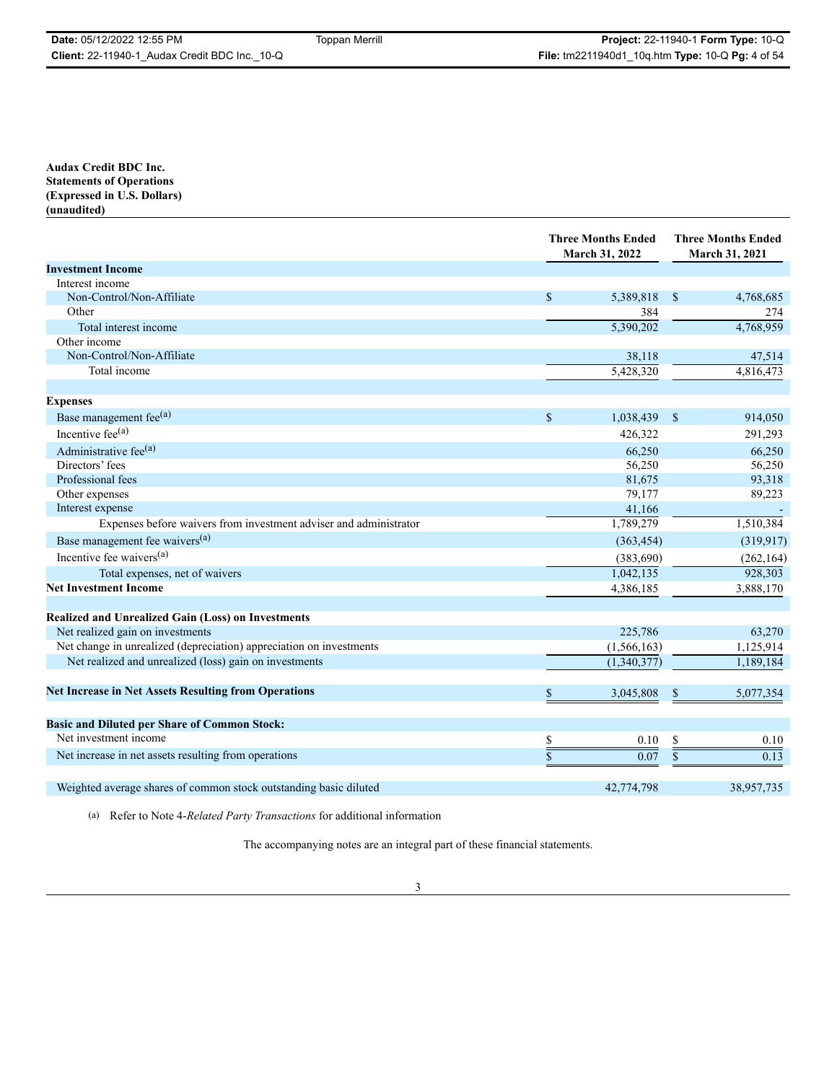## **Audax Credit BDC Inc. Statements of Operations (Expressed in U.S. Dollars) (unaudited)**

|                                                                     | <b>Three Months Ended</b><br>March 31, 2022 | <b>Three Months Ended</b><br>March 31, 2021 |  |
|---------------------------------------------------------------------|---------------------------------------------|---------------------------------------------|--|
| <b>Investment Income</b>                                            |                                             |                                             |  |
| Interest income                                                     |                                             |                                             |  |
| Non-Control/Non-Affiliate<br>$\mathbf S$                            | 5,389,818                                   | $\mathbf S$<br>4,768,685                    |  |
| Other                                                               | 384                                         | 274                                         |  |
| Total interest income                                               | 5,390,202                                   | 4,768,959                                   |  |
| Other income                                                        |                                             |                                             |  |
| Non-Control/Non-Affiliate                                           | 38,118                                      | 47,514                                      |  |
| Total income                                                        | 5,428,320                                   | 4,816,473                                   |  |
| <b>Expenses</b>                                                     |                                             |                                             |  |
| Base management fee <sup>(a)</sup><br>$\mathcal{S}$                 | 1,038,439                                   | $\mathbf{s}$<br>914,050                     |  |
| Incentive fee <sup>(a)</sup>                                        | 426,322                                     | 291,293                                     |  |
| Administrative fee <sup>(a)</sup>                                   | 66,250                                      | 66,250                                      |  |
| Directors' fees                                                     | 56,250                                      | 56,250                                      |  |
| Professional fees                                                   | 81,675                                      | 93,318                                      |  |
| Other expenses                                                      | 79,177                                      | 89,223                                      |  |
| Interest expense                                                    | 41,166                                      |                                             |  |
| Expenses before waivers from investment adviser and administrator   | 1,789,279                                   | 1,510,384                                   |  |
| Base management fee waivers <sup>(a)</sup>                          | (363, 454)                                  | (319, 917)                                  |  |
| Incentive fee waivers <sup>(a)</sup>                                | (383,690)                                   | (262, 164)                                  |  |
| Total expenses, net of waivers                                      | 1,042,135                                   | 928,303                                     |  |
| <b>Net Investment Income</b>                                        | 4,386,185                                   | 3,888,170                                   |  |
| <b>Realized and Unrealized Gain (Loss) on Investments</b>           |                                             |                                             |  |
| Net realized gain on investments                                    | 225,786                                     | 63,270                                      |  |
| Net change in unrealized (depreciation) appreciation on investments | (1, 566, 163)                               | 1,125,914                                   |  |
| Net realized and unrealized (loss) gain on investments              | (1,340,377)                                 | 1,189,184                                   |  |
| <b>Net Increase in Net Assets Resulting from Operations</b><br>\$   | 3,045,808                                   | \$<br>5,077,354                             |  |
| <b>Basic and Diluted per Share of Common Stock:</b>                 |                                             |                                             |  |
| Net investment income<br>\$                                         | 0.10                                        | S<br>0.10                                   |  |
| Net increase in net assets resulting from operations<br>\$          | 0.07                                        | $\mathbf S$<br>0.13                         |  |
| Weighted average shares of common stock outstanding basic diluted   | 42,774,798                                  | 38,957,735                                  |  |

(a) Refer to Note 4-*Related Party Transactions* for additional information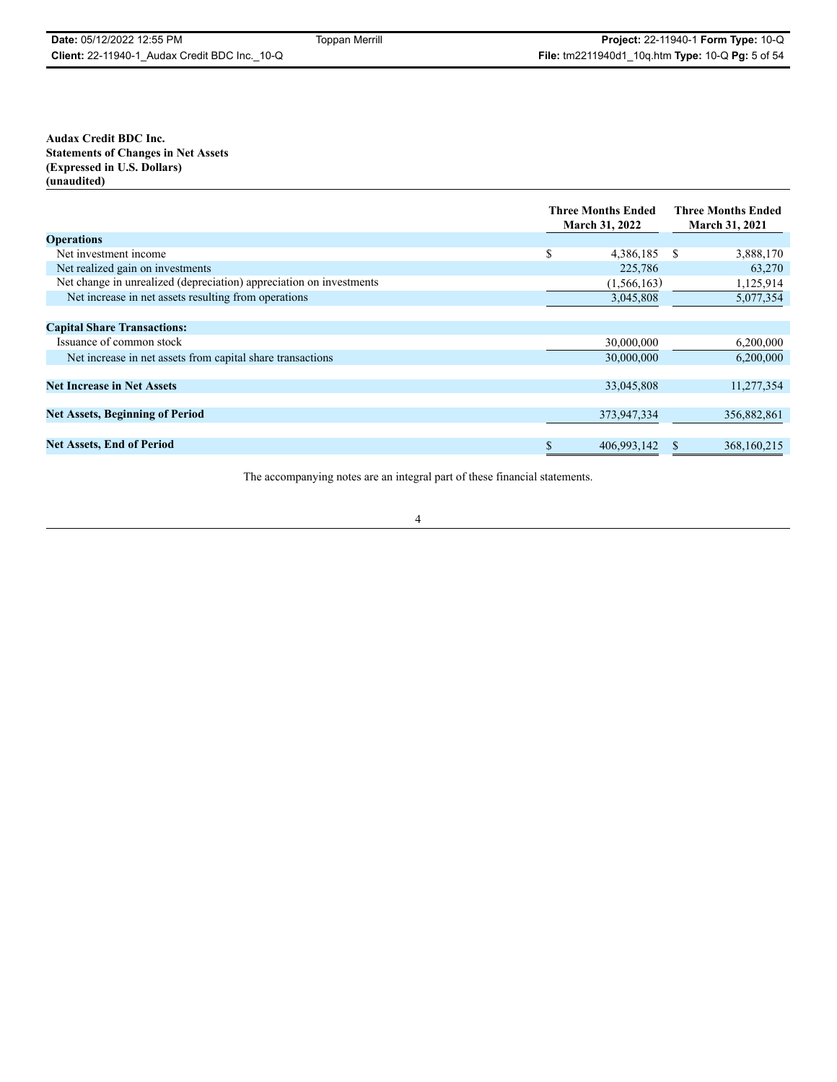## **Audax Credit BDC Inc. Statements of Changes in Net Assets (Expressed in U.S. Dollars) (unaudited)**

|                                                                     |   | Three Months Ended<br><b>March 31, 2022</b> |   | <b>Three Months Ended</b><br><b>March 31, 2021</b> |
|---------------------------------------------------------------------|---|---------------------------------------------|---|----------------------------------------------------|
| <b>Operations</b>                                                   |   |                                             |   |                                                    |
| Net investment income                                               | S | 4,386,185                                   | S | 3,888,170                                          |
| Net realized gain on investments                                    |   | 225,786                                     |   | 63,270                                             |
| Net change in unrealized (depreciation) appreciation on investments |   | (1, 566, 163)                               |   | 1,125,914                                          |
| Net increase in net assets resulting from operations                |   | 3,045,808                                   |   | 5,077,354                                          |
|                                                                     |   |                                             |   |                                                    |
| <b>Capital Share Transactions:</b>                                  |   |                                             |   |                                                    |
| Issuance of common stock                                            |   | 30,000,000                                  |   | 6,200,000                                          |
| Net increase in net assets from capital share transactions          |   | 30,000,000                                  |   | 6,200,000                                          |
|                                                                     |   |                                             |   |                                                    |
| <b>Net Increase in Net Assets</b>                                   |   | 33,045,808                                  |   | 11,277,354                                         |
|                                                                     |   |                                             |   |                                                    |
| <b>Net Assets, Beginning of Period</b>                              |   | 373,947,334                                 |   | 356,882,861                                        |
|                                                                     |   |                                             |   |                                                    |
| <b>Net Assets, End of Period</b>                                    |   | 406,993,142                                 |   | 368,160,215                                        |

The accompanying notes are an integral part of these financial statements.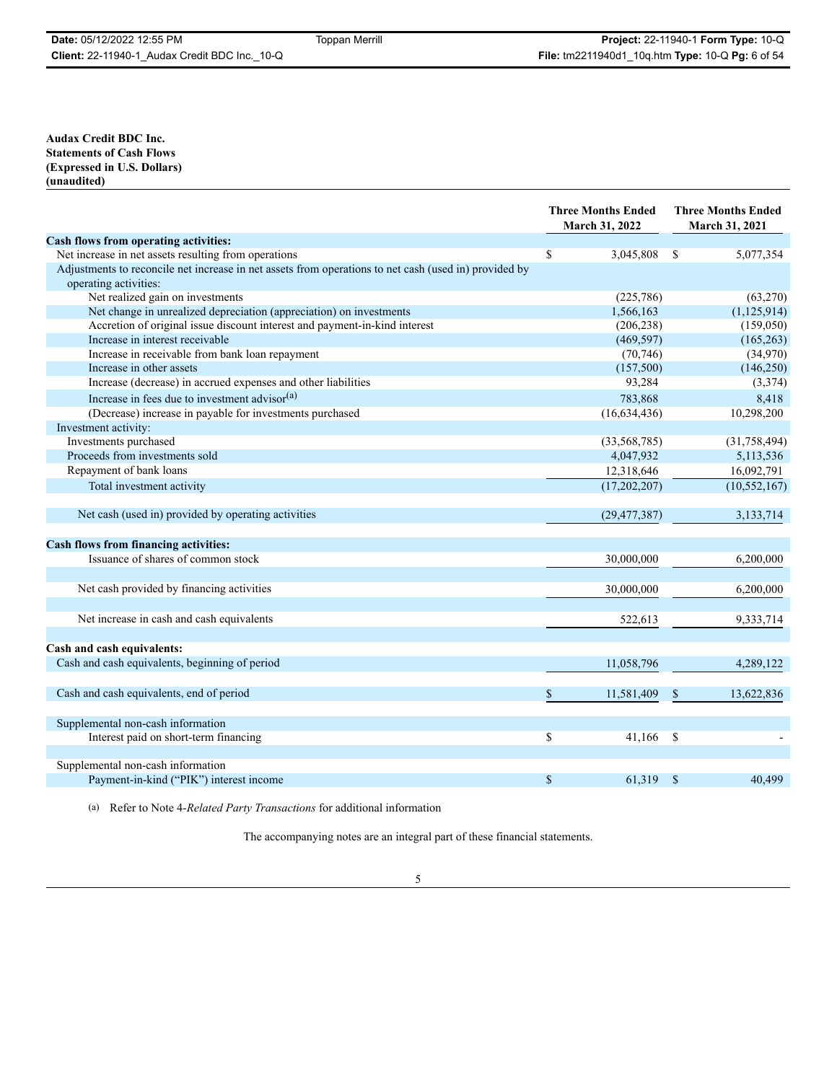**Audax Credit BDC Inc. Statements of Cash Flows (Expressed in U.S. Dollars) (unaudited)**

|                                                                                                       | <b>Three Months Ended</b><br>March 31, 2022 |                | <b>Three Months Ended</b><br>March 31, 2021 |                |
|-------------------------------------------------------------------------------------------------------|---------------------------------------------|----------------|---------------------------------------------|----------------|
| Cash flows from operating activities:                                                                 |                                             |                |                                             |                |
| Net increase in net assets resulting from operations                                                  | S                                           | 3,045,808      | <sup>\$</sup>                               | 5,077,354      |
| Adjustments to reconcile net increase in net assets from operations to net cash (used in) provided by |                                             |                |                                             |                |
| operating activities:                                                                                 |                                             |                |                                             |                |
| Net realized gain on investments                                                                      |                                             | (225,786)      |                                             | (63,270)       |
| Net change in unrealized depreciation (appreciation) on investments                                   |                                             | 1,566,163      |                                             | (1,125,914)    |
| Accretion of original issue discount interest and payment-in-kind interest                            |                                             | (206, 238)     |                                             | (159,050)      |
| Increase in interest receivable                                                                       |                                             | (469, 597)     |                                             | (165, 263)     |
| Increase in receivable from bank loan repayment                                                       |                                             | (70, 746)      |                                             | (34,970)       |
| Increase in other assets                                                                              |                                             | (157,500)      |                                             | (146, 250)     |
| Increase (decrease) in accrued expenses and other liabilities                                         |                                             | 93,284         |                                             | (3,374)        |
| Increase in fees due to investment advisor <sup>(a)</sup>                                             |                                             | 783,868        |                                             | 8,418          |
| (Decrease) increase in payable for investments purchased                                              |                                             | (16, 634, 436) |                                             | 10,298,200     |
| Investment activity:                                                                                  |                                             |                |                                             |                |
| Investments purchased                                                                                 |                                             | (33, 568, 785) |                                             | (31, 758, 494) |
| Proceeds from investments sold                                                                        |                                             | 4,047,932      |                                             | 5,113,536      |
| Repayment of bank loans                                                                               |                                             | 12,318,646     |                                             | 16,092,791     |
| Total investment activity                                                                             |                                             | (17,202,207)   |                                             | (10, 552, 167) |
|                                                                                                       |                                             |                |                                             |                |
| Net cash (used in) provided by operating activities                                                   |                                             | (29, 477, 387) |                                             | 3,133,714      |
|                                                                                                       |                                             |                |                                             |                |
| <b>Cash flows from financing activities:</b>                                                          |                                             |                |                                             |                |
| Issuance of shares of common stock                                                                    |                                             | 30,000,000     |                                             | 6,200,000      |
|                                                                                                       |                                             |                |                                             |                |
| Net cash provided by financing activities                                                             |                                             | 30,000,000     |                                             | 6,200,000      |
|                                                                                                       |                                             |                |                                             |                |
| Net increase in cash and cash equivalents                                                             |                                             | 522,613        |                                             | 9,333,714      |
|                                                                                                       |                                             |                |                                             |                |
| Cash and cash equivalents:                                                                            |                                             |                |                                             |                |
| Cash and cash equivalents, beginning of period                                                        |                                             | 11.058.796     |                                             | 4,289,122      |
|                                                                                                       |                                             |                |                                             |                |
| Cash and cash equivalents, end of period                                                              | \$                                          | 11,581,409     | $\mathbb{S}$                                | 13,622,836     |
|                                                                                                       |                                             |                |                                             |                |
| Supplemental non-cash information                                                                     |                                             |                |                                             |                |
| Interest paid on short-term financing                                                                 | \$                                          | 41,166         | S                                           |                |
|                                                                                                       |                                             |                |                                             |                |
| Supplemental non-cash information                                                                     |                                             |                |                                             |                |
| Payment-in-kind ("PIK") interest income                                                               | $\mathbb{S}$                                | 61,319         | <sup>\$</sup>                               | 40.499         |
|                                                                                                       |                                             |                |                                             |                |

(a) Refer to Note 4-*Related Party Transactions* for additional information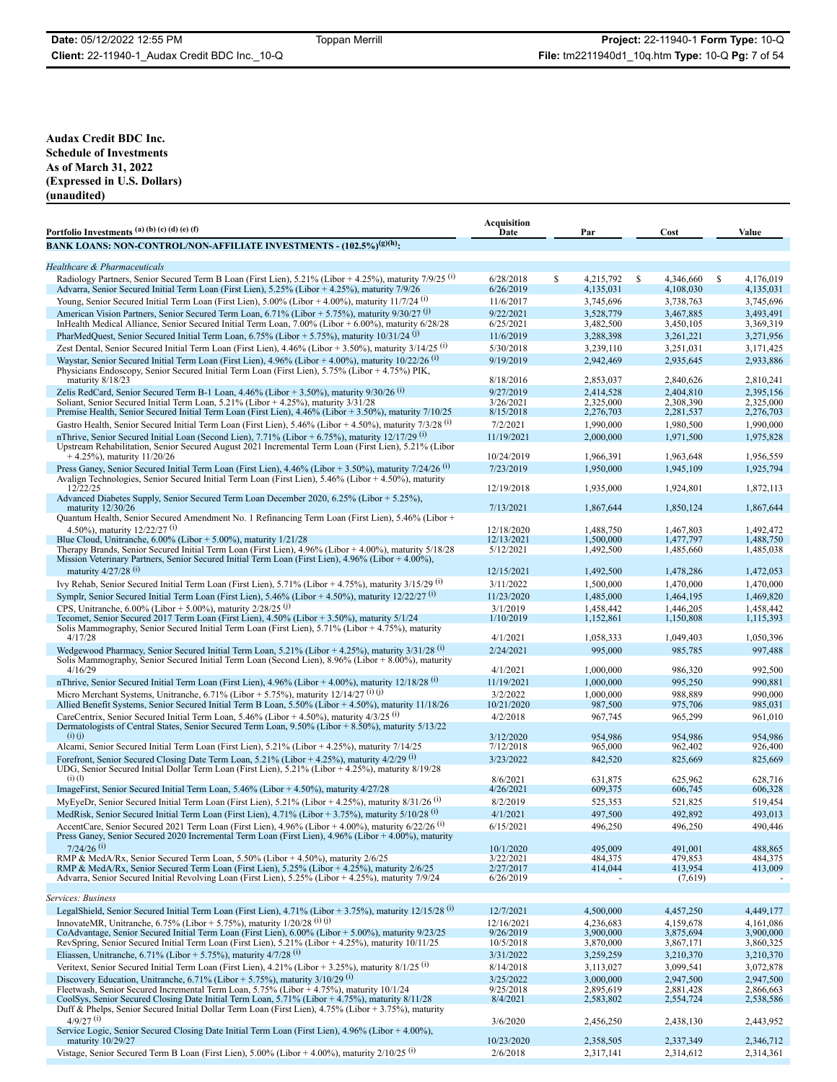## **Audax Credit BDC Inc. Schedule of Investments As of March 31, 2022 (Expressed in U.S. Dollars) (unaudited)**

| Portfolio Investments (a) (b) (c) (d) (e) (f)                                                                                                                                                                          | Acquisition<br>Date<br>Par |                        | Cost<br>Value          |                        |  |
|------------------------------------------------------------------------------------------------------------------------------------------------------------------------------------------------------------------------|----------------------------|------------------------|------------------------|------------------------|--|
| BANK LOANS: NON-CONTROL/NON-AFFILIATE INVESTMENTS - (102.5%) <sup>(g)(h)</sup> :                                                                                                                                       |                            |                        |                        |                        |  |
|                                                                                                                                                                                                                        |                            |                        |                        |                        |  |
| Healthcare & Pharmaceuticals                                                                                                                                                                                           |                            |                        |                        |                        |  |
| Radiology Partners, Senior Secured Term B Loan (First Lien), 5.21% (Libor + 4.25%), maturity 7/9/25 <sup>(i)</sup>                                                                                                     | 6/28/2018                  | \$<br>4,215,792        | S<br>4,346,660         | S<br>4.176.019         |  |
| Advarra, Senior Secured Initial Term Loan (First Lien), 5.25% (Libor + 4.25%), maturity 7/9/26                                                                                                                         | 6/26/2019                  | 4,135,031              | 4,108,030              | 4,135,031              |  |
| Young, Senior Secured Initial Term Loan (First Lien), $5.00\%$ (Libor + 4.00%), maturity $11/7/24$ <sup>(1)</sup>                                                                                                      | 11/6/2017                  | 3,745,696              | 3,738,763              | 3,745,696              |  |
| American Vision Partners, Senior Secured Term Loan, 6.71% (Libor + 5.75%), maturity 9/30/27 <sup>(1)</sup><br>In Health Medical Alliance, Senior Secured Initial Term Loan, $7.00\%$ (Libor + 6.00%), maturity 6/28/28 | 9/22/2021<br>6/25/2021     | 3,528,779<br>3,482,500 | 3,467,885<br>3,450,105 | 3,493,491<br>3,369,319 |  |
| PharMedQuest, Senior Secured Initial Term Loan, $6.75\%$ (Libor + 5.75%), maturity 10/31/24 (i)                                                                                                                        | 11/6/2019                  | 3,288,398              | 3,261,221              | 3,271,956              |  |
| Zest Dental, Senior Secured Initial Term Loan (First Lien), $4.46\%$ (Libor + 3.50%), maturity $3/14/25$ <sup>(i)</sup>                                                                                                | 5/30/2018                  | 3,239,110              | 3,251,031              | 3,171,425              |  |
| Waystar, Senior Secured Initial Term Loan (First Lien), $4.96\%$ (Libor + 4.00%), maturity $10/22/26$ (i)                                                                                                              | 9/19/2019                  | 2,942,469              | 2,935,645              | 2,933,886              |  |
| Physicians Endoscopy, Senior Secured Initial Term Loan (First Lien), 5.75% (Libor + 4.75%) PIK,                                                                                                                        |                            |                        |                        |                        |  |
| maturity 8/18/23                                                                                                                                                                                                       | 8/18/2016                  | 2,853,037              | 2,840,626              | 2,810,241              |  |
| Zelis RedCard, Senior Secured Term B-1 Loan, $4.46\%$ (Libor + 3.50%), maturity $9/30/26$ <sup>(i)</sup>                                                                                                               | 9/27/2019                  | 2,414,528              | 2,404,810              | 2,395,156              |  |
| Soliant, Senior Secured Initial Term Loan, 5.21% (Libor + 4.25%), maturity 3/31/28                                                                                                                                     | 3/26/2021                  | 2,325,000              | 2,308,390              | 2,325,000              |  |
| Premise Health, Senior Secured Initial Term Loan (First Lien), 4.46% (Libor + 3.50%), maturity 7/10/25                                                                                                                 | 8/15/2018                  | 2,276,703              | 2,281,537              | 2,276,703              |  |
| Gastro Health, Senior Secured Initial Term Loan (First Lien), 5.46% (Libor + 4.50%), maturity 7/3/28 <sup>(i)</sup>                                                                                                    | 7/2/2021                   | 1,990,000              | 1,980,500              | 1,990,000              |  |
| nThrive, Senior Secured Initial Loan (Second Lien), 7.71% (Libor + 6.75%), maturity 12/17/29 <sup>(1)</sup><br>Upstream Rehabilitation, Senior Secured August 2021 Incremental Term Loan (First Lien), 5.21% (Libor    | 11/19/2021                 | 2,000,000              | 1,971,500              | 1,975,828              |  |
| $+4.25\%$ , maturity $11/20/26$                                                                                                                                                                                        | 10/24/2019                 | 1,966,391              | 1,963,648              | 1,956,559              |  |
| Press Ganey, Senior Secured Initial Term Loan (First Lien), $4.46\%$ (Libor + 3.50%), maturity 7/24/26 <sup>(i)</sup>                                                                                                  | 7/23/2019                  | 1,950,000              | 1,945,109              | 1,925,794              |  |
| Avalign Technologies, Senior Secured Initial Term Loan (First Lien), $5.46\%$ (Libor + 4.50%), maturity                                                                                                                |                            |                        |                        |                        |  |
| 12/22/25                                                                                                                                                                                                               | 12/19/2018                 | 1.935,000              | 1,924,801              | 1,872,113              |  |
| Advanced Diabetes Supply, Senior Secured Term Loan December 2020, 6.25% (Libor + 5.25%),                                                                                                                               |                            |                        |                        |                        |  |
| maturity 12/30/26<br>Quantum Health, Senior Secured Amendment No. 1 Refinancing Term Loan (First Lien), 5.46% (Libor +                                                                                                 | 7/13/2021                  | 1,867,644              | 1,850,124              | 1,867,644              |  |
| 4.50%), maturity $12/22/27$ <sup>(1)</sup>                                                                                                                                                                             | 12/18/2020                 | 1,488,750              | 1,467,803              | 1,492,472              |  |
| Blue Cloud, Unitranche, 6.00% (Libor + 5.00%), maturity 1/21/28                                                                                                                                                        | 12/13/2021                 | 1,500,000              | 1.477.797              | 1.488.750              |  |
| Therapy Brands, Senior Secured Initial Term Loan (First Lien), 4.96% (Libor + 4.00%), maturity 5/18/28                                                                                                                 | 5/12/2021                  | 1,492,500              | 1,485,660              | 1,485,038              |  |
| Mission Veterinary Partners, Senior Secured Initial Term Loan (First Lien), 4.96% (Libor + 4.00%),                                                                                                                     |                            |                        |                        |                        |  |
| maturity 4/27/28 <sup>(i)</sup>                                                                                                                                                                                        | 12/15/2021                 | 1,492,500              | 1,478,286              | 1,472,053              |  |
| Ivy Rehab, Senior Secured Initial Term Loan (First Lien), $5.71\%$ (Libor + 4.75%), maturity 3/15/29 <sup>(1)</sup>                                                                                                    | 3/11/2022                  | 1,500,000              | 1,470,000              | 1,470,000              |  |
| Symplr, Senior Secured Initial Term Loan (First Lien), $5.46\%$ (Libor + 4.50%), maturity 12/22/27 <sup>(1)</sup>                                                                                                      | 11/23/2020                 | 1,485,000              | 1,464,195              | 1,469,820              |  |
| CPS, Unitranche, $6.00\%$ (Libor + 5.00%), maturity 2/28/25 <sup>(J)</sup>                                                                                                                                             | 3/1/2019                   | 1,458,442              | 1,446,205              | 1,458,442              |  |
| Tecomet, Senior Secured 2017 Term Loan (First Lien), $4.50\%$ (Libor + 3.50%), maturity $5/1/24$                                                                                                                       | 1/10/2019                  | 1,152,861              | 1,150,808              | 1,115,393              |  |
| Solis Mammography, Senior Secured Initial Term Loan (First Lien), $5.71\%$ (Libor + 4.75%), maturity                                                                                                                   |                            |                        |                        |                        |  |
| 4/17/28                                                                                                                                                                                                                | 4/1/2021                   | 1,058,333              | 1,049,403              | 1,050,396              |  |
| Wedgewood Pharmacy, Senior Secured Initial Term Loan, 5.21% (Libor + 4.25%), maturity 3/31/28 <sup>(i)</sup><br>Solis Mammography, Senior Secured Initial Term Loan (Second Lien), 8.96% (Libor + 8.00%), maturity     | 2/24/2021                  | 995,000                | 985,785                | 997,488                |  |
| 4/16/29                                                                                                                                                                                                                | 4/1/2021                   | 1,000,000              | 986,320                | 992,500                |  |
| nThrive, Senior Secured Initial Term Loan (First Lien), 4.96% (Libor + 4.00%), maturity 12/18/28 <sup>(1)</sup>                                                                                                        | 11/19/2021                 | 1,000,000              | 995,250                | 990,881                |  |
| Micro Merchant Systems, Unitranche, 6.71% (Libor + 5.75%), maturity 12/14/27 <sup>(i)</sup> (i)                                                                                                                        | 3/2/2022                   | 1,000,000              | 988,889                | 990,000                |  |
| Allied Benefit Systems, Senior Secured Initial Term B Loan, 5.50% (Libor + 4.50%), maturity 11/18/26                                                                                                                   | 10/21/2020                 | 987,500                | 975,706                | 985,031                |  |
| CareCentrix, Senior Secured Initial Term Loan, 5.46% (Libor + 4.50%), maturity 4/3/25 (i)                                                                                                                              | 4/2/2018                   | 967,745                | 965,299                | 961,010                |  |
| Dermatologists of Central States, Senior Secured Term Loan, 9.50% (Libor + 8.50%), maturity 5/13/22                                                                                                                    |                            |                        |                        |                        |  |
| $(i)$ $(i)$                                                                                                                                                                                                            | 3/12/2020                  | 954,986                | 954.986                | 954,986                |  |
| Alcami, Senior Secured Initial Term Loan (First Lien), 5.21% (Libor + 4.25%), maturity 7/14/25                                                                                                                         | 7/12/2018                  | 965,000                | 962,402                | 926,400                |  |
| Forefront, Senior Secured Closing Date Term Loan, 5.21% (Libor + 4.25%), maturity 4/2/29 (i)                                                                                                                           | 3/23/2022                  | 842,520                | 825,669                | 825,669                |  |
| UDG, Senior Secured Initial Dollar Term Loan (First Lien), 5.21% (Libor + 4.25%), maturity 8/19/28<br>$(i)$ $(l)$                                                                                                      | 8/6/2021                   | 631,875                | 625,962                | 628,716                |  |
| ImageFirst, Senior Secured Initial Term Loan, 5.46% (Libor + 4.50%), maturity 4/27/28                                                                                                                                  | 4/26/2021                  | 609,375                | 606,745                | 606,328                |  |
| MyEyeDr, Senior Secured Initial Term Loan (First Lien), 5.21% (Libor + 4.25%), maturity 8/31/26 <sup>(1)</sup>                                                                                                         | 8/2/2019                   | 525,353                | 521,825                | 519,454                |  |
| MedRisk, Senior Secured Initial Term Loan (First Lien), 4.71% (Libor + 3.75%), maturity 5/10/28 <sup>(1)</sup>                                                                                                         | 4/1/2021                   | 497,500                | 492,892                | 493,013                |  |
| AccentCare, Senior Secured 2021 Term Loan (First Lien), $4.96\%$ (Libor + 4.00%), maturity $6/22/26$ <sup>(i)</sup>                                                                                                    | 6/15/2021                  | 496,250                | 496,250                | 490,446                |  |
| Press Ganey, Senior Secured 2020 Incremental Term Loan (First Lien), 4.96% (Libor + 4.00%), maturity                                                                                                                   |                            |                        |                        |                        |  |
| $7/24/26$ <sup>(i)</sup>                                                                                                                                                                                               | 10/1/2020                  | 495,009                | 491,001                | 488,865                |  |
| RMP & MedA/Rx, Senior Secured Term Loan, 5.50% (Libor + 4.50%), maturity 2/6/25                                                                                                                                        | 3/22/2021                  | 484,375                | 479,853                | 484,375                |  |
| RMP & MedA/Rx, Senior Secured Term Loan (First Lien), 5.25% (Libor + 4.25%), maturity 2/6/25                                                                                                                           | 2/27/2017                  | 414,044                | 413,954                | 413,009                |  |
| Advarra, Senior Secured Initial Revolving Loan (First Lien), 5.25% (Libor + 4.25%), maturity 7/9/24                                                                                                                    | 6/26/2019                  |                        | (7,619)                |                        |  |
| Services: Business                                                                                                                                                                                                     |                            |                        |                        |                        |  |
| LegalShield, Senior Secured Initial Term Loan (First Lien), 4.71% (Libor + 3.75%), maturity 12/15/28 <sup>(i)</sup>                                                                                                    | 12/7/2021                  | 4,500,000              | 4,457,250              | 4,449,177              |  |
| InnovateMR, Unitranche, $6.75\%$ (Libor + 5.75%), maturity $1/20/28$ (i) (i)                                                                                                                                           | 12/16/2021                 | 4,236,683              | 4,159,678              | 4,161,086              |  |
| CoAdvantage, Senior Secured Initial Term Loan (First Lien), 6.00% (Libor + 5.00%), maturity 9/23/25                                                                                                                    | 9/26/2019                  | 3,900,000              | 3,875,694              | 3,900,000              |  |
| RevSpring, Senior Secured Initial Term Loan (First Lien), 5.21% (Libor + 4.25%), maturity 10/11/25                                                                                                                     | 10/5/2018                  | 3,870,000              | 3,867,171              | 3,860,325              |  |
| Eliassen, Unitranche, 6.71% (Libor + 5.75%), maturity $4/7/28$ <sup>(i)</sup>                                                                                                                                          | 3/31/2022                  | 3,259,259              | 3,210,370              | 3,210,370              |  |
| Veritext, Senior Secured Initial Term Loan (First Lien), 4.21% (Libor + 3.25%), maturity 8/1/25 <sup>(1)</sup>                                                                                                         | 8/14/2018                  | 3,113,027              | 3,099,541              | 3,072,878              |  |
| Discovery Education, Unitranche, $6.71\%$ (Libor + 5.75%), maturity 3/10/29 <sup>(i)</sup>                                                                                                                             | 3/25/2022                  | 3,000,000              | 2,947,500              | 2,947,500              |  |
| Fleetwash, Senior Secured Incremental Term Loan, 5.75% (Libor + 4.75%), maturity 10/1/24                                                                                                                               | 9/25/2018                  | 2,895,619              | 2,881,428              | 2,866,663              |  |
| CoolSys, Senior Secured Closing Date Initial Term Loan, 5.71% (Libor + 4.75%), maturity 8/11/28                                                                                                                        | 8/4/2021                   | 2,583,802              | 2,554,724              | 2,538,586              |  |
| Duff & Phelps, Senior Secured Initial Dollar Term Loan (First Lien), 4.75% (Libor + 3.75%), maturity                                                                                                                   |                            |                        |                        |                        |  |
| $4/9/27$ <sup>(i)</sup>                                                                                                                                                                                                | 3/6/2020                   | 2,456,250              | 2,438,130              | 2,443,952              |  |
| Service Logic, Senior Secured Closing Date Initial Term Loan (First Lien), 4.96% (Libor + 4.00%),<br>maturity 10/29/27                                                                                                 | 10/23/2020                 | 2,358,505              | 2,337,349              | 2,346,712              |  |
| Vistage, Senior Secured Term B Loan (First Lien), $5.00\%$ (Libor + 4.00%), maturity $2/10/25$ <sup>(1)</sup>                                                                                                          | 2/6/2018                   | 2,317,141              | 2,314,612              | 2,314,361              |  |
|                                                                                                                                                                                                                        |                            |                        |                        |                        |  |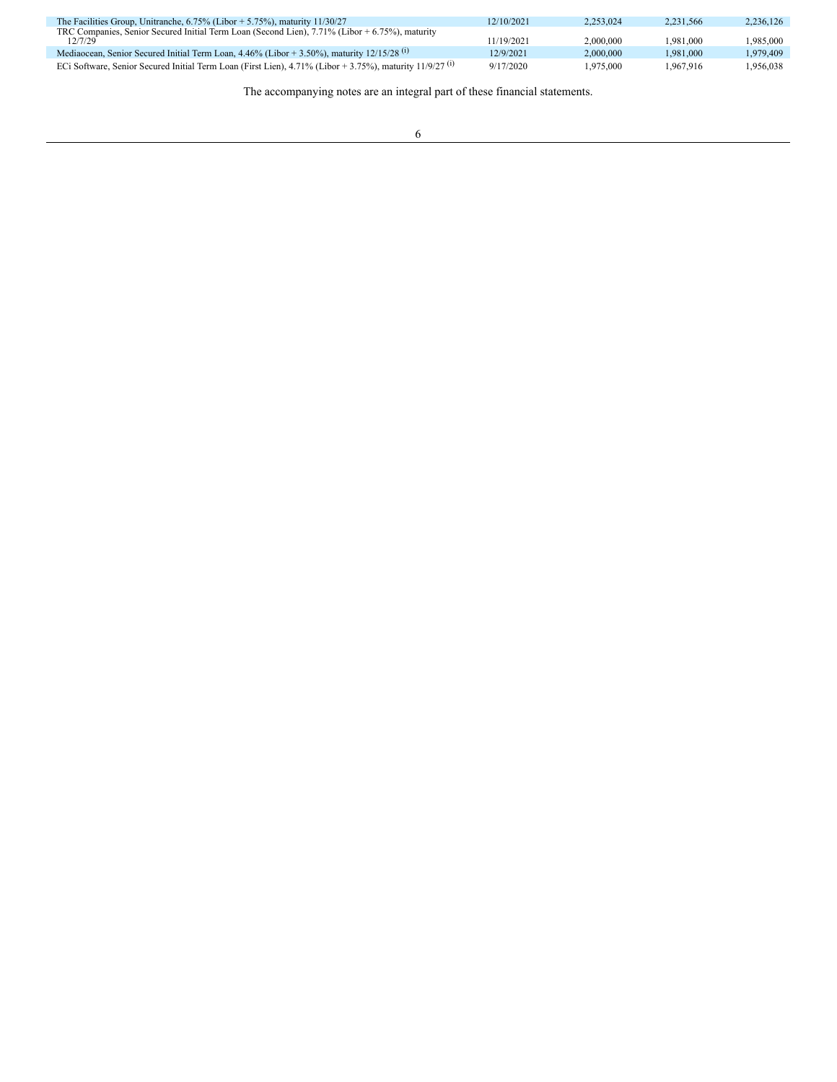| The Facilities Group, Unitranche, $6.75\%$ (Libor + 5.75%), maturity $11/30/27$                                          | 12/10/2021 | 2.253,024 | 2.231.566 | 2.236.126 |
|--------------------------------------------------------------------------------------------------------------------------|------------|-----------|-----------|-----------|
| TRC Companies, Senior Secured Initial Term Loan (Second Lien), $7.71\%$ (Libor $+ 6.75\%$ ), maturity                    |            |           |           |           |
| 12/7/29                                                                                                                  | 11/19/2021 | 2.000.000 | 1.981.000 | 1.985.000 |
| Mediaocean, Senior Secured Initial Term Loan, $4.46\%$ (Libor + 3.50%), maturity $12/15/28$ <sup>(1)</sup>               | 12/9/2021  | 2,000,000 | 1.981.000 | 1.979.409 |
| ECi Software, Senior Secured Initial Term Loan (First Lien), $4.71\%$ (Libor + 3.75%), maturity $11/9/27$ <sup>(1)</sup> | 9/17/2020  | 1.975.000 | 1.967.916 | 1.956.038 |

The accompanying notes are an integral part of these financial statements.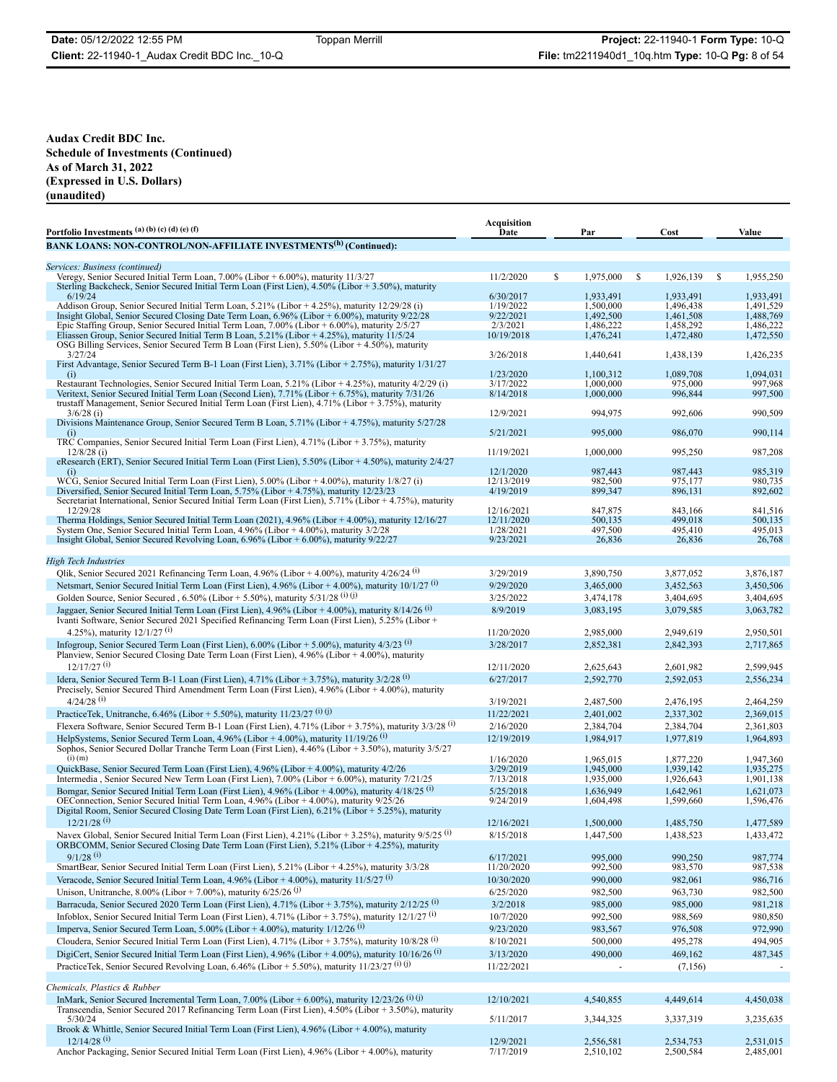## **Audax Credit BDC Inc. Schedule of Investments (Continued) As of March 31, 2022 (Expressed in U.S. Dollars) (unaudited)**

| Portfolio Investments (a) (b) (c) (d) (e) (f)                                                                                                                                                                   | Acquisition<br>Date | Par             | Cost           | Value           |
|-----------------------------------------------------------------------------------------------------------------------------------------------------------------------------------------------------------------|---------------------|-----------------|----------------|-----------------|
| <b>BANK LOANS: NON-CONTROL/NON-AFFILIATE INVESTMENTS<sup>(h)</sup> (Continued):</b>                                                                                                                             |                     |                 |                |                 |
| Services: Business (continued)                                                                                                                                                                                  |                     |                 |                |                 |
| Veregy, Senior Secured Initial Term Loan, $7.00\%$ (Libor $+ 6.00\%$ ), maturity $11/3/27$<br>Sterling Backcheck, Senior Secured Initial Term Loan (First Lien), 4.50% (Libor + 3.50%), maturity                | 11/2/2020           | \$<br>1,975,000 | S<br>1,926,139 | 1,955,250<br>-S |
| 6/19/24                                                                                                                                                                                                         | 6/30/2017           | 1,933,491       | 1,933,491      | 1,933,491       |
| Addison Group, Senior Secured Initial Term Loan, 5.21% (Libor + 4.25%), maturity 12/29/28 (i)                                                                                                                   | 1/19/2022           | 1,500,000       | 1,496,438      | 1,491,529       |
| Insight Global, Senior Secured Closing Date Term Loan, $6.96\%$ (Libor $+ 6.00\%$ ), maturity $9/22/28$                                                                                                         | 9/22/2021           | 1,492,500       | 1,461,508      | 1,488,769       |
| Epic Staffing Group, Senior Secured Initial Term Loan, 7.00% (Libor + 6.00%), maturity 2/5/27                                                                                                                   | 2/3/2021            | 1,486,222       | 1,458,292      | 1,486,222       |
| Eliassen Group, Senior Secured Initial Term B Loan, 5.21% (Libor + 4.25%), maturity 11/5/24<br>OSG Billing Services, Senior Secured Term B Loan (First Lien), $5.50\%$ (Libor + 4.50%), maturity                | 10/19/2018          | 1,476,241       | 1,472,480      | 1,472,550       |
| 3/27/24<br>First Advantage, Senior Secured Term B-1 Loan (First Lien), 3.71% (Libor + 2.75%), maturity 1/31/27                                                                                                  | 3/26/2018           | 1,440,641       | 1,438,139      | 1,426,235       |
| (i)                                                                                                                                                                                                             | 1/23/2020           | 1,100,312       | 1,089,708      | 1,094,031       |
| Restaurant Technologies, Senior Secured Initial Term Loan, 5.21% (Libor + 4.25%), maturity 4/2/29 (i)                                                                                                           | 3/17/2022           | 1,000,000       | 975,000        | 997.968         |
| Veritext, Senior Secured Initial Term Loan (Second Lien), 7.71% (Libor + 6.75%), maturity 7/31/26<br>trustaff Management, Senior Secured Initial Term Loan (First Lien), $4.71\%$ (Libor + 3.75%), maturity     | 8/14/2018           | 1,000,000       | 996,844        | 997,500         |
| $3/6/28$ (i)<br>Divisions Maintenance Group, Senior Secured Term B Loan, 5.71% (Libor + 4.75%), maturity 5/27/28                                                                                                | 12/9/2021           | 994,975         | 992,606        | 990,509         |
| (i)<br>TRC Companies, Senior Secured Initial Term Loan (First Lien), 4.71% (Libor + 3.75%), maturity                                                                                                            | 5/21/2021           | 995,000         | 986,070        | 990,114         |
| $12/8/28$ (i)<br>eResearch (ERT), Senior Secured Initial Term Loan (First Lien), 5.50% (Libor + 4.50%), maturity 2/4/27                                                                                         | 11/19/2021          | 1,000,000       | 995,250        | 987,208         |
| (i)                                                                                                                                                                                                             | 12/1/2020           | 987,443         | 987,443        | 985,319         |
| WCG, Senior Secured Initial Term Loan (First Lien), 5.00% (Libor + 4.00%), maturity 1/8/27 (i)                                                                                                                  | 12/13/2019          | 982,500         | 975,177        | 980,735         |
| Diversified, Senior Secured Initial Term Loan, 5.75% (Libor + 4.75%), maturity 12/23/23<br>Secretariat International, Senior Secured Initial Term Loan (First Lien), 5.71% (Libor + 4.75%), maturity            | 4/19/2019           | 899,347         | 896,131        | 892,602         |
| 12/29/28                                                                                                                                                                                                        | 12/16/2021          | 847,875         | 843,166        | 841,516         |
| Therma Holdings, Senior Secured Initial Term Loan $(2021)$ , 4.96% (Libor + 4.00%), maturity $12/16/27$                                                                                                         | 12/11/2020          | 500,135         | 499,018        | 500,135         |
| System One, Senior Secured Initial Term Loan, $4.96\%$ (Libor $+4.00\%$ ), maturity $3/2/28$                                                                                                                    | 1/28/2021           | 497,500         | 495.410        | 495,013         |
| Insight Global, Senior Secured Revolving Loan, 6.96% (Libor + 6.00%), maturity 9/22/27                                                                                                                          | 9/23/2021           | 26,836          | 26,836         | 26,768          |
| High Tech Industries                                                                                                                                                                                            |                     |                 |                |                 |
| Qlik, Senior Secured 2021 Refinancing Term Loan, $4.96\%$ (Libor + $4.00\%$ ), maturity $4/26/24$ <sup>(1)</sup>                                                                                                | 3/29/2019           | 3,890,750       | 3,877,052      | 3,876,187       |
| Netsmart, Senior Secured Initial Term Loan (First Lien), 4.96% (Libor + 4.00%), maturity 10/1/27 <sup>(i)</sup>                                                                                                 | 9/29/2020           | 3,465,000       | 3,452,563      | 3,450,506       |
| Golden Source, Senior Secured, $6.50\%$ (Libor + 5.50%), maturity $5/31/28$ (i) (j)                                                                                                                             | 3/25/2022           | 3,474,178       | 3,404,695      | 3,404,695       |
| Jaggaer, Senior Secured Initial Term Loan (First Lien), $4.96\%$ (Libor + $4.00\%$ ), maturity $8/14/26$ <sup>(1)</sup>                                                                                         | 8/9/2019            | 3,083,195       | 3,079,585      | 3,063,782       |
| Ivanti Software, Senior Secured 2021 Specified Refinancing Term Loan (First Lien), 5.25% (Libor +<br>4.25%), maturity 12/1/27 <sup>(i)</sup>                                                                    | 11/20/2020          | 2,985,000       | 2,949,619      | 2,950,501       |
| Infogroup, Senior Secured Term Loan (First Lien), $6.00\%$ (Libor + 5.00%), maturity $4/3/23$ <sup>(1)</sup>                                                                                                    | 3/28/2017           | 2,852,381       | 2,842,393      | 2,717,865       |
| Planview, Senior Secured Closing Date Term Loan (First Lien), 4.96% (Libor + 4.00%), maturity<br>$12/17/27$ <sup>(i)</sup>                                                                                      | 12/11/2020          | 2,625,643       | 2,601,982      | 2,599,945       |
| Idera, Senior Secured Term B-1 Loan (First Lien), 4.71% (Libor + 3.75%), maturity 3/2/28 <sup>(i)</sup>                                                                                                         | 6/27/2017           | 2,592,770       | 2,592,053      | 2,556,234       |
| Precisely, Senior Secured Third Amendment Term Loan (First Lien), $4.96\%$ (Libor + $4.00\%$ ), maturity                                                                                                        |                     |                 |                |                 |
| $4/24/28$ <sup>(i)</sup>                                                                                                                                                                                        | 3/19/2021           | 2,487,500       | 2,476,195      | 2,464,259       |
| PracticeTek, Unitranche, $6.46\%$ (Libor + 5.50%), maturity 11/23/27 (i) (j)                                                                                                                                    | 11/22/2021          | 2,401,002       | 2,337,302      | 2,369,015       |
| Flexera Software, Senior Secured Term B-1 Loan (First Lien), 4.71% (Libor + 3.75%), maturity $3/3/28$ (i)                                                                                                       | 2/16/2020           | 2,384,704       | 2,384,704      | 2,361,803       |
| HelpSystems, Senior Secured Term Loan, $4.96\%$ (Libor + $4.00\%$ ), maturity $11/19/26$ <sup>(i)</sup><br>Sophos, Senior Secured Dollar Tranche Term Loan (First Lien), 4.46% (Libor + 3.50%), maturity 3/5/27 | 12/19/2019          | 1,984,917       | 1,977,819      | 1,964,893       |
| $(i)$ $(m)$                                                                                                                                                                                                     | 1/16/2020           | 1,965,015       | 1,877,220      | 1,947,360       |
| QuickBase, Senior Secured Term Loan (First Lien), 4.96% (Libor + 4.00%), maturity 4/2/26                                                                                                                        | 3/29/2019           | 1,945,000       | 1,939,142      | 1,935,275       |
| Intermedia, Senior Secured New Term Loan (First Lien), 7.00% (Libor + 6.00%), maturity 7/21/25                                                                                                                  | 7/13/2018           | 1,935,000       | 1,926,643      | 1,901,138       |
| Bomgar, Senior Secured Initial Term Loan (First Lien), 4.96% (Libor + 4.00%), maturity 4/18/25 <sup>(i)</sup>                                                                                                   | 5/25/2018           | 1,636,949       | 1,642,961      | 1,621,073       |
| OEConnection, Senior Secured Initial Term Loan, 4.96% (Libor + 4.00%), maturity 9/25/26<br>Digital Room, Senior Secured Closing Date Term Loan (First Lien), 6.21% (Libor + 5.25%), maturity                    | 9/24/2019           | 1,604,498       | 1,599,660      | 1,596,476       |
| $12/21/28$ <sup>(i)</sup>                                                                                                                                                                                       | 12/16/2021          | 1,500,000       | 1,485,750      | 1,477,589       |
| Navex Global, Senior Secured Initial Term Loan (First Lien), 4.21% (Libor + 3.25%), maturity 9/5/25 <sup>(i)</sup>                                                                                              | 8/15/2018           |                 | 1,438,523      |                 |
| ORBCOMM, Senior Secured Closing Date Term Loan (First Lien), 5.21% (Libor + 4.25%), maturity                                                                                                                    |                     | 1,447,500       |                | 1,433,472       |
| $9/1/28$ <sup>(i)</sup>                                                                                                                                                                                         | 6/17/2021           | 995,000         | 990.250        | 987,774         |
| SmartBear, Senior Secured Initial Term Loan (First Lien), 5.21% (Libor + 4.25%), maturity 3/3/28                                                                                                                | 11/20/2020          | 992,500         | 983,570        | 987,538         |
| Veracode, Senior Secured Initial Term Loan, $4.96\%$ (Libor + 4.00%), maturity $11/5/27$ (i)                                                                                                                    | 10/30/2020          | 990,000         | 982,061        | 986,716         |
| Unison, Unitranche, 8.00% (Libor + 7.00%), maturity $6/25/26$ (i)                                                                                                                                               | 6/25/2020           | 982,500         | 963,730        | 982,500         |
| Barracuda, Senior Secured 2020 Term Loan (First Lien), 4.71% (Libor + 3.75%), maturity 2/12/25 <sup>(i)</sup>                                                                                                   | 3/2/2018            | 985,000         | 985,000        | 981,218         |
| Infoblox, Senior Secured Initial Term Loan (First Lien), $4.71\%$ (Libor + 3.75%), maturity $12/1/27$ (i)                                                                                                       | 10/7/2020           | 992,500         | 988,569        | 980,850         |
| Imperva, Senior Secured Term Loan, $5.00\%$ (Libor + 4.00%), maturity $1/12/26$ <sup>(1)</sup>                                                                                                                  | 9/23/2020           | 983,567         | 976,508        | 972,990         |
| Cloudera, Senior Secured Initial Term Loan (First Lien), $4.71\%$ (Libor + 3.75%), maturity $10/8/28$ (i)                                                                                                       | 8/10/2021           | 500,000         | 495,278        | 494,905         |
| DigiCert, Senior Secured Initial Term Loan (First Lien), 4.96% (Libor + 4.00%), maturity 10/16/26 <sup>(i)</sup>                                                                                                | 3/13/2020           |                 |                |                 |
|                                                                                                                                                                                                                 |                     | 490,000         | 469,162        | 487,345         |
| PracticeTek, Senior Secured Revolving Loan, $6.46\%$ (Libor + 5.50%), maturity 11/23/27 <sup>(i)</sup> (i)                                                                                                      | 11/22/2021          |                 | (7,156)        |                 |
| Chemicals, Plastics & Rubber                                                                                                                                                                                    |                     |                 |                |                 |
| InMark, Senior Secured Incremental Term Loan, 7.00% (Libor + 6.00%), maturity $12/23/26$ (i) (i)<br>Transcendia, Senior Secured 2017 Refinancing Term Loan (First Lien), 4.50% (Libor + 3.50%), maturity        | 12/10/2021          | 4,540,855       | 4,449,614      | 4,450,038       |
| 5/30/24<br>Brook & Whittle, Senior Secured Initial Term Loan (First Lien), 4.96% (Libor + 4.00%), maturity                                                                                                      | 5/11/2017           | 3,344,325       | 3,337,319      | 3,235,635       |
| $12/14/28$ <sup>(i)</sup>                                                                                                                                                                                       | 12/9/2021           | 2,556,581       | 2,534,753      | 2,531,015       |
| Anchor Packaging, Senior Secured Initial Term Loan (First Lien), 4.96% (Libor + 4.00%), maturity                                                                                                                | 7/17/2019           | 2,510,102       | 2,500,584      | 2,485,001       |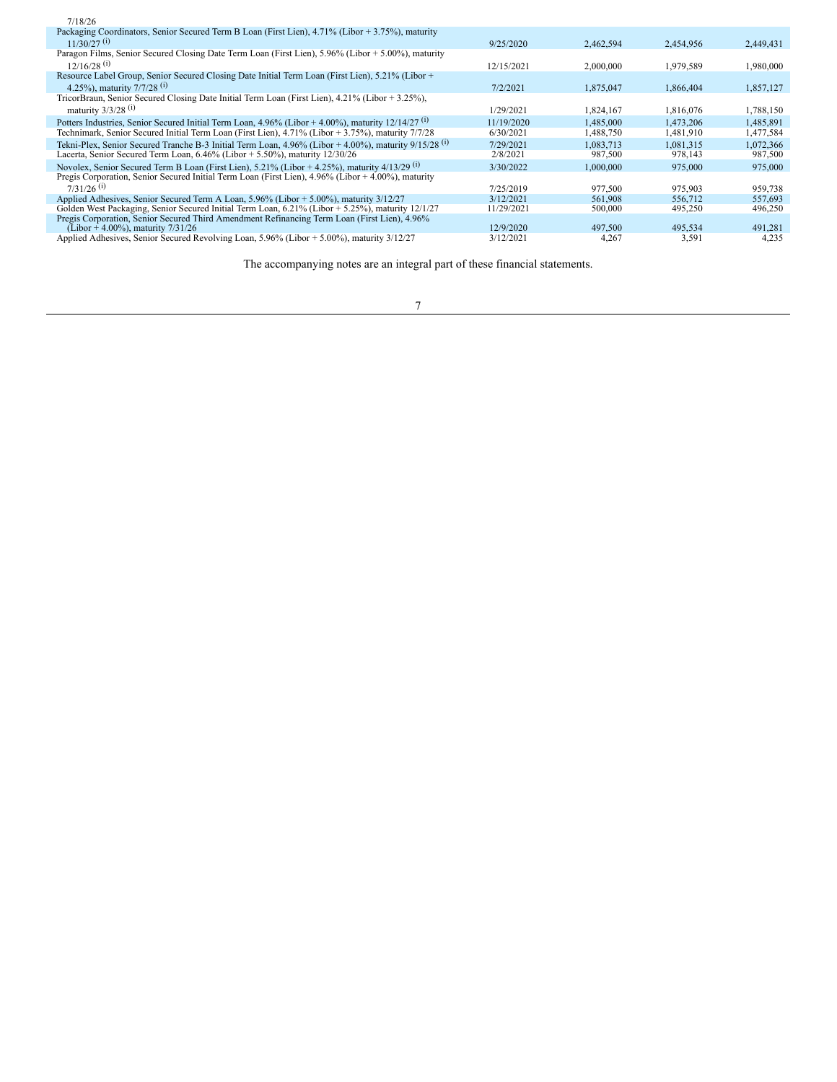| 7/18/26                                                                                                              |            |           |           |           |
|----------------------------------------------------------------------------------------------------------------------|------------|-----------|-----------|-----------|
| Packaging Coordinators, Senior Secured Term B Loan (First Lien), 4.71% (Libor + 3.75%), maturity                     |            |           |           |           |
| $11/30/27$ <sup>(1)</sup>                                                                                            | 9/25/2020  | 2.462.594 | 2.454,956 | 2,449,431 |
| Paragon Films, Senior Secured Closing Date Term Loan (First Lien), 5.96% (Libor + 5.00%), maturity                   |            |           |           |           |
| $12/16/28$ <sup>(i)</sup>                                                                                            | 12/15/2021 | 2,000,000 | 1,979,589 | 1,980,000 |
| Resource Label Group, Senior Secured Closing Date Initial Term Loan (First Lien), 5.21% (Libor +                     |            |           |           |           |
| 4.25%), maturity $7/7/28$ <sup>(i)</sup>                                                                             | 7/2/2021   | 1,875,047 | 1,866,404 | 1,857,127 |
| TricorBraun, Senior Secured Closing Date Initial Term Loan (First Lien), 4.21% (Libor + 3.25%),                      |            |           |           |           |
| maturity $3/3/28$ <sup>(i)</sup>                                                                                     | 1/29/2021  | 1,824,167 | 1,816,076 | 1,788,150 |
| Potters Industries, Senior Secured Initial Term Loan, $4.96\%$ (Libor + $4.00\%$ ), maturity 12/14/27 <sup>(1)</sup> | 11/19/2020 | 1,485,000 | 1,473,206 | 1,485,891 |
| Technimark, Senior Secured Initial Term Loan (First Lien), 4.71% (Libor + 3.75%), maturity 7/7/28                    | 6/30/2021  | 1,488,750 | 1,481,910 | 1,477,584 |
| Tekni-Plex, Senior Secured Tranche B-3 Initial Term Loan, 4.96% (Libor + 4.00%), maturity 9/15/28 <sup>(i)</sup>     | 7/29/2021  | 1.083.713 | 1.081.315 | 1.072.366 |
| Lacerta, Senior Secured Term Loan, $6.46\%$ (Libor + 5.50%), maturity $12/30/26$                                     | 2/8/2021   | 987,500   | 978,143   | 987,500   |
| Novolex, Senior Secured Term B Loan (First Lien), 5.21% (Libor + 4.25%), maturity 4/13/29 <sup>(i)</sup>             | 3/30/2022  | 1,000,000 | 975,000   | 975,000   |
| Pregis Corporation, Senior Secured Initial Term Loan (First Lien), 4.96% (Libor + 4.00%), maturity                   |            |           |           |           |
| $7/31/26$ <sup>(i)</sup>                                                                                             | 7/25/2019  | 977,500   | 975,903   | 959.738   |
| Applied Adhesives, Senior Secured Term A Loan, 5.96% (Libor + 5.00%), maturity 3/12/27                               | 3/12/2021  | 561,908   | 556,712   | 557,693   |
| Golden West Packaging, Senior Secured Initial Term Loan, 6.21% (Libor + 5.25%), maturity 12/1/27                     | 11/29/2021 | 500,000   | 495,250   | 496,250   |
| Pregis Corporation, Senior Secured Third Amendment Refinancing Term Loan (First Lien), 4.96%                         |            |           |           |           |
| (Libor + 4.00%), maturity $7/31/26$                                                                                  | 12/9/2020  | 497,500   | 495,534   | 491,281   |
| Applied Adhesives, Senior Secured Revolving Loan, $5.96\%$ (Libor + $5.00\%$ ), maturity $3/12/27$                   | 3/12/2021  | 4,267     | 3,591     | 4,235     |

The accompanying notes are an integral part of these financial statements.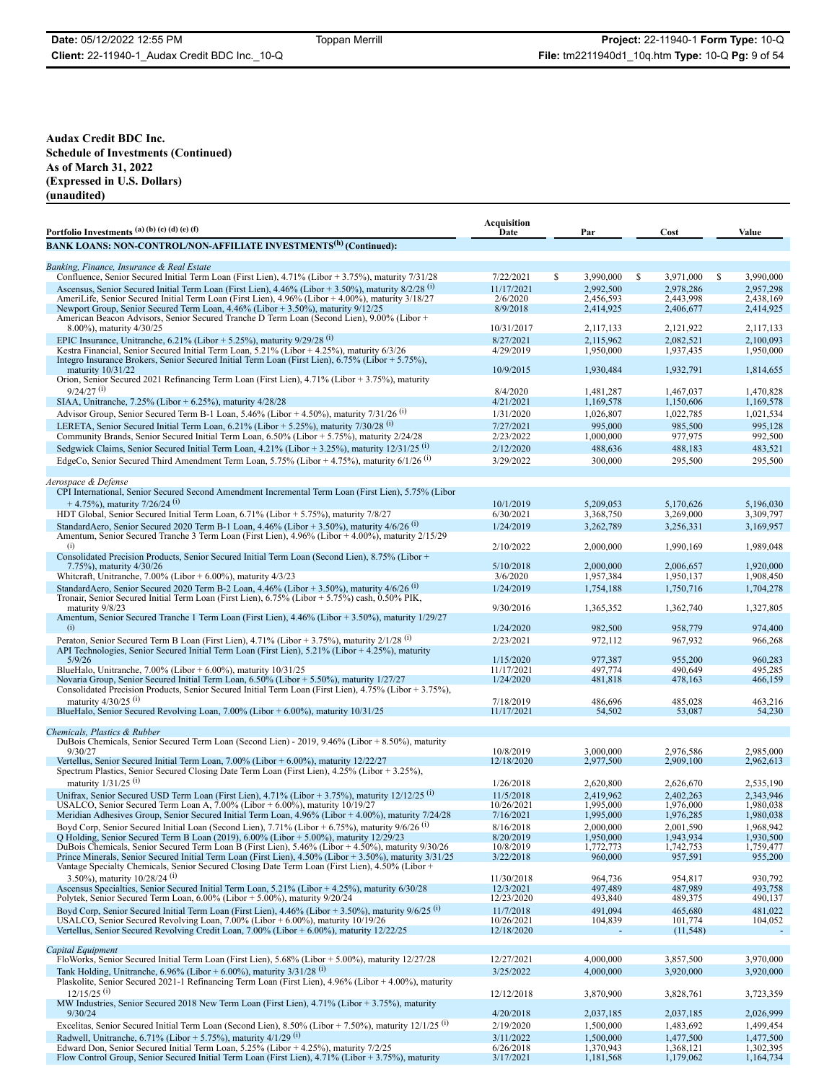## **Audax Credit BDC Inc. Schedule of Investments (Continued) As of March 31, 2022 (Expressed in U.S. Dollars) (unaudited)**

| Portfolio Investments (a) (b) (c) (d) (e) (f)                                                                                                                                                | Acquisition<br>Date    | Par |                        |   | Cost                 |   | Value                  |
|----------------------------------------------------------------------------------------------------------------------------------------------------------------------------------------------|------------------------|-----|------------------------|---|----------------------|---|------------------------|
| <b>BANK LOANS: NON-CONTROL/NON-AFFILIATE INVESTMENTS<sup>(h)</sup> (Continued):</b>                                                                                                          |                        |     |                        |   |                      |   |                        |
|                                                                                                                                                                                              |                        |     |                        |   |                      |   |                        |
| Banking, Finance, Insurance & Real Estate                                                                                                                                                    |                        |     |                        |   |                      |   |                        |
| Confluence, Senior Secured Initial Term Loan (First Lien), 4.71% (Libor + 3.75%), maturity 7/31/28                                                                                           | 7/22/2021              | \$  | 3,990,000              | S | 3,971,000            | S | 3,990,000              |
| Ascensus, Senior Secured Initial Term Loan (First Lien), 4.46% (Libor + 3.50%), maturity 8/2/28 <sup>(1)</sup>                                                                               | 11/17/2021             |     | 2,992,500              |   | 2,978,286            |   | 2,957,298              |
| AmeriLife, Senior Secured Initial Term Loan (First Lien), 4.96% (Libor + 4.00%), maturity 3/18/27                                                                                            | 2/6/2020<br>8/9/2018   |     | 2.456.593              |   | 2,443,998            |   | 2,438,169              |
| Newport Group, Senior Secured Term Loan, 4.46% (Libor + 3.50%), maturity 9/12/25<br>American Beacon Advisors, Senior Secured Tranche D Term Loan (Second Lien), 9.00% (Libor +               |                        |     | 2,414,925              |   | 2,406,677            |   | 2,414,925              |
| 8.00%), maturity 4/30/25                                                                                                                                                                     | 10/31/2017             |     | 2,117,133              |   | 2,121,922            |   | 2,117,133              |
| EPIC Insurance, Unitranche, $6.21\%$ (Libor + 5.25%), maturity $9/29/28$ <sup>(i)</sup>                                                                                                      | 8/27/2021              |     | 2,115,962              |   | 2,082,521            |   | 2,100,093              |
| Kestra Financial, Senior Secured Initial Term Loan, 5.21% (Libor + 4.25%), maturity 6/3/26                                                                                                   | 4/29/2019              |     | 1,950,000              |   | 1,937,435            |   | 1,950,000              |
| Integro Insurance Brokers, Senior Secured Initial Term Loan (First Lien), 6.75% (Libor + 5.75%),                                                                                             |                        |     |                        |   |                      |   |                        |
| maturity $10/31/22$                                                                                                                                                                          | 10/9/2015              |     | 1.930.484              |   | 1,932,791            |   | 1,814,655              |
| Orion, Senior Secured 2021 Refinancing Term Loan (First Lien), $4.71\%$ (Libor + 3.75%), maturity                                                                                            |                        |     |                        |   |                      |   |                        |
| $9/24/27$ <sup>(i)</sup>                                                                                                                                                                     | 8/4/2020               |     | 1,481,287<br>1,169,578 |   | 1,467,037            |   | 1,470,828              |
| SIAA, Unitranche, 7.25% (Libor + 6.25%), maturity 4/28/28                                                                                                                                    | 4/21/2021              |     |                        |   | 1,150,606            |   | 1,169,578              |
| Advisor Group, Senior Secured Term B-1 Loan, $5.46\%$ (Libor + 4.50%), maturity $7/31/26$ <sup>(1)</sup>                                                                                     | 1/31/2020              |     | 1,026,807              |   | 1,022,785            |   | 1,021,534              |
| LERETA, Senior Secured Initial Term Loan, $6.21\%$ (Libor + 5.25%), maturity 7/30/28 <sup>(1)</sup>                                                                                          | 7/27/2021              |     | 995,000                |   | 985,500              |   | 995,128                |
| Community Brands, Senior Secured Initial Term Loan, 6.50% (Libor + 5.75%), maturity 2/24/28                                                                                                  | 2/23/2022              |     | 1,000,000              |   | 977,975              |   | 992,500                |
| Sedgwick Claims, Senior Secured Initial Term Loan, $4.21\%$ (Libor + 3.25%), maturity $12/31/25$ (i)                                                                                         | 2/12/2020              |     | 488,636                |   | 488,183              |   | 483,521                |
| EdgeCo, Senior Secured Third Amendment Term Loan, 5.75% (Libor + 4.75%), maturity $6/1/26$ <sup>(i)</sup>                                                                                    | 3/29/2022              |     | 300,000                |   | 295,500              |   | 295,500                |
|                                                                                                                                                                                              |                        |     |                        |   |                      |   |                        |
| Aerospace & Defense<br>CPI International, Senior Secured Second Amendment Incremental Term Loan (First Lien), 5.75% (Libor                                                                   |                        |     |                        |   |                      |   |                        |
| $+4.75\%$ ), maturity $7/26/24$ <sup>(1)</sup>                                                                                                                                               | 10/1/2019              |     | 5,209,053              |   | 5,170,626            |   | 5,196,030              |
| HDT Global, Senior Secured Initial Term Loan, 6.71% (Libor + 5.75%), maturity 7/8/27                                                                                                         | 6/30/2021              |     | 3,368,750              |   | 3,269,000            |   | 3,309,797              |
| StandardAero, Senior Secured 2020 Term B-1 Loan, $4.46\%$ (Libor + 3.50%), maturity $4/6/26$ <sup>(i)</sup>                                                                                  | 1/24/2019              |     | 3,262,789              |   | 3,256,331            |   | 3,169,957              |
| Amentum, Senior Secured Tranche 3 Term Loan (First Lien), 4.96% (Libor + 4.00%), maturity 2/15/29                                                                                            |                        |     |                        |   |                      |   |                        |
| (i)                                                                                                                                                                                          | 2/10/2022              |     | 2,000,000              |   | 1,990,169            |   | 1,989,048              |
| Consolidated Precision Products, Senior Secured Initial Term Loan (Second Lien), 8.75% (Libor +                                                                                              |                        |     |                        |   |                      |   |                        |
| 7.75%), maturity 4/30/26                                                                                                                                                                     | 5/10/2018              |     | 2,000,000              |   | 2,006,657            |   | 1,920,000              |
| Whiteraft, Unitranche, $7.00\%$ (Libor + 6.00%), maturity $4/3/23$                                                                                                                           | 3/6/2020               |     | 1.957.384              |   | 1,950,137            |   | 1,908,450              |
| StandardAero, Senior Secured 2020 Term B-2 Loan, $4.46\%$ (Libor + 3.50%), maturity $4/6/26$ (i)                                                                                             | 1/24/2019              |     | 1,754,188              |   | 1,750,716            |   | 1,704,278              |
| Tronair, Senior Secured Initial Term Loan (First Lien), 6.75% (Libor + 5.75%) cash, 0.50% PIK,                                                                                               |                        |     |                        |   |                      |   |                        |
| maturity 9/8/23<br>Amentum, Senior Secured Tranche 1 Term Loan (First Lien), 4.46% (Libor + 3.50%), maturity 1/29/27                                                                         | 9/30/2016              |     | 1,365,352              |   | 1,362,740            |   | 1,327,805              |
| (i)                                                                                                                                                                                          | 1/24/2020              |     | 982,500                |   | 958,779              |   | 974,400                |
| Peraton, Senior Secured Term B Loan (First Lien), 4.71% (Libor + 3.75%), maturity 2/1/28 <sup>(1)</sup>                                                                                      | 2/23/2021              |     | 972,112                |   | 967,932              |   | 966,268                |
| API Technologies, Senior Secured Initial Term Loan (First Lien), 5.21% (Libor + 4.25%), maturity                                                                                             |                        |     |                        |   |                      |   |                        |
| 5/9/26                                                                                                                                                                                       | 1/15/2020              |     | 977,387                |   | 955,200              |   | 960,283                |
| BlueHalo, Unitranche, $7.00\%$ (Libor + 6.00%), maturity $10/31/25$                                                                                                                          | 11/17/2021             |     | 497,774                |   | 490,649              |   | 495,285                |
| Novaria Group, Senior Secured Initial Term Loan, 6.50% (Libor + 5.50%), maturity 1/27/27                                                                                                     | 1/24/2020              |     | 481,818                |   | 478,163              |   | 466,159                |
| Consolidated Precision Products, Senior Secured Initial Term Loan (First Lien), 4.75% (Libor + 3.75%),                                                                                       |                        |     |                        |   |                      |   |                        |
| maturity $4/30/25$ <sup>(1)</sup>                                                                                                                                                            | 7/18/2019              |     | 486,696                |   | 485,028              |   | 463,216                |
| BlueHalo, Senior Secured Revolving Loan, 7.00% (Libor + 6.00%), maturity 10/31/25                                                                                                            | 11/17/2021             |     | 54,502                 |   | 53,087               |   | 54,230                 |
| Chemicals, Plastics & Rubber                                                                                                                                                                 |                        |     |                        |   |                      |   |                        |
| DuBois Chemicals, Senior Secured Term Loan (Second Lien) - 2019, 9.46% (Libor + 8.50%), maturity                                                                                             |                        |     |                        |   |                      |   |                        |
| 9/30/27                                                                                                                                                                                      | 10/8/2019              |     | 3,000,000              |   | 2,976,586            |   | 2,985,000              |
| Vertellus, Senior Secured Initial Term Loan, $7.00\%$ (Libor + 6.00%), maturity 12/22/27                                                                                                     | 12/18/2020             |     | 2,977,500              |   | 2,909,100            |   | 2,962,613              |
| Spectrum Plastics, Senior Secured Closing Date Term Loan (First Lien), 4.25% (Libor + 3.25%),                                                                                                |                        |     |                        |   |                      |   |                        |
| maturity $1/31/25$ <sup>(i)</sup>                                                                                                                                                            | 1/26/2018              |     | 2,620,800              |   | 2,626,670            |   | 2,535,190              |
| Unifrax, Senior Secured USD Term Loan (First Lien), 4.71% (Libor + 3.75%), maturity 12/12/25 <sup>(i)</sup>                                                                                  | 11/5/2018              |     | 2,419,962              |   | 2,402,263            |   | 2,343,946              |
| USALCO, Senior Secured Term Loan A, $7.00\%$ (Libor + 6.00%), maturity 10/19/27                                                                                                              | 10/26/2021             |     | 1,995,000              |   | 1,976,000            |   | 1,980,038              |
| Meridian Adhesives Group, Senior Secured Initial Term Loan, 4.96% (Libor + 4.00%), maturity 7/24/28                                                                                          | 7/16/2021              |     | 1,995,000              |   | 1,976,285            |   | 1,980,038              |
| Boyd Corp, Senior Secured Initial Loan (Second Lien), 7.71% (Libor + 6.75%), maturity $9/6/26$ <sup>(i)</sup>                                                                                | 8/16/2018              |     | 2,000,000              |   | 2,001,590            |   | 1.968.942              |
| Q Holding, Senior Secured Term B Loan (2019), 6.00% (Libor + 5.00%), maturity 12/29/23<br>DuBois Chemicals, Senior Secured Term Loan B (First Lien), 5.46% (Libor + 4.50%), maturity 9/30/26 | 8/20/2019              |     | 1,950,000              |   | 1,943,934            |   | 1,930,500<br>1,759,477 |
| Prince Minerals, Senior Secured Initial Term Loan (First Lien), 4.50% (Libor + 3.50%), maturity 3/31/25                                                                                      | 10/8/2019<br>3/22/2018 |     | 1,772,773<br>960,000   |   | 1,742,753<br>957,591 |   | 955,200                |
| Vantage Specialty Chemicals, Senior Secured Closing Date Term Loan (First Lien), 4.50% (Libor +                                                                                              |                        |     |                        |   |                      |   |                        |
| 3.50%), maturity $10/28/24$ <sup>(i)</sup>                                                                                                                                                   | 11/30/2018             |     | 964,736                |   | 954,817              |   | 930,792                |
| Ascensus Specialties, Senior Secured Initial Term Loan, 5.21% (Libor + 4.25%), maturity 6/30/28                                                                                              | 12/3/2021              |     | 497,489                |   | 487,989              |   | 493,758                |
| Polytek, Senior Secured Term Loan, 6.00% (Libor + 5.00%), maturity 9/20/24                                                                                                                   | 12/23/2020             |     | 493,840                |   | 489,375              |   | 490,137                |
| Boyd Corp, Senior Secured Initial Term Loan (First Lien), $4.46\%$ (Libor + 3.50%), maturity $9/6/25$ <sup>(1)</sup>                                                                         | 11/7/2018              |     | 491.094                |   | 465,680              |   | 481.022                |
| USALCO, Senior Secured Revolving Loan, $7.00\%$ (Libor $+ 6.00\%$ ), maturity 10/19/26                                                                                                       | 10/26/2021             |     | 104,839                |   | 101,774              |   | 104,052                |
| Vertellus, Senior Secured Revolving Credit Loan, 7.00% (Libor + 6.00%), maturity 12/22/25                                                                                                    | 12/18/2020             |     |                        |   | (11, 548)            |   |                        |
| Capital Equipment                                                                                                                                                                            |                        |     |                        |   |                      |   |                        |
| FloWorks, Senior Secured Initial Term Loan (First Lien), 5.68% (Libor + 5.00%), maturity 12/27/28                                                                                            | 12/27/2021             |     | 4,000,000              |   | 3,857,500            |   | 3,970,000              |
| Tank Holding, Unitranche, $6.96\%$ (Libor + $6.00\%$ ), maturity $3/31/28$ <sup>(i)</sup>                                                                                                    | 3/25/2022              |     | 4,000,000              |   | 3,920,000            |   | 3,920,000              |
| Plaskolite, Senior Secured 2021-1 Refinancing Term Loan (First Lien), 4.96% (Libor + 4.00%), maturity                                                                                        |                        |     |                        |   |                      |   |                        |
| $12/15/25$ <sup>(i)</sup>                                                                                                                                                                    | 12/12/2018             |     | 3,870,900              |   | 3,828,761            |   | 3,723,359              |
| MW Industries, Senior Secured 2018 New Term Loan (First Lien), 4.71% (Libor + 3.75%), maturity                                                                                               |                        |     |                        |   |                      |   |                        |
| 9/30/24                                                                                                                                                                                      | 4/20/2018              |     | 2,037,185              |   | 2,037,185            |   | 2,026,999              |
| Excelitas, Senior Secured Initial Term Loan (Second Lien), 8.50% (Libor + 7.50%), maturity $12/1/25$ <sup>(i)</sup>                                                                          | 2/19/2020              |     | 1,500,000              |   | 1,483,692            |   | 1,499,454              |
| Radwell, Unitranche, $6.71\%$ (Libor + 5.75%), maturity $4/1/29$ <sup>(1)</sup>                                                                                                              | 3/11/2022              |     | 1,500,000              |   | 1,477,500            |   | 1,477,500              |
| Edward Don, Senior Secured Initial Term Loan, 5.25% (Libor + 4.25%), maturity 7/2/25                                                                                                         | 6/26/2018              |     | 1,370,943              |   | 1,368,121            |   | 1,302,395              |
| Flow Control Group, Senior Secured Initial Term Loan (First Lien), 4.71% (Libor + 3.75%), maturity                                                                                           | 3/17/2021              |     | 1,181,568              |   | 1,179,062            |   | 1,164,734              |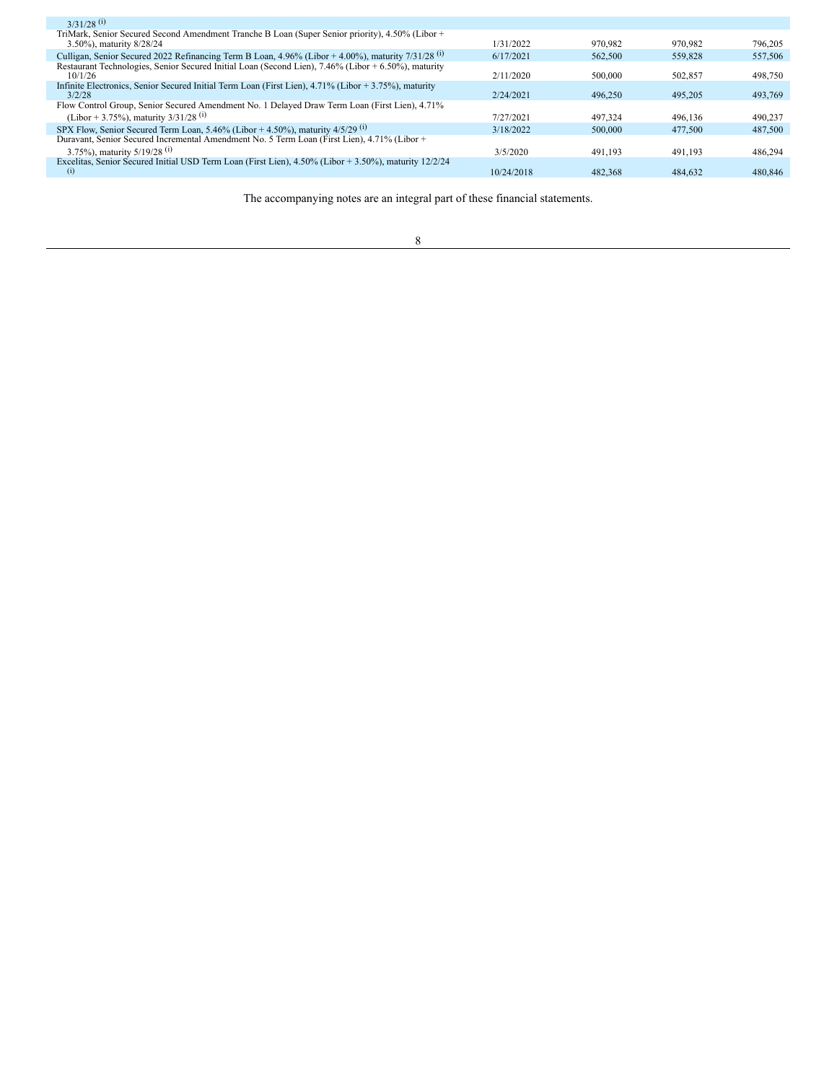| $3/31/28$ <sup>(i)</sup>                                                                                             |            |         |         |         |
|----------------------------------------------------------------------------------------------------------------------|------------|---------|---------|---------|
| TriMark, Senior Secured Second Amendment Tranche B Loan (Super Senior priority), 4.50% (Libor +                      |            |         |         |         |
| 3.50%), maturity 8/28/24                                                                                             | 1/31/2022  | 970.982 | 970.982 | 796,205 |
| Culligan, Senior Secured 2022 Refinancing Term B Loan, $4.96\%$ (Libor + $4.00\%$ ), maturity 7/31/28 <sup>(1)</sup> | 6/17/2021  | 562,500 | 559.828 | 557,506 |
| Restaurant Technologies, Senior Secured Initial Loan (Second Lien), $7.46\%$ (Libor + 6.50%), maturity               |            |         |         |         |
| 10/1/26                                                                                                              | 2/11/2020  | 500,000 | 502,857 | 498,750 |
| Infinite Electronics, Senior Secured Initial Term Loan (First Lien), 4.71% (Libor + 3.75%), maturity                 |            |         |         |         |
| 3/2/28                                                                                                               | 2/24/2021  | 496,250 | 495.205 | 493,769 |
| Flow Control Group, Senior Secured Amendment No. 1 Delayed Draw Term Loan (First Lien), 4.71%                        |            |         |         |         |
| (Libor + 3.75%), maturity $3/31/28$ <sup>(i)</sup>                                                                   | 7/27/2021  | 497.324 | 496.136 | 490,237 |
| SPX Flow, Senior Secured Term Loan, 5.46% (Libor + 4.50%), maturity $4/5/29$ <sup>(1)</sup>                          | 3/18/2022  | 500,000 | 477,500 | 487,500 |
| Duravant, Senior Secured Incremental Amendment No. 5 Term Loan (First Lien), 4.71% (Libor +                          |            |         |         |         |
| 3.75%), maturity $5/19/28$ <sup>(i)</sup>                                                                            | 3/5/2020   | 491.193 | 491.193 | 486,294 |
| Excelitas, Senior Secured Initial USD Term Loan (First Lien), 4.50% (Libor + 3.50%), maturity 12/2/24                |            |         |         |         |
| (i)                                                                                                                  | 10/24/2018 | 482.368 | 484.632 | 480,846 |
|                                                                                                                      |            |         |         |         |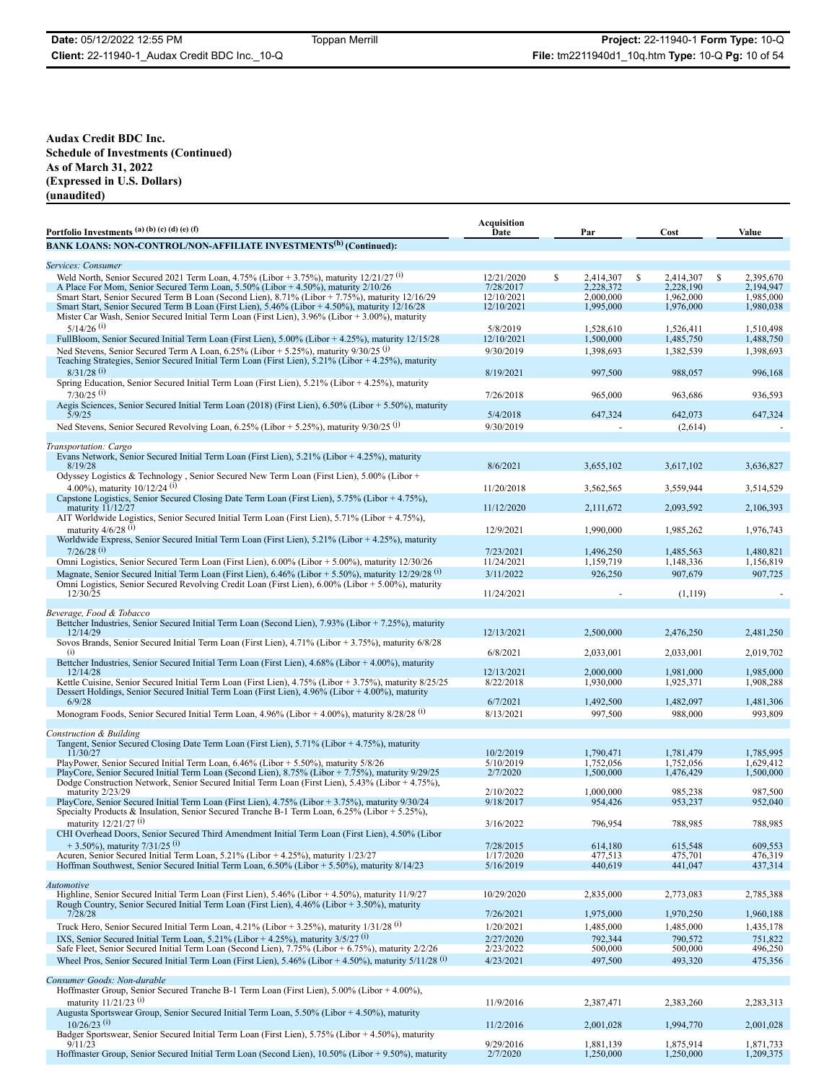## **Audax Credit BDC Inc. Schedule of Investments (Continued) As of March 31, 2022 (Expressed in U.S. Dollars) (unaudited)**

| <b>BANK LOANS: NON-CONTROL/NON-AFFILIATE INVESTMENTS<sup>(h)</sup> (Continued):</b><br>Services: Consumer<br>Weld North, Senior Secured 2021 Term Loan, 4.75% (Libor + 3.75%), maturity $12/21/27$ <sup>(i)</sup><br>12/21/2020<br>\$<br>2,414,307<br>S<br>2,414,307<br>S<br>2,228,190<br>A Place For Mom, Senior Secured Term Loan, 5.50% (Libor + 4.50%), maturity 2/10/26<br>7/28/2017<br>2,228,372<br>2,194,947<br>1,985,000<br>Smart Start, Senior Secured Term B Loan (Second Lien), 8.71% (Libor + 7.75%), maturity 12/16/29<br>12/10/2021<br>2,000,000<br>1,962,000<br>Smart Start, Senior Secured Term B Loan (First Lien), 5.46% (Libor + 4.50%), maturity 12/16/28<br>1,995,000<br>1,976,000<br>1,980,038<br>12/10/2021<br>Mister Car Wash, Senior Secured Initial Term Loan (First Lien), $3.96\%$ (Libor + 3.00%), maturity<br>$5/14/26$ <sup>(i)</sup><br>5/8/2019<br>1,528,610<br>1,526,411<br>1,500,000<br>FullBloom, Senior Secured Initial Term Loan (First Lien), 5.00% (Libor + 4.25%), maturity 12/15/28<br>12/10/2021<br>1,485,750<br>Ned Stevens, Senior Secured Term A Loan, $6.25\%$ (Libor + 5.25%), maturity $9/30/25$ <sup>(1)</sup><br>9/30/2019<br>1,398,693<br>1,382,539<br>Teaching Strategies, Senior Secured Initial Term Loan (First Lien), 5.21% (Libor + 4.25%), maturity<br>$8/31/28$ <sup>(i)</sup><br>8/19/2021<br>997,500<br>988,057<br>Spring Education, Senior Secured Initial Term Loan (First Lien), 5.21% (Libor + 4.25%), maturity<br>$7/30/25$ <sup>(i)</sup><br>7/26/2018<br>965,000<br>963,686<br>936,593<br>Aegis Sciences, Senior Secured Initial Term Loan (2018) (First Lien), 6.50% (Libor + 5.50%), maturity<br>5/9/25<br>5/4/2018<br>647,324<br>642,073<br>Ned Stevens, Senior Secured Revolving Loan, 6.25% (Libor + 5.25%), maturity 9/30/25 <sup>(j)</sup><br>9/30/2019<br>(2,614)<br>Transportation: Cargo<br>Evans Network, Senior Secured Initial Term Loan (First Lien), 5.21% (Libor + 4.25%), maturity<br>8/19/28<br>8/6/2021<br>3,655,102<br>3,617,102<br>Odyssey Logistics & Technology, Senior Secured New Term Loan (First Lien), 5.00% (Libor +<br>4.00%), maturity $10/12/24$ <sup>(1)</sup><br>11/20/2018<br>3,562,565<br>3,559,944<br>3,514,529<br>Capstone Logistics, Senior Secured Closing Date Term Loan (First Lien), 5.75% (Libor + 4.75%),<br>maturity 11/12/27<br>11/12/2020<br>2,111,672<br>2,093,592<br>AIT Worldwide Logistics, Senior Secured Initial Term Loan (First Lien), 5.71% (Libor + 4.75%),<br>maturity $4/6/28$ <sup>(1)</sup><br>12/9/2021<br>1,990,000<br>1,985,262<br>1,976,743<br>Worldwide Express, Senior Secured Initial Term Loan (First Lien), 5.21% (Libor + 4.25%), maturity<br>$7/26/28$ <sup>(i)</sup><br>1,496,250<br>1,480,821<br>7/23/2021<br>1,485,563<br>11/24/2021<br>Omni Logistics, Senior Secured Term Loan (First Lien), 6.00% (Libor + 5.00%), maturity 12/30/26<br>1,159,719<br>1,148,336<br>1,156,819<br>Magnate, Senior Secured Initial Term Loan (First Lien), $6.46\%$ (Libor + 5.50%), maturity 12/29/28 <sup>(1)</sup><br>907,679<br>907,725<br>3/11/2022<br>926,250<br>Omni Logistics, Senior Secured Revolving Credit Loan (First Lien), 6.00% (Libor + 5.00%), maturity<br>12/30/25<br>11/24/2021<br>(1,119)<br>Beverage, Food & Tobacco<br>Bettcher Industries, Senior Secured Initial Term Loan (Second Lien), 7.93% (Libor + 7.25%), maturity<br>12/13/2021<br>12/14/29<br>2,500,000<br>2,476,250<br>2,481,250<br>Sovos Brands, Senior Secured Initial Term Loan (First Lien), 4.71% (Libor + 3.75%), maturity 6/8/28<br>2,019,702<br>(i)<br>6/8/2021<br>2,033,001<br>2,033,001<br>Bettcher Industries, Senior Secured Initial Term Loan (First Lien), 4.68% (Libor + 4.00%), maturity<br>1,985,000<br>12/14/28<br>12/13/2021<br>2,000,000<br>1,981,000<br>Kettle Cuisine, Senior Secured Initial Term Loan (First Lien), 4.75% (Libor + 3.75%), maturity 8/25/25<br>8/22/2018<br>1,930,000<br>1,908,288<br>1,925,371<br>Dessert Holdings, Senior Secured Initial Term Loan (First Lien), $4.96\%$ (Libor + 4.00%), maturity<br>6/9/28<br>6/7/2021<br>1,492,500<br>1,482,097<br>Monogram Foods, Senior Secured Initial Term Loan, 4.96% (Libor + 4.00%), maturity 8/28/28 <sup>(1)</sup><br>997,500<br>988,000<br>8/13/2021<br>Construction & Building<br>Tangent, Senior Secured Closing Date Term Loan (First Lien), 5.71% (Libor + 4.75%), maturity<br>11/30/27<br>10/2/2019<br>1,790,471<br>1,781,479<br>5/10/2019<br>PlayPower, Senior Secured Initial Term Loan, $6.46\%$ (Libor + 5.50%), maturity 5/8/26<br>1,752,056<br>1,752,056<br>PlayCore, Senior Secured Initial Term Loan (Second Lien), 8.75% (Libor + 7.75%), maturity 9/29/25<br>2/7/2020<br>1,500,000<br>1,476,429<br>Dodge Construction Network, Senior Secured Initial Term Loan (First Lien), 5.43% (Libor + 4.75%),<br>maturity 2/23/29<br>2/10/2022<br>1,000,000<br>985,238<br>PlayCore, Senior Secured Initial Term Loan (First Lien), 4.75% (Libor + 3.75%), maturity 9/30/24<br>9/18/2017<br>954,426<br>953,237<br>952,040<br>Specialty Products & Insulation, Senior Secured Tranche B-1 Term Loan, $6.25\%$ (Libor + 5.25%),<br>maturity 12/21/27 <sup>(i)</sup><br>3/16/2022<br>796,954<br>788,985<br>CHI Overhead Doors, Senior Secured Third Amendment Initial Term Loan (First Lien), 4.50% (Libor<br>$+3.50\%$ ), maturity 7/31/25 <sup>(i)</sup><br>7/28/2015<br>615,548<br>614,180<br>Acuren, Senior Secured Initial Term Loan, 5.21% (Libor + 4.25%), maturity 1/23/27<br>1/17/2020<br>477,513<br>475,701<br>Hoffman Southwest, Senior Secured Initial Term Loan, 6.50% (Libor + 5.50%), maturity 8/14/23<br>5/16/2019<br>440,619<br>441,047<br>Automotive<br>Highline, Senior Secured Initial Term Loan (First Lien), 5.46% (Libor + 4.50%), maturity 11/9/27<br>10/29/2020<br>2,835,000<br>2,773,083 | Portfolio Investments (a) (b) (c) (d) (e) (f)                                                 | Acquisition<br>Date | Par | Cost | Value     |
|----------------------------------------------------------------------------------------------------------------------------------------------------------------------------------------------------------------------------------------------------------------------------------------------------------------------------------------------------------------------------------------------------------------------------------------------------------------------------------------------------------------------------------------------------------------------------------------------------------------------------------------------------------------------------------------------------------------------------------------------------------------------------------------------------------------------------------------------------------------------------------------------------------------------------------------------------------------------------------------------------------------------------------------------------------------------------------------------------------------------------------------------------------------------------------------------------------------------------------------------------------------------------------------------------------------------------------------------------------------------------------------------------------------------------------------------------------------------------------------------------------------------------------------------------------------------------------------------------------------------------------------------------------------------------------------------------------------------------------------------------------------------------------------------------------------------------------------------------------------------------------------------------------------------------------------------------------------------------------------------------------------------------------------------------------------------------------------------------------------------------------------------------------------------------------------------------------------------------------------------------------------------------------------------------------------------------------------------------------------------------------------------------------------------------------------------------------------------------------------------------------------------------------------------------------------------------------------------------------------------------------------------------------------------------------------------------------------------------------------------------------------------------------------------------------------------------------------------------------------------------------------------------------------------------------------------------------------------------------------------------------------------------------------------------------------------------------------------------------------------------------------------------------------------------------------------------------------------------------------------------------------------------------------------------------------------------------------------------------------------------------------------------------------------------------------------------------------------------------------------------------------------------------------------------------------------------------------------------------------------------------------------------------------------------------------------------------------------------------------------------------------------------------------------------------------------------------------------------------------------------------------------------------------------------------------------------------------------------------------------------------------------------------------------------------------------------------------------------------------------------------------------------------------------------------------------------------------------------------------------------------------------------------------------------------------------------------------------------------------------------------------------------------------------------------------------------------------------------------------------------------------------------------------------------------------------------------------------------------------------------------------------------------------------------------------------------------------------------------------------------------------------------------------------------------------------------------------------------------------------------------------------------------------------------------------------------------------------------------------------------------------------------------------------------------------------------------------------------------------------------------------------------------------------------------------------------------------------------------------------------------------------------------------------------------------------------------------------------------------------------------------------------------------------------------------------------------------------------------------------------------------------------------------------------------------------------------------------------------------------------------------------------------------------------------------------------------------------------------------------------------------------------------------------------------------------------------|-----------------------------------------------------------------------------------------------|---------------------|-----|------|-----------|
|                                                                                                                                                                                                                                                                                                                                                                                                                                                                                                                                                                                                                                                                                                                                                                                                                                                                                                                                                                                                                                                                                                                                                                                                                                                                                                                                                                                                                                                                                                                                                                                                                                                                                                                                                                                                                                                                                                                                                                                                                                                                                                                                                                                                                                                                                                                                                                                                                                                                                                                                                                                                                                                                                                                                                                                                                                                                                                                                                                                                                                                                                                                                                                                                                                                                                                                                                                                                                                                                                                                                                                                                                                                                                                                                                                                                                                                                                                                                                                                                                                                                                                                                                                                                                                                                                                                                                                                                                                                                                                                                                                                                                                                                                                                                                                                                                                                                                                                                                                                                                                                                                                                                                                                                                                                                                                                                                                                                                                                                                                                                                                                                                                                                                                                                                                                                                                  |                                                                                               |                     |     |      |           |
|                                                                                                                                                                                                                                                                                                                                                                                                                                                                                                                                                                                                                                                                                                                                                                                                                                                                                                                                                                                                                                                                                                                                                                                                                                                                                                                                                                                                                                                                                                                                                                                                                                                                                                                                                                                                                                                                                                                                                                                                                                                                                                                                                                                                                                                                                                                                                                                                                                                                                                                                                                                                                                                                                                                                                                                                                                                                                                                                                                                                                                                                                                                                                                                                                                                                                                                                                                                                                                                                                                                                                                                                                                                                                                                                                                                                                                                                                                                                                                                                                                                                                                                                                                                                                                                                                                                                                                                                                                                                                                                                                                                                                                                                                                                                                                                                                                                                                                                                                                                                                                                                                                                                                                                                                                                                                                                                                                                                                                                                                                                                                                                                                                                                                                                                                                                                                                  |                                                                                               |                     |     |      |           |
|                                                                                                                                                                                                                                                                                                                                                                                                                                                                                                                                                                                                                                                                                                                                                                                                                                                                                                                                                                                                                                                                                                                                                                                                                                                                                                                                                                                                                                                                                                                                                                                                                                                                                                                                                                                                                                                                                                                                                                                                                                                                                                                                                                                                                                                                                                                                                                                                                                                                                                                                                                                                                                                                                                                                                                                                                                                                                                                                                                                                                                                                                                                                                                                                                                                                                                                                                                                                                                                                                                                                                                                                                                                                                                                                                                                                                                                                                                                                                                                                                                                                                                                                                                                                                                                                                                                                                                                                                                                                                                                                                                                                                                                                                                                                                                                                                                                                                                                                                                                                                                                                                                                                                                                                                                                                                                                                                                                                                                                                                                                                                                                                                                                                                                                                                                                                                                  |                                                                                               |                     |     |      |           |
|                                                                                                                                                                                                                                                                                                                                                                                                                                                                                                                                                                                                                                                                                                                                                                                                                                                                                                                                                                                                                                                                                                                                                                                                                                                                                                                                                                                                                                                                                                                                                                                                                                                                                                                                                                                                                                                                                                                                                                                                                                                                                                                                                                                                                                                                                                                                                                                                                                                                                                                                                                                                                                                                                                                                                                                                                                                                                                                                                                                                                                                                                                                                                                                                                                                                                                                                                                                                                                                                                                                                                                                                                                                                                                                                                                                                                                                                                                                                                                                                                                                                                                                                                                                                                                                                                                                                                                                                                                                                                                                                                                                                                                                                                                                                                                                                                                                                                                                                                                                                                                                                                                                                                                                                                                                                                                                                                                                                                                                                                                                                                                                                                                                                                                                                                                                                                                  |                                                                                               |                     |     |      | 2,395,670 |
|                                                                                                                                                                                                                                                                                                                                                                                                                                                                                                                                                                                                                                                                                                                                                                                                                                                                                                                                                                                                                                                                                                                                                                                                                                                                                                                                                                                                                                                                                                                                                                                                                                                                                                                                                                                                                                                                                                                                                                                                                                                                                                                                                                                                                                                                                                                                                                                                                                                                                                                                                                                                                                                                                                                                                                                                                                                                                                                                                                                                                                                                                                                                                                                                                                                                                                                                                                                                                                                                                                                                                                                                                                                                                                                                                                                                                                                                                                                                                                                                                                                                                                                                                                                                                                                                                                                                                                                                                                                                                                                                                                                                                                                                                                                                                                                                                                                                                                                                                                                                                                                                                                                                                                                                                                                                                                                                                                                                                                                                                                                                                                                                                                                                                                                                                                                                                                  |                                                                                               |                     |     |      |           |
|                                                                                                                                                                                                                                                                                                                                                                                                                                                                                                                                                                                                                                                                                                                                                                                                                                                                                                                                                                                                                                                                                                                                                                                                                                                                                                                                                                                                                                                                                                                                                                                                                                                                                                                                                                                                                                                                                                                                                                                                                                                                                                                                                                                                                                                                                                                                                                                                                                                                                                                                                                                                                                                                                                                                                                                                                                                                                                                                                                                                                                                                                                                                                                                                                                                                                                                                                                                                                                                                                                                                                                                                                                                                                                                                                                                                                                                                                                                                                                                                                                                                                                                                                                                                                                                                                                                                                                                                                                                                                                                                                                                                                                                                                                                                                                                                                                                                                                                                                                                                                                                                                                                                                                                                                                                                                                                                                                                                                                                                                                                                                                                                                                                                                                                                                                                                                                  |                                                                                               |                     |     |      |           |
|                                                                                                                                                                                                                                                                                                                                                                                                                                                                                                                                                                                                                                                                                                                                                                                                                                                                                                                                                                                                                                                                                                                                                                                                                                                                                                                                                                                                                                                                                                                                                                                                                                                                                                                                                                                                                                                                                                                                                                                                                                                                                                                                                                                                                                                                                                                                                                                                                                                                                                                                                                                                                                                                                                                                                                                                                                                                                                                                                                                                                                                                                                                                                                                                                                                                                                                                                                                                                                                                                                                                                                                                                                                                                                                                                                                                                                                                                                                                                                                                                                                                                                                                                                                                                                                                                                                                                                                                                                                                                                                                                                                                                                                                                                                                                                                                                                                                                                                                                                                                                                                                                                                                                                                                                                                                                                                                                                                                                                                                                                                                                                                                                                                                                                                                                                                                                                  |                                                                                               |                     |     |      |           |
|                                                                                                                                                                                                                                                                                                                                                                                                                                                                                                                                                                                                                                                                                                                                                                                                                                                                                                                                                                                                                                                                                                                                                                                                                                                                                                                                                                                                                                                                                                                                                                                                                                                                                                                                                                                                                                                                                                                                                                                                                                                                                                                                                                                                                                                                                                                                                                                                                                                                                                                                                                                                                                                                                                                                                                                                                                                                                                                                                                                                                                                                                                                                                                                                                                                                                                                                                                                                                                                                                                                                                                                                                                                                                                                                                                                                                                                                                                                                                                                                                                                                                                                                                                                                                                                                                                                                                                                                                                                                                                                                                                                                                                                                                                                                                                                                                                                                                                                                                                                                                                                                                                                                                                                                                                                                                                                                                                                                                                                                                                                                                                                                                                                                                                                                                                                                                                  |                                                                                               |                     |     |      |           |
|                                                                                                                                                                                                                                                                                                                                                                                                                                                                                                                                                                                                                                                                                                                                                                                                                                                                                                                                                                                                                                                                                                                                                                                                                                                                                                                                                                                                                                                                                                                                                                                                                                                                                                                                                                                                                                                                                                                                                                                                                                                                                                                                                                                                                                                                                                                                                                                                                                                                                                                                                                                                                                                                                                                                                                                                                                                                                                                                                                                                                                                                                                                                                                                                                                                                                                                                                                                                                                                                                                                                                                                                                                                                                                                                                                                                                                                                                                                                                                                                                                                                                                                                                                                                                                                                                                                                                                                                                                                                                                                                                                                                                                                                                                                                                                                                                                                                                                                                                                                                                                                                                                                                                                                                                                                                                                                                                                                                                                                                                                                                                                                                                                                                                                                                                                                                                                  |                                                                                               |                     |     |      | 1,510,498 |
|                                                                                                                                                                                                                                                                                                                                                                                                                                                                                                                                                                                                                                                                                                                                                                                                                                                                                                                                                                                                                                                                                                                                                                                                                                                                                                                                                                                                                                                                                                                                                                                                                                                                                                                                                                                                                                                                                                                                                                                                                                                                                                                                                                                                                                                                                                                                                                                                                                                                                                                                                                                                                                                                                                                                                                                                                                                                                                                                                                                                                                                                                                                                                                                                                                                                                                                                                                                                                                                                                                                                                                                                                                                                                                                                                                                                                                                                                                                                                                                                                                                                                                                                                                                                                                                                                                                                                                                                                                                                                                                                                                                                                                                                                                                                                                                                                                                                                                                                                                                                                                                                                                                                                                                                                                                                                                                                                                                                                                                                                                                                                                                                                                                                                                                                                                                                                                  |                                                                                               |                     |     |      | 1,488,750 |
|                                                                                                                                                                                                                                                                                                                                                                                                                                                                                                                                                                                                                                                                                                                                                                                                                                                                                                                                                                                                                                                                                                                                                                                                                                                                                                                                                                                                                                                                                                                                                                                                                                                                                                                                                                                                                                                                                                                                                                                                                                                                                                                                                                                                                                                                                                                                                                                                                                                                                                                                                                                                                                                                                                                                                                                                                                                                                                                                                                                                                                                                                                                                                                                                                                                                                                                                                                                                                                                                                                                                                                                                                                                                                                                                                                                                                                                                                                                                                                                                                                                                                                                                                                                                                                                                                                                                                                                                                                                                                                                                                                                                                                                                                                                                                                                                                                                                                                                                                                                                                                                                                                                                                                                                                                                                                                                                                                                                                                                                                                                                                                                                                                                                                                                                                                                                                                  |                                                                                               |                     |     |      | 1,398,693 |
|                                                                                                                                                                                                                                                                                                                                                                                                                                                                                                                                                                                                                                                                                                                                                                                                                                                                                                                                                                                                                                                                                                                                                                                                                                                                                                                                                                                                                                                                                                                                                                                                                                                                                                                                                                                                                                                                                                                                                                                                                                                                                                                                                                                                                                                                                                                                                                                                                                                                                                                                                                                                                                                                                                                                                                                                                                                                                                                                                                                                                                                                                                                                                                                                                                                                                                                                                                                                                                                                                                                                                                                                                                                                                                                                                                                                                                                                                                                                                                                                                                                                                                                                                                                                                                                                                                                                                                                                                                                                                                                                                                                                                                                                                                                                                                                                                                                                                                                                                                                                                                                                                                                                                                                                                                                                                                                                                                                                                                                                                                                                                                                                                                                                                                                                                                                                                                  |                                                                                               |                     |     |      |           |
|                                                                                                                                                                                                                                                                                                                                                                                                                                                                                                                                                                                                                                                                                                                                                                                                                                                                                                                                                                                                                                                                                                                                                                                                                                                                                                                                                                                                                                                                                                                                                                                                                                                                                                                                                                                                                                                                                                                                                                                                                                                                                                                                                                                                                                                                                                                                                                                                                                                                                                                                                                                                                                                                                                                                                                                                                                                                                                                                                                                                                                                                                                                                                                                                                                                                                                                                                                                                                                                                                                                                                                                                                                                                                                                                                                                                                                                                                                                                                                                                                                                                                                                                                                                                                                                                                                                                                                                                                                                                                                                                                                                                                                                                                                                                                                                                                                                                                                                                                                                                                                                                                                                                                                                                                                                                                                                                                                                                                                                                                                                                                                                                                                                                                                                                                                                                                                  |                                                                                               |                     |     |      | 996,168   |
|                                                                                                                                                                                                                                                                                                                                                                                                                                                                                                                                                                                                                                                                                                                                                                                                                                                                                                                                                                                                                                                                                                                                                                                                                                                                                                                                                                                                                                                                                                                                                                                                                                                                                                                                                                                                                                                                                                                                                                                                                                                                                                                                                                                                                                                                                                                                                                                                                                                                                                                                                                                                                                                                                                                                                                                                                                                                                                                                                                                                                                                                                                                                                                                                                                                                                                                                                                                                                                                                                                                                                                                                                                                                                                                                                                                                                                                                                                                                                                                                                                                                                                                                                                                                                                                                                                                                                                                                                                                                                                                                                                                                                                                                                                                                                                                                                                                                                                                                                                                                                                                                                                                                                                                                                                                                                                                                                                                                                                                                                                                                                                                                                                                                                                                                                                                                                                  |                                                                                               |                     |     |      |           |
|                                                                                                                                                                                                                                                                                                                                                                                                                                                                                                                                                                                                                                                                                                                                                                                                                                                                                                                                                                                                                                                                                                                                                                                                                                                                                                                                                                                                                                                                                                                                                                                                                                                                                                                                                                                                                                                                                                                                                                                                                                                                                                                                                                                                                                                                                                                                                                                                                                                                                                                                                                                                                                                                                                                                                                                                                                                                                                                                                                                                                                                                                                                                                                                                                                                                                                                                                                                                                                                                                                                                                                                                                                                                                                                                                                                                                                                                                                                                                                                                                                                                                                                                                                                                                                                                                                                                                                                                                                                                                                                                                                                                                                                                                                                                                                                                                                                                                                                                                                                                                                                                                                                                                                                                                                                                                                                                                                                                                                                                                                                                                                                                                                                                                                                                                                                                                                  |                                                                                               |                     |     |      |           |
|                                                                                                                                                                                                                                                                                                                                                                                                                                                                                                                                                                                                                                                                                                                                                                                                                                                                                                                                                                                                                                                                                                                                                                                                                                                                                                                                                                                                                                                                                                                                                                                                                                                                                                                                                                                                                                                                                                                                                                                                                                                                                                                                                                                                                                                                                                                                                                                                                                                                                                                                                                                                                                                                                                                                                                                                                                                                                                                                                                                                                                                                                                                                                                                                                                                                                                                                                                                                                                                                                                                                                                                                                                                                                                                                                                                                                                                                                                                                                                                                                                                                                                                                                                                                                                                                                                                                                                                                                                                                                                                                                                                                                                                                                                                                                                                                                                                                                                                                                                                                                                                                                                                                                                                                                                                                                                                                                                                                                                                                                                                                                                                                                                                                                                                                                                                                                                  |                                                                                               |                     |     |      |           |
|                                                                                                                                                                                                                                                                                                                                                                                                                                                                                                                                                                                                                                                                                                                                                                                                                                                                                                                                                                                                                                                                                                                                                                                                                                                                                                                                                                                                                                                                                                                                                                                                                                                                                                                                                                                                                                                                                                                                                                                                                                                                                                                                                                                                                                                                                                                                                                                                                                                                                                                                                                                                                                                                                                                                                                                                                                                                                                                                                                                                                                                                                                                                                                                                                                                                                                                                                                                                                                                                                                                                                                                                                                                                                                                                                                                                                                                                                                                                                                                                                                                                                                                                                                                                                                                                                                                                                                                                                                                                                                                                                                                                                                                                                                                                                                                                                                                                                                                                                                                                                                                                                                                                                                                                                                                                                                                                                                                                                                                                                                                                                                                                                                                                                                                                                                                                                                  |                                                                                               |                     |     |      | 647,324   |
|                                                                                                                                                                                                                                                                                                                                                                                                                                                                                                                                                                                                                                                                                                                                                                                                                                                                                                                                                                                                                                                                                                                                                                                                                                                                                                                                                                                                                                                                                                                                                                                                                                                                                                                                                                                                                                                                                                                                                                                                                                                                                                                                                                                                                                                                                                                                                                                                                                                                                                                                                                                                                                                                                                                                                                                                                                                                                                                                                                                                                                                                                                                                                                                                                                                                                                                                                                                                                                                                                                                                                                                                                                                                                                                                                                                                                                                                                                                                                                                                                                                                                                                                                                                                                                                                                                                                                                                                                                                                                                                                                                                                                                                                                                                                                                                                                                                                                                                                                                                                                                                                                                                                                                                                                                                                                                                                                                                                                                                                                                                                                                                                                                                                                                                                                                                                                                  |                                                                                               |                     |     |      |           |
|                                                                                                                                                                                                                                                                                                                                                                                                                                                                                                                                                                                                                                                                                                                                                                                                                                                                                                                                                                                                                                                                                                                                                                                                                                                                                                                                                                                                                                                                                                                                                                                                                                                                                                                                                                                                                                                                                                                                                                                                                                                                                                                                                                                                                                                                                                                                                                                                                                                                                                                                                                                                                                                                                                                                                                                                                                                                                                                                                                                                                                                                                                                                                                                                                                                                                                                                                                                                                                                                                                                                                                                                                                                                                                                                                                                                                                                                                                                                                                                                                                                                                                                                                                                                                                                                                                                                                                                                                                                                                                                                                                                                                                                                                                                                                                                                                                                                                                                                                                                                                                                                                                                                                                                                                                                                                                                                                                                                                                                                                                                                                                                                                                                                                                                                                                                                                                  |                                                                                               |                     |     |      |           |
|                                                                                                                                                                                                                                                                                                                                                                                                                                                                                                                                                                                                                                                                                                                                                                                                                                                                                                                                                                                                                                                                                                                                                                                                                                                                                                                                                                                                                                                                                                                                                                                                                                                                                                                                                                                                                                                                                                                                                                                                                                                                                                                                                                                                                                                                                                                                                                                                                                                                                                                                                                                                                                                                                                                                                                                                                                                                                                                                                                                                                                                                                                                                                                                                                                                                                                                                                                                                                                                                                                                                                                                                                                                                                                                                                                                                                                                                                                                                                                                                                                                                                                                                                                                                                                                                                                                                                                                                                                                                                                                                                                                                                                                                                                                                                                                                                                                                                                                                                                                                                                                                                                                                                                                                                                                                                                                                                                                                                                                                                                                                                                                                                                                                                                                                                                                                                                  |                                                                                               |                     |     |      |           |
|                                                                                                                                                                                                                                                                                                                                                                                                                                                                                                                                                                                                                                                                                                                                                                                                                                                                                                                                                                                                                                                                                                                                                                                                                                                                                                                                                                                                                                                                                                                                                                                                                                                                                                                                                                                                                                                                                                                                                                                                                                                                                                                                                                                                                                                                                                                                                                                                                                                                                                                                                                                                                                                                                                                                                                                                                                                                                                                                                                                                                                                                                                                                                                                                                                                                                                                                                                                                                                                                                                                                                                                                                                                                                                                                                                                                                                                                                                                                                                                                                                                                                                                                                                                                                                                                                                                                                                                                                                                                                                                                                                                                                                                                                                                                                                                                                                                                                                                                                                                                                                                                                                                                                                                                                                                                                                                                                                                                                                                                                                                                                                                                                                                                                                                                                                                                                                  |                                                                                               |                     |     |      |           |
|                                                                                                                                                                                                                                                                                                                                                                                                                                                                                                                                                                                                                                                                                                                                                                                                                                                                                                                                                                                                                                                                                                                                                                                                                                                                                                                                                                                                                                                                                                                                                                                                                                                                                                                                                                                                                                                                                                                                                                                                                                                                                                                                                                                                                                                                                                                                                                                                                                                                                                                                                                                                                                                                                                                                                                                                                                                                                                                                                                                                                                                                                                                                                                                                                                                                                                                                                                                                                                                                                                                                                                                                                                                                                                                                                                                                                                                                                                                                                                                                                                                                                                                                                                                                                                                                                                                                                                                                                                                                                                                                                                                                                                                                                                                                                                                                                                                                                                                                                                                                                                                                                                                                                                                                                                                                                                                                                                                                                                                                                                                                                                                                                                                                                                                                                                                                                                  |                                                                                               |                     |     |      | 3,636,827 |
|                                                                                                                                                                                                                                                                                                                                                                                                                                                                                                                                                                                                                                                                                                                                                                                                                                                                                                                                                                                                                                                                                                                                                                                                                                                                                                                                                                                                                                                                                                                                                                                                                                                                                                                                                                                                                                                                                                                                                                                                                                                                                                                                                                                                                                                                                                                                                                                                                                                                                                                                                                                                                                                                                                                                                                                                                                                                                                                                                                                                                                                                                                                                                                                                                                                                                                                                                                                                                                                                                                                                                                                                                                                                                                                                                                                                                                                                                                                                                                                                                                                                                                                                                                                                                                                                                                                                                                                                                                                                                                                                                                                                                                                                                                                                                                                                                                                                                                                                                                                                                                                                                                                                                                                                                                                                                                                                                                                                                                                                                                                                                                                                                                                                                                                                                                                                                                  |                                                                                               |                     |     |      |           |
|                                                                                                                                                                                                                                                                                                                                                                                                                                                                                                                                                                                                                                                                                                                                                                                                                                                                                                                                                                                                                                                                                                                                                                                                                                                                                                                                                                                                                                                                                                                                                                                                                                                                                                                                                                                                                                                                                                                                                                                                                                                                                                                                                                                                                                                                                                                                                                                                                                                                                                                                                                                                                                                                                                                                                                                                                                                                                                                                                                                                                                                                                                                                                                                                                                                                                                                                                                                                                                                                                                                                                                                                                                                                                                                                                                                                                                                                                                                                                                                                                                                                                                                                                                                                                                                                                                                                                                                                                                                                                                                                                                                                                                                                                                                                                                                                                                                                                                                                                                                                                                                                                                                                                                                                                                                                                                                                                                                                                                                                                                                                                                                                                                                                                                                                                                                                                                  |                                                                                               |                     |     |      |           |
|                                                                                                                                                                                                                                                                                                                                                                                                                                                                                                                                                                                                                                                                                                                                                                                                                                                                                                                                                                                                                                                                                                                                                                                                                                                                                                                                                                                                                                                                                                                                                                                                                                                                                                                                                                                                                                                                                                                                                                                                                                                                                                                                                                                                                                                                                                                                                                                                                                                                                                                                                                                                                                                                                                                                                                                                                                                                                                                                                                                                                                                                                                                                                                                                                                                                                                                                                                                                                                                                                                                                                                                                                                                                                                                                                                                                                                                                                                                                                                                                                                                                                                                                                                                                                                                                                                                                                                                                                                                                                                                                                                                                                                                                                                                                                                                                                                                                                                                                                                                                                                                                                                                                                                                                                                                                                                                                                                                                                                                                                                                                                                                                                                                                                                                                                                                                                                  |                                                                                               |                     |     |      |           |
|                                                                                                                                                                                                                                                                                                                                                                                                                                                                                                                                                                                                                                                                                                                                                                                                                                                                                                                                                                                                                                                                                                                                                                                                                                                                                                                                                                                                                                                                                                                                                                                                                                                                                                                                                                                                                                                                                                                                                                                                                                                                                                                                                                                                                                                                                                                                                                                                                                                                                                                                                                                                                                                                                                                                                                                                                                                                                                                                                                                                                                                                                                                                                                                                                                                                                                                                                                                                                                                                                                                                                                                                                                                                                                                                                                                                                                                                                                                                                                                                                                                                                                                                                                                                                                                                                                                                                                                                                                                                                                                                                                                                                                                                                                                                                                                                                                                                                                                                                                                                                                                                                                                                                                                                                                                                                                                                                                                                                                                                                                                                                                                                                                                                                                                                                                                                                                  |                                                                                               |                     |     |      | 2,106,393 |
|                                                                                                                                                                                                                                                                                                                                                                                                                                                                                                                                                                                                                                                                                                                                                                                                                                                                                                                                                                                                                                                                                                                                                                                                                                                                                                                                                                                                                                                                                                                                                                                                                                                                                                                                                                                                                                                                                                                                                                                                                                                                                                                                                                                                                                                                                                                                                                                                                                                                                                                                                                                                                                                                                                                                                                                                                                                                                                                                                                                                                                                                                                                                                                                                                                                                                                                                                                                                                                                                                                                                                                                                                                                                                                                                                                                                                                                                                                                                                                                                                                                                                                                                                                                                                                                                                                                                                                                                                                                                                                                                                                                                                                                                                                                                                                                                                                                                                                                                                                                                                                                                                                                                                                                                                                                                                                                                                                                                                                                                                                                                                                                                                                                                                                                                                                                                                                  |                                                                                               |                     |     |      |           |
|                                                                                                                                                                                                                                                                                                                                                                                                                                                                                                                                                                                                                                                                                                                                                                                                                                                                                                                                                                                                                                                                                                                                                                                                                                                                                                                                                                                                                                                                                                                                                                                                                                                                                                                                                                                                                                                                                                                                                                                                                                                                                                                                                                                                                                                                                                                                                                                                                                                                                                                                                                                                                                                                                                                                                                                                                                                                                                                                                                                                                                                                                                                                                                                                                                                                                                                                                                                                                                                                                                                                                                                                                                                                                                                                                                                                                                                                                                                                                                                                                                                                                                                                                                                                                                                                                                                                                                                                                                                                                                                                                                                                                                                                                                                                                                                                                                                                                                                                                                                                                                                                                                                                                                                                                                                                                                                                                                                                                                                                                                                                                                                                                                                                                                                                                                                                                                  |                                                                                               |                     |     |      |           |
|                                                                                                                                                                                                                                                                                                                                                                                                                                                                                                                                                                                                                                                                                                                                                                                                                                                                                                                                                                                                                                                                                                                                                                                                                                                                                                                                                                                                                                                                                                                                                                                                                                                                                                                                                                                                                                                                                                                                                                                                                                                                                                                                                                                                                                                                                                                                                                                                                                                                                                                                                                                                                                                                                                                                                                                                                                                                                                                                                                                                                                                                                                                                                                                                                                                                                                                                                                                                                                                                                                                                                                                                                                                                                                                                                                                                                                                                                                                                                                                                                                                                                                                                                                                                                                                                                                                                                                                                                                                                                                                                                                                                                                                                                                                                                                                                                                                                                                                                                                                                                                                                                                                                                                                                                                                                                                                                                                                                                                                                                                                                                                                                                                                                                                                                                                                                                                  |                                                                                               |                     |     |      |           |
|                                                                                                                                                                                                                                                                                                                                                                                                                                                                                                                                                                                                                                                                                                                                                                                                                                                                                                                                                                                                                                                                                                                                                                                                                                                                                                                                                                                                                                                                                                                                                                                                                                                                                                                                                                                                                                                                                                                                                                                                                                                                                                                                                                                                                                                                                                                                                                                                                                                                                                                                                                                                                                                                                                                                                                                                                                                                                                                                                                                                                                                                                                                                                                                                                                                                                                                                                                                                                                                                                                                                                                                                                                                                                                                                                                                                                                                                                                                                                                                                                                                                                                                                                                                                                                                                                                                                                                                                                                                                                                                                                                                                                                                                                                                                                                                                                                                                                                                                                                                                                                                                                                                                                                                                                                                                                                                                                                                                                                                                                                                                                                                                                                                                                                                                                                                                                                  |                                                                                               |                     |     |      |           |
|                                                                                                                                                                                                                                                                                                                                                                                                                                                                                                                                                                                                                                                                                                                                                                                                                                                                                                                                                                                                                                                                                                                                                                                                                                                                                                                                                                                                                                                                                                                                                                                                                                                                                                                                                                                                                                                                                                                                                                                                                                                                                                                                                                                                                                                                                                                                                                                                                                                                                                                                                                                                                                                                                                                                                                                                                                                                                                                                                                                                                                                                                                                                                                                                                                                                                                                                                                                                                                                                                                                                                                                                                                                                                                                                                                                                                                                                                                                                                                                                                                                                                                                                                                                                                                                                                                                                                                                                                                                                                                                                                                                                                                                                                                                                                                                                                                                                                                                                                                                                                                                                                                                                                                                                                                                                                                                                                                                                                                                                                                                                                                                                                                                                                                                                                                                                                                  |                                                                                               |                     |     |      |           |
|                                                                                                                                                                                                                                                                                                                                                                                                                                                                                                                                                                                                                                                                                                                                                                                                                                                                                                                                                                                                                                                                                                                                                                                                                                                                                                                                                                                                                                                                                                                                                                                                                                                                                                                                                                                                                                                                                                                                                                                                                                                                                                                                                                                                                                                                                                                                                                                                                                                                                                                                                                                                                                                                                                                                                                                                                                                                                                                                                                                                                                                                                                                                                                                                                                                                                                                                                                                                                                                                                                                                                                                                                                                                                                                                                                                                                                                                                                                                                                                                                                                                                                                                                                                                                                                                                                                                                                                                                                                                                                                                                                                                                                                                                                                                                                                                                                                                                                                                                                                                                                                                                                                                                                                                                                                                                                                                                                                                                                                                                                                                                                                                                                                                                                                                                                                                                                  |                                                                                               |                     |     |      |           |
|                                                                                                                                                                                                                                                                                                                                                                                                                                                                                                                                                                                                                                                                                                                                                                                                                                                                                                                                                                                                                                                                                                                                                                                                                                                                                                                                                                                                                                                                                                                                                                                                                                                                                                                                                                                                                                                                                                                                                                                                                                                                                                                                                                                                                                                                                                                                                                                                                                                                                                                                                                                                                                                                                                                                                                                                                                                                                                                                                                                                                                                                                                                                                                                                                                                                                                                                                                                                                                                                                                                                                                                                                                                                                                                                                                                                                                                                                                                                                                                                                                                                                                                                                                                                                                                                                                                                                                                                                                                                                                                                                                                                                                                                                                                                                                                                                                                                                                                                                                                                                                                                                                                                                                                                                                                                                                                                                                                                                                                                                                                                                                                                                                                                                                                                                                                                                                  |                                                                                               |                     |     |      |           |
|                                                                                                                                                                                                                                                                                                                                                                                                                                                                                                                                                                                                                                                                                                                                                                                                                                                                                                                                                                                                                                                                                                                                                                                                                                                                                                                                                                                                                                                                                                                                                                                                                                                                                                                                                                                                                                                                                                                                                                                                                                                                                                                                                                                                                                                                                                                                                                                                                                                                                                                                                                                                                                                                                                                                                                                                                                                                                                                                                                                                                                                                                                                                                                                                                                                                                                                                                                                                                                                                                                                                                                                                                                                                                                                                                                                                                                                                                                                                                                                                                                                                                                                                                                                                                                                                                                                                                                                                                                                                                                                                                                                                                                                                                                                                                                                                                                                                                                                                                                                                                                                                                                                                                                                                                                                                                                                                                                                                                                                                                                                                                                                                                                                                                                                                                                                                                                  |                                                                                               |                     |     |      |           |
|                                                                                                                                                                                                                                                                                                                                                                                                                                                                                                                                                                                                                                                                                                                                                                                                                                                                                                                                                                                                                                                                                                                                                                                                                                                                                                                                                                                                                                                                                                                                                                                                                                                                                                                                                                                                                                                                                                                                                                                                                                                                                                                                                                                                                                                                                                                                                                                                                                                                                                                                                                                                                                                                                                                                                                                                                                                                                                                                                                                                                                                                                                                                                                                                                                                                                                                                                                                                                                                                                                                                                                                                                                                                                                                                                                                                                                                                                                                                                                                                                                                                                                                                                                                                                                                                                                                                                                                                                                                                                                                                                                                                                                                                                                                                                                                                                                                                                                                                                                                                                                                                                                                                                                                                                                                                                                                                                                                                                                                                                                                                                                                                                                                                                                                                                                                                                                  |                                                                                               |                     |     |      |           |
|                                                                                                                                                                                                                                                                                                                                                                                                                                                                                                                                                                                                                                                                                                                                                                                                                                                                                                                                                                                                                                                                                                                                                                                                                                                                                                                                                                                                                                                                                                                                                                                                                                                                                                                                                                                                                                                                                                                                                                                                                                                                                                                                                                                                                                                                                                                                                                                                                                                                                                                                                                                                                                                                                                                                                                                                                                                                                                                                                                                                                                                                                                                                                                                                                                                                                                                                                                                                                                                                                                                                                                                                                                                                                                                                                                                                                                                                                                                                                                                                                                                                                                                                                                                                                                                                                                                                                                                                                                                                                                                                                                                                                                                                                                                                                                                                                                                                                                                                                                                                                                                                                                                                                                                                                                                                                                                                                                                                                                                                                                                                                                                                                                                                                                                                                                                                                                  |                                                                                               |                     |     |      |           |
|                                                                                                                                                                                                                                                                                                                                                                                                                                                                                                                                                                                                                                                                                                                                                                                                                                                                                                                                                                                                                                                                                                                                                                                                                                                                                                                                                                                                                                                                                                                                                                                                                                                                                                                                                                                                                                                                                                                                                                                                                                                                                                                                                                                                                                                                                                                                                                                                                                                                                                                                                                                                                                                                                                                                                                                                                                                                                                                                                                                                                                                                                                                                                                                                                                                                                                                                                                                                                                                                                                                                                                                                                                                                                                                                                                                                                                                                                                                                                                                                                                                                                                                                                                                                                                                                                                                                                                                                                                                                                                                                                                                                                                                                                                                                                                                                                                                                                                                                                                                                                                                                                                                                                                                                                                                                                                                                                                                                                                                                                                                                                                                                                                                                                                                                                                                                                                  |                                                                                               |                     |     |      |           |
|                                                                                                                                                                                                                                                                                                                                                                                                                                                                                                                                                                                                                                                                                                                                                                                                                                                                                                                                                                                                                                                                                                                                                                                                                                                                                                                                                                                                                                                                                                                                                                                                                                                                                                                                                                                                                                                                                                                                                                                                                                                                                                                                                                                                                                                                                                                                                                                                                                                                                                                                                                                                                                                                                                                                                                                                                                                                                                                                                                                                                                                                                                                                                                                                                                                                                                                                                                                                                                                                                                                                                                                                                                                                                                                                                                                                                                                                                                                                                                                                                                                                                                                                                                                                                                                                                                                                                                                                                                                                                                                                                                                                                                                                                                                                                                                                                                                                                                                                                                                                                                                                                                                                                                                                                                                                                                                                                                                                                                                                                                                                                                                                                                                                                                                                                                                                                                  |                                                                                               |                     |     |      |           |
|                                                                                                                                                                                                                                                                                                                                                                                                                                                                                                                                                                                                                                                                                                                                                                                                                                                                                                                                                                                                                                                                                                                                                                                                                                                                                                                                                                                                                                                                                                                                                                                                                                                                                                                                                                                                                                                                                                                                                                                                                                                                                                                                                                                                                                                                                                                                                                                                                                                                                                                                                                                                                                                                                                                                                                                                                                                                                                                                                                                                                                                                                                                                                                                                                                                                                                                                                                                                                                                                                                                                                                                                                                                                                                                                                                                                                                                                                                                                                                                                                                                                                                                                                                                                                                                                                                                                                                                                                                                                                                                                                                                                                                                                                                                                                                                                                                                                                                                                                                                                                                                                                                                                                                                                                                                                                                                                                                                                                                                                                                                                                                                                                                                                                                                                                                                                                                  |                                                                                               |                     |     |      |           |
|                                                                                                                                                                                                                                                                                                                                                                                                                                                                                                                                                                                                                                                                                                                                                                                                                                                                                                                                                                                                                                                                                                                                                                                                                                                                                                                                                                                                                                                                                                                                                                                                                                                                                                                                                                                                                                                                                                                                                                                                                                                                                                                                                                                                                                                                                                                                                                                                                                                                                                                                                                                                                                                                                                                                                                                                                                                                                                                                                                                                                                                                                                                                                                                                                                                                                                                                                                                                                                                                                                                                                                                                                                                                                                                                                                                                                                                                                                                                                                                                                                                                                                                                                                                                                                                                                                                                                                                                                                                                                                                                                                                                                                                                                                                                                                                                                                                                                                                                                                                                                                                                                                                                                                                                                                                                                                                                                                                                                                                                                                                                                                                                                                                                                                                                                                                                                                  |                                                                                               |                     |     |      |           |
|                                                                                                                                                                                                                                                                                                                                                                                                                                                                                                                                                                                                                                                                                                                                                                                                                                                                                                                                                                                                                                                                                                                                                                                                                                                                                                                                                                                                                                                                                                                                                                                                                                                                                                                                                                                                                                                                                                                                                                                                                                                                                                                                                                                                                                                                                                                                                                                                                                                                                                                                                                                                                                                                                                                                                                                                                                                                                                                                                                                                                                                                                                                                                                                                                                                                                                                                                                                                                                                                                                                                                                                                                                                                                                                                                                                                                                                                                                                                                                                                                                                                                                                                                                                                                                                                                                                                                                                                                                                                                                                                                                                                                                                                                                                                                                                                                                                                                                                                                                                                                                                                                                                                                                                                                                                                                                                                                                                                                                                                                                                                                                                                                                                                                                                                                                                                                                  |                                                                                               |                     |     |      |           |
|                                                                                                                                                                                                                                                                                                                                                                                                                                                                                                                                                                                                                                                                                                                                                                                                                                                                                                                                                                                                                                                                                                                                                                                                                                                                                                                                                                                                                                                                                                                                                                                                                                                                                                                                                                                                                                                                                                                                                                                                                                                                                                                                                                                                                                                                                                                                                                                                                                                                                                                                                                                                                                                                                                                                                                                                                                                                                                                                                                                                                                                                                                                                                                                                                                                                                                                                                                                                                                                                                                                                                                                                                                                                                                                                                                                                                                                                                                                                                                                                                                                                                                                                                                                                                                                                                                                                                                                                                                                                                                                                                                                                                                                                                                                                                                                                                                                                                                                                                                                                                                                                                                                                                                                                                                                                                                                                                                                                                                                                                                                                                                                                                                                                                                                                                                                                                                  |                                                                                               |                     |     |      |           |
|                                                                                                                                                                                                                                                                                                                                                                                                                                                                                                                                                                                                                                                                                                                                                                                                                                                                                                                                                                                                                                                                                                                                                                                                                                                                                                                                                                                                                                                                                                                                                                                                                                                                                                                                                                                                                                                                                                                                                                                                                                                                                                                                                                                                                                                                                                                                                                                                                                                                                                                                                                                                                                                                                                                                                                                                                                                                                                                                                                                                                                                                                                                                                                                                                                                                                                                                                                                                                                                                                                                                                                                                                                                                                                                                                                                                                                                                                                                                                                                                                                                                                                                                                                                                                                                                                                                                                                                                                                                                                                                                                                                                                                                                                                                                                                                                                                                                                                                                                                                                                                                                                                                                                                                                                                                                                                                                                                                                                                                                                                                                                                                                                                                                                                                                                                                                                                  |                                                                                               |                     |     |      |           |
|                                                                                                                                                                                                                                                                                                                                                                                                                                                                                                                                                                                                                                                                                                                                                                                                                                                                                                                                                                                                                                                                                                                                                                                                                                                                                                                                                                                                                                                                                                                                                                                                                                                                                                                                                                                                                                                                                                                                                                                                                                                                                                                                                                                                                                                                                                                                                                                                                                                                                                                                                                                                                                                                                                                                                                                                                                                                                                                                                                                                                                                                                                                                                                                                                                                                                                                                                                                                                                                                                                                                                                                                                                                                                                                                                                                                                                                                                                                                                                                                                                                                                                                                                                                                                                                                                                                                                                                                                                                                                                                                                                                                                                                                                                                                                                                                                                                                                                                                                                                                                                                                                                                                                                                                                                                                                                                                                                                                                                                                                                                                                                                                                                                                                                                                                                                                                                  |                                                                                               |                     |     |      |           |
|                                                                                                                                                                                                                                                                                                                                                                                                                                                                                                                                                                                                                                                                                                                                                                                                                                                                                                                                                                                                                                                                                                                                                                                                                                                                                                                                                                                                                                                                                                                                                                                                                                                                                                                                                                                                                                                                                                                                                                                                                                                                                                                                                                                                                                                                                                                                                                                                                                                                                                                                                                                                                                                                                                                                                                                                                                                                                                                                                                                                                                                                                                                                                                                                                                                                                                                                                                                                                                                                                                                                                                                                                                                                                                                                                                                                                                                                                                                                                                                                                                                                                                                                                                                                                                                                                                                                                                                                                                                                                                                                                                                                                                                                                                                                                                                                                                                                                                                                                                                                                                                                                                                                                                                                                                                                                                                                                                                                                                                                                                                                                                                                                                                                                                                                                                                                                                  |                                                                                               |                     |     |      | 1,481,306 |
|                                                                                                                                                                                                                                                                                                                                                                                                                                                                                                                                                                                                                                                                                                                                                                                                                                                                                                                                                                                                                                                                                                                                                                                                                                                                                                                                                                                                                                                                                                                                                                                                                                                                                                                                                                                                                                                                                                                                                                                                                                                                                                                                                                                                                                                                                                                                                                                                                                                                                                                                                                                                                                                                                                                                                                                                                                                                                                                                                                                                                                                                                                                                                                                                                                                                                                                                                                                                                                                                                                                                                                                                                                                                                                                                                                                                                                                                                                                                                                                                                                                                                                                                                                                                                                                                                                                                                                                                                                                                                                                                                                                                                                                                                                                                                                                                                                                                                                                                                                                                                                                                                                                                                                                                                                                                                                                                                                                                                                                                                                                                                                                                                                                                                                                                                                                                                                  |                                                                                               |                     |     |      | 993,809   |
|                                                                                                                                                                                                                                                                                                                                                                                                                                                                                                                                                                                                                                                                                                                                                                                                                                                                                                                                                                                                                                                                                                                                                                                                                                                                                                                                                                                                                                                                                                                                                                                                                                                                                                                                                                                                                                                                                                                                                                                                                                                                                                                                                                                                                                                                                                                                                                                                                                                                                                                                                                                                                                                                                                                                                                                                                                                                                                                                                                                                                                                                                                                                                                                                                                                                                                                                                                                                                                                                                                                                                                                                                                                                                                                                                                                                                                                                                                                                                                                                                                                                                                                                                                                                                                                                                                                                                                                                                                                                                                                                                                                                                                                                                                                                                                                                                                                                                                                                                                                                                                                                                                                                                                                                                                                                                                                                                                                                                                                                                                                                                                                                                                                                                                                                                                                                                                  |                                                                                               |                     |     |      |           |
|                                                                                                                                                                                                                                                                                                                                                                                                                                                                                                                                                                                                                                                                                                                                                                                                                                                                                                                                                                                                                                                                                                                                                                                                                                                                                                                                                                                                                                                                                                                                                                                                                                                                                                                                                                                                                                                                                                                                                                                                                                                                                                                                                                                                                                                                                                                                                                                                                                                                                                                                                                                                                                                                                                                                                                                                                                                                                                                                                                                                                                                                                                                                                                                                                                                                                                                                                                                                                                                                                                                                                                                                                                                                                                                                                                                                                                                                                                                                                                                                                                                                                                                                                                                                                                                                                                                                                                                                                                                                                                                                                                                                                                                                                                                                                                                                                                                                                                                                                                                                                                                                                                                                                                                                                                                                                                                                                                                                                                                                                                                                                                                                                                                                                                                                                                                                                                  |                                                                                               |                     |     |      |           |
|                                                                                                                                                                                                                                                                                                                                                                                                                                                                                                                                                                                                                                                                                                                                                                                                                                                                                                                                                                                                                                                                                                                                                                                                                                                                                                                                                                                                                                                                                                                                                                                                                                                                                                                                                                                                                                                                                                                                                                                                                                                                                                                                                                                                                                                                                                                                                                                                                                                                                                                                                                                                                                                                                                                                                                                                                                                                                                                                                                                                                                                                                                                                                                                                                                                                                                                                                                                                                                                                                                                                                                                                                                                                                                                                                                                                                                                                                                                                                                                                                                                                                                                                                                                                                                                                                                                                                                                                                                                                                                                                                                                                                                                                                                                                                                                                                                                                                                                                                                                                                                                                                                                                                                                                                                                                                                                                                                                                                                                                                                                                                                                                                                                                                                                                                                                                                                  |                                                                                               |                     |     |      |           |
|                                                                                                                                                                                                                                                                                                                                                                                                                                                                                                                                                                                                                                                                                                                                                                                                                                                                                                                                                                                                                                                                                                                                                                                                                                                                                                                                                                                                                                                                                                                                                                                                                                                                                                                                                                                                                                                                                                                                                                                                                                                                                                                                                                                                                                                                                                                                                                                                                                                                                                                                                                                                                                                                                                                                                                                                                                                                                                                                                                                                                                                                                                                                                                                                                                                                                                                                                                                                                                                                                                                                                                                                                                                                                                                                                                                                                                                                                                                                                                                                                                                                                                                                                                                                                                                                                                                                                                                                                                                                                                                                                                                                                                                                                                                                                                                                                                                                                                                                                                                                                                                                                                                                                                                                                                                                                                                                                                                                                                                                                                                                                                                                                                                                                                                                                                                                                                  |                                                                                               |                     |     |      | 1,785,995 |
|                                                                                                                                                                                                                                                                                                                                                                                                                                                                                                                                                                                                                                                                                                                                                                                                                                                                                                                                                                                                                                                                                                                                                                                                                                                                                                                                                                                                                                                                                                                                                                                                                                                                                                                                                                                                                                                                                                                                                                                                                                                                                                                                                                                                                                                                                                                                                                                                                                                                                                                                                                                                                                                                                                                                                                                                                                                                                                                                                                                                                                                                                                                                                                                                                                                                                                                                                                                                                                                                                                                                                                                                                                                                                                                                                                                                                                                                                                                                                                                                                                                                                                                                                                                                                                                                                                                                                                                                                                                                                                                                                                                                                                                                                                                                                                                                                                                                                                                                                                                                                                                                                                                                                                                                                                                                                                                                                                                                                                                                                                                                                                                                                                                                                                                                                                                                                                  |                                                                                               |                     |     |      | 1,629,412 |
|                                                                                                                                                                                                                                                                                                                                                                                                                                                                                                                                                                                                                                                                                                                                                                                                                                                                                                                                                                                                                                                                                                                                                                                                                                                                                                                                                                                                                                                                                                                                                                                                                                                                                                                                                                                                                                                                                                                                                                                                                                                                                                                                                                                                                                                                                                                                                                                                                                                                                                                                                                                                                                                                                                                                                                                                                                                                                                                                                                                                                                                                                                                                                                                                                                                                                                                                                                                                                                                                                                                                                                                                                                                                                                                                                                                                                                                                                                                                                                                                                                                                                                                                                                                                                                                                                                                                                                                                                                                                                                                                                                                                                                                                                                                                                                                                                                                                                                                                                                                                                                                                                                                                                                                                                                                                                                                                                                                                                                                                                                                                                                                                                                                                                                                                                                                                                                  |                                                                                               |                     |     |      | 1,500,000 |
|                                                                                                                                                                                                                                                                                                                                                                                                                                                                                                                                                                                                                                                                                                                                                                                                                                                                                                                                                                                                                                                                                                                                                                                                                                                                                                                                                                                                                                                                                                                                                                                                                                                                                                                                                                                                                                                                                                                                                                                                                                                                                                                                                                                                                                                                                                                                                                                                                                                                                                                                                                                                                                                                                                                                                                                                                                                                                                                                                                                                                                                                                                                                                                                                                                                                                                                                                                                                                                                                                                                                                                                                                                                                                                                                                                                                                                                                                                                                                                                                                                                                                                                                                                                                                                                                                                                                                                                                                                                                                                                                                                                                                                                                                                                                                                                                                                                                                                                                                                                                                                                                                                                                                                                                                                                                                                                                                                                                                                                                                                                                                                                                                                                                                                                                                                                                                                  |                                                                                               |                     |     |      |           |
|                                                                                                                                                                                                                                                                                                                                                                                                                                                                                                                                                                                                                                                                                                                                                                                                                                                                                                                                                                                                                                                                                                                                                                                                                                                                                                                                                                                                                                                                                                                                                                                                                                                                                                                                                                                                                                                                                                                                                                                                                                                                                                                                                                                                                                                                                                                                                                                                                                                                                                                                                                                                                                                                                                                                                                                                                                                                                                                                                                                                                                                                                                                                                                                                                                                                                                                                                                                                                                                                                                                                                                                                                                                                                                                                                                                                                                                                                                                                                                                                                                                                                                                                                                                                                                                                                                                                                                                                                                                                                                                                                                                                                                                                                                                                                                                                                                                                                                                                                                                                                                                                                                                                                                                                                                                                                                                                                                                                                                                                                                                                                                                                                                                                                                                                                                                                                                  |                                                                                               |                     |     |      | 987,500   |
|                                                                                                                                                                                                                                                                                                                                                                                                                                                                                                                                                                                                                                                                                                                                                                                                                                                                                                                                                                                                                                                                                                                                                                                                                                                                                                                                                                                                                                                                                                                                                                                                                                                                                                                                                                                                                                                                                                                                                                                                                                                                                                                                                                                                                                                                                                                                                                                                                                                                                                                                                                                                                                                                                                                                                                                                                                                                                                                                                                                                                                                                                                                                                                                                                                                                                                                                                                                                                                                                                                                                                                                                                                                                                                                                                                                                                                                                                                                                                                                                                                                                                                                                                                                                                                                                                                                                                                                                                                                                                                                                                                                                                                                                                                                                                                                                                                                                                                                                                                                                                                                                                                                                                                                                                                                                                                                                                                                                                                                                                                                                                                                                                                                                                                                                                                                                                                  |                                                                                               |                     |     |      |           |
|                                                                                                                                                                                                                                                                                                                                                                                                                                                                                                                                                                                                                                                                                                                                                                                                                                                                                                                                                                                                                                                                                                                                                                                                                                                                                                                                                                                                                                                                                                                                                                                                                                                                                                                                                                                                                                                                                                                                                                                                                                                                                                                                                                                                                                                                                                                                                                                                                                                                                                                                                                                                                                                                                                                                                                                                                                                                                                                                                                                                                                                                                                                                                                                                                                                                                                                                                                                                                                                                                                                                                                                                                                                                                                                                                                                                                                                                                                                                                                                                                                                                                                                                                                                                                                                                                                                                                                                                                                                                                                                                                                                                                                                                                                                                                                                                                                                                                                                                                                                                                                                                                                                                                                                                                                                                                                                                                                                                                                                                                                                                                                                                                                                                                                                                                                                                                                  |                                                                                               |                     |     |      |           |
|                                                                                                                                                                                                                                                                                                                                                                                                                                                                                                                                                                                                                                                                                                                                                                                                                                                                                                                                                                                                                                                                                                                                                                                                                                                                                                                                                                                                                                                                                                                                                                                                                                                                                                                                                                                                                                                                                                                                                                                                                                                                                                                                                                                                                                                                                                                                                                                                                                                                                                                                                                                                                                                                                                                                                                                                                                                                                                                                                                                                                                                                                                                                                                                                                                                                                                                                                                                                                                                                                                                                                                                                                                                                                                                                                                                                                                                                                                                                                                                                                                                                                                                                                                                                                                                                                                                                                                                                                                                                                                                                                                                                                                                                                                                                                                                                                                                                                                                                                                                                                                                                                                                                                                                                                                                                                                                                                                                                                                                                                                                                                                                                                                                                                                                                                                                                                                  |                                                                                               |                     |     |      | 788,985   |
|                                                                                                                                                                                                                                                                                                                                                                                                                                                                                                                                                                                                                                                                                                                                                                                                                                                                                                                                                                                                                                                                                                                                                                                                                                                                                                                                                                                                                                                                                                                                                                                                                                                                                                                                                                                                                                                                                                                                                                                                                                                                                                                                                                                                                                                                                                                                                                                                                                                                                                                                                                                                                                                                                                                                                                                                                                                                                                                                                                                                                                                                                                                                                                                                                                                                                                                                                                                                                                                                                                                                                                                                                                                                                                                                                                                                                                                                                                                                                                                                                                                                                                                                                                                                                                                                                                                                                                                                                                                                                                                                                                                                                                                                                                                                                                                                                                                                                                                                                                                                                                                                                                                                                                                                                                                                                                                                                                                                                                                                                                                                                                                                                                                                                                                                                                                                                                  |                                                                                               |                     |     |      |           |
|                                                                                                                                                                                                                                                                                                                                                                                                                                                                                                                                                                                                                                                                                                                                                                                                                                                                                                                                                                                                                                                                                                                                                                                                                                                                                                                                                                                                                                                                                                                                                                                                                                                                                                                                                                                                                                                                                                                                                                                                                                                                                                                                                                                                                                                                                                                                                                                                                                                                                                                                                                                                                                                                                                                                                                                                                                                                                                                                                                                                                                                                                                                                                                                                                                                                                                                                                                                                                                                                                                                                                                                                                                                                                                                                                                                                                                                                                                                                                                                                                                                                                                                                                                                                                                                                                                                                                                                                                                                                                                                                                                                                                                                                                                                                                                                                                                                                                                                                                                                                                                                                                                                                                                                                                                                                                                                                                                                                                                                                                                                                                                                                                                                                                                                                                                                                                                  |                                                                                               |                     |     |      | 609,553   |
|                                                                                                                                                                                                                                                                                                                                                                                                                                                                                                                                                                                                                                                                                                                                                                                                                                                                                                                                                                                                                                                                                                                                                                                                                                                                                                                                                                                                                                                                                                                                                                                                                                                                                                                                                                                                                                                                                                                                                                                                                                                                                                                                                                                                                                                                                                                                                                                                                                                                                                                                                                                                                                                                                                                                                                                                                                                                                                                                                                                                                                                                                                                                                                                                                                                                                                                                                                                                                                                                                                                                                                                                                                                                                                                                                                                                                                                                                                                                                                                                                                                                                                                                                                                                                                                                                                                                                                                                                                                                                                                                                                                                                                                                                                                                                                                                                                                                                                                                                                                                                                                                                                                                                                                                                                                                                                                                                                                                                                                                                                                                                                                                                                                                                                                                                                                                                                  |                                                                                               |                     |     |      | 476,319   |
|                                                                                                                                                                                                                                                                                                                                                                                                                                                                                                                                                                                                                                                                                                                                                                                                                                                                                                                                                                                                                                                                                                                                                                                                                                                                                                                                                                                                                                                                                                                                                                                                                                                                                                                                                                                                                                                                                                                                                                                                                                                                                                                                                                                                                                                                                                                                                                                                                                                                                                                                                                                                                                                                                                                                                                                                                                                                                                                                                                                                                                                                                                                                                                                                                                                                                                                                                                                                                                                                                                                                                                                                                                                                                                                                                                                                                                                                                                                                                                                                                                                                                                                                                                                                                                                                                                                                                                                                                                                                                                                                                                                                                                                                                                                                                                                                                                                                                                                                                                                                                                                                                                                                                                                                                                                                                                                                                                                                                                                                                                                                                                                                                                                                                                                                                                                                                                  |                                                                                               |                     |     |      | 437,314   |
|                                                                                                                                                                                                                                                                                                                                                                                                                                                                                                                                                                                                                                                                                                                                                                                                                                                                                                                                                                                                                                                                                                                                                                                                                                                                                                                                                                                                                                                                                                                                                                                                                                                                                                                                                                                                                                                                                                                                                                                                                                                                                                                                                                                                                                                                                                                                                                                                                                                                                                                                                                                                                                                                                                                                                                                                                                                                                                                                                                                                                                                                                                                                                                                                                                                                                                                                                                                                                                                                                                                                                                                                                                                                                                                                                                                                                                                                                                                                                                                                                                                                                                                                                                                                                                                                                                                                                                                                                                                                                                                                                                                                                                                                                                                                                                                                                                                                                                                                                                                                                                                                                                                                                                                                                                                                                                                                                                                                                                                                                                                                                                                                                                                                                                                                                                                                                                  |                                                                                               |                     |     |      |           |
|                                                                                                                                                                                                                                                                                                                                                                                                                                                                                                                                                                                                                                                                                                                                                                                                                                                                                                                                                                                                                                                                                                                                                                                                                                                                                                                                                                                                                                                                                                                                                                                                                                                                                                                                                                                                                                                                                                                                                                                                                                                                                                                                                                                                                                                                                                                                                                                                                                                                                                                                                                                                                                                                                                                                                                                                                                                                                                                                                                                                                                                                                                                                                                                                                                                                                                                                                                                                                                                                                                                                                                                                                                                                                                                                                                                                                                                                                                                                                                                                                                                                                                                                                                                                                                                                                                                                                                                                                                                                                                                                                                                                                                                                                                                                                                                                                                                                                                                                                                                                                                                                                                                                                                                                                                                                                                                                                                                                                                                                                                                                                                                                                                                                                                                                                                                                                                  |                                                                                               |                     |     |      |           |
|                                                                                                                                                                                                                                                                                                                                                                                                                                                                                                                                                                                                                                                                                                                                                                                                                                                                                                                                                                                                                                                                                                                                                                                                                                                                                                                                                                                                                                                                                                                                                                                                                                                                                                                                                                                                                                                                                                                                                                                                                                                                                                                                                                                                                                                                                                                                                                                                                                                                                                                                                                                                                                                                                                                                                                                                                                                                                                                                                                                                                                                                                                                                                                                                                                                                                                                                                                                                                                                                                                                                                                                                                                                                                                                                                                                                                                                                                                                                                                                                                                                                                                                                                                                                                                                                                                                                                                                                                                                                                                                                                                                                                                                                                                                                                                                                                                                                                                                                                                                                                                                                                                                                                                                                                                                                                                                                                                                                                                                                                                                                                                                                                                                                                                                                                                                                                                  |                                                                                               |                     |     |      | 2,785,388 |
|                                                                                                                                                                                                                                                                                                                                                                                                                                                                                                                                                                                                                                                                                                                                                                                                                                                                                                                                                                                                                                                                                                                                                                                                                                                                                                                                                                                                                                                                                                                                                                                                                                                                                                                                                                                                                                                                                                                                                                                                                                                                                                                                                                                                                                                                                                                                                                                                                                                                                                                                                                                                                                                                                                                                                                                                                                                                                                                                                                                                                                                                                                                                                                                                                                                                                                                                                                                                                                                                                                                                                                                                                                                                                                                                                                                                                                                                                                                                                                                                                                                                                                                                                                                                                                                                                                                                                                                                                                                                                                                                                                                                                                                                                                                                                                                                                                                                                                                                                                                                                                                                                                                                                                                                                                                                                                                                                                                                                                                                                                                                                                                                                                                                                                                                                                                                                                  | Rough Country, Senior Secured Initial Term Loan (First Lien), 4.46% (Libor + 3.50%), maturity |                     |     |      |           |
| 7/28/28<br>7/26/2021<br>1,975,000<br>1,970,250                                                                                                                                                                                                                                                                                                                                                                                                                                                                                                                                                                                                                                                                                                                                                                                                                                                                                                                                                                                                                                                                                                                                                                                                                                                                                                                                                                                                                                                                                                                                                                                                                                                                                                                                                                                                                                                                                                                                                                                                                                                                                                                                                                                                                                                                                                                                                                                                                                                                                                                                                                                                                                                                                                                                                                                                                                                                                                                                                                                                                                                                                                                                                                                                                                                                                                                                                                                                                                                                                                                                                                                                                                                                                                                                                                                                                                                                                                                                                                                                                                                                                                                                                                                                                                                                                                                                                                                                                                                                                                                                                                                                                                                                                                                                                                                                                                                                                                                                                                                                                                                                                                                                                                                                                                                                                                                                                                                                                                                                                                                                                                                                                                                                                                                                                                                   |                                                                                               |                     |     |      | 1,960,188 |
| Truck Hero, Senior Secured Initial Term Loan, 4.21% (Libor + 3.25%), maturity 1/31/28 <sup>(i)</sup><br>1/20/2021<br>1,485,000<br>1,485,000                                                                                                                                                                                                                                                                                                                                                                                                                                                                                                                                                                                                                                                                                                                                                                                                                                                                                                                                                                                                                                                                                                                                                                                                                                                                                                                                                                                                                                                                                                                                                                                                                                                                                                                                                                                                                                                                                                                                                                                                                                                                                                                                                                                                                                                                                                                                                                                                                                                                                                                                                                                                                                                                                                                                                                                                                                                                                                                                                                                                                                                                                                                                                                                                                                                                                                                                                                                                                                                                                                                                                                                                                                                                                                                                                                                                                                                                                                                                                                                                                                                                                                                                                                                                                                                                                                                                                                                                                                                                                                                                                                                                                                                                                                                                                                                                                                                                                                                                                                                                                                                                                                                                                                                                                                                                                                                                                                                                                                                                                                                                                                                                                                                                                      |                                                                                               |                     |     |      | 1,435,178 |
| IXS, Senior Secured Initial Term Loan, 5.21% (Libor + 4.25%), maturity 3/5/27 <sup>(i)</sup><br>2/27/2020<br>792,344<br>790,572                                                                                                                                                                                                                                                                                                                                                                                                                                                                                                                                                                                                                                                                                                                                                                                                                                                                                                                                                                                                                                                                                                                                                                                                                                                                                                                                                                                                                                                                                                                                                                                                                                                                                                                                                                                                                                                                                                                                                                                                                                                                                                                                                                                                                                                                                                                                                                                                                                                                                                                                                                                                                                                                                                                                                                                                                                                                                                                                                                                                                                                                                                                                                                                                                                                                                                                                                                                                                                                                                                                                                                                                                                                                                                                                                                                                                                                                                                                                                                                                                                                                                                                                                                                                                                                                                                                                                                                                                                                                                                                                                                                                                                                                                                                                                                                                                                                                                                                                                                                                                                                                                                                                                                                                                                                                                                                                                                                                                                                                                                                                                                                                                                                                                                  |                                                                                               |                     |     |      | 751,822   |
| Safe Fleet, Senior Secured Initial Term Loan (Second Lien), 7.75% (Libor + 6.75%), maturity 2/2/26<br>2/23/2022<br>500,000<br>500,000                                                                                                                                                                                                                                                                                                                                                                                                                                                                                                                                                                                                                                                                                                                                                                                                                                                                                                                                                                                                                                                                                                                                                                                                                                                                                                                                                                                                                                                                                                                                                                                                                                                                                                                                                                                                                                                                                                                                                                                                                                                                                                                                                                                                                                                                                                                                                                                                                                                                                                                                                                                                                                                                                                                                                                                                                                                                                                                                                                                                                                                                                                                                                                                                                                                                                                                                                                                                                                                                                                                                                                                                                                                                                                                                                                                                                                                                                                                                                                                                                                                                                                                                                                                                                                                                                                                                                                                                                                                                                                                                                                                                                                                                                                                                                                                                                                                                                                                                                                                                                                                                                                                                                                                                                                                                                                                                                                                                                                                                                                                                                                                                                                                                                            |                                                                                               |                     |     |      | 496,250   |
| Wheel Pros, Senior Secured Initial Term Loan (First Lien), 5.46% (Libor + 4.50%), maturity $5/11/28$ (i)<br>4/23/2021<br>497,500<br>493,320                                                                                                                                                                                                                                                                                                                                                                                                                                                                                                                                                                                                                                                                                                                                                                                                                                                                                                                                                                                                                                                                                                                                                                                                                                                                                                                                                                                                                                                                                                                                                                                                                                                                                                                                                                                                                                                                                                                                                                                                                                                                                                                                                                                                                                                                                                                                                                                                                                                                                                                                                                                                                                                                                                                                                                                                                                                                                                                                                                                                                                                                                                                                                                                                                                                                                                                                                                                                                                                                                                                                                                                                                                                                                                                                                                                                                                                                                                                                                                                                                                                                                                                                                                                                                                                                                                                                                                                                                                                                                                                                                                                                                                                                                                                                                                                                                                                                                                                                                                                                                                                                                                                                                                                                                                                                                                                                                                                                                                                                                                                                                                                                                                                                                      |                                                                                               |                     |     |      | 475,356   |
|                                                                                                                                                                                                                                                                                                                                                                                                                                                                                                                                                                                                                                                                                                                                                                                                                                                                                                                                                                                                                                                                                                                                                                                                                                                                                                                                                                                                                                                                                                                                                                                                                                                                                                                                                                                                                                                                                                                                                                                                                                                                                                                                                                                                                                                                                                                                                                                                                                                                                                                                                                                                                                                                                                                                                                                                                                                                                                                                                                                                                                                                                                                                                                                                                                                                                                                                                                                                                                                                                                                                                                                                                                                                                                                                                                                                                                                                                                                                                                                                                                                                                                                                                                                                                                                                                                                                                                                                                                                                                                                                                                                                                                                                                                                                                                                                                                                                                                                                                                                                                                                                                                                                                                                                                                                                                                                                                                                                                                                                                                                                                                                                                                                                                                                                                                                                                                  |                                                                                               |                     |     |      |           |
| Consumer Goods: Non-durable                                                                                                                                                                                                                                                                                                                                                                                                                                                                                                                                                                                                                                                                                                                                                                                                                                                                                                                                                                                                                                                                                                                                                                                                                                                                                                                                                                                                                                                                                                                                                                                                                                                                                                                                                                                                                                                                                                                                                                                                                                                                                                                                                                                                                                                                                                                                                                                                                                                                                                                                                                                                                                                                                                                                                                                                                                                                                                                                                                                                                                                                                                                                                                                                                                                                                                                                                                                                                                                                                                                                                                                                                                                                                                                                                                                                                                                                                                                                                                                                                                                                                                                                                                                                                                                                                                                                                                                                                                                                                                                                                                                                                                                                                                                                                                                                                                                                                                                                                                                                                                                                                                                                                                                                                                                                                                                                                                                                                                                                                                                                                                                                                                                                                                                                                                                                      |                                                                                               |                     |     |      |           |
| Hoffmaster Group, Senior Secured Tranche B-1 Term Loan (First Lien), 5.00% (Libor + 4.00%),                                                                                                                                                                                                                                                                                                                                                                                                                                                                                                                                                                                                                                                                                                                                                                                                                                                                                                                                                                                                                                                                                                                                                                                                                                                                                                                                                                                                                                                                                                                                                                                                                                                                                                                                                                                                                                                                                                                                                                                                                                                                                                                                                                                                                                                                                                                                                                                                                                                                                                                                                                                                                                                                                                                                                                                                                                                                                                                                                                                                                                                                                                                                                                                                                                                                                                                                                                                                                                                                                                                                                                                                                                                                                                                                                                                                                                                                                                                                                                                                                                                                                                                                                                                                                                                                                                                                                                                                                                                                                                                                                                                                                                                                                                                                                                                                                                                                                                                                                                                                                                                                                                                                                                                                                                                                                                                                                                                                                                                                                                                                                                                                                                                                                                                                      |                                                                                               |                     |     |      |           |
| maturity 11/21/23 (i)<br>11/9/2016<br>2,387,471<br>2,383,260                                                                                                                                                                                                                                                                                                                                                                                                                                                                                                                                                                                                                                                                                                                                                                                                                                                                                                                                                                                                                                                                                                                                                                                                                                                                                                                                                                                                                                                                                                                                                                                                                                                                                                                                                                                                                                                                                                                                                                                                                                                                                                                                                                                                                                                                                                                                                                                                                                                                                                                                                                                                                                                                                                                                                                                                                                                                                                                                                                                                                                                                                                                                                                                                                                                                                                                                                                                                                                                                                                                                                                                                                                                                                                                                                                                                                                                                                                                                                                                                                                                                                                                                                                                                                                                                                                                                                                                                                                                                                                                                                                                                                                                                                                                                                                                                                                                                                                                                                                                                                                                                                                                                                                                                                                                                                                                                                                                                                                                                                                                                                                                                                                                                                                                                                                     |                                                                                               |                     |     |      | 2,283,313 |
| Augusta Sportswear Group, Senior Secured Initial Term Loan, 5.50% (Libor + 4.50%), maturity                                                                                                                                                                                                                                                                                                                                                                                                                                                                                                                                                                                                                                                                                                                                                                                                                                                                                                                                                                                                                                                                                                                                                                                                                                                                                                                                                                                                                                                                                                                                                                                                                                                                                                                                                                                                                                                                                                                                                                                                                                                                                                                                                                                                                                                                                                                                                                                                                                                                                                                                                                                                                                                                                                                                                                                                                                                                                                                                                                                                                                                                                                                                                                                                                                                                                                                                                                                                                                                                                                                                                                                                                                                                                                                                                                                                                                                                                                                                                                                                                                                                                                                                                                                                                                                                                                                                                                                                                                                                                                                                                                                                                                                                                                                                                                                                                                                                                                                                                                                                                                                                                                                                                                                                                                                                                                                                                                                                                                                                                                                                                                                                                                                                                                                                      |                                                                                               |                     |     |      |           |
| $10/26/23$ <sup>(i)</sup>                                                                                                                                                                                                                                                                                                                                                                                                                                                                                                                                                                                                                                                                                                                                                                                                                                                                                                                                                                                                                                                                                                                                                                                                                                                                                                                                                                                                                                                                                                                                                                                                                                                                                                                                                                                                                                                                                                                                                                                                                                                                                                                                                                                                                                                                                                                                                                                                                                                                                                                                                                                                                                                                                                                                                                                                                                                                                                                                                                                                                                                                                                                                                                                                                                                                                                                                                                                                                                                                                                                                                                                                                                                                                                                                                                                                                                                                                                                                                                                                                                                                                                                                                                                                                                                                                                                                                                                                                                                                                                                                                                                                                                                                                                                                                                                                                                                                                                                                                                                                                                                                                                                                                                                                                                                                                                                                                                                                                                                                                                                                                                                                                                                                                                                                                                                                        |                                                                                               |                     |     |      |           |
| 11/2/2016<br>2,001,028<br>1,994,770                                                                                                                                                                                                                                                                                                                                                                                                                                                                                                                                                                                                                                                                                                                                                                                                                                                                                                                                                                                                                                                                                                                                                                                                                                                                                                                                                                                                                                                                                                                                                                                                                                                                                                                                                                                                                                                                                                                                                                                                                                                                                                                                                                                                                                                                                                                                                                                                                                                                                                                                                                                                                                                                                                                                                                                                                                                                                                                                                                                                                                                                                                                                                                                                                                                                                                                                                                                                                                                                                                                                                                                                                                                                                                                                                                                                                                                                                                                                                                                                                                                                                                                                                                                                                                                                                                                                                                                                                                                                                                                                                                                                                                                                                                                                                                                                                                                                                                                                                                                                                                                                                                                                                                                                                                                                                                                                                                                                                                                                                                                                                                                                                                                                                                                                                                                              |                                                                                               |                     |     |      | 2,001,028 |
| Badger Sportswear, Senior Secured Initial Term Loan (First Lien), 5.75% (Libor + 4.50%), maturity<br>9/29/2016<br>9/11/23<br>1,881,139<br>1,875,914                                                                                                                                                                                                                                                                                                                                                                                                                                                                                                                                                                                                                                                                                                                                                                                                                                                                                                                                                                                                                                                                                                                                                                                                                                                                                                                                                                                                                                                                                                                                                                                                                                                                                                                                                                                                                                                                                                                                                                                                                                                                                                                                                                                                                                                                                                                                                                                                                                                                                                                                                                                                                                                                                                                                                                                                                                                                                                                                                                                                                                                                                                                                                                                                                                                                                                                                                                                                                                                                                                                                                                                                                                                                                                                                                                                                                                                                                                                                                                                                                                                                                                                                                                                                                                                                                                                                                                                                                                                                                                                                                                                                                                                                                                                                                                                                                                                                                                                                                                                                                                                                                                                                                                                                                                                                                                                                                                                                                                                                                                                                                                                                                                                                              |                                                                                               |                     |     |      | 1,871,733 |
| Hoffmaster Group, Senior Secured Initial Term Loan (Second Lien), 10.50% (Libor + 9.50%), maturity<br>2/7/2020<br>1,250,000<br>1,250,000                                                                                                                                                                                                                                                                                                                                                                                                                                                                                                                                                                                                                                                                                                                                                                                                                                                                                                                                                                                                                                                                                                                                                                                                                                                                                                                                                                                                                                                                                                                                                                                                                                                                                                                                                                                                                                                                                                                                                                                                                                                                                                                                                                                                                                                                                                                                                                                                                                                                                                                                                                                                                                                                                                                                                                                                                                                                                                                                                                                                                                                                                                                                                                                                                                                                                                                                                                                                                                                                                                                                                                                                                                                                                                                                                                                                                                                                                                                                                                                                                                                                                                                                                                                                                                                                                                                                                                                                                                                                                                                                                                                                                                                                                                                                                                                                                                                                                                                                                                                                                                                                                                                                                                                                                                                                                                                                                                                                                                                                                                                                                                                                                                                                                         |                                                                                               |                     |     |      | 1,209,375 |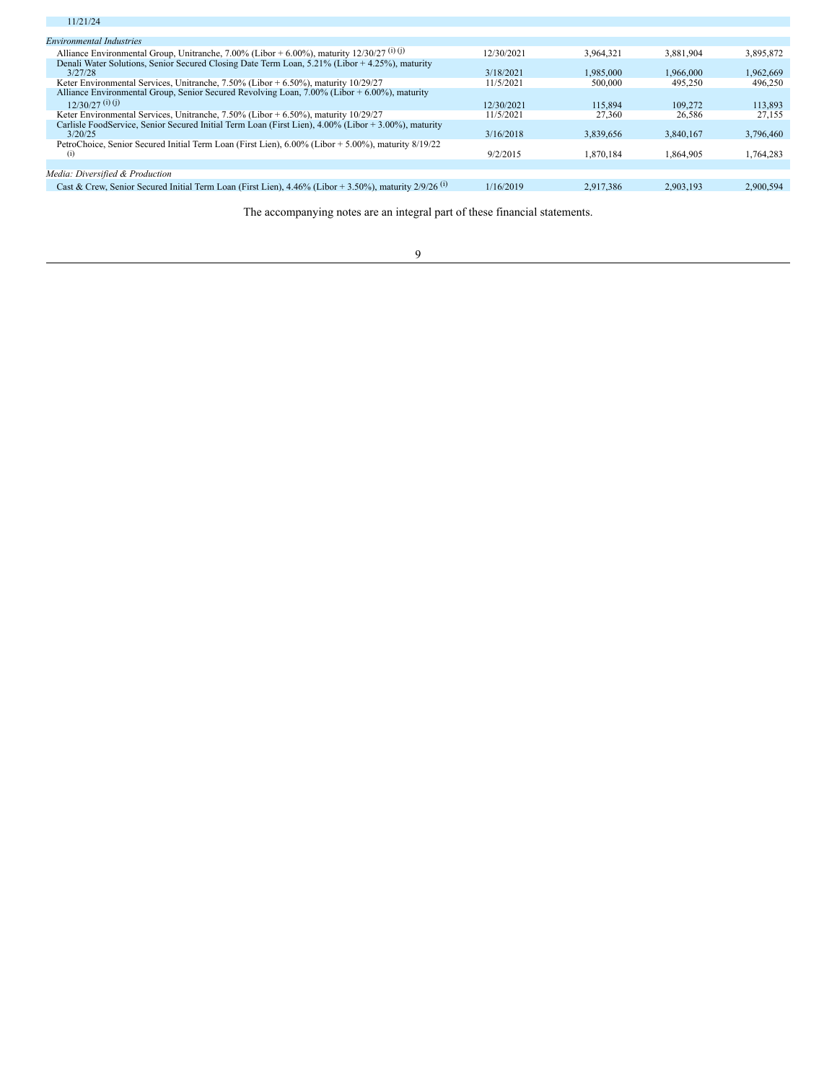| 11/21/24                                                                                                               |            |           |           |           |
|------------------------------------------------------------------------------------------------------------------------|------------|-----------|-----------|-----------|
|                                                                                                                        |            |           |           |           |
| <i>Environmental Industries</i>                                                                                        |            |           |           |           |
| Alliance Environmental Group, Unitranche, 7.00% (Libor + 6.00%), maturity $12/30/27$ <sup>(1)</sup> (1)                | 12/30/2021 | 3.964.321 | 3.881.904 | 3,895,872 |
| Denali Water Solutions, Senior Secured Closing Date Term Loan, 5.21% (Libor + 4.25%), maturity                         |            |           |           |           |
| 3/27/28                                                                                                                | 3/18/2021  | 1.985.000 | 1.966.000 | 1.962.669 |
| Keter Environmental Services, Unitranche, $7.50\%$ (Libor + 6.50%), maturity $10/29/27$                                | 11/5/2021  | 500,000   | 495.250   | 496,250   |
| Alliance Environmental Group, Senior Secured Revolving Loan, 7.00% (Libor + 6.00%), maturity                           |            |           |           |           |
| $12/30/27$ <sup>(i)</sup> (j)                                                                                          | 12/30/2021 | 115,894   | 109.272   | 113,893   |
| Keter Environmental Services, Unitranche, $7.50\%$ (Libor + 6.50%), maturity $10/29/27$                                | 11/5/2021  | 27,360    | 26.586    | 27,155    |
| Carlisle FoodService, Senior Secured Initial Term Loan (First Lien), $4.00\%$ (Libor + 3.00%), maturity                |            |           |           |           |
| 3/20/25                                                                                                                | 3/16/2018  | 3.839.656 | 3.840.167 | 3,796,460 |
| PetroChoice, Senior Secured Initial Term Loan (First Lien), 6.00% (Libor + 5.00%), maturity 8/19/22                    |            |           |           |           |
| (i)                                                                                                                    | 9/2/2015   | 1,870,184 | 1.864.905 | 1,764,283 |
|                                                                                                                        |            |           |           |           |
| Media: Diversified & Production                                                                                        |            |           |           |           |
| Cast & Crew, Senior Secured Initial Term Loan (First Lien), $4.46\%$ (Libor + 3.50%), maturity $2/9/26$ <sup>(1)</sup> | 1/16/2019  | 2.917.386 | 2.903.193 | 2,900,594 |
|                                                                                                                        |            |           |           |           |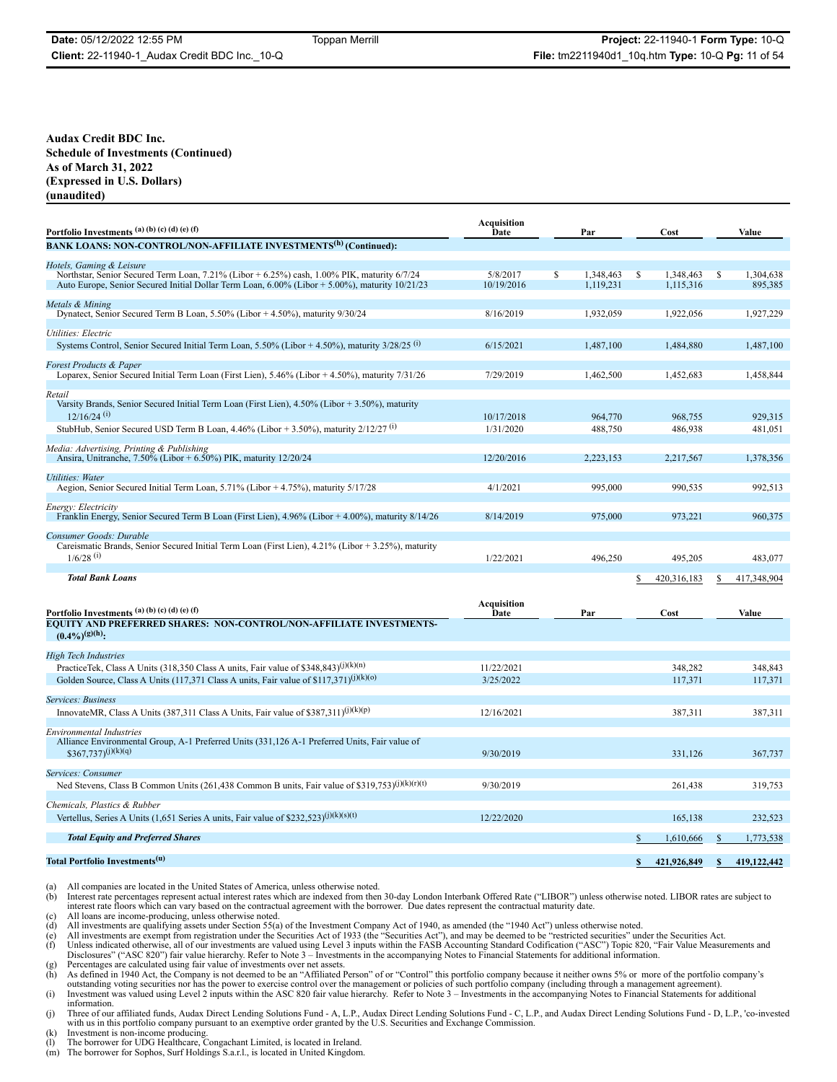## **Audax Credit BDC Inc. Schedule of Investments (Continued) As of March 31, 2022 (Expressed in U.S. Dollars) (unaudited)**

| Portfolio Investments (a) (b) (c) (d) (e) (f)                                                                                                                                                 | Acquisition<br>Date    |              | Par                    |    | Cost                   |    | Value                |
|-----------------------------------------------------------------------------------------------------------------------------------------------------------------------------------------------|------------------------|--------------|------------------------|----|------------------------|----|----------------------|
| <b>BANK LOANS: NON-CONTROL/NON-AFFILIATE INVESTMENTS<sup>(h)</sup> (Continued):</b>                                                                                                           |                        |              |                        |    |                        |    |                      |
| Hotels, Gaming & Leisure                                                                                                                                                                      |                        |              |                        |    |                        |    |                      |
| Northstar, Senior Secured Term Loan, 7.21% (Libor + 6.25%) cash, 1.00% PIK, maturity 6/7/24<br>Auto Europe, Senior Secured Initial Dollar Term Loan, 6.00% (Libor + 5.00%), maturity 10/21/23 | 5/8/2017<br>10/19/2016 | $\mathbb{S}$ | 1,348,463<br>1,119,231 | S  | 1,348,463<br>1,115,316 | S  | 1,304,638<br>895,385 |
| Metals & Mining<br>Dynatect, Senior Secured Term B Loan, 5.50% (Libor + 4.50%), maturity 9/30/24                                                                                              | 8/16/2019              |              | 1,932,059              |    | 1,922,056              |    | 1,927,229            |
| Utilities: Electric                                                                                                                                                                           |                        |              |                        |    |                        |    |                      |
| Systems Control, Senior Secured Initial Term Loan, 5.50% (Libor + 4.50%), maturity 3/28/25 <sup>(1)</sup>                                                                                     | 6/15/2021              |              | 1,487,100              |    | 1,484,880              |    | 1,487,100            |
| <b>Forest Products &amp; Paper</b><br>Loparex, Senior Secured Initial Term Loan (First Lien), 5.46% (Libor + 4.50%), maturity 7/31/26                                                         | 7/29/2019              |              | 1,462,500              |    | 1,452,683              |    | 1,458,844            |
| Retail                                                                                                                                                                                        |                        |              |                        |    |                        |    |                      |
| Varsity Brands, Senior Secured Initial Term Loan (First Lien), 4.50% (Libor + 3.50%), maturity                                                                                                |                        |              |                        |    |                        |    |                      |
| $12/16/24$ <sup>(i)</sup>                                                                                                                                                                     | 10/17/2018             |              | 964,770                |    | 968,755                |    | 929,315              |
| StubHub, Senior Secured USD Term B Loan, $4.46\%$ (Libor + 3.50%), maturity $2/12/27$ <sup>(1)</sup>                                                                                          | 1/31/2020              |              | 488,750                |    | 486,938                |    | 481,051              |
| Media: Advertising, Printing & Publishing<br>Ansira, Unitranche, 7.50% (Libor + 6.50%) PIK, maturity 12/20/24                                                                                 | 12/20/2016             |              | 2.223.153              |    | 2,217,567              |    | 1,378,356            |
| Utilities: Water<br>Aegion, Senior Secured Initial Term Loan, 5.71% (Libor + 4.75%), maturity 5/17/28                                                                                         | 4/1/2021               |              | 995,000                |    | 990,535                |    | 992,513              |
| Energy: Electricity<br>Franklin Energy, Senior Secured Term B Loan (First Lien), 4.96% (Libor + 4.00%), maturity 8/14/26                                                                      | 8/14/2019              |              | 975,000                |    | 973,221                |    | 960,375              |
| Consumer Goods: Durable                                                                                                                                                                       |                        |              |                        |    |                        |    |                      |
| Careismatic Brands, Senior Secured Initial Term Loan (First Lien), 4.21% (Libor + 3.25%), maturity<br>$1/6/28$ <sup>(i)</sup>                                                                 | 1/22/2021              |              | 496,250                |    | 495,205                |    | 483,077              |
| <b>Total Bank Loans</b>                                                                                                                                                                       |                        |              |                        | S  | 420,316,183            | \$ | 417,348,904          |
| Portfolio Investments (a) (b) (c) (d) (e) (f)                                                                                                                                                 | Acquisition<br>Date    |              | Par                    |    | Cost                   |    | Value                |
| <b>EQUITY AND PREFERRED SHARES: NON-CONTROL/NON-AFFILIATE INVESTMENTS-</b><br>$(0.4\%)^{(g)(h)}$ :                                                                                            |                        |              |                        |    |                        |    |                      |
| <b>High Tech Industries</b>                                                                                                                                                                   |                        |              |                        |    |                        |    |                      |
| Practice Tek, Class A Units (318,350 Class A units, Fair value of $$348,843$ ) <sup>(j)(k)(n)</sup>                                                                                           | 11/22/2021             |              |                        |    | 348,282                |    | 348,843              |
| Golden Source, Class A Units (117,371 Class A units, Fair value of $117,371$ ) <sup>(j)(k)(o)</sup>                                                                                           | 3/25/2022              |              |                        |    | 117,371                |    | 117,371              |
| Services: Business                                                                                                                                                                            |                        |              |                        |    |                        |    |                      |
| InnovateMR, Class A Units (387,311 Class A Units, Fair value of \$387,311) $(3)(k)(p)$                                                                                                        | 12/16/2021             |              |                        |    | 387,311                |    | 387,311              |
| Environmental Industries                                                                                                                                                                      |                        |              |                        |    |                        |    |                      |
| Alliance Environmental Group, A-1 Preferred Units (331,126 A-1 Preferred Units, Fair value of<br>\$367,737) $(j)(k)(q)$                                                                       | 9/30/2019              |              |                        |    | 331,126                |    | 367,737              |
| Services: Consumer                                                                                                                                                                            |                        |              |                        |    |                        |    |                      |
| Ned Stevens, Class B Common Units (261,438 Common B units, Fair value of \$319,753) <sup>(j)(k)(r)(t)</sup>                                                                                   | 9/30/2019              |              |                        |    | 261,438                |    | 319,753              |
| Chemicals, Plastics & Rubber                                                                                                                                                                  |                        |              |                        |    |                        |    |                      |
| Vertellus, Series A Units (1,651 Series A units, Fair value of \$232,523) $(j)(k)(s)(t)$                                                                                                      | 12/22/2020             |              |                        |    | 165,138                |    | 232,523              |
| <b>Total Equity and Preferred Shares</b>                                                                                                                                                      |                        |              |                        | \$ | 1,610,666              | S  | 1,773,538            |
| <b>Total Portfolio Investments</b> <sup>(u)</sup>                                                                                                                                             |                        |              |                        | S. | 421,926,849            | S  | 419, 122, 442        |

(a) All companies are located in the United States of America, unless otherwise noted. (b) Interest rate percentages represent actual interest rates which are indexed from then 30-day London Interbank Offered Rate ("LIBOR") unless otherwise noted. LIBOR rates are subject to

interest rate floors which can vary based on the contractual agreement with the borrower. Due dates represent the contractual maturity date.

(c) All loans are income-producing, unless otherwise noted.

(d) All investments are qualifying assets under Section 55(a) of the Investment Company Act of 1940, as amended (the "1940 Act") unless otherwise noted.<br>(e) All investments are exempt from registration under the Securities

(g) Percentages are calculated using fair value of investments over net assets.<br>(h) As defined in 1940 Act, the Company is not deemed to be an "Affiliated Person" of or "Control" this portfolio company because it neither o outstanding voting securities nor has the power to exercise control over the management or policies of such portfolio company (including through a management agreement).<br>(i) Investment was valued using Level 2 inputs withi

information.

(j) Three of our affiliated funds, Audax Direct Lending Solutions Fund - A, L.P., Audax Direct Lending Solutions Fund - C, L.P., and Audax Direct Lending Solutions Fund - D, L.P., 'co-invested with us in this portfolio company pursuant to an exemptive order granted by the U.S. Securities and Exchange Commission.

(k) Investment is non-income producing. (l) The borrower for UDG Healthcare, Congachant Limited, is located in Ireland.

(m) The borrower for Sophos, Surf Holdings S.a.r.l., is located in United Kingdom.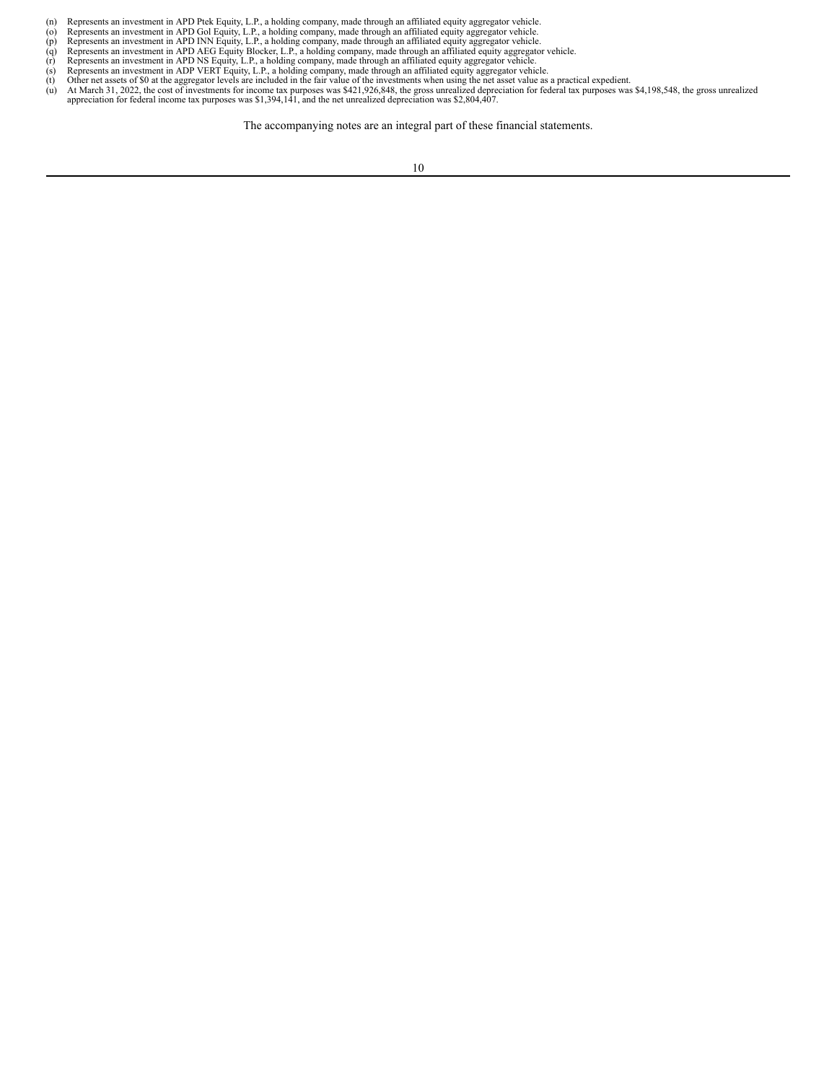- 
- 
- 
- 
- 
- 
- (n) Represents an investment in APD Ptek Equity, L.P., a holding company, made through an affiliated equity aggregator vehicle.<br>
(o) Represents an investment in APD Gol Equity, L.P., a holding company, made through an affi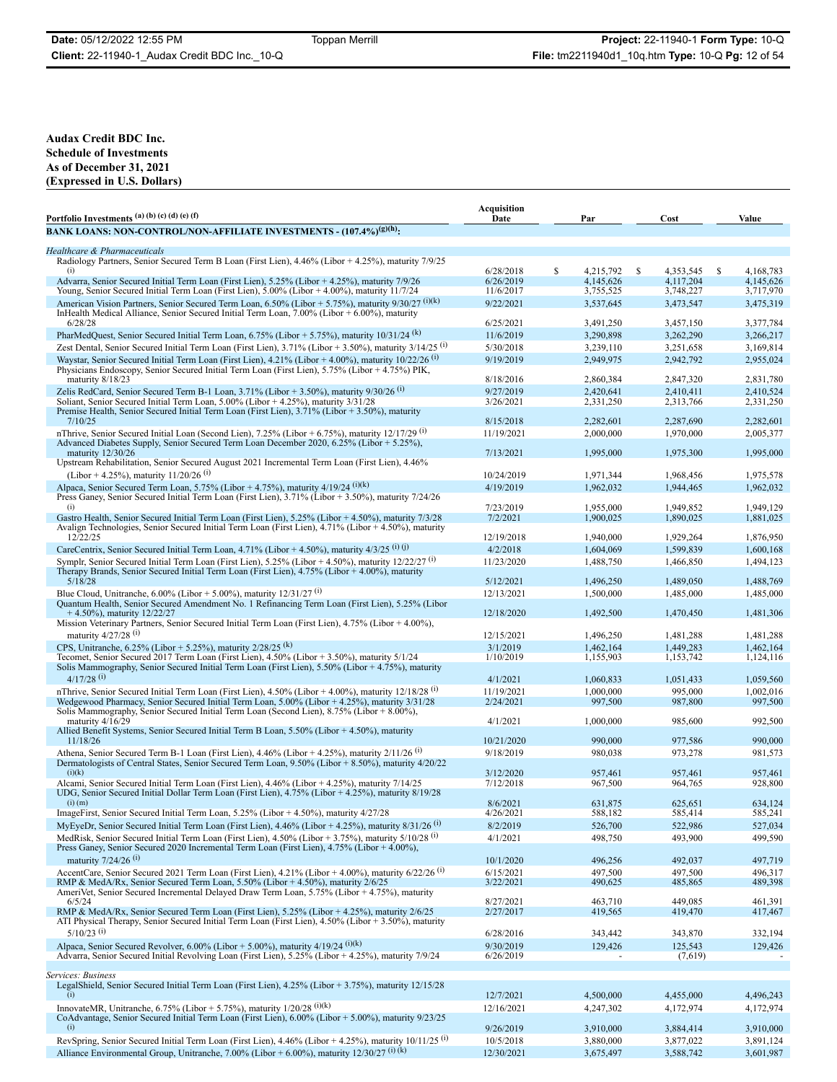| Portfolio Investments (a) (b) (c) (d) (e) (f)                                                                                                                                                           | Acquisition<br>Date   | Par                    | Cost           | Value          |
|---------------------------------------------------------------------------------------------------------------------------------------------------------------------------------------------------------|-----------------------|------------------------|----------------|----------------|
| BANK LOANS: NON-CONTROL/NON-AFFILIATE INVESTMENTS - (107.4%) <sup>(g)(h)</sup> :                                                                                                                        |                       |                        |                |                |
|                                                                                                                                                                                                         |                       |                        |                |                |
| Healthcare & Pharmaceuticals                                                                                                                                                                            |                       |                        |                |                |
| Radiology Partners, Senior Secured Term B Loan (First Lien), 4.46% (Libor + 4.25%), maturity 7/9/25                                                                                                     |                       |                        |                |                |
|                                                                                                                                                                                                         | 6/28/2018             | \$<br>4,215,792        | s<br>4,353,545 | S<br>4,168,783 |
| Advarra, Senior Secured Initial Term Loan (First Lien), 5.25% (Libor + 4.25%), maturity 7/9/26                                                                                                          | 6/26/2019             | 4,145,626              | 4,117,204      | 4,145,626      |
| Young, Senior Secured Initial Term Loan (First Lien), $5.00\%$ (Libor + 4.00%), maturity 11/7/24                                                                                                        | 11/6/2017             | 3,755,525              | 3,748,227      | 3,717,970      |
| American Vision Partners, Senior Secured Term Loan, 6.50% (Libor + 5.75%), maturity $9/30/27$ (i)(k)                                                                                                    | 9/22/2021             | 3,537,645              | 3,473,547      | 3,475,319      |
| In Health Medical Alliance, Senior Secured Initial Term Loan, $7.00\%$ (Libor + 6.00%), maturity                                                                                                        |                       |                        |                |                |
| 6/28/28                                                                                                                                                                                                 | 6/25/2021             | 3,491,250              | 3,457,150      | 3,377,784      |
| PharMedQuest, Senior Secured Initial Term Loan, $6.75\%$ (Libor + 5.75%), maturity 10/31/24 <sup>(k)</sup>                                                                                              | 11/6/2019             | 3,290,898              | 3,262,290      | 3,266,217      |
| Zest Dental, Senior Secured Initial Term Loan (First Lien), $3.71\%$ (Libor + 3.50%), maturity $3/14/25$ <sup>(i)</sup>                                                                                 | 5/30/2018             | 3,239,110              | 3,251,658      | 3,169,814      |
| Waystar, Senior Secured Initial Term Loan (First Lien), $4.21\%$ (Libor + 4.00%), maturity $10/22/26$ <sup>(i)</sup>                                                                                    | 9/19/2019             | 2.949.975              | 2,942,792      | 2,955,024      |
| Physicians Endoscopy, Senior Secured Initial Term Loan (First Lien), 5.75% (Libor + 4.75%) PIK,                                                                                                         |                       |                        |                |                |
| maturity 8/18/23                                                                                                                                                                                        | 8/18/2016             | 2,860,384              | 2,847,320      | 2,831,780      |
| Zelis RedCard, Senior Secured Term B-1 Loan, 3.71% (Libor + 3.50%), maturity 9/30/26 <sup>(i)</sup>                                                                                                     | 9/27/2019             | 2,420,641              | 2,410,411      | 2,410,524      |
| Soliant, Senior Secured Initial Term Loan, 5.00% (Libor + 4.25%), maturity 3/31/28                                                                                                                      | 3/26/2021             | 2,331,250              | 2,313,766      | 2,331,250      |
| Premise Health, Senior Secured Initial Term Loan (First Lien), 3.71% (Libor + 3.50%), maturity                                                                                                          |                       |                        |                |                |
| 7/10/25                                                                                                                                                                                                 | 8/15/2018             | 2,282,601              | 2,287,690      | 2,282,601      |
| nThrive, Senior Secured Initial Loan (Second Lien), 7.25% (Libor + 6.75%), maturity $12/17/29$ <sup>(i)</sup>                                                                                           | 11/19/2021            | 2,000,000              | 1,970,000      | 2,005,377      |
| Advanced Diabetes Supply, Senior Secured Term Loan December 2020, 6.25% (Libor + 5.25%),                                                                                                                |                       |                        |                |                |
| maturity $12/30/26$                                                                                                                                                                                     | 7/13/2021             | 1,995,000              | 1,975,300      | 1,995,000      |
| Upstream Rehabilitation, Senior Secured August 2021 Incremental Term Loan (First Lien), 4.46%                                                                                                           |                       |                        |                |                |
| (Libor + 4.25%), maturity $11/20/26$ <sup>(i)</sup>                                                                                                                                                     | 10/24/2019            | 1,971,344              | 1,968,456      | 1,975,578      |
|                                                                                                                                                                                                         |                       |                        |                |                |
| Alpaca, Senior Secured Term Loan, 5.75% (Libor + 4.75%), maturity $4/19/24$ (i)(k)                                                                                                                      | 4/19/2019             | 1,962,032              | 1,944,465      | 1,962,032      |
| Press Ganey, Senior Secured Initial Term Loan (First Lien), 3.71% (Libor + 3.50%), maturity 7/24/26<br>(i)                                                                                              |                       |                        |                |                |
| Gastro Health, Senior Secured Initial Term Loan (First Lien), 5.25% (Libor + 4.50%), maturity 7/3/28                                                                                                    | 7/23/2019<br>7/2/2021 | 1,955,000<br>1,900,025 | 1.949.852      | 1,949,129      |
| Avalign Technologies, Senior Secured Initial Term Loan (First Lien), 4.71% (Libor + 4.50%), maturity                                                                                                    |                       |                        | 1,890,025      | 1,881,025      |
| 12/22/25                                                                                                                                                                                                | 12/19/2018            | 1,940,000              | 1,929,264      | 1,876,950      |
|                                                                                                                                                                                                         |                       |                        |                |                |
| CareCentrix, Senior Secured Initial Term Loan, 4.71% (Libor + 4.50%), maturity $4/3/25$ <sup>(i)</sup> (i)                                                                                              | 4/2/2018              | 1,604,069              | 1.599.839      | 1,600,168      |
| Symplr, Senior Secured Initial Term Loan (First Lien), 5.25% (Libor + 4.50%), maturity 12/22/27 (i)                                                                                                     | 11/23/2020            | 1,488,750              | 1,466,850      | 1,494,123      |
| Therapy Brands, Senior Secured Initial Term Loan (First Lien), 4.75% (Libor + 4.00%), maturity                                                                                                          |                       |                        |                |                |
| 5/18/28                                                                                                                                                                                                 | 5/12/2021             | 1,496,250              | 1,489,050      | 1,488,769      |
| Blue Cloud, Unitranche, $6.00\%$ (Libor + 5.00%), maturity $12/31/27$ <sup>(i)</sup>                                                                                                                    | 12/13/2021            | 1,500,000              | 1,485,000      | 1,485,000      |
| Quantum Health, Senior Secured Amendment No. 1 Refinancing Term Loan (First Lien), 5.25% (Libor                                                                                                         |                       |                        |                |                |
| $+4.50\%$ ), maturity 12/22/27                                                                                                                                                                          | 12/18/2020            | 1,492,500              | 1,470,450      | 1,481,306      |
| Mission Veterinary Partners, Senior Secured Initial Term Loan (First Lien), $4.75\%$ (Libor + 4.00%),                                                                                                   |                       |                        |                |                |
| maturity 4/27/28 <sup>(i)</sup>                                                                                                                                                                         | 12/15/2021            | 1,496,250              | 1,481,288      | 1,481,288      |
| CPS, Unitranche, $6.25\%$ (Libor + 5.25%), maturity $2/28/25$ <sup>(k)</sup>                                                                                                                            | 3/1/2019              | 1,462,164              | 1,449,283      | 1,462,164      |
| Tecomet, Senior Secured 2017 Term Loan (First Lien), 4.50% (Libor + 3.50%), maturity 5/1/24                                                                                                             | 1/10/2019             | 1,155,903              | 1,153,742      | 1,124,116      |
| Solis Mammography, Senior Secured Initial Term Loan (First Lien), 5.50% (Libor + 4.75%), maturity                                                                                                       |                       |                        |                |                |
| $4/17/28$ <sup>(i)</sup>                                                                                                                                                                                | 4/1/2021              | 1,060,833              | 1,051,433      | 1,059,560      |
| nThrive, Senior Secured Initial Term Loan (First Lien), 4.50% (Libor + 4.00%), maturity 12/18/28 <sup>(1)</sup>                                                                                         | 11/19/2021            | 1,000,000              | 995,000        | 1,002,016      |
| Wedgewood Pharmacy, Senior Secured Initial Term Loan, 5.00% (Libor + 4.25%), maturity 3/31/28                                                                                                           | 2/24/2021             | 997,500                | 987,800        | 997,500        |
| Solis Mammography, Senior Secured Initial Term Loan (Second Lien), 8.75% (Libor + 8.00%),                                                                                                               |                       |                        |                |                |
| maturity $4/16/29$                                                                                                                                                                                      | 4/1/2021              | 1,000,000              | 985,600        | 992,500        |
| Allied Benefit Systems, Senior Secured Initial Term B Loan, 5.50% (Libor + 4.50%), maturity                                                                                                             |                       |                        |                |                |
| 11/18/26                                                                                                                                                                                                | 10/21/2020            | 990,000                | 977,586        | 990,000        |
| Athena, Senior Secured Term B-1 Loan (First Lien), $4.46\%$ (Libor + $4.25\%$ ), maturity $2/11/26$ <sup>(1)</sup>                                                                                      | 9/18/2019             | 980,038                | 973,278        | 981,573        |
| Dermatologists of Central States, Senior Secured Term Loan, 9.50% (Libor + 8.50%), maturity 4/20/22                                                                                                     |                       |                        |                |                |
| (i)(k)                                                                                                                                                                                                  | 3/12/2020             | 957,461                | 957,461        | 957,461        |
| Alcami, Senior Secured Initial Term Loan (First Lien), 4.46% (Libor + 4.25%), maturity 7/14/25                                                                                                          | 7/12/2018             | 967,500                | 964,765        | 928,800        |
| UDG, Senior Secured Initial Dollar Term Loan (First Lien), 4.75% (Libor + 4.25%), maturity 8/19/28                                                                                                      |                       |                        |                |                |
| $(i)$ $(m)$                                                                                                                                                                                             | 8/6/2021              | 631,875                | 625,651        | 634,124        |
| ImageFirst, Senior Secured Initial Term Loan, 5.25% (Libor + 4.50%), maturity 4/27/28                                                                                                                   | 4/26/2021             | 588,182                | 585,414        | 585,241        |
| MyEyeDr, Senior Secured Initial Term Loan (First Lien), $4.46\%$ (Libor + 4.25%), maturity $8/31/26$ <sup>(i)</sup>                                                                                     | 8/2/2019              | 526,700                | 522,986        | 527,034        |
| MedRisk, Senior Secured Initial Term Loan (First Lien), 4.50% (Libor + 3.75%), maturity 5/10/28 <sup>(1)</sup>                                                                                          | 4/1/2021              | 498,750                | 493,900        | 499,590        |
| Press Ganey, Senior Secured 2020 Incremental Term Loan (First Lien), 4.75% (Libor + 4.00%),                                                                                                             |                       |                        |                |                |
| maturity $7/24/26$ <sup>(i)</sup>                                                                                                                                                                       |                       |                        |                |                |
|                                                                                                                                                                                                         | 10/1/2020             | 496,256                | 492,037        | 497,719        |
| AccentCare, Senior Secured 2021 Term Loan (First Lien), 4.21% (Libor + 4.00%), maturity 6/22/26 <sup>(i)</sup>                                                                                          | 6/15/2021             | 497,500                | 497,500        | 496,317        |
| RMP & MedA/Rx, Senior Secured Term Loan, 5.50% (Libor + 4.50%), maturity 2/6/25                                                                                                                         | 3/22/2021             | 490,625                | 485,865        | 489,398        |
| AmeriVet, Senior Secured Incremental Delayed Draw Term Loan, 5.75% (Libor + 4.75%), maturity                                                                                                            |                       |                        |                |                |
| 6/5/24                                                                                                                                                                                                  | 8/27/2021             | 463,710                | 449,085        | 461,391        |
| RMP & MedA/Rx, Senior Secured Term Loan (First Lien), 5.25% (Libor + 4.25%), maturity 2/6/25<br>ATI Physical Therapy, Senior Secured Initial Term Loan (First Lien), $4.50\%$ (Libor + 3.50%), maturity | 2/27/2017             | 419,565                | 419,470        | 417,467        |
|                                                                                                                                                                                                         |                       |                        |                |                |
| $5/10/23$ <sup>(i)</sup>                                                                                                                                                                                | 6/28/2016             | 343,442                | 343,870        | 332,194        |
| Alpaca, Senior Secured Revolver, 6.00% (Libor + 5.00%), maturity 4/19/24 (i)(k)                                                                                                                         | 9/30/2019             | 129,426                | 125,543        | 129,426        |
| Advarra, Senior Secured Initial Revolving Loan (First Lien), 5.25% (Libor + 4.25%), maturity 7/9/24                                                                                                     | 6/26/2019             |                        | (7,619)        |                |
|                                                                                                                                                                                                         |                       |                        |                |                |
| Services: Business                                                                                                                                                                                      |                       |                        |                |                |
| LegalShield, Senior Secured Initial Term Loan (First Lien), 4.25% (Libor + 3.75%), maturity 12/15/28<br>(i)                                                                                             |                       |                        |                |                |
|                                                                                                                                                                                                         | 12/7/2021             | 4,500,000              | 4,455,000      | 4,496,243      |
| InnovateMR, Unitranche, $6.75\%$ (Libor + 5.75%), maturity $1/20/28$ <sup>(i)(k)</sup>                                                                                                                  | 12/16/2021            | 4,247,302              | 4,172,974      | 4,172,974      |
| CoAdvantage, Senior Secured Initial Term Loan (First Lien), 6.00% (Libor + 5.00%), maturity 9/23/25                                                                                                     |                       |                        |                |                |
| (i)                                                                                                                                                                                                     | 9/26/2019             | 3,910,000              | 3,884,414      | 3,910,000      |
| RevSpring, Senior Secured Initial Term Loan (First Lien), 4.46% (Libor + 4.25%), maturity 10/11/25 <sup>(i)</sup>                                                                                       | 10/5/2018             | 3,880,000              | 3,877,022      | 3,891,124      |
| Alliance Environmental Group, Unitranche, 7.00% (Libor + 6.00%), maturity 12/30/27 (i) (k)                                                                                                              | 12/30/2021            | 3,675,497              | 3,588,742      | 3,601,987      |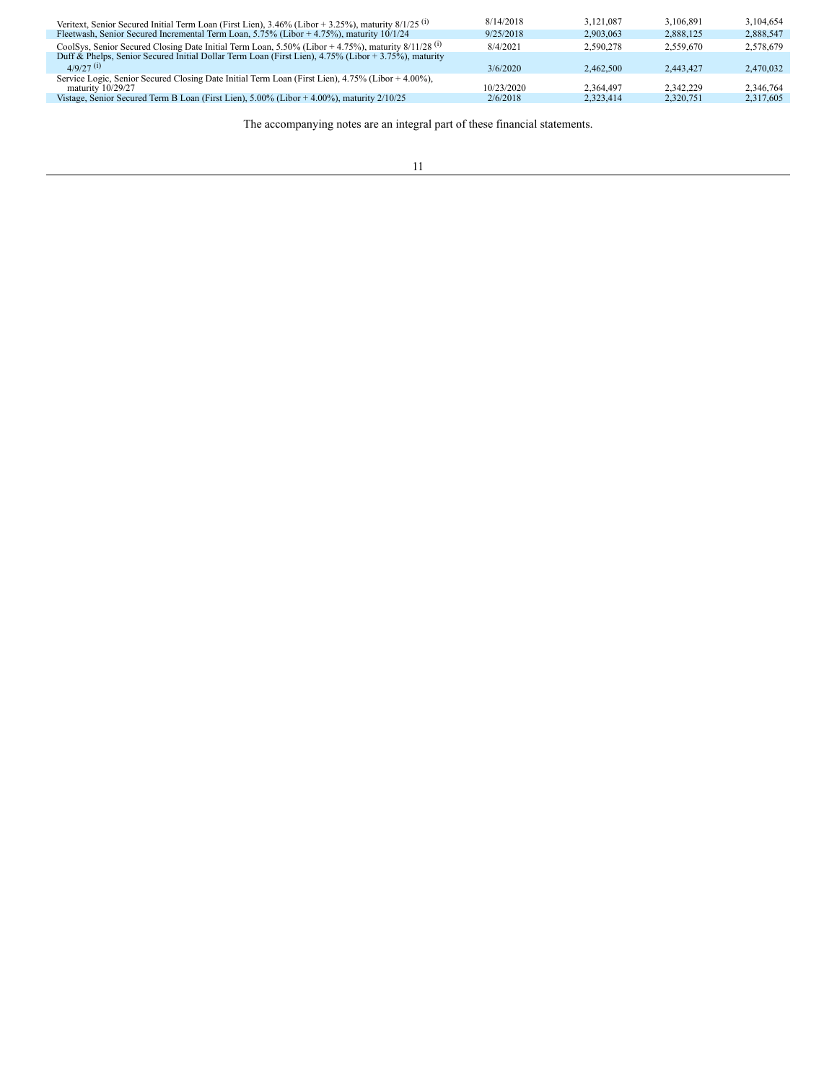| Veritext, Senior Secured Initial Term Loan (First Lien), 3.46% (Libor + 3.25%), maturity 8/1/25 <sup>(1)</sup><br>Fleetwash, Senior Secured Incremental Term Loan, 5.75% (Libor + 4.75%), maturity 10/1/24 | 8/14/2018<br>9/25/2018 | 3.121.087<br>2.903.063 | 3.106.891<br>2.888.125 | 3.104.654<br>2,888,547 |
|------------------------------------------------------------------------------------------------------------------------------------------------------------------------------------------------------------|------------------------|------------------------|------------------------|------------------------|
| CoolSys, Senior Secured Closing Date Initial Term Loan, 5.50% (Libor + 4.75%), maturity $8/11/28$ <sup>(1)</sup>                                                                                           | 8/4/2021               | 2.590.278              | 2.559.670              | 2,578,679              |
| Duff & Phelps, Senior Secured Initial Dollar Term Loan (First Lien), $4.75\%$ (Libor + 3.75%), maturity<br>$4/9/27$ <sup>(i)</sup>                                                                         | 3/6/2020               | 2.462.500              | 2.443.427              | 2.470.032              |
| Service Logic, Senior Secured Closing Date Initial Term Loan (First Lien), 4.75% (Libor + 4.00%),<br>maturity $10/29/27$                                                                                   | 10/23/2020             | 2,364,497              | 2.342.229              | 2,346,764              |
| Vistage, Senior Secured Term B Loan (First Lien), $5.00\%$ (Libor + 4.00%), maturity $2/10/25$                                                                                                             | 2/6/2018               | 2.323.414              | 2.320.751              | 2.317.605              |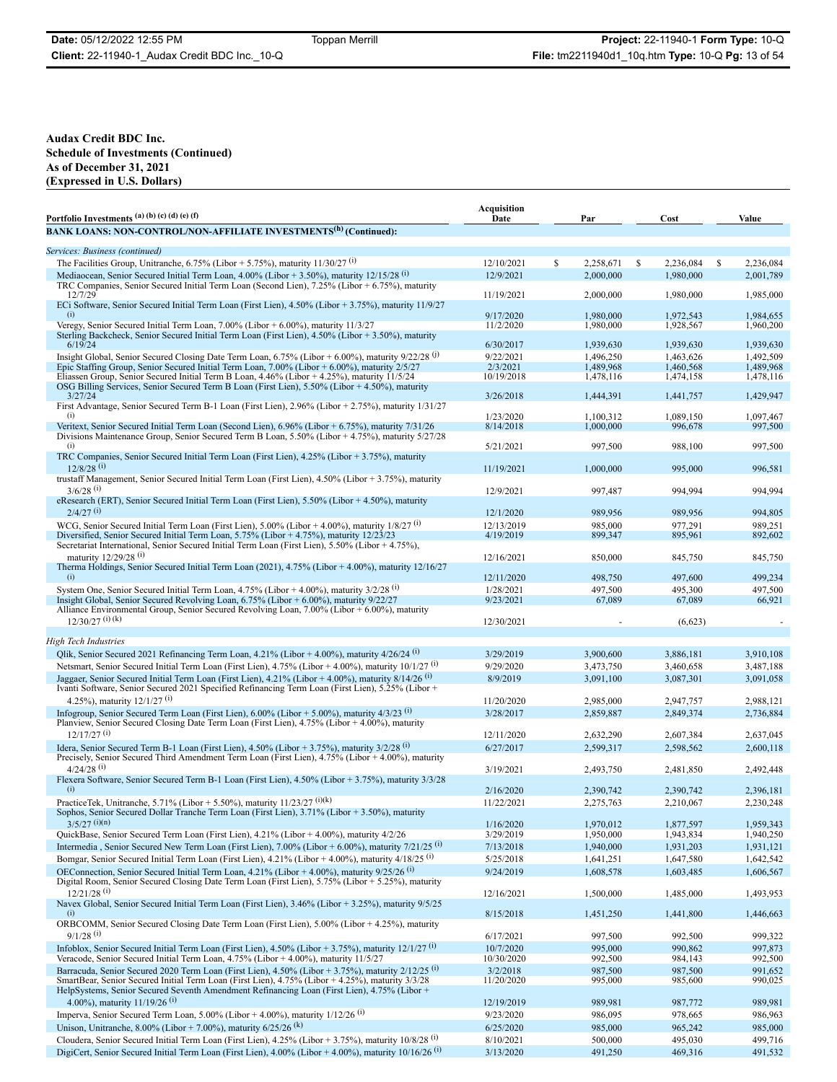| Portfolio Investments (a) (b) (c) (d) (e) (f)                                                                                                                                                               | Acquisition<br>Date     | Par                    | Cost                   | Value                  |
|-------------------------------------------------------------------------------------------------------------------------------------------------------------------------------------------------------------|-------------------------|------------------------|------------------------|------------------------|
| <b>BANK LOANS: NON-CONTROL/NON-AFFILIATE INVESTMENTS<sup>(h)</sup> (Continued):</b>                                                                                                                         |                         |                        |                        |                        |
|                                                                                                                                                                                                             |                         |                        |                        |                        |
| Services: Business (continued)                                                                                                                                                                              |                         |                        |                        |                        |
| The Facilities Group, Unitranche, $6.75\%$ (Libor + 5.75%), maturity $11/30/27$ <sup>(1)</sup>                                                                                                              | 12/10/2021              | \$<br>2,258,671        | S<br>2,236,084         | s<br>2,236,084         |
| Mediaocean, Senior Secured Initial Term Loan, $4.00\%$ (Libor + 3.50%), maturity 12/15/28 <sup>(1)</sup>                                                                                                    | 12/9/2021               | 2,000,000              | 1.980,000              | 2,001,789              |
| TRC Companies, Senior Secured Initial Term Loan (Second Lien), 7.25% (Libor + 6.75%), maturity                                                                                                              |                         |                        |                        |                        |
| 12/7/29                                                                                                                                                                                                     | 11/19/2021              | 2,000,000              | 1,980,000              | 1,985,000              |
| ECi Software, Senior Secured Initial Term Loan (First Lien), 4.50% (Libor + 3.75%), maturity 11/9/27<br>(i)                                                                                                 |                         |                        |                        |                        |
| Veregy, Senior Secured Initial Term Loan, 7.00% (Libor + 6.00%), maturity 11/3/27                                                                                                                           | 9/17/2020<br>11/2/2020  | 1,980,000<br>1,980,000 | 1,972,543<br>1,928,567 | 1,984,655<br>1,960,200 |
| Sterling Backcheck, Senior Secured Initial Term Loan (First Lien), 4.50% (Libor + 3.50%), maturity                                                                                                          |                         |                        |                        |                        |
| 6/19/24                                                                                                                                                                                                     | 6/30/2017               | 1,939,630              | 1,939,630              | 1,939,630              |
| Insight Global, Senior Secured Closing Date Term Loan, $6.75\%$ (Libor + $6.00\%$ ), maturity $9/22/28$ <sup>(1)</sup>                                                                                      | 9/22/2021               | 1,496,250              | 1,463,626              | 1,492,509              |
| Epic Staffing Group, Senior Secured Initial Term Loan, $7.00\%$ (Libor + 6.00%), maturity $2/5/27$                                                                                                          | 2/3/2021                | 1,489,968              | 1.460.568              | 1,489,968              |
| Eliassen Group, Senior Secured Initial Term B Loan, 4.46% (Libor + 4.25%), maturity 11/5/24                                                                                                                 | 10/19/2018              | 1,478,116              | 1,474,158              | 1,478,116              |
| OSG Billing Services, Senior Secured Term B Loan (First Lien), 5.50% (Libor + 4.50%), maturity<br>3/27/24                                                                                                   | 3/26/2018               | 1,444,391              | 1,441,757              | 1,429,947              |
| First Advantage, Senior Secured Term B-1 Loan (First Lien), 2.96% (Libor + 2.75%), maturity 1/31/27                                                                                                         |                         |                        |                        |                        |
| (i)                                                                                                                                                                                                         | 1/23/2020               | 1,100,312              | 1,089,150              | 1,097,467              |
| Veritext, Senior Secured Initial Term Loan (Second Lien), 6.96% (Libor + 6.75%), maturity 7/31/26                                                                                                           | 8/14/2018               | 1,000,000              | 996,678                | 997,500                |
| Divisions Maintenance Group, Senior Secured Term B Loan, 5.50% (Libor + 4.75%), maturity 5/27/28                                                                                                            |                         |                        |                        |                        |
| (i)                                                                                                                                                                                                         | 5/21/2021               | 997,500                | 988,100                | 997,500                |
| TRC Companies, Senior Secured Initial Term Loan (First Lien), 4.25% (Libor + 3.75%), maturity                                                                                                               |                         |                        |                        |                        |
| $12/8/28$ <sup>(i)</sup>                                                                                                                                                                                    | 11/19/2021              | 1,000,000              | 995,000                | 996,581                |
| trustaff Management, Senior Secured Initial Term Loan (First Lien), $4.50\%$ (Libor $+3.75\%$ ), maturity                                                                                                   |                         |                        |                        |                        |
| $3/6/28$ <sup>(i)</sup>                                                                                                                                                                                     | 12/9/2021               | 997,487                | 994.994                | 994,994                |
| eResearch (ERT), Senior Secured Initial Term Loan (First Lien), 5.50% (Libor + 4.50%), maturity                                                                                                             |                         |                        |                        |                        |
| $2/4/27$ <sup>(i)</sup>                                                                                                                                                                                     | 12/1/2020               | 989,956                | 989,956                | 994,805                |
| WCG, Senior Secured Initial Term Loan (First Lien), 5.00% (Libor + 4.00%), maturity 1/8/27 <sup>(i)</sup>                                                                                                   | 12/13/2019<br>4/19/2019 | 985,000                | 977.291                | 989,251                |
| Diversified, Senior Secured Initial Term Loan, 5.75% (Libor + 4.75%), maturity 12/23/23<br>Secretariat International, Senior Secured Initial Term Loan (First Lien), 5.50% (Libor + 4.75%),                 |                         | 899,347                | 895,961                | 892,602                |
| maturity 12/29/28 (i)                                                                                                                                                                                       | 12/16/2021              | 850,000                | 845,750                |                        |
| Therma Holdings, Senior Secured Initial Term Loan (2021), 4.75% (Libor + 4.00%), maturity 12/16/27                                                                                                          |                         |                        |                        | 845,750                |
| (i)                                                                                                                                                                                                         | 12/11/2020              | 498,750                | 497,600                | 499,234                |
| System One, Senior Secured Initial Term Loan, $4.75\%$ (Libor $+4.00\%$ ), maturity $3/2/28$ <sup>(1)</sup>                                                                                                 | 1/28/2021               | 497.500                | 495.300                | 497,500                |
| Insight Global, Senior Secured Revolving Loan, 6.75% (Libor + 6.00%), maturity 9/22/27                                                                                                                      | 9/23/2021               | 67,089                 | 67,089                 | 66,921                 |
| Alliance Environmental Group, Senior Secured Revolving Loan, $7.00\%$ (Libor + 6.00%), maturity                                                                                                             |                         |                        |                        |                        |
| $12/30/27$ <sup>(i)(k)</sup>                                                                                                                                                                                | 12/30/2021              |                        | (6,623)                |                        |
|                                                                                                                                                                                                             |                         |                        |                        |                        |
| High Tech Industries                                                                                                                                                                                        |                         |                        |                        |                        |
| Qlik, Senior Secured 2021 Refinancing Term Loan, $4.21\%$ (Libor + $4.00\%$ ), maturity $4/26/24$ <sup>(1)</sup>                                                                                            | 3/29/2019               | 3,900,600              | 3,886,181              | 3,910,108              |
| Netsmart, Senior Secured Initial Term Loan (First Lien), $4.75\%$ (Libor + 4.00%), maturity $10/1/27$ <sup>(i)</sup>                                                                                        | 9/29/2020               | 3,473,750              | 3,460,658              | 3,487,188              |
| Jaggaer, Senior Secured Initial Term Loan (First Lien), 4.21% (Libor + 4.00%), maturity 8/14/26 <sup>(i)</sup>                                                                                              | 8/9/2019                | 3,091,100              | 3,087,301              | 3,091,058              |
| Ivanti Software, Senior Secured 2021 Specified Refinancing Term Loan (First Lien), 5.25% (Libor +                                                                                                           |                         |                        |                        |                        |
| 4.25%), maturity 12/1/27 <sup>(i)</sup>                                                                                                                                                                     | 11/20/2020              | 2,985,000              | 2,947,757              | 2,988,121              |
| Infogroup, Senior Secured Term Loan (First Lien), $6.00\%$ (Libor + 5.00%), maturity $4/3/23$ <sup>(1)</sup>                                                                                                | 3/28/2017               | 2,859,887              | 2,849,374              | 2,736,884              |
| Planview, Senior Secured Closing Date Term Loan (First Lien), 4.75% (Libor + 4.00%), maturity                                                                                                               |                         |                        |                        |                        |
| $12/17/27$ <sup>(i)</sup>                                                                                                                                                                                   | 12/11/2020              | 2,632,290              | 2,607,384              | 2.637.045              |
| Idera, Senior Secured Term B-1 Loan (First Lien), $4.50\%$ (Libor + 3.75%), maturity $3/2/28$ <sup>(1)</sup>                                                                                                | 6/27/2017               | 2,599,317              | 2,598,562              | 2,600,118              |
| Precisely, Senior Secured Third Amendment Term Loan (First Lien), 4.75% (Libor + 4.00%), maturity                                                                                                           |                         |                        |                        |                        |
| $4/24/28$ <sup>(i)</sup>                                                                                                                                                                                    | 3/19/2021               | 2,493,750              | 2,481,850              | 2,492,448              |
| Flexera Software, Senior Secured Term B-1 Loan (First Lien), 4.50% (Libor + 3.75%), maturity 3/3/28<br>(i)                                                                                                  |                         |                        |                        |                        |
|                                                                                                                                                                                                             | 2/16/2020               | 2.390.742              | 2,390,742              | 2,396,181              |
| PracticeTek, Unitranche, 5.71% (Libor + 5.50%), maturity $11/23/27$ (i)(k)                                                                                                                                  | 11/22/2021              | 2,275,763              | 2,210,067              | 2,230,248              |
| Sophos, Senior Secured Dollar Tranche Term Loan (First Lien), 3.71% (Libor + 3.50%), maturity<br>$3/5/27$ (i)(n)                                                                                            | 1/16/2020               | 1,970,012              | 1.877.597              | 1,959,343              |
| QuickBase, Senior Secured Term Loan (First Lien), 4.21% (Libor + 4.00%), maturity 4/2/26                                                                                                                    | 3/29/2019               | 1,950,000              | 1,943,834              | 1,940,250              |
| Intermedia, Senior Secured New Term Loan (First Lien), 7.00% (Libor + 6.00%), maturity 7/21/25 <sup>(i)</sup>                                                                                               | 7/13/2018               | 1,940,000              | 1,931,203              | 1,931,121              |
| Bomgar, Senior Secured Initial Term Loan (First Lien), 4.21% (Libor + 4.00%), maturity 4/18/25 <sup>(i)</sup>                                                                                               |                         |                        |                        |                        |
|                                                                                                                                                                                                             | 5/25/2018               | 1,641,251              | 1,647,580              | 1,642,542              |
| OEConnection, Senior Secured Initial Term Loan, 4.21% (Libor + 4.00%), maturity 9/25/26 <sup>(1)</sup><br>Digital Room, Senior Secured Closing Date Term Loan (First Lien), 5.75% (Libor + 5.25%), maturity | 9/24/2019               | 1,608,578              | 1,603,485              | 1,606,567              |
| $12/21/28$ <sup>(i)</sup>                                                                                                                                                                                   |                         |                        |                        |                        |
| Navex Global, Senior Secured Initial Term Loan (First Lien), 3.46% (Libor + 3.25%), maturity 9/5/25                                                                                                         | 12/16/2021              | 1,500,000              | 1,485,000              | 1,493,953              |
| (i)                                                                                                                                                                                                         | 8/15/2018               | 1,451,250              | 1,441,800              | 1,446,663              |
| ORBCOMM, Senior Secured Closing Date Term Loan (First Lien), 5.00% (Libor + 4.25%), maturity                                                                                                                |                         |                        |                        |                        |
| $9/1/28$ <sup>(i)</sup>                                                                                                                                                                                     | 6/17/2021               | 997,500                | 992,500                | 999,322                |
| Infoblox, Senior Secured Initial Term Loan (First Lien), $4.50\%$ (Libor + 3.75%), maturity $12/1/27$ <sup>(i)</sup>                                                                                        | 10/7/2020               | 995,000                | 990,862                | 997,873                |
| Veracode, Senior Secured Initial Term Loan, 4.75% (Libor + 4.00%), maturity 11/5/27                                                                                                                         | 10/30/2020              | 992,500                | 984,143                | 992,500                |
| Barracuda, Senior Secured 2020 Term Loan (First Lien), $4.50\%$ (Libor + 3.75%), maturity $2/12/25$ (i)                                                                                                     | 3/2/2018                | 987,500                | 987,500                | 991,652                |
| SmartBear, Senior Secured Initial Term Loan (First Lien), 4.75% (Libor + 4.25%), maturity 3/3/28                                                                                                            | 11/20/2020              | 995,000                | 985,600                | 990,025                |
| HelpSystems, Senior Secured Seventh Amendment Refinancing Loan (First Lien), 4.75% (Libor +                                                                                                                 |                         |                        |                        |                        |
| 4.00%), maturity 11/19/26 (i)                                                                                                                                                                               | 12/19/2019              | 989,981                | 987,772                | 989,981                |
| Imperva, Senior Secured Term Loan, $5.00\%$ (Libor + 4.00%), maturity $1/12/26$ <sup>(1)</sup>                                                                                                              | 9/23/2020               | 986,095                | 978,665                | 986,963                |
| Unison, Unitranche, 8.00% (Libor + 7.00%), maturity $6/25/26$ <sup>(k)</sup>                                                                                                                                | 6/25/2020               | 985,000                | 965,242                | 985,000                |
| Cloudera, Senior Secured Initial Term Loan (First Lien), $4.25\%$ (Libor + 3.75%), maturity $10/8/28$ <sup>(1)</sup>                                                                                        | 8/10/2021               | 500,000                | 495,030                | 499,716                |
| DigiCert, Senior Secured Initial Term Loan (First Lien), $4.00\%$ (Libor + $4.00\%$ ), maturity $10/16/26$ (i)                                                                                              | 3/13/2020               | 491,250                | 469,316                | 491,532                |
|                                                                                                                                                                                                             |                         |                        |                        |                        |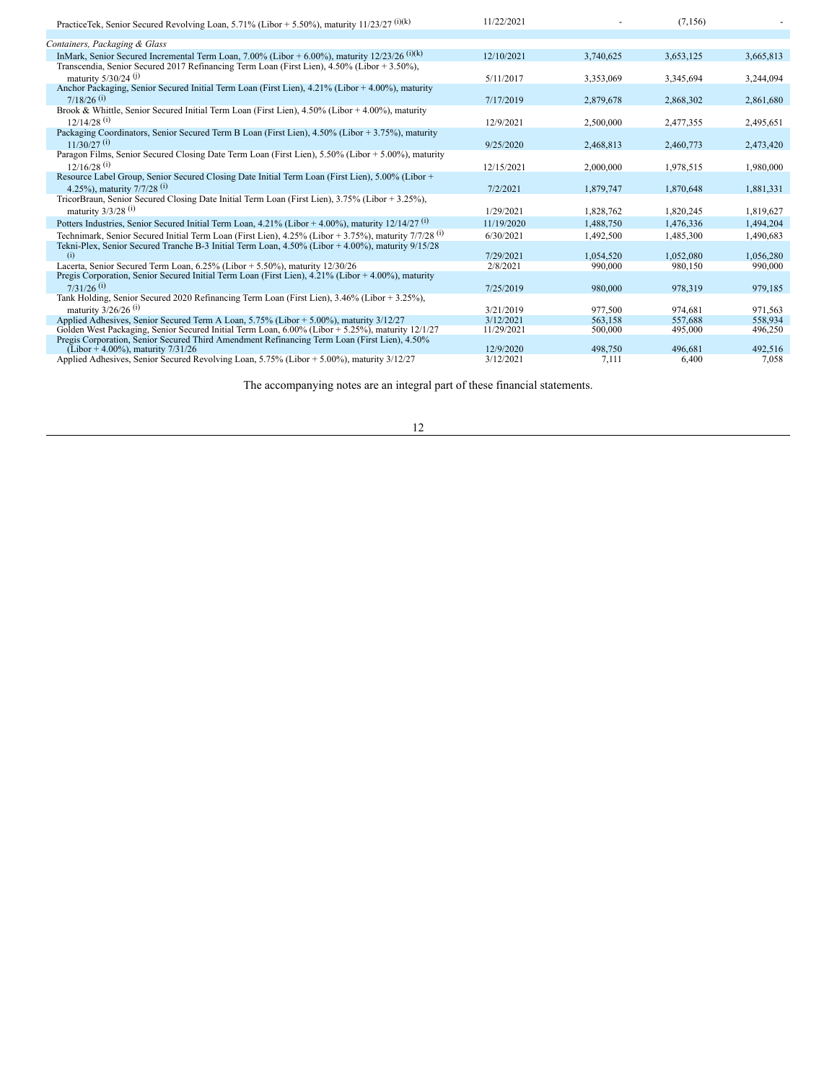| PracticeTek, Senior Secured Revolving Loan, 5.71% (Libor + 5.50%), maturity 11/23/27 (i)(k)                      | 11/22/2021 |           | (7,156)   |           |
|------------------------------------------------------------------------------------------------------------------|------------|-----------|-----------|-----------|
|                                                                                                                  |            |           |           |           |
| Containers, Packaging & Glass                                                                                    |            |           |           |           |
| InMark, Senior Secured Incremental Term Loan, 7.00% (Libor + 6.00%), maturity $12/23/26$ (i)(k)                  | 12/10/2021 | 3.740.625 | 3.653.125 | 3,665,813 |
| Transcendia, Senior Secured 2017 Refinancing Term Loan (First Lien), 4.50% (Libor + 3.50%),                      |            |           |           |           |
| maturity $5/30/24$ (i)                                                                                           | 5/11/2017  | 3,353,069 | 3,345,694 | 3,244,094 |
| Anchor Packaging, Senior Secured Initial Term Loan (First Lien), 4.21% (Libor + 4.00%), maturity                 |            |           |           |           |
| $7/18/26$ <sup>(i)</sup>                                                                                         | 7/17/2019  | 2,879,678 | 2.868,302 | 2,861,680 |
| Brook & Whittle, Senior Secured Initial Term Loan (First Lien), $4.50\%$ (Libor + 4.00%), maturity               |            |           |           |           |
| $12/14/28$ <sup>(i)</sup>                                                                                        | 12/9/2021  | 2,500,000 | 2,477,355 | 2,495,651 |
| Packaging Coordinators, Senior Secured Term B Loan (First Lien), 4.50% (Libor + 3.75%), maturity                 |            |           |           |           |
| $11/30/27$ <sup>(i)</sup>                                                                                        | 9/25/2020  | 2.468.813 | 2,460,773 | 2,473,420 |
| Paragon Films, Senior Secured Closing Date Term Loan (First Lien), 5.50% (Libor + 5.00%), maturity               |            |           |           |           |
| $12/16/28$ <sup>(i)</sup>                                                                                        | 12/15/2021 | 2,000,000 | 1.978.515 | 1,980,000 |
| Resource Label Group, Senior Secured Closing Date Initial Term Loan (First Lien), 5.00% (Libor +                 |            |           |           |           |
| 4.25%), maturity $7/7/28$ <sup>(i)</sup>                                                                         | 7/2/2021   | 1,879,747 | 1,870,648 | 1.881.331 |
| TricorBraun, Senior Secured Closing Date Initial Term Loan (First Lien), 3.75% (Libor + 3.25%),                  |            |           |           |           |
| maturity $3/3/28$ <sup>(i)</sup>                                                                                 | 1/29/2021  | 1,828,762 | 1,820,245 | 1,819,627 |
| Potters Industries, Senior Secured Initial Term Loan, 4.21% (Libor + 4.00%), maturity 12/14/27 <sup>(1)</sup>    | 11/19/2020 | 1,488,750 | 1.476.336 | 1,494,204 |
| Technimark, Senior Secured Initial Term Loan (First Lien), 4.25% (Libor + 3.75%), maturity 7/7/28 <sup>(i)</sup> | 6/30/2021  | 1,492,500 | 1,485,300 | 1,490,683 |
| Tekni-Plex, Senior Secured Tranche B-3 Initial Term Loan, 4.50% (Libor + 4.00%), maturity 9/15/28                |            |           |           |           |
| (i)                                                                                                              | 7/29/2021  | 1.054.520 | 1.052.080 | 1.056.280 |
| Lacerta, Senior Secured Term Loan, 6.25% (Libor + 5.50%), maturity 12/30/26                                      | 2/8/2021   | 990,000   | 980,150   | 990,000   |
| Pregis Corporation, Senior Secured Initial Term Loan (First Lien), 4.21% (Libor + 4.00%), maturity               |            |           |           |           |
| $7/31/26$ <sup>(i)</sup>                                                                                         | 7/25/2019  | 980,000   | 978,319   | 979.185   |
| Tank Holding, Senior Secured 2020 Refinancing Term Loan (First Lien), 3.46% (Libor + 3.25%),                     |            |           |           |           |
| maturity $3/26/26$ <sup>(i)</sup>                                                                                | 3/21/2019  | 977,500   | 974.681   | 971,563   |
| Applied Adhesives, Senior Secured Term A Loan, 5.75% (Libor + 5.00%), maturity 3/12/27                           | 3/12/2021  | 563.158   | 557.688   | 558.934   |
| Golden West Packaging, Senior Secured Initial Term Loan, 6.00% (Libor + 5.25%), maturity 12/1/27                 | 11/29/2021 | 500,000   | 495,000   | 496,250   |
| Pregis Corporation, Senior Secured Third Amendment Refinancing Term Loan (First Lien), 4.50%                     |            |           |           |           |
| (Libor + 4.00%), maturity $7/31/26$                                                                              | 12/9/2020  | 498,750   | 496.681   | 492,516   |
| Applied Adhesives, Senior Secured Revolving Loan, 5.75% (Libor + 5.00%), maturity 3/12/27                        | 3/12/2021  | 7,111     | 6,400     | 7,058     |
|                                                                                                                  |            |           |           |           |

The accompanying notes are an integral part of these financial statements.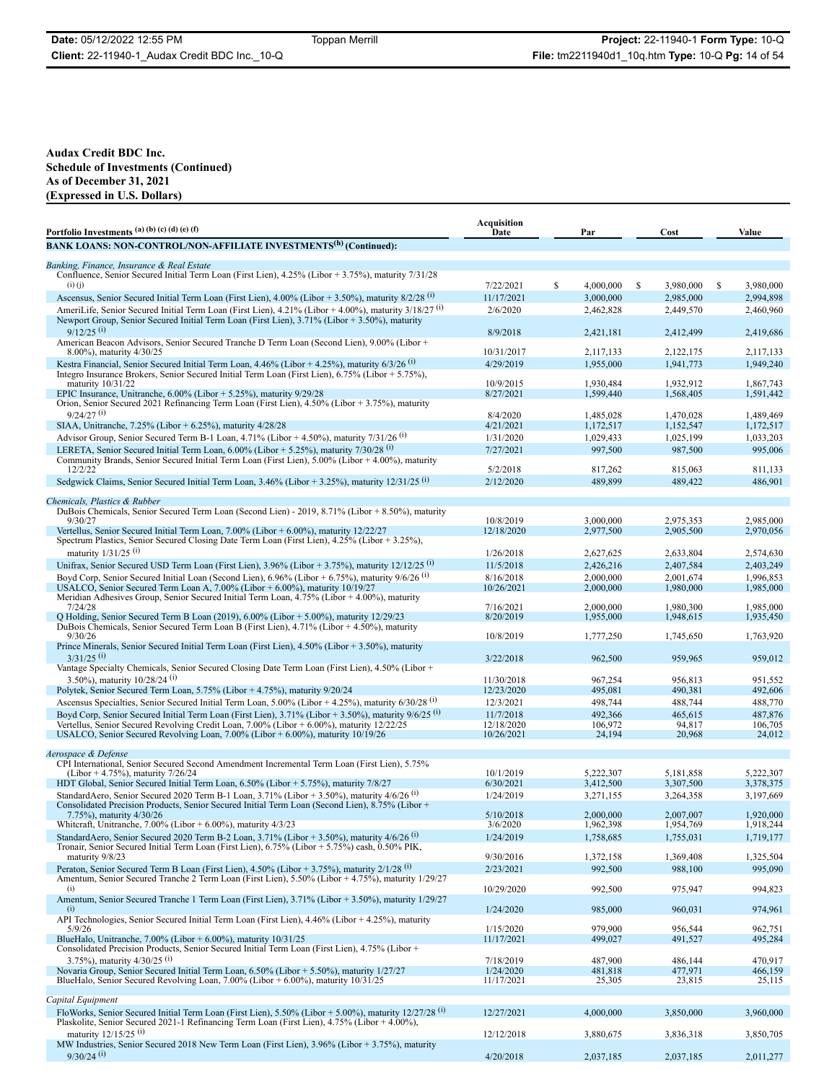| Portfolio Investments (a) (b) (c) (d) (e) (f)                                                                                                                                                                      | Acquisition<br>Date      | Par                       | Cost                   | Value                  |
|--------------------------------------------------------------------------------------------------------------------------------------------------------------------------------------------------------------------|--------------------------|---------------------------|------------------------|------------------------|
| <b>BANK LOANS: NON-CONTROL/NON-AFFILIATE INVESTMENTS<sup>(h)</sup> (Continued):</b>                                                                                                                                |                          |                           |                        |                        |
| Banking, Finance, Insurance & Real Estate                                                                                                                                                                          |                          |                           |                        |                        |
| Confluence, Senior Secured Initial Term Loan (First Lien), 4.25% (Libor + 3.75%), maturity 7/31/28                                                                                                                 |                          |                           |                        |                        |
| $(i)$ $(i)$                                                                                                                                                                                                        | 7/22/2021                | $\mathbb{S}$<br>4,000,000 | S<br>3,980,000<br>S    | 3,980,000              |
| Ascensus, Senior Secured Initial Term Loan (First Lien), 4.00% (Libor + 3.50%), maturity 8/2/28 <sup>(1)</sup>                                                                                                     | 11/17/2021               | 3,000,000                 | 2,985,000              | 2,994,898              |
| AmeriLife, Senior Secured Initial Term Loan (First Lien), 4.21% (Libor + 4.00%), maturity 3/18/27 <sup>(i)</sup><br>Newport Group, Senior Secured Initial Term Loan (First Lien), 3.71% (Libor + 3.50%), maturity  | 2/6/2020                 | 2,462,828                 | 2,449,570              | 2,460,960              |
| $9/12/25$ <sup>(i)</sup>                                                                                                                                                                                           | 8/9/2018                 | 2,421,181                 | 2,412,499              | 2,419,686              |
| American Beacon Advisors, Senior Secured Tranche D Term Loan (Second Lien), 9.00% (Libor +                                                                                                                         |                          |                           |                        |                        |
| 8.00%), maturity 4/30/25                                                                                                                                                                                           | 10/31/2017               | 2,117,133                 | 2,122,175              | 2,117,133              |
| Kestra Financial, Senior Secured Initial Term Loan, $4.46\%$ (Libor + 4.25%), maturity $6/3/26$ <sup>(1)</sup><br>Integro Insurance Brokers, Senior Secured Initial Term Loan (First Lien), 6.75% (Libor + 5.75%), | 4/29/2019                | 1,955,000                 | 1,941,773              | 1,949,240              |
| maturity 10/31/22                                                                                                                                                                                                  | 10/9/2015                | 1.930.484                 | 1.932.912              | 1,867,743              |
| EPIC Insurance, Unitranche, 6.00% (Libor + 5.25%), maturity 9/29/28<br>Orion, Senior Secured 2021 Refinancing Term Loan (First Lien), $4.50\%$ (Libor + 3.75%), maturity                                           | 8/27/2021                | 1,599,440                 | 1,568,405              | 1,591,442              |
| $9/24/27$ <sup>(i)</sup>                                                                                                                                                                                           | 8/4/2020                 | 1,485,028                 | 1,470,028              | 1,489,469              |
| SIAA, Unitranche, 7.25% (Libor + 6.25%), maturity 4/28/28                                                                                                                                                          | 4/21/2021                | 1,172,517                 | 1,152,547              | 1,172,517              |
| Advisor Group, Senior Secured Term B-1 Loan, 4.71% (Libor + 4.50%), maturity 7/31/26 <sup>(i)</sup>                                                                                                                | 1/31/2020                | 1,029,433                 | 1,025,199              | 1,033,203              |
| LERETA, Senior Secured Initial Term Loan, $6.00\%$ (Libor + 5.25%), maturity 7/30/28 <sup>(1)</sup>                                                                                                                | 7/27/2021                | 997,500                   | 987,500                | 995,006                |
| Community Brands, Senior Secured Initial Term Loan (First Lien), 5.00% (Libor + 4.00%), maturity<br>12/2/22                                                                                                        |                          |                           |                        |                        |
| Sedgwick Claims, Senior Secured Initial Term Loan, $3.46\%$ (Libor + 3.25%), maturity $12/31/25$ <sup>(i)</sup>                                                                                                    | 5/2/2018<br>2/12/2020    | 817,262<br>489,899        | 815,063<br>489,422     | 811,133<br>486,901     |
|                                                                                                                                                                                                                    |                          |                           |                        |                        |
| Chemicals, Plastics & Rubber                                                                                                                                                                                       |                          |                           |                        |                        |
| DuBois Chemicals, Senior Secured Term Loan (Second Lien) - 2019, 8.71% (Libor + 8.50%), maturity<br>9/30/27                                                                                                        | 10/8/2019                | 3,000,000                 | 2,975,353              | 2,985,000              |
| Vertellus, Senior Secured Initial Term Loan, 7.00% (Libor + 6.00%), maturity 12/22/27                                                                                                                              | 12/18/2020               | 2,977,500                 | 2,905,500              | 2,970,056              |
| Spectrum Plastics, Senior Secured Closing Date Term Loan (First Lien), 4.25% (Libor + 3.25%),                                                                                                                      |                          |                           |                        |                        |
| maturity 1/31/25 <sup>(i)</sup>                                                                                                                                                                                    | 1/26/2018                | 2,627,625                 | 2,633,804              | 2,574,630              |
| Unifrax, Senior Secured USD Term Loan (First Lien), $3.96\%$ (Libor + $3.75\%$ ), maturity $12/12/25$ <sup>(1)</sup>                                                                                               | 11/5/2018                | 2,426,216                 | 2,407,584              | 2,403,249              |
| Boyd Corp, Senior Secured Initial Loan (Second Lien), 6.96% (Libor + 6.75%), maturity $9/6/26$ <sup>(i)</sup><br>USALCO, Senior Secured Term Loan A, $7.00\%$ (Libor + 6.00%), maturity 10/19/27                   | 8/16/2018<br>10/26/2021  | 2,000,000<br>2,000,000    | 2,001,674<br>1,980,000 | 1,996,853<br>1,985,000 |
| Meridian Adhesives Group, Senior Secured Initial Term Loan, 4.75% (Libor + 4.00%), maturity                                                                                                                        |                          |                           |                        |                        |
| 7/24/28                                                                                                                                                                                                            | 7/16/2021                | 2,000,000                 | 1,980,300              | 1,985,000              |
| Q Holding, Senior Secured Term B Loan (2019), $6.00\%$ (Libor $+ 5.00\%$ ), maturity 12/29/23<br>DuBois Chemicals, Senior Secured Term Loan B (First Lien), 4.71% (Libor + 4.50%), maturity                        | 8/20/2019                | 1,955,000                 | 1,948,615              | 1,935,450              |
| 9/30/26                                                                                                                                                                                                            | 10/8/2019                | 1,777,250                 | 1,745,650              | 1,763,920              |
| Prince Minerals, Senior Secured Initial Term Loan (First Lien), 4.50% (Libor + 3.50%), maturity                                                                                                                    |                          |                           |                        |                        |
| $3/31/25$ <sup>(i)</sup><br>Vantage Specialty Chemicals, Senior Secured Closing Date Term Loan (First Lien), 4.50% (Libor +                                                                                        | 3/22/2018                | 962,500                   | 959,965                | 959,012                |
| 3.50%), maturity 10/28/24 (i)                                                                                                                                                                                      | 11/30/2018               | 967,254                   | 956,813                | 951,552                |
| Polytek, Senior Secured Term Loan, 5.75% (Libor + 4.75%), maturity 9/20/24                                                                                                                                         | 12/23/2020               | 495,081                   | 490,381                | 492,606                |
| Ascensus Specialties, Senior Secured Initial Term Loan, $5.00\%$ (Libor + 4.25%), maturity 6/30/28 <sup>(1)</sup>                                                                                                  | 12/3/2021                | 498,744                   | 488,744                | 488,770                |
| Boyd Corp, Senior Secured Initial Term Loan (First Lien), 3.71% (Libor + 3.50%), maturity 9/6/25 <sup>(i)</sup>                                                                                                    | 11/7/2018                | 492,366                   | 465,615                | 487,876                |
| Vertellus, Senior Secured Revolving Credit Loan, 7.00% (Libor + 6.00%), maturity 12/22/25<br>USALCO, Senior Secured Revolving Loan, $7.00\%$ (Libor $+ 6.00\%$ ), maturity $10/19/26$                              | 12/18/2020<br>10/26/2021 | 106,972<br>24,194         | 94,817<br>20,968       | 106,705<br>24,012      |
|                                                                                                                                                                                                                    |                          |                           |                        |                        |
| Aerospace & Defense                                                                                                                                                                                                |                          |                           |                        |                        |
| CPI International, Senior Secured Second Amendment Incremental Term Loan (First Lien), 5.75%<br>(Libor + 4.75%), maturity $7/26/24$                                                                                | 10/1/2019                | 5.222.307                 | 5,181,858              | 5,222,307              |
| HDT Global, Senior Secured Initial Term Loan, 6.50% (Libor + 5.75%), maturity 7/8/27                                                                                                                               | 6/30/2021                | 3,412,500                 | 3,307,500              | 3,378,375              |
| StandardAero, Senior Secured 2020 Term B-1 Loan, $3.71\%$ (Libor + $3.50\%$ ), maturity $4/6/26$ <sup>(1)</sup>                                                                                                    | 1/24/2019                | 3,271,155                 | 3,264,358              | 3,197,669              |
| Consolidated Precision Products, Senior Secured Initial Term Loan (Second Lien), 8.75% (Libor +                                                                                                                    | 5/10/2018                | 2,000,000                 |                        | 1,920,000              |
| 7.75%), maturity 4/30/26<br>Whitcraft, Unitranche, 7.00% (Libor + 6.00%), maturity 4/3/23                                                                                                                          | 3/6/2020                 | 1,962,398                 | 2,007,007<br>1,954,769 | 1,918,244              |
| StandardAero, Senior Secured 2020 Term B-2 Loan, 3.71% (Libor + 3.50%), maturity 4/6/26 <sup>(i)</sup>                                                                                                             | 1/24/2019                | 1,758,685                 | 1,755,031              | 1,719,177              |
| Tronair, Senior Secured Initial Term Loan (First Lien), 6.75% (Libor + 5.75%) cash, 0.50% PIK,                                                                                                                     |                          |                           |                        |                        |
| maturity 9/8/23                                                                                                                                                                                                    | 9/30/2016                | 1,372,158                 | 1,369,408              | 1,325,504              |
| Peraton, Senior Secured Term B Loan (First Lien), 4.50% (Libor + 3.75%), maturity 2/1/28 <sup>(i)</sup><br>Amentum, Senior Secured Tranche 2 Term Loan (First Lien), 5.50% (Libor + 4.75%), maturity 1/29/27       | 2/23/2021                | 992,500                   | 988,100                | 995,090                |
|                                                                                                                                                                                                                    | 10/29/2020               | 992,500                   | 975,947                | 994,823                |
| Amentum, Senior Secured Tranche 1 Term Loan (First Lien), 3.71% (Libor + 3.50%), maturity 1/29/27                                                                                                                  |                          |                           |                        |                        |
| (i)<br>API Technologies, Senior Secured Initial Term Loan (First Lien), 4.46% (Libor + 4.25%), maturity                                                                                                            | 1/24/2020                | 985,000                   | 960,031                | 974,961                |
| 5/9/26                                                                                                                                                                                                             | 1/15/2020                | 979.900                   | 956.544                | 962,751                |
| BlueHalo, Unitranche, $7.00\%$ (Libor + 6.00%), maturity $10/31/25$                                                                                                                                                | 11/17/2021               | 499,027                   | 491,527                | 495,284                |
| Consolidated Precision Products, Senior Secured Initial Term Loan (First Lien), 4.75% (Libor +<br>3.75%), maturity $4/30/25$ <sup>(1)</sup>                                                                        |                          | 487,900                   |                        | 470,917                |
| Novaria Group, Senior Secured Initial Term Loan, 6.50% (Libor + 5.50%), maturity 1/27/27                                                                                                                           | 7/18/2019<br>1/24/2020   | 481,818                   | 486,144<br>477,971     | 466,159                |
| Blue Halo, Senior Secured Revolving Loan, $7.00\%$ (Libor + 6.00%), maturity $10/31/25$                                                                                                                            | 11/17/2021               | 25,305                    | 23,815                 | 25,115                 |
| Capital Equipment                                                                                                                                                                                                  |                          |                           |                        |                        |
| FloWorks, Senior Secured Initial Term Loan (First Lien), 5.50% (Libor + 5.00%), maturity $12/27/28$ (i)                                                                                                            | 12/27/2021               | 4,000,000                 | 3,850,000              | 3,960,000              |
| Plaskolite, Senior Secured 2021-1 Refinancing Term Loan (First Lien), 4.75% (Libor + 4.00%),                                                                                                                       |                          |                           |                        |                        |
| maturity $12/15/25$ <sup>(i)</sup>                                                                                                                                                                                 | 12/12/2018               | 3,880,675                 | 3,836,318              | 3,850,705              |
| MW Industries, Senior Secured 2018 New Term Loan (First Lien), 3.96% (Libor + 3.75%), maturity<br>$9/30/24$ <sup>(i)</sup>                                                                                         |                          |                           |                        |                        |
|                                                                                                                                                                                                                    | 4/20/2018                | 2,037,185                 | 2,037,185              | 2,011,277              |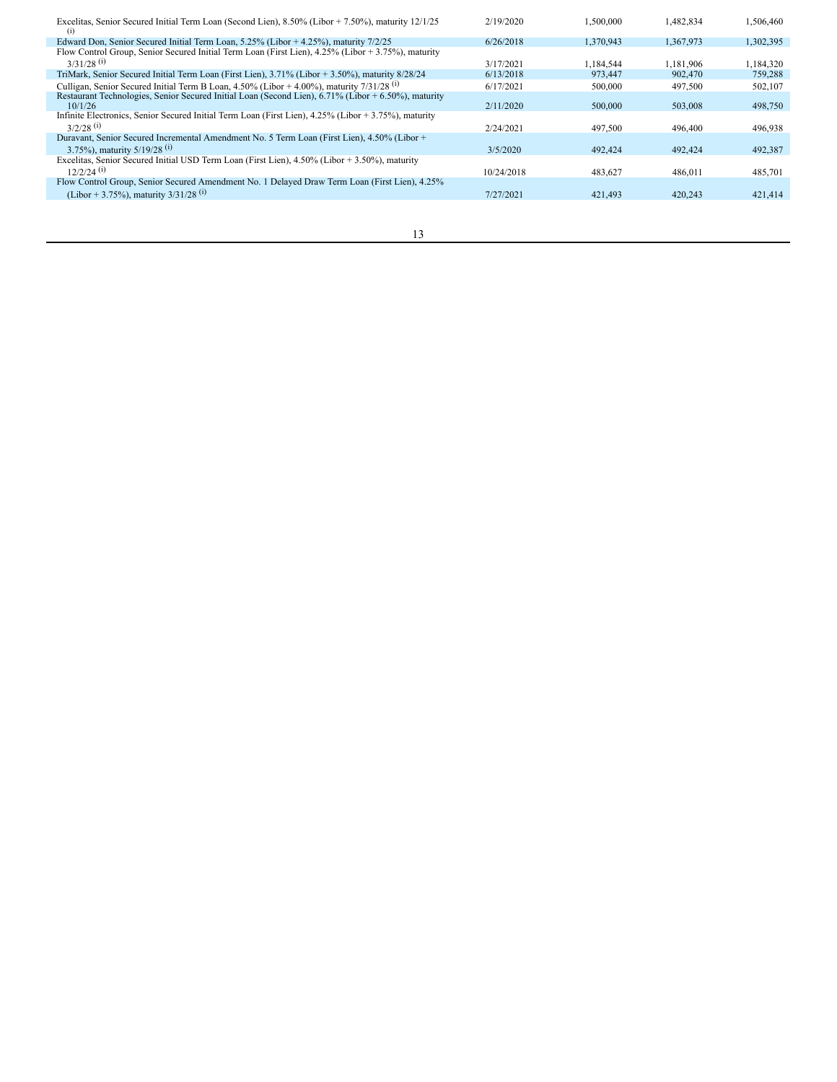| Excelitas, Senior Secured Initial Term Loan (Second Lien), 8.50% (Libor + 7.50%), maturity 12/1/25<br>(i)      | 2/19/2020  | 1.500.000 | 1.482.834 | 1,506,460 |
|----------------------------------------------------------------------------------------------------------------|------------|-----------|-----------|-----------|
| Edward Don, Senior Secured Initial Term Loan, $5.25\%$ (Libor + 4.25%), maturity $7/2/25$                      | 6/26/2018  | 1.370.943 | 1.367.973 | 1,302,395 |
| Flow Control Group, Senior Secured Initial Term Loan (First Lien), $4.25\%$ (Libor + 3.75%), maturity          |            |           |           |           |
| $3/31/28$ <sup>(i)</sup>                                                                                       | 3/17/2021  | 1.184.544 | 1.181.906 | 1.184.320 |
| TriMark, Senior Secured Initial Term Loan (First Lien), $3.71\%$ (Libor + $3.50\%$ ), maturity $8/28/24$       | 6/13/2018  | 973,447   | 902,470   | 759,288   |
| Culligan, Senior Secured Initial Term B Loan, $4.50\%$ (Libor + 4.00%), maturity 7/31/28 <sup>(i)</sup>        | 6/17/2021  | 500,000   | 497.500   | 502,107   |
| Restaurant Technologies, Senior Secured Initial Loan (Second Lien), 6.71% (Libor + 6.50%), maturity<br>10/1/26 | 2/11/2020  | 500,000   | 503,008   | 498,750   |
| Infinite Electronics, Senior Secured Initial Term Loan (First Lien), 4.25% (Libor + 3.75%), maturity           |            |           |           |           |
| $3/2/28$ <sup>(i)</sup>                                                                                        | 2/24/2021  | 497,500   | 496,400   | 496,938   |
| Duravant, Senior Secured Incremental Amendment No. 5 Term Loan (First Lien), 4.50% (Libor +                    |            |           |           |           |
| 3.75%), maturity $5/19/28$ <sup>(i)</sup>                                                                      | 3/5/2020   | 492,424   | 492,424   | 492,387   |
| Excelitas, Senior Secured Initial USD Term Loan (First Lien), 4.50% (Libor + 3.50%), maturity                  |            |           |           |           |
| $12/2/24$ <sup>(i)</sup>                                                                                       | 10/24/2018 | 483.627   | 486.011   | 485,701   |
| Flow Control Group, Senior Secured Amendment No. 1 Delayed Draw Term Loan (First Lien), 4.25%                  |            |           |           |           |
| (Libor + 3.75%), maturity $3/31/28$ <sup>(i)</sup>                                                             | 7/27/2021  | 421.493   | 420,243   | 421.414   |
|                                                                                                                |            |           |           |           |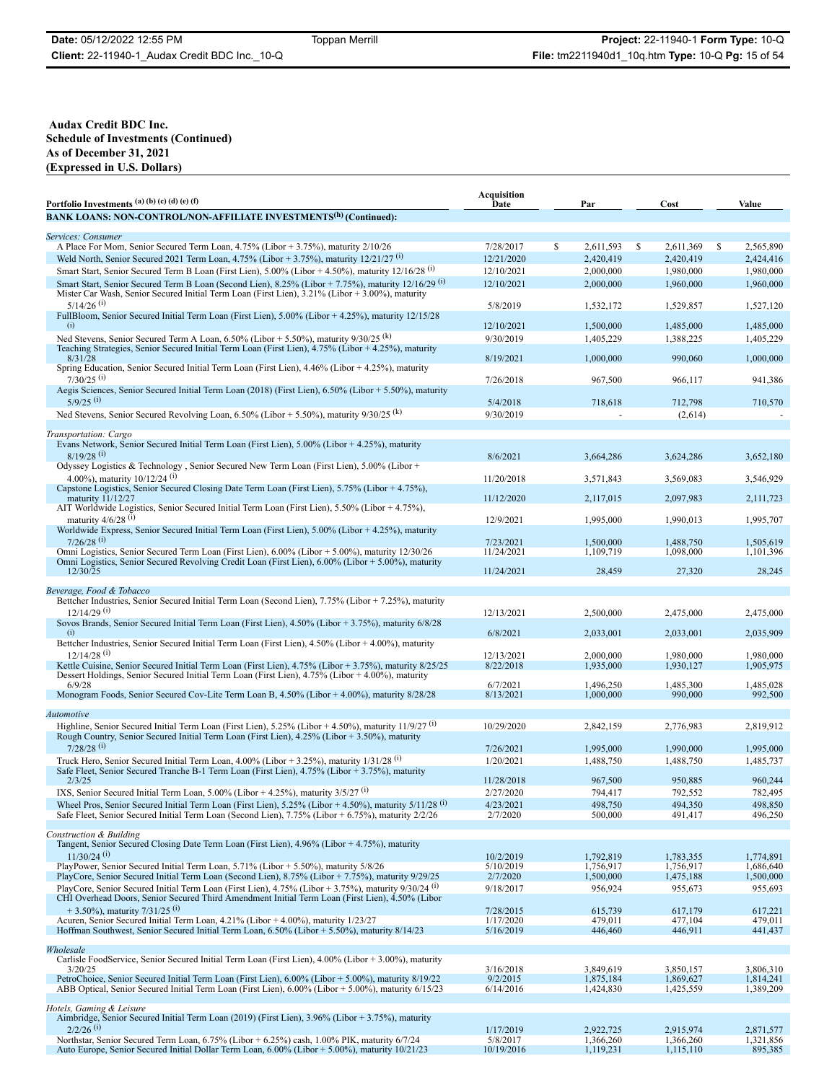| Portfolio Investments (a) (b) (c) (d) (e) (f)                                                                                                                                                               | Acquisition             |                        |                        |                        |
|-------------------------------------------------------------------------------------------------------------------------------------------------------------------------------------------------------------|-------------------------|------------------------|------------------------|------------------------|
|                                                                                                                                                                                                             | Date                    | Par                    | Cost                   | Value                  |
| <b>BANK LOANS: NON-CONTROL/NON-AFFILIATE INVESTMENTS<sup>(h)</sup> (Continued):</b>                                                                                                                         |                         |                        |                        |                        |
| Services: Consumer                                                                                                                                                                                          |                         |                        |                        |                        |
| A Place For Mom, Senior Secured Term Loan, 4.75% (Libor + 3.75%), maturity 2/10/26                                                                                                                          | 7/28/2017               | \$<br>2,611,593        | S<br>2,611,369         | S<br>2,565,890         |
| Weld North, Senior Secured 2021 Term Loan, $4.75\%$ (Libor + 3.75%), maturity $12/21/27$ <sup>(1)</sup>                                                                                                     | 12/21/2020              | 2,420,419              | 2,420,419              | 2,424,416              |
| Smart Start, Senior Secured Term B Loan (First Lien), 5.00% (Libor + 4.50%), maturity 12/16/28 <sup>(i)</sup>                                                                                               | 12/10/2021              | 2,000,000              | 1,980,000              | 1,980,000              |
| Smart Start, Senior Secured Term B Loan (Second Lien), 8.25% (Libor + 7.75%), maturity 12/16/29 <sup>(i)</sup>                                                                                              | 12/10/2021              | 2,000,000              | 1,960,000              | 1,960,000              |
| Mister Car Wash, Senior Secured Initial Term Loan (First Lien), $3.21\%$ (Libor + 3.00%), maturity                                                                                                          |                         |                        |                        |                        |
| $5/14/26$ <sup>(i)</sup>                                                                                                                                                                                    | 5/8/2019                | 1,532,172              | 1,529,857              | 1,527,120              |
| FullBloom, Senior Secured Initial Term Loan (First Lien), 5.00% (Libor + 4.25%), maturity 12/15/28<br>(i)                                                                                                   | 12/10/2021              | 1,500,000              | 1,485,000              | 1,485,000              |
|                                                                                                                                                                                                             |                         |                        |                        |                        |
| Ned Stevens, Senior Secured Term A Loan, $6.50\%$ (Libor + 5.50%), maturity $9/30/25$ <sup>(k)</sup><br>Teaching Strategies, Senior Secured Initial Term Loan (First Lien), 4.75% (Libor + 4.25%), maturity | 9/30/2019               | 1,405,229              | 1,388,225              | 1,405,229              |
| 8/31/28                                                                                                                                                                                                     | 8/19/2021               | 1,000,000              | 990,060                | 1,000,000              |
| Spring Education, Senior Secured Initial Term Loan (First Lien), 4.46% (Libor + 4.25%), maturity                                                                                                            |                         |                        |                        |                        |
| $7/30/25$ <sup>(i)</sup>                                                                                                                                                                                    | 7/26/2018               | 967,500                | 966,117                | 941,386                |
| Aegis Sciences, Senior Secured Initial Term Loan (2018) (First Lien), 6.50% (Libor + 5.50%), maturity                                                                                                       |                         |                        |                        |                        |
| $5/9/25$ <sup>(i)</sup>                                                                                                                                                                                     | 5/4/2018                | 718,618                | 712,798                | 710,570                |
| Ned Stevens, Senior Secured Revolving Loan, 6.50% (Libor + 5.50%), maturity 9/30/25 <sup>(k)</sup>                                                                                                          | 9/30/2019               |                        | (2,614)                |                        |
|                                                                                                                                                                                                             |                         |                        |                        |                        |
| Transportation: Cargo<br>Evans Network, Senior Secured Initial Term Loan (First Lien), 5.00% (Libor + 4.25%), maturity                                                                                      |                         |                        |                        |                        |
| $8/19/28$ <sup>(i)</sup>                                                                                                                                                                                    |                         |                        |                        |                        |
| Odyssey Logistics & Technology, Senior Secured New Term Loan (First Lien), 5.00% (Libor +                                                                                                                   | 8/6/2021                | 3,664,286              | 3,624,286              | 3,652,180              |
| 4.00%), maturity $10/12/24$ <sup>(i)</sup>                                                                                                                                                                  |                         |                        |                        |                        |
| Capstone Logistics, Senior Secured Closing Date Term Loan (First Lien), 5.75% (Libor + 4.75%),                                                                                                              | 11/20/2018              | 3,571,843              | 3,569,083              | 3,546,929              |
| maturity 11/12/27                                                                                                                                                                                           | 11/12/2020              | 2,117,015              | 2,097,983              | 2,111,723              |
| AIT Worldwide Logistics, Senior Secured Initial Term Loan (First Lien), 5.50% (Libor + 4.75%),                                                                                                              |                         |                        |                        |                        |
| maturity $4/6/28$ <sup>(i)</sup>                                                                                                                                                                            | 12/9/2021               | 1,995,000              | 1,990,013              | 1,995,707              |
| Worldwide Express, Senior Secured Initial Term Loan (First Lien), 5.00% (Libor + 4.25%), maturity                                                                                                           |                         |                        |                        |                        |
| $7/26/28$ <sup>(i)</sup>                                                                                                                                                                                    | 7/23/2021               | 1,500,000              | 1,488,750              | 1,505,619              |
| Omni Logistics, Senior Secured Term Loan (First Lien), 6.00% (Libor + 5.00%), maturity 12/30/26                                                                                                             | 11/24/2021              | 1,109,719              | 1,098,000              | 1,101,396              |
| Omni Logistics, Senior Secured Revolving Credit Loan (First Lien), 6.00% (Libor + 5.00%), maturity<br>12/30/25                                                                                              | 11/24/2021              | 28,459                 | 27,320                 | 28,245                 |
|                                                                                                                                                                                                             |                         |                        |                        |                        |
| Beverage, Food & Tobacco                                                                                                                                                                                    |                         |                        |                        |                        |
| Bettcher Industries, Senior Secured Initial Term Loan (Second Lien), 7.75% (Libor + 7.25%), maturity                                                                                                        |                         |                        |                        |                        |
| $12/14/29$ <sup>(i)</sup>                                                                                                                                                                                   | 12/13/2021              | 2,500,000              | 2,475,000              | 2,475,000              |
| Sovos Brands, Senior Secured Initial Term Loan (First Lien), 4.50% (Libor + 3.75%), maturity 6/8/28                                                                                                         |                         |                        |                        |                        |
| (i)                                                                                                                                                                                                         | 6/8/2021                | 2,033,001              | 2,033,001              | 2,035,909              |
| Bettcher Industries, Senior Secured Initial Term Loan (First Lien), 4.50% (Libor + 4.00%), maturity<br>$12/14/28$ <sup>(i)</sup>                                                                            |                         |                        |                        |                        |
| Kettle Cuisine, Senior Secured Initial Term Loan (First Lien), 4.75% (Libor + 3.75%), maturity 8/25/25                                                                                                      | 12/13/2021<br>8/22/2018 | 2,000,000<br>1,935,000 | 1,980,000<br>1,930,127 | 1,980,000<br>1,905,975 |
| Dessert Holdings, Senior Secured Initial Term Loan (First Lien), $4.75\%$ (Libor + 4.00%), maturity                                                                                                         |                         |                        |                        |                        |
| 6/9/28                                                                                                                                                                                                      | 6/7/2021                | 1,496,250              | 1,485,300              | 1,485,028              |
| Monogram Foods, Senior Secured Cov-Lite Term Loan B, 4.50% (Libor + 4.00%), maturity 8/28/28                                                                                                                | 8/13/2021               | 1,000,000              | 990,000                | 992,500                |
|                                                                                                                                                                                                             |                         |                        |                        |                        |
| Automotive                                                                                                                                                                                                  |                         |                        |                        |                        |
| Highline, Senior Secured Initial Term Loan (First Lien), 5.25% (Libor + 4.50%), maturity $11/9/27$ (i)<br>Rough Country, Senior Secured Initial Term Loan (First Lien), 4.25% (Libor + 3.50%), maturity     | 10/29/2020              | 2,842,159              | 2,776,983              | 2,819,912              |
| $7/28/28$ <sup>(i)</sup>                                                                                                                                                                                    | 7/26/2021               | 1,995,000              | 1,990,000              |                        |
|                                                                                                                                                                                                             |                         |                        |                        | 1,995,000              |
| Truck Hero, Senior Secured Initial Term Loan, $4.00\%$ (Libor + 3.25%), maturity $1/31/28$ <sup>(1)</sup><br>Safe Fleet, Senior Secured Tranche B-1 Term Loan (First Lien), 4.75% (Libor + 3.75%), maturity | 1/20/2021               | 1,488,750              | 1,488,750              | 1,485,737              |
| 2/3/25                                                                                                                                                                                                      | 11/28/2018              | 967,500                | 950.885                | 960,244                |
| IXS, Senior Secured Initial Term Loan, $5.00\%$ (Libor + 4.25%), maturity $3/5/27$ <sup>(i)</sup>                                                                                                           | 2/27/2020               | 794,417                | 792,552                | 782,495                |
| Wheel Pros, Senior Secured Initial Term Loan (First Lien), 5.25% (Libor + 4.50%), maturity $5/11/28$ <sup>(1)</sup>                                                                                         | 4/23/2021               | 498,750                | 494,350                | 498,850                |
| Safe Fleet, Senior Secured Initial Term Loan (Second Lien), 7.75% (Libor + 6.75%), maturity 2/2/26                                                                                                          | 2/7/2020                | 500,000                | 491,417                | 496,250                |
|                                                                                                                                                                                                             |                         |                        |                        |                        |
| Construction & Building                                                                                                                                                                                     |                         |                        |                        |                        |
| Tangent, Senior Secured Closing Date Term Loan (First Lien), 4.96% (Libor + 4.75%), maturity                                                                                                                |                         |                        |                        |                        |
| $11/30/24$ <sup>(i)</sup>                                                                                                                                                                                   | 10/2/2019               | 1.792.819              | 1,783,355              | 1,774,891              |
| PlayPower, Senior Secured Initial Term Loan, 5.71% (Libor + 5.50%), maturity 5/8/26<br>PlayCore, Senior Secured Initial Term Loan (Second Lien), 8.75% (Libor + 7.75%), maturity 9/29/25                    | 5/10/2019<br>2/7/2020   | 1,756,917<br>1,500,000 | 1,756,917<br>1,475,188 | 1,686,640<br>1,500,000 |
| PlayCore, Senior Secured Initial Term Loan (First Lien), 4.75% (Libor + 3.75%), maturity 9/30/24 <sup>(i)</sup>                                                                                             | 9/18/2017               | 956,924                | 955,673                | 955,693                |
| CHI Overhead Doors, Senior Secured Third Amendment Initial Term Loan (First Lien), 4.50% (Libor                                                                                                             |                         |                        |                        |                        |
| $+3.50\%$ , maturity 7/31/25 <sup>(i)</sup>                                                                                                                                                                 | 7/28/2015               | 615,739                | 617,179                | 617,221                |
| Acuren, Senior Secured Initial Term Loan, 4.21% (Libor + 4.00%), maturity 1/23/27                                                                                                                           | 1/17/2020               | 479,011                | 477,104                | 479,011                |
| Hoffman Southwest, Senior Secured Initial Term Loan, 6.50% (Libor + 5.50%), maturity 8/14/23                                                                                                                | 5/16/2019               | 446,460                | 446,911                | 441,437                |
|                                                                                                                                                                                                             |                         |                        |                        |                        |
| Wholesale                                                                                                                                                                                                   |                         |                        |                        |                        |
| Carlisle FoodService, Senior Secured Initial Term Loan (First Lien), 4.00% (Libor + 3.00%), maturity<br>3/20/25                                                                                             | 3/16/2018               | 3,849,619              | 3,850,157              | 3,806,310              |
| PetroChoice, Senior Secured Initial Term Loan (First Lien), 6.00% (Libor + 5.00%), maturity 8/19/22                                                                                                         | 9/2/2015                | 1,875,184              | 1,869,627              | 1,814,241              |
| ABB Optical, Senior Secured Initial Term Loan (First Lien), 6.00% (Libor + 5.00%), maturity 6/15/23                                                                                                         | 6/14/2016               | 1,424,830              | 1,425,559              | 1,389,209              |
|                                                                                                                                                                                                             |                         |                        |                        |                        |
| Hotels, Gaming & Leisure                                                                                                                                                                                    |                         |                        |                        |                        |
| Aimbridge, Senior Secured Initial Term Loan (2019) (First Lien), 3.96% (Libor + 3.75%), maturity<br>$2/2/26$ <sup>(i)</sup>                                                                                 |                         |                        |                        |                        |
| Northstar, Senior Secured Term Loan, 6.75% (Libor + 6.25%) cash, 1.00% PIK, maturity 6/7/24                                                                                                                 | 1/17/2019<br>5/8/2017   | 2,922,725<br>1,366,260 | 2,915,974<br>1,366,260 | 2,871,577<br>1,321,856 |
| Auto Europe, Senior Secured Initial Dollar Term Loan, 6.00% (Libor + 5.00%), maturity 10/21/23                                                                                                              | 10/19/2016              | 1,119,231              | 1,115,110              | 895,385                |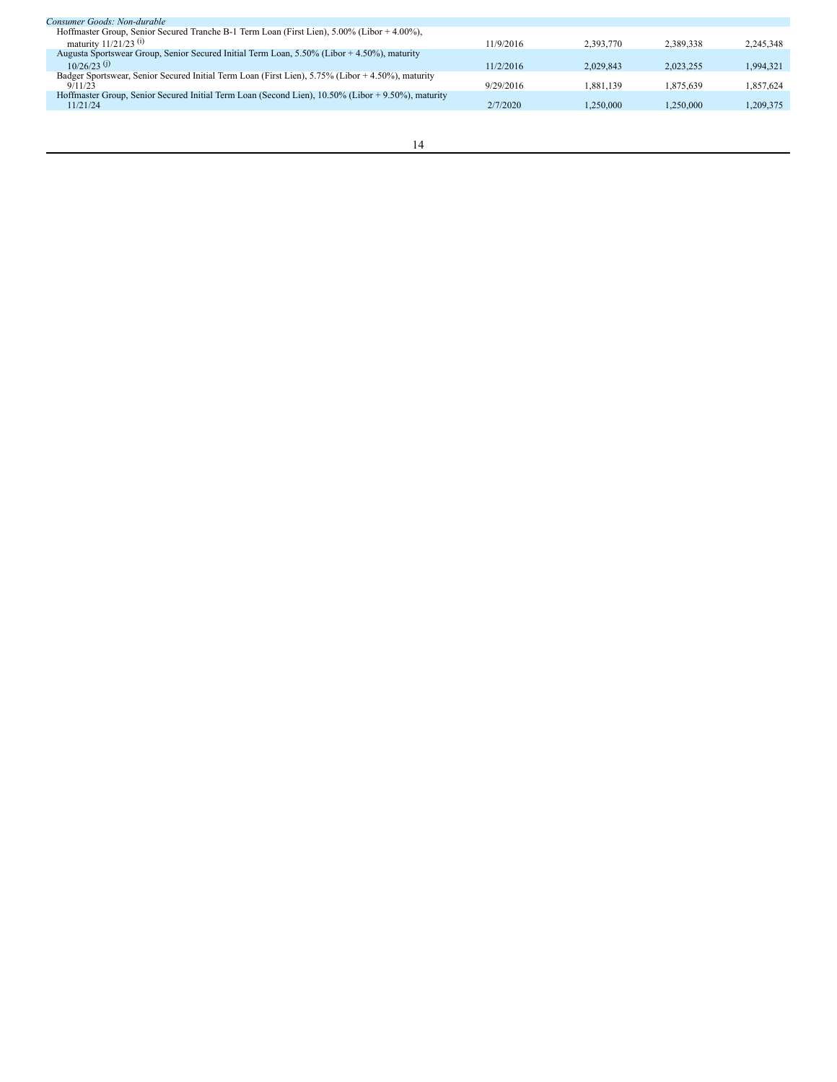| Consumer Goods: Non-durable                                                                           |           |           |           |           |
|-------------------------------------------------------------------------------------------------------|-----------|-----------|-----------|-----------|
| Hoffmaster Group, Senior Secured Tranche B-1 Term Loan (First Lien), 5.00% (Libor + 4.00%),           |           |           |           |           |
| maturity $11/21/23$ <sup>(i)</sup>                                                                    | 11/9/2016 | 2,393,770 | 2.389.338 | 2.245.348 |
| Augusta Sportswear Group, Senior Secured Initial Term Loan, 5.50% (Libor + 4.50%), maturity           |           |           |           |           |
| $10/26/23$ <sup>(j)</sup>                                                                             | 11/2/2016 | 2.029.843 | 2.023.255 | 1.994.321 |
| Badger Sportswear, Senior Secured Initial Term Loan (First Lien), $5.75\%$ (Libor + 4.50%), maturity  |           |           |           |           |
| 9/11/23                                                                                               | 9/29/2016 | 1.881.139 | 1.875.639 | 1.857.624 |
| Hoffmaster Group, Senior Secured Initial Term Loan (Second Lien), $10.50\%$ (Libor + 9.50%), maturity |           |           |           |           |
| 11/21/24                                                                                              | 2/7/2020  | 1.250.000 | .250,000  | 1,209,375 |
|                                                                                                       |           |           |           |           |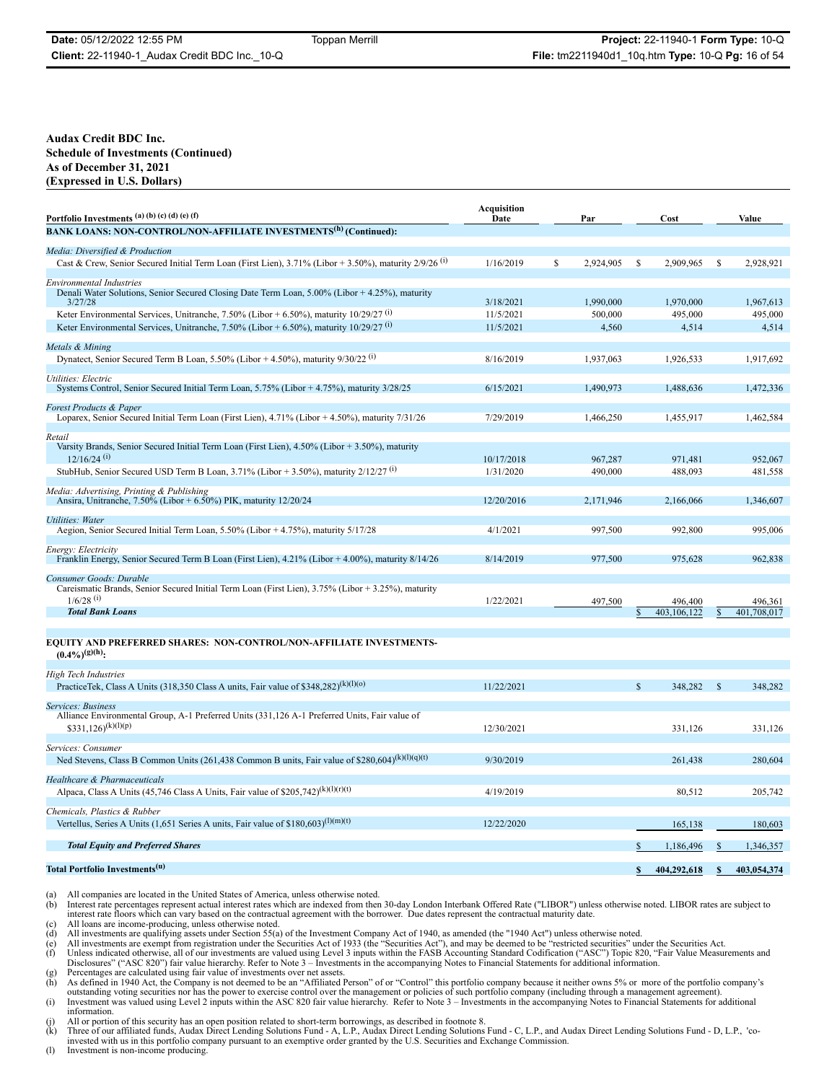| Portfolio Investments (a) (b) (c) (d) (e) (f)                                                                            | Acquisition<br>Date |              | Par       |               | Cost        |             | Value       |
|--------------------------------------------------------------------------------------------------------------------------|---------------------|--------------|-----------|---------------|-------------|-------------|-------------|
| <b>BANK LOANS: NON-CONTROL/NON-AFFILIATE INVESTMENTS<sup>(h)</sup> (Continued):</b>                                      |                     |              |           |               |             |             |             |
| Media: Diversified & Production                                                                                          |                     |              |           |               |             |             |             |
| Cast & Crew, Senior Secured Initial Term Loan (First Lien), 3.71% (Libor + 3.50%), maturity $2/9/26$ <sup>(1)</sup>      | 1/16/2019           | $\mathbb{S}$ | 2,924,905 | <sup>\$</sup> | 2,909,965   | <b>S</b>    | 2,928,921   |
| <b>Environmental Industries</b>                                                                                          |                     |              |           |               |             |             |             |
| Denali Water Solutions, Senior Secured Closing Date Term Loan, 5.00% (Libor + 4.25%), maturity<br>3/27/28                | 3/18/2021           |              | 1,990,000 |               | 1,970,000   |             | 1,967,613   |
| Keter Environmental Services, Unitranche, 7.50% (Libor + 6.50%), maturity $10/29/27$ <sup>(1)</sup>                      | 11/5/2021           |              | 500,000   |               | 495,000     |             | 495,000     |
| Keter Environmental Services, Unitranche, 7.50% (Libor + 6.50%), maturity $10/29/27$ <sup>(1)</sup>                      | 11/5/2021           |              | 4,560     |               | 4,514       |             | 4,514       |
|                                                                                                                          |                     |              |           |               |             |             |             |
| Metals & Mining<br>Dynatect, Senior Secured Term B Loan, 5.50% (Libor + 4.50%), maturity 9/30/22 <sup>(1)</sup>          | 8/16/2019           |              | 1,937,063 |               | 1,926,533   |             | 1,917,692   |
|                                                                                                                          |                     |              |           |               |             |             |             |
| Utilities: Electric<br>Systems Control, Senior Secured Initial Term Loan, 5.75% (Libor + 4.75%), maturity 3/28/25        | 6/15/2021           |              | 1,490,973 |               | 1,488,636   |             | 1,472,336   |
| <b>Forest Products &amp; Paper</b>                                                                                       |                     |              |           |               |             |             |             |
| Loparex, Senior Secured Initial Term Loan (First Lien), 4.71% (Libor + 4.50%), maturity 7/31/26                          | 7/29/2019           |              | 1,466,250 |               | 1,455,917   |             | 1,462,584   |
| Retail                                                                                                                   |                     |              |           |               |             |             |             |
| Varsity Brands, Senior Secured Initial Term Loan (First Lien), 4.50% (Libor + 3.50%), maturity                           |                     |              |           |               |             |             |             |
| $12/16/24$ <sup>(i)</sup>                                                                                                | 10/17/2018          |              | 967,287   |               | 971,481     |             | 952,067     |
| StubHub, Senior Secured USD Term B Loan, $3.71\%$ (Libor + $3.50\%$ ), maturity $2/12/27$ <sup>(1)</sup>                 | 1/31/2020           |              | 490,000   |               | 488,093     |             | 481,558     |
| Media: Advertising, Printing & Publishing                                                                                |                     |              |           |               |             |             |             |
| Ansira, Unitranche, $7.50\%$ (Libor + 6.50%) PIK, maturity $12/20/24$                                                    | 12/20/2016          |              | 2,171,946 |               | 2,166,066   |             | 1,346,607   |
|                                                                                                                          |                     |              |           |               |             |             |             |
| Utilities: Water<br>Aegion, Senior Secured Initial Term Loan, 5.50% (Libor + 4.75%), maturity 5/17/28                    | 4/1/2021            |              | 997,500   |               | 992,800     |             | 995,006     |
| Energy: Electricity<br>Franklin Energy, Senior Secured Term B Loan (First Lien), 4.21% (Libor + 4.00%), maturity 8/14/26 | 8/14/2019           |              | 977,500   |               | 975,628     |             | 962,838     |
| Consumer Goods: Durable                                                                                                  |                     |              |           |               |             |             |             |
| Careismatic Brands, Senior Secured Initial Term Loan (First Lien), 3.75% (Libor + 3.25%), maturity                       |                     |              |           |               |             |             |             |
| $1/6/28$ <sup>(i)</sup>                                                                                                  | 1/22/2021           |              | 497,500   |               | 496,400     |             | 496.361     |
| <b>Total Bank Loans</b>                                                                                                  |                     |              |           |               | 403.106.122 |             | 401,708,017 |
| EQUITY AND PREFERRED SHARES: NON-CONTROL/NON-AFFILIATE INVESTMENTS-                                                      |                     |              |           |               |             |             |             |
| $(0.4\%)^{(g)(h)}$ :                                                                                                     |                     |              |           |               |             |             |             |
| High Tech Industries                                                                                                     |                     |              |           |               |             |             |             |
| Practice Tek, Class A Units (318,350 Class A units, Fair value of \$348,282) <sup>(k)(l)(o)</sup>                        | 11/22/2021          |              |           | $\mathbf{s}$  | 348,282     | $\mathbf S$ | 348,282     |
| Services: Business                                                                                                       |                     |              |           |               |             |             |             |
| Alliance Environmental Group, A-1 Preferred Units (331,126 A-1 Preferred Units, Fair value of                            |                     |              |           |               |             |             |             |
| \$331,126) <sup>(k)(l)(p)</sup>                                                                                          | 12/30/2021          |              |           |               | 331.126     |             | 331,126     |
| Services: Consumer                                                                                                       |                     |              |           |               |             |             |             |
| Ned Stevens, Class B Common Units (261,438 Common B units, Fair value of \$280,604)(k)(l)(q)(t)                          | 9/30/2019           |              |           |               | 261,438     |             | 280,604     |
|                                                                                                                          |                     |              |           |               |             |             |             |
| Healthcare & Pharmaceuticals                                                                                             |                     |              |           |               |             |             |             |
| Alpaca, Class A Units (45,746 Class A Units, Fair value of \$205,742) <sup>(k)(l)(r)(t)</sup>                            | 4/19/2019           |              |           |               | 80,512      |             | 205,742     |
| Chemicals. Plastics & Rubber                                                                                             |                     |              |           |               |             |             |             |
| Vertellus, Series A Units (1,651 Series A units, Fair value of $$180,603$ ) <sup>(l)(m)(t)</sup>                         | 12/22/2020          |              |           |               | 165,138     |             | 180,603     |
|                                                                                                                          |                     |              |           |               |             |             |             |
| <b>Total Equity and Preferred Shares</b>                                                                                 |                     |              |           |               | 1,186,496   |             | 1,346,357   |
| <b>Total Portfolio Investments</b> <sup>(u)</sup>                                                                        |                     |              |           | S.            | 404,292,618 | \$          | 403,054,374 |

(a) All companies are located in the United States of America, unless otherwise noted.<br>
(b) Interest rate percentages represent actual interest rates which are indexed from there (b) Interest rate percentages represent actual interest rates which are indexed from then 30-day London Interbank Offered Rate ("LIBOR") unless otherwise noted. LIBOR rates are subject to interest rate floors which can var

(c) All loans are income-producing, unless otherwise noted. (d) All investments are qualifying assets under Section 55(a) of the Investment Company Act of 1940, as amended (the "1940 Act") unless otherwise noted.

(e) All investments are exempt from registration under the Securities Act of 1933 (the "Securities Act"), and may be deemed to be "restricted securities" under the Securities Act.<br>(f) Unless indicated otherwise, all of our

Disclosures" ("ASC 820") fair value hierarchy. Refer to Note 3 – Investments in the accompanying Notes to Financial Statements for additional information.

(g) Percentages are calculated using fair value of investments over net assets.<br>(h) As defined in 1940 Act, the Company is not deemed to be an "Affiliated l (h) As defined in 1940 Act, the Company is not deemed to be an "Affiliated Person" of or "Control" this portfolio company because it neither owns 5% or more of the portfolio company's outstanding voting securities nor has

(i) Investment was valued using Level 2 inputs within the ASC 820 fair value hierarchy. Refer to Note 3 – Investments in the accompanying Notes to Financial Statements for additional information.

(j) All or portion of this security has an open position related to short-term borrowings, as described in footnote 8.<br>(k) Three of our affiliated funds, Audax Direct Lending Solutions Fund - A, L.P., Audax Direct Lend - C invested with us in this portfolio company pursuant to an exemptive order granted by the U.S. Securities and Exchange Commission.

(I) Investment is non-income producing.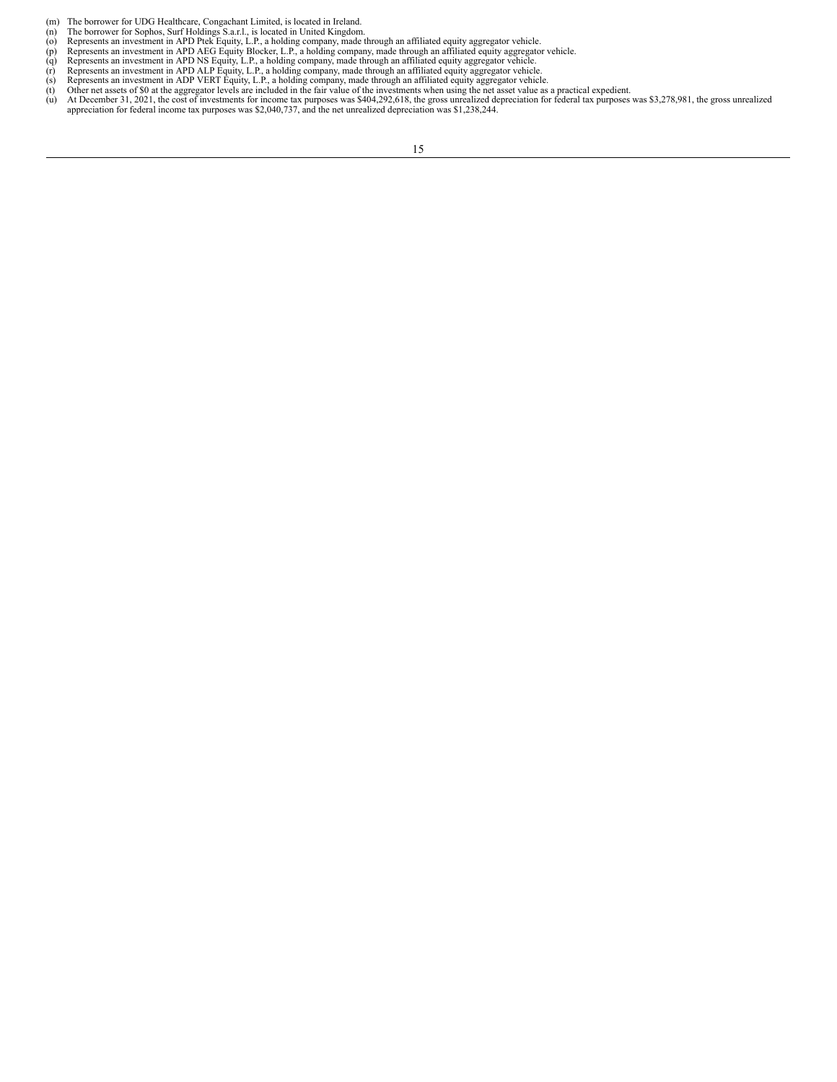- 
- (m) The borrower for UDG Healthcare, Congachant Limited, is located in Ireland.<br>
(n) The borrower for Sophos, Surf Holdings S.a.r.l., is located in United Kingdom
- 
- 
- 
- 
- 
- (n) The borrower for Sophos, Surf Holdings S.a.r.l., is located in United Kingdom.<br>
(o) Represents an investment in APD Ptek Equity, L.P., a holding company, made through an affiliated equity aggregator vehicle.<br>
(p) Repre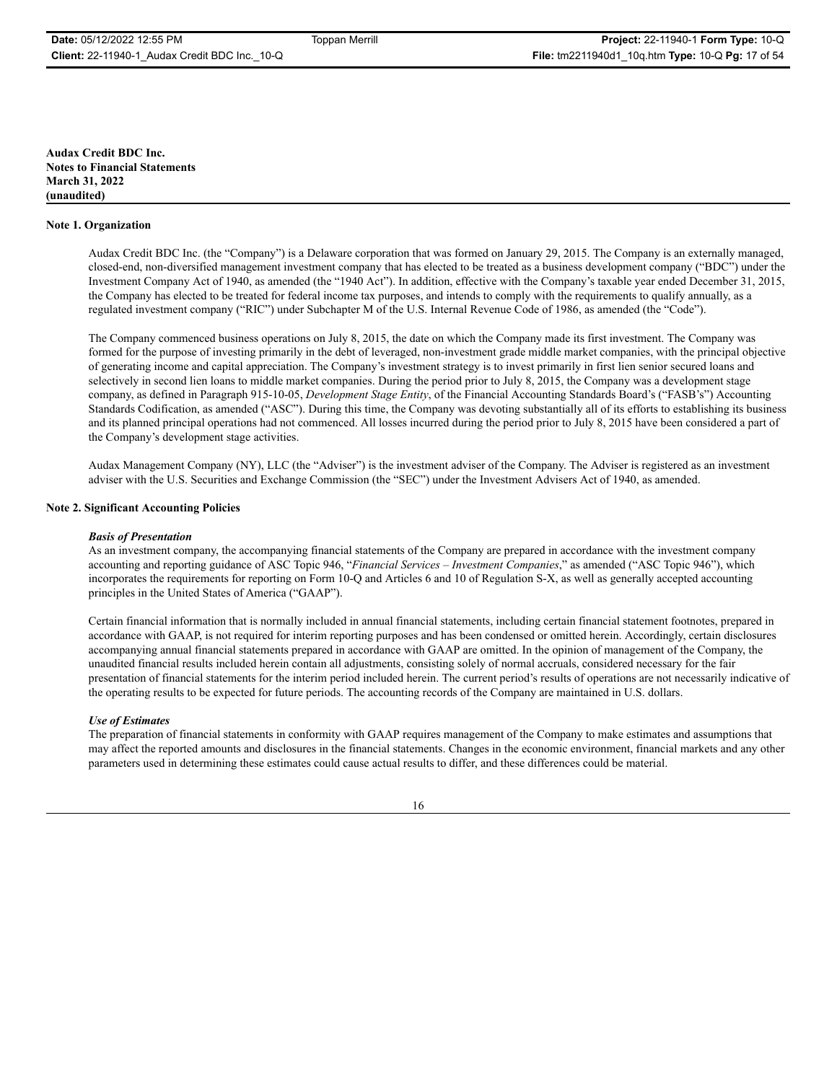**Audax Credit BDC Inc. Notes to Financial Statements March 31, 2022 (unaudited)**

#### **Note 1. Organization**

Audax Credit BDC Inc. (the "Company") is a Delaware corporation that was formed on January 29, 2015. The Company is an externally managed, closed-end, non-diversified management investment company that has elected to be treated as a business development company ("BDC") under the Investment Company Act of 1940, as amended (the "1940 Act"). In addition, effective with the Company's taxable year ended December 31, 2015, the Company has elected to be treated for federal income tax purposes, and intends to comply with the requirements to qualify annually, as a regulated investment company ("RIC") under Subchapter M of the U.S. Internal Revenue Code of 1986, as amended (the "Code").

The Company commenced business operations on July 8, 2015, the date on which the Company made its first investment. The Company was formed for the purpose of investing primarily in the debt of leveraged, non-investment grade middle market companies, with the principal objective of generating income and capital appreciation. The Company's investment strategy is to invest primarily in first lien senior secured loans and selectively in second lien loans to middle market companies. During the period prior to July 8, 2015, the Company was a development stage company, as defined in Paragraph 915-10-05, *Development Stage Entity*, of the Financial Accounting Standards Board's ("FASB's") Accounting Standards Codification, as amended ("ASC"). During this time, the Company was devoting substantially all of its efforts to establishing its business and its planned principal operations had not commenced. All losses incurred during the period prior to July 8, 2015 have been considered a part of the Company's development stage activities.

Audax Management Company (NY), LLC (the "Adviser") is the investment adviser of the Company. The Adviser is registered as an investment adviser with the U.S. Securities and Exchange Commission (the "SEC") under the Investment Advisers Act of 1940, as amended.

#### **Note 2. Significant Accounting Policies**

#### *Basis of Presentation*

As an investment company, the accompanying financial statements of the Company are prepared in accordance with the investment company accounting and reporting guidance of ASC Topic 946, "*Financial Services – Investment Companies*," as amended ("ASC Topic 946"), which incorporates the requirements for reporting on Form 10-Q and Articles 6 and 10 of Regulation S-X, as well as generally accepted accounting principles in the United States of America ("GAAP").

Certain financial information that is normally included in annual financial statements, including certain financial statement footnotes, prepared in accordance with GAAP, is not required for interim reporting purposes and has been condensed or omitted herein. Accordingly, certain disclosures accompanying annual financial statements prepared in accordance with GAAP are omitted. In the opinion of management of the Company, the unaudited financial results included herein contain all adjustments, consisting solely of normal accruals, considered necessary for the fair presentation of financial statements for the interim period included herein. The current period's results of operations are not necessarily indicative of the operating results to be expected for future periods. The accounting records of the Company are maintained in U.S. dollars.

#### *Use of Estimates*

The preparation of financial statements in conformity with GAAP requires management of the Company to make estimates and assumptions that may affect the reported amounts and disclosures in the financial statements. Changes in the economic environment, financial markets and any other parameters used in determining these estimates could cause actual results to differ, and these differences could be material.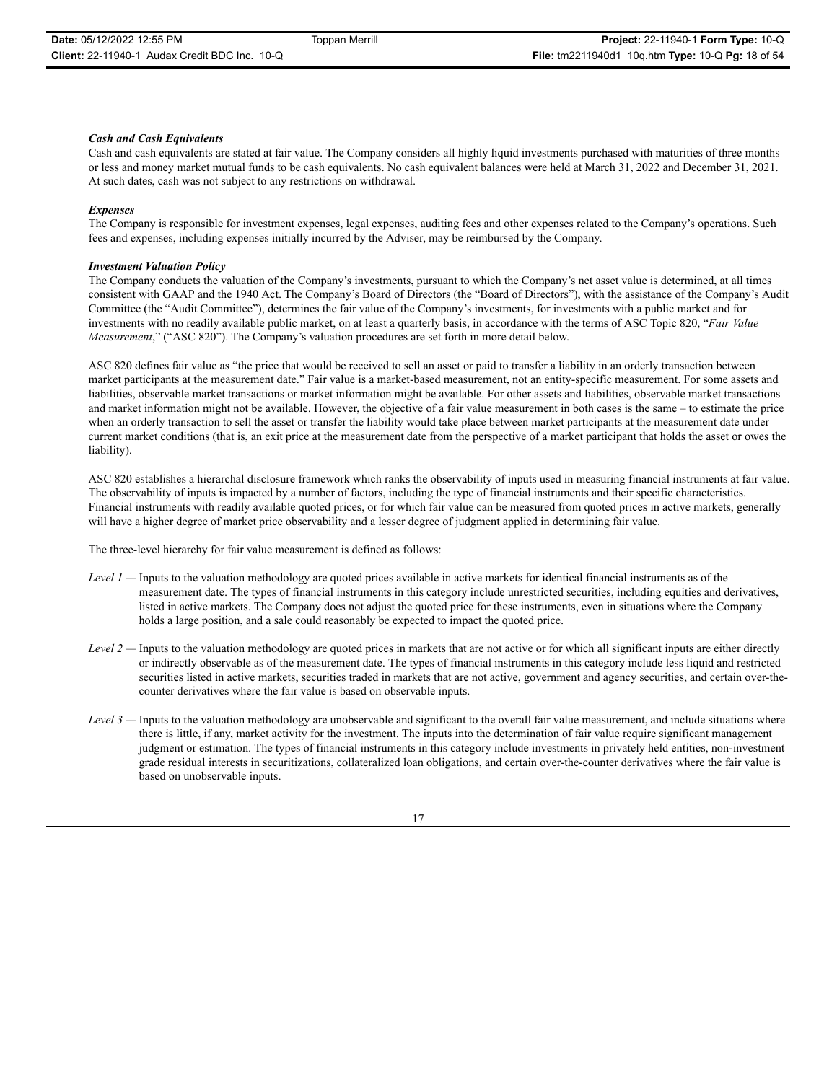Cash and cash equivalents are stated at fair value. The Company considers all highly liquid investments purchased with maturities of three months or less and money market mutual funds to be cash equivalents. No cash equivalent balances were held at March 31, 2022 and December 31, 2021. At such dates, cash was not subject to any restrictions on withdrawal.

#### *Expenses*

The Company is responsible for investment expenses, legal expenses, auditing fees and other expenses related to the Company's operations. Such fees and expenses, including expenses initially incurred by the Adviser, may be reimbursed by the Company.

#### *Investment Valuation Policy*

The Company conducts the valuation of the Company's investments, pursuant to which the Company's net asset value is determined, at all times consistent with GAAP and the 1940 Act. The Company's Board of Directors (the "Board of Directors"), with the assistance of the Company's Audit Committee (the "Audit Committee"), determines the fair value of the Company's investments, for investments with a public market and for investments with no readily available public market, on at least a quarterly basis, in accordance with the terms of ASC Topic 820, "*Fair Value Measurement*," ("ASC 820"). The Company's valuation procedures are set forth in more detail below.

ASC 820 defines fair value as "the price that would be received to sell an asset or paid to transfer a liability in an orderly transaction between market participants at the measurement date." Fair value is a market-based measurement, not an entity-specific measurement. For some assets and liabilities, observable market transactions or market information might be available. For other assets and liabilities, observable market transactions and market information might not be available. However, the objective of a fair value measurement in both cases is the same – to estimate the price when an orderly transaction to sell the asset or transfer the liability would take place between market participants at the measurement date under current market conditions (that is, an exit price at the measurement date from the perspective of a market participant that holds the asset or owes the liability).

ASC 820 establishes a hierarchal disclosure framework which ranks the observability of inputs used in measuring financial instruments at fair value. The observability of inputs is impacted by a number of factors, including the type of financial instruments and their specific characteristics. Financial instruments with readily available quoted prices, or for which fair value can be measured from quoted prices in active markets, generally will have a higher degree of market price observability and a lesser degree of judgment applied in determining fair value.

The three-level hierarchy for fair value measurement is defined as follows:

- *Level 1* Inputs to the valuation methodology are quoted prices available in active markets for identical financial instruments as of the measurement date. The types of financial instruments in this category include unrestricted securities, including equities and derivatives, listed in active markets. The Company does not adjust the quoted price for these instruments, even in situations where the Company holds a large position, and a sale could reasonably be expected to impact the quoted price.
- *Level* 2 Inputs to the valuation methodology are quoted prices in markets that are not active or for which all significant inputs are either directly or indirectly observable as of the measurement date. The types of financial instruments in this category include less liquid and restricted securities listed in active markets, securities traded in markets that are not active, government and agency securities, and certain over-thecounter derivatives where the fair value is based on observable inputs.
- *Level* 3 Inputs to the valuation methodology are unobservable and significant to the overall fair value measurement, and include situations where there is little, if any, market activity for the investment. The inputs into the determination of fair value require significant management judgment or estimation. The types of financial instruments in this category include investments in privately held entities, non-investment grade residual interests in securitizations, collateralized loan obligations, and certain over-the-counter derivatives where the fair value is based on unobservable inputs.

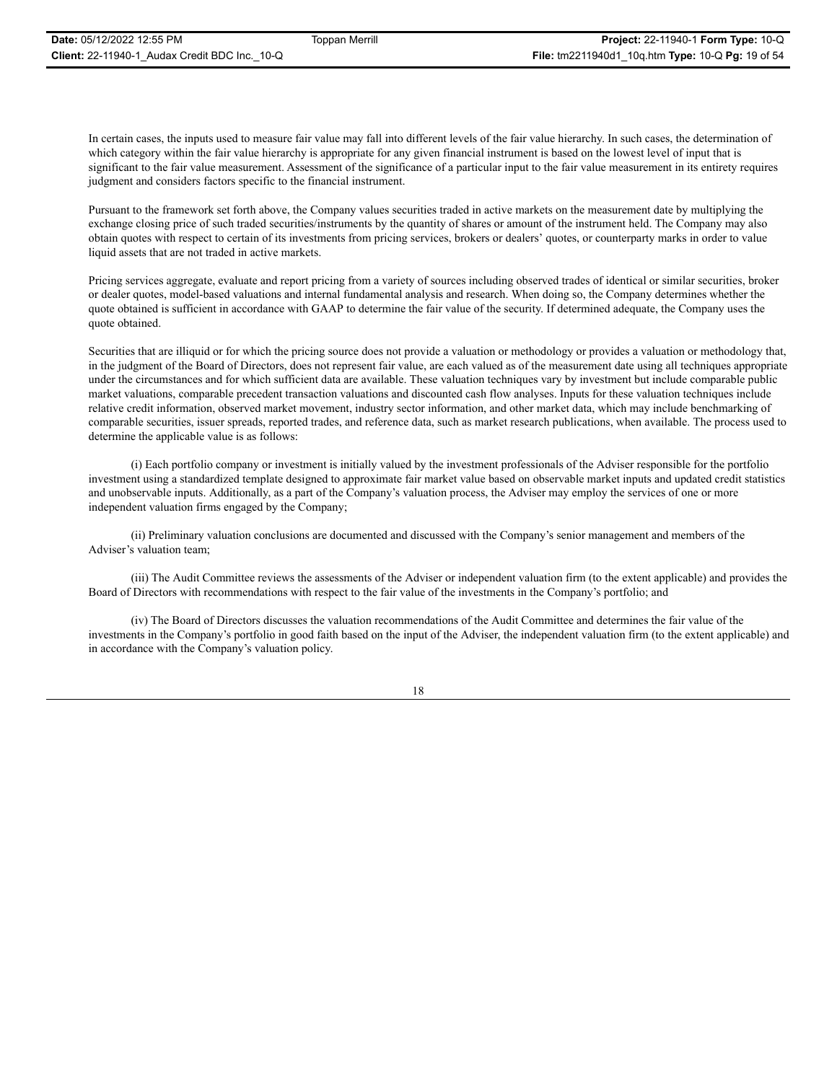In certain cases, the inputs used to measure fair value may fall into different levels of the fair value hierarchy. In such cases, the determination of which category within the fair value hierarchy is appropriate for any given financial instrument is based on the lowest level of input that is significant to the fair value measurement. Assessment of the significance of a particular input to the fair value measurement in its entirety requires judgment and considers factors specific to the financial instrument.

Pursuant to the framework set forth above, the Company values securities traded in active markets on the measurement date by multiplying the exchange closing price of such traded securities/instruments by the quantity of shares or amount of the instrument held. The Company may also obtain quotes with respect to certain of its investments from pricing services, brokers or dealers' quotes, or counterparty marks in order to value liquid assets that are not traded in active markets.

Pricing services aggregate, evaluate and report pricing from a variety of sources including observed trades of identical or similar securities, broker or dealer quotes, model-based valuations and internal fundamental analysis and research. When doing so, the Company determines whether the quote obtained is sufficient in accordance with GAAP to determine the fair value of the security. If determined adequate, the Company uses the quote obtained.

Securities that are illiquid or for which the pricing source does not provide a valuation or methodology or provides a valuation or methodology that, in the judgment of the Board of Directors, does not represent fair value, are each valued as of the measurement date using all techniques appropriate under the circumstances and for which sufficient data are available. These valuation techniques vary by investment but include comparable public market valuations, comparable precedent transaction valuations and discounted cash flow analyses. Inputs for these valuation techniques include relative credit information, observed market movement, industry sector information, and other market data, which may include benchmarking of comparable securities, issuer spreads, reported trades, and reference data, such as market research publications, when available. The process used to determine the applicable value is as follows:

(i) Each portfolio company or investment is initially valued by the investment professionals of the Adviser responsible for the portfolio investment using a standardized template designed to approximate fair market value based on observable market inputs and updated credit statistics and unobservable inputs. Additionally, as a part of the Company's valuation process, the Adviser may employ the services of one or more independent valuation firms engaged by the Company;

(ii) Preliminary valuation conclusions are documented and discussed with the Company's senior management and members of the Adviser's valuation team;

(iii) The Audit Committee reviews the assessments of the Adviser or independent valuation firm (to the extent applicable) and provides the Board of Directors with recommendations with respect to the fair value of the investments in the Company's portfolio; and

(iv) The Board of Directors discusses the valuation recommendations of the Audit Committee and determines the fair value of the investments in the Company's portfolio in good faith based on the input of the Adviser, the independent valuation firm (to the extent applicable) and in accordance with the Company's valuation policy.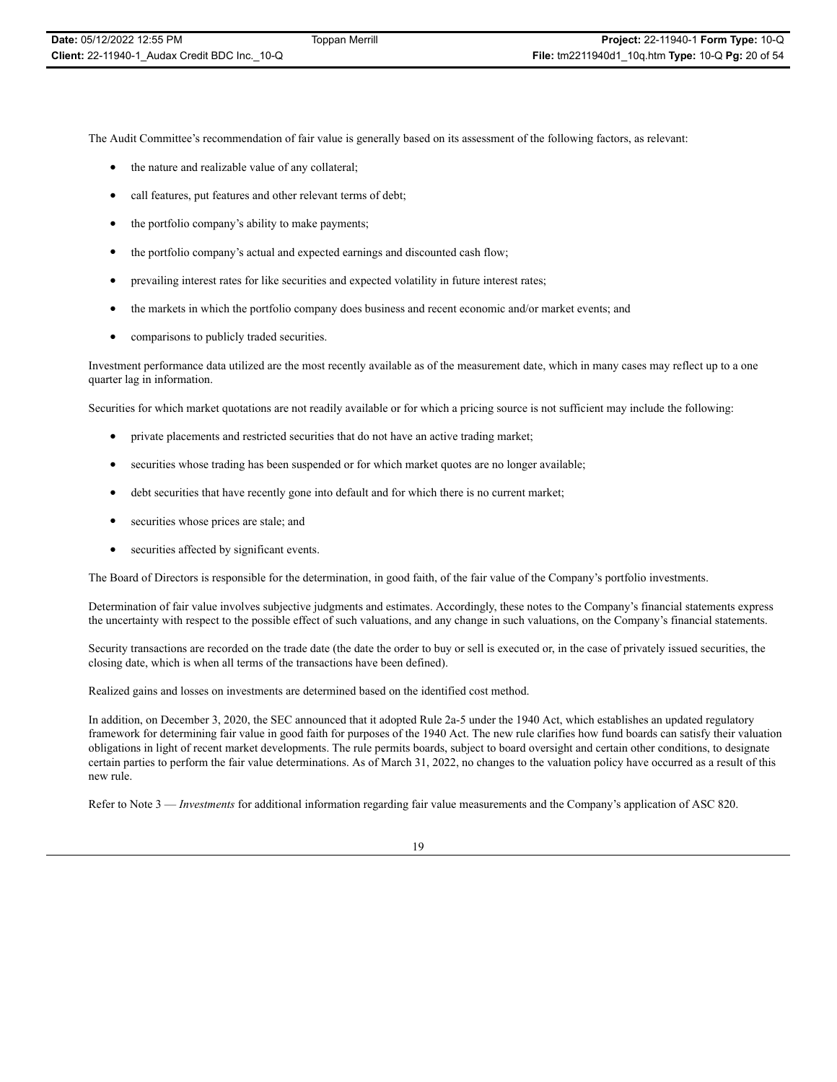The Audit Committee's recommendation of fair value is generally based on its assessment of the following factors, as relevant:

- the nature and realizable value of any collateral;
- call features, put features and other relevant terms of debt;
- the portfolio company's ability to make payments;
- the portfolio company's actual and expected earnings and discounted cash flow;
- prevailing interest rates for like securities and expected volatility in future interest rates;
- the markets in which the portfolio company does business and recent economic and/or market events; and
- comparisons to publicly traded securities.

Investment performance data utilized are the most recently available as of the measurement date, which in many cases may reflect up to a one quarter lag in information.

Securities for which market quotations are not readily available or for which a pricing source is not sufficient may include the following:

- private placements and restricted securities that do not have an active trading market;
- securities whose trading has been suspended or for which market quotes are no longer available;
- debt securities that have recently gone into default and for which there is no current market;
- securities whose prices are stale; and
- securities affected by significant events.

The Board of Directors is responsible for the determination, in good faith, of the fair value of the Company's portfolio investments.

Determination of fair value involves subjective judgments and estimates. Accordingly, these notes to the Company's financial statements express the uncertainty with respect to the possible effect of such valuations, and any change in such valuations, on the Company's financial statements.

Security transactions are recorded on the trade date (the date the order to buy or sell is executed or, in the case of privately issued securities, the closing date, which is when all terms of the transactions have been defined).

Realized gains and losses on investments are determined based on the identified cost method.

In addition, on December 3, 2020, the SEC announced that it adopted Rule 2a-5 under the 1940 Act, which establishes an updated regulatory framework for determining fair value in good faith for purposes of the 1940 Act. The new rule clarifies how fund boards can satisfy their valuation obligations in light of recent market developments. The rule permits boards, subject to board oversight and certain other conditions, to designate certain parties to perform the fair value determinations. As of March 31, 2022, no changes to the valuation policy have occurred as a result of this new rule.

Refer to Note 3 — *Investments* for additional information regarding fair value measurements and the Company's application of ASC 820.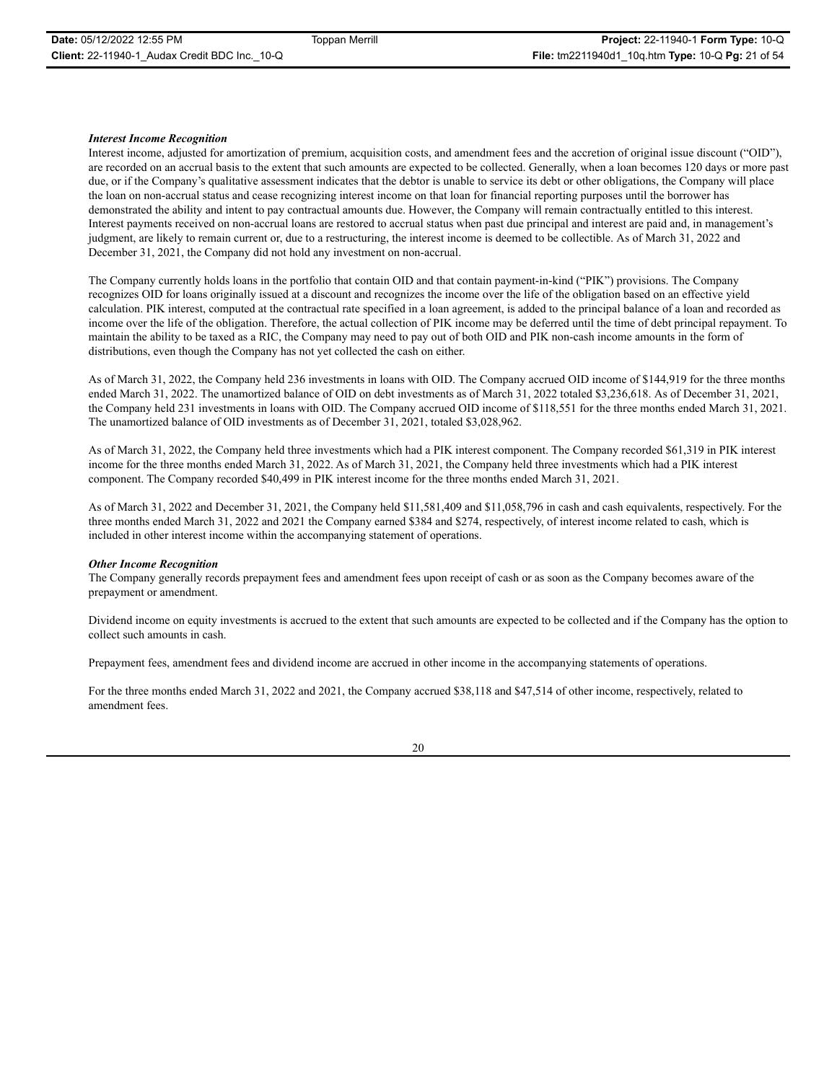#### *Interest Income Recognition*

Interest income, adjusted for amortization of premium, acquisition costs, and amendment fees and the accretion of original issue discount ("OID"), are recorded on an accrual basis to the extent that such amounts are expected to be collected. Generally, when a loan becomes 120 days or more past due, or if the Company's qualitative assessment indicates that the debtor is unable to service its debt or other obligations, the Company will place the loan on non-accrual status and cease recognizing interest income on that loan for financial reporting purposes until the borrower has demonstrated the ability and intent to pay contractual amounts due. However, the Company will remain contractually entitled to this interest. Interest payments received on non-accrual loans are restored to accrual status when past due principal and interest are paid and, in management's judgment, are likely to remain current or, due to a restructuring, the interest income is deemed to be collectible. As of March 31, 2022 and December 31, 2021, the Company did not hold any investment on non-accrual.

The Company currently holds loans in the portfolio that contain OID and that contain payment-in-kind ("PIK") provisions. The Company recognizes OID for loans originally issued at a discount and recognizes the income over the life of the obligation based on an effective yield calculation. PIK interest, computed at the contractual rate specified in a loan agreement, is added to the principal balance of a loan and recorded as income over the life of the obligation. Therefore, the actual collection of PIK income may be deferred until the time of debt principal repayment. To maintain the ability to be taxed as a RIC, the Company may need to pay out of both OID and PIK non-cash income amounts in the form of distributions, even though the Company has not yet collected the cash on either.

As of March 31, 2022, the Company held 236 investments in loans with OID. The Company accrued OID income of \$144,919 for the three months ended March 31, 2022. The unamortized balance of OID on debt investments as of March 31, 2022 totaled \$3,236,618. As of December 31, 2021, the Company held 231 investments in loans with OID. The Company accrued OID income of \$118,551 for the three months ended March 31, 2021. The unamortized balance of OID investments as of December 31, 2021, totaled \$3,028,962.

As of March 31, 2022, the Company held three investments which had a PIK interest component. The Company recorded \$61,319 in PIK interest income for the three months ended March 31, 2022. As of March 31, 2021, the Company held three investments which had a PIK interest component. The Company recorded \$40,499 in PIK interest income for the three months ended March 31, 2021.

As of March 31, 2022 and December 31, 2021, the Company held \$11,581,409 and \$11,058,796 in cash and cash equivalents, respectively. For the three months ended March 31, 2022 and 2021 the Company earned \$384 and \$274, respectively, of interest income related to cash, which is included in other interest income within the accompanying statement of operations.

#### *Other Income Recognition*

The Company generally records prepayment fees and amendment fees upon receipt of cash or as soon as the Company becomes aware of the prepayment or amendment.

Dividend income on equity investments is accrued to the extent that such amounts are expected to be collected and if the Company has the option to collect such amounts in cash.

Prepayment fees, amendment fees and dividend income are accrued in other income in the accompanying statements of operations.

For the three months ended March 31, 2022 and 2021, the Company accrued \$38,118 and \$47,514 of other income, respectively, related to amendment fees.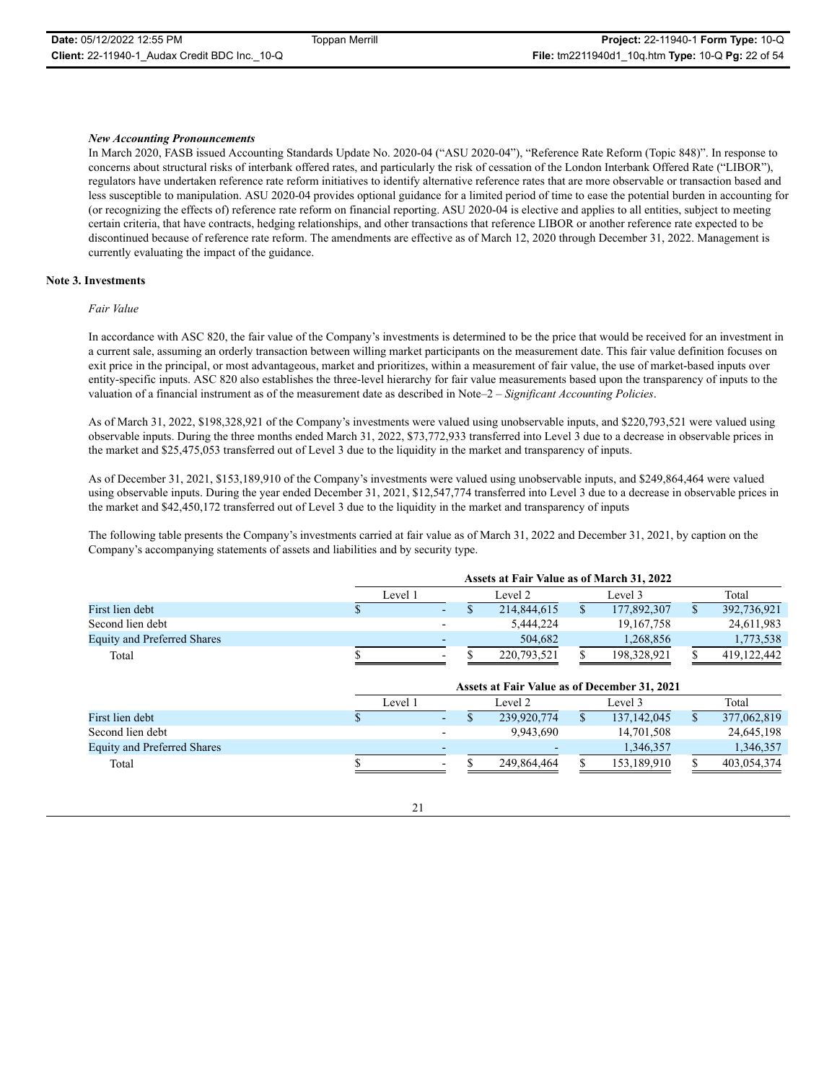#### *New Accounting Pronouncements*

In March 2020, FASB issued Accounting Standards Update No. 2020-04 ("ASU 2020-04"), "Reference Rate Reform (Topic 848)". In response to concerns about structural risks of interbank offered rates, and particularly the risk of cessation of the London Interbank Offered Rate ("LIBOR"), regulators have undertaken reference rate reform initiatives to identify alternative reference rates that are more observable or transaction based and less susceptible to manipulation. ASU 2020-04 provides optional guidance for a limited period of time to ease the potential burden in accounting for (or recognizing the effects of) reference rate reform on financial reporting. ASU 2020-04 is elective and applies to all entities, subject to meeting certain criteria, that have contracts, hedging relationships, and other transactions that reference LIBOR or another reference rate expected to be discontinued because of reference rate reform. The amendments are effective as of March 12, 2020 through December 31, 2022. Management is currently evaluating the impact of the guidance.

#### **Note 3. Investments**

#### *Fair Value*

In accordance with ASC 820, the fair value of the Company's investments is determined to be the price that would be received for an investment in a current sale, assuming an orderly transaction between willing market participants on the measurement date. This fair value definition focuses on exit price in the principal, or most advantageous, market and prioritizes, within a measurement of fair value, the use of market-based inputs over entity-specific inputs. ASC 820 also establishes the three-level hierarchy for fair value measurements based upon the transparency of inputs to the valuation of a financial instrument as of the measurement date as described in Note–2 – *Significant Accounting Policies*.

As of March 31, 2022, \$198,328,921 of the Company's investments were valued using unobservable inputs, and \$220,793,521 were valued using observable inputs. During the three months ended March 31, 2022, \$73,772,933 transferred into Level 3 due to a decrease in observable prices in the market and \$25,475,053 transferred out of Level 3 due to the liquidity in the market and transparency of inputs.

As of December 31, 2021, \$153,189,910 of the Company's investments were valued using unobservable inputs, and \$249,864,464 were valued using observable inputs. During the year ended December 31, 2021, \$12,547,774 transferred into Level 3 due to a decrease in observable prices in the market and \$42,450,172 transferred out of Level 3 due to the liquidity in the market and transparency of inputs

The following table presents the Company's investments carried at fair value as of March 31, 2022 and December 31, 2021, by caption on the Company's accompanying statements of assets and liabilities and by security type.

|                                    | Assets at Fair Value as of March 31, 2022 |  |             |  |              |       |             |  |  |  |
|------------------------------------|-------------------------------------------|--|-------------|--|--------------|-------|-------------|--|--|--|
|                                    | Level 1                                   |  | Level 2     |  | Level 3      | Total |             |  |  |  |
| First lien debt                    | ۰.                                        |  | 214,844,615 |  | 177,892,307  |       | 392,736,921 |  |  |  |
| Second lien debt                   | $\overline{\phantom{0}}$                  |  | 5.444.224   |  | 19, 167, 758 |       | 24,611,983  |  |  |  |
| <b>Equity and Preferred Shares</b> |                                           |  | 504.682     |  | 1.268.856    |       | 1,773,538   |  |  |  |
| Total                              | $\overline{\phantom{a}}$                  |  | 220,793,521 |  | 198.328.921  |       | 419,122,442 |  |  |  |

|                                    |         | Assets at Fair Value as of December 31, 2021 |  |                          |  |               |  |             |  |  |  |  |
|------------------------------------|---------|----------------------------------------------|--|--------------------------|--|---------------|--|-------------|--|--|--|--|
|                                    | Level 1 |                                              |  | Level 2                  |  | Level 3       |  | Total       |  |  |  |  |
| First lien debt                    |         | ۰                                            |  | 239,920,774              |  | 137, 142, 045 |  | 377,062,819 |  |  |  |  |
| Second lien debt                   |         | $\overline{\phantom{0}}$                     |  | 9.943.690                |  | 14,701,508    |  | 24,645,198  |  |  |  |  |
| <b>Equity and Preferred Shares</b> |         | $\overline{\phantom{0}}$                     |  | $\overline{\phantom{0}}$ |  | 1,346,357     |  | 1,346,357   |  |  |  |  |
| Total                              |         | $\overline{\phantom{a}}$                     |  | 249,864,464              |  | 153.189.910   |  | 403,054,374 |  |  |  |  |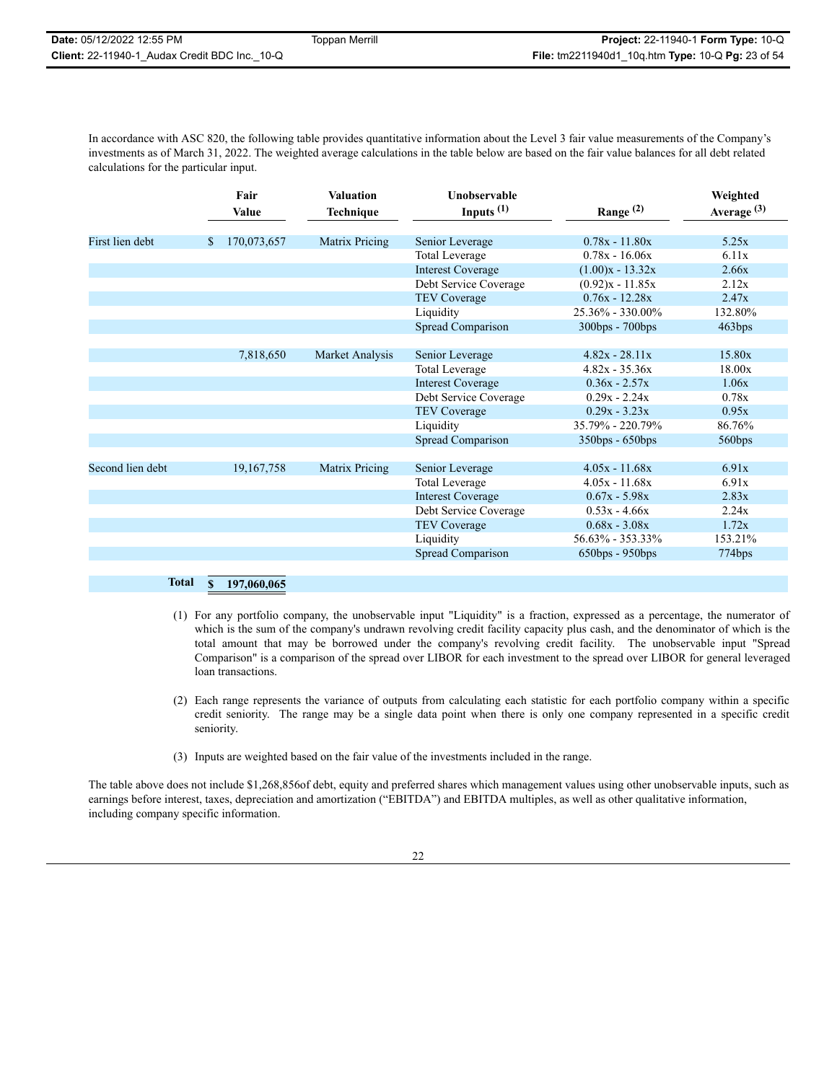In accordance with ASC 820, the following table provides quantitative information about the Level 3 fair value measurements of the Company's investments as of March 31, 2022. The weighted average calculations in the table below are based on the fair value balances for all debt related calculations for the particular input.

|                  | Fair                                |           | Unobservable<br><b>Valuation</b> |                          |                    | Weighted      |
|------------------|-------------------------------------|-----------|----------------------------------|--------------------------|--------------------|---------------|
|                  | Value                               |           | Technique                        | Inputs $(1)$             | Range $(2)$        | Average $(3)$ |
|                  |                                     |           |                                  |                          |                    |               |
| First lien debt  | 170,073,657<br>Matrix Pricing<br>\$ |           | Senior Leverage                  | $0.78x - 11.80x$         | 5.25x              |               |
|                  |                                     |           |                                  | <b>Total Leverage</b>    | $0.78x - 16.06x$   | 6.11x         |
|                  |                                     |           |                                  | <b>Interest Coverage</b> | $(1.00)x - 13.32x$ | 2.66x         |
|                  |                                     |           |                                  | Debt Service Coverage    | $(0.92)x - 11.85x$ | 2.12x         |
|                  |                                     |           |                                  | <b>TEV Coverage</b>      | $0.76x - 12.28x$   | 2.47x         |
|                  |                                     |           |                                  | Liquidity                | 25.36% - 330.00%   | 132.80%       |
|                  |                                     |           |                                  | Spread Comparison        | 300bps - 700bps    | $463$ bps     |
|                  |                                     |           |                                  |                          |                    |               |
|                  |                                     | 7,818,650 | Market Analysis                  | Senior Leverage          | $4.82x - 28.11x$   | 15.80x        |
|                  |                                     |           |                                  | <b>Total Leverage</b>    | $4.82x - 35.36x$   | 18.00x        |
|                  |                                     |           |                                  | <b>Interest Coverage</b> | $0.36x - 2.57x$    | 1.06x         |
|                  |                                     |           |                                  | Debt Service Coverage    | $0.29x - 2.24x$    | 0.78x         |
|                  |                                     |           |                                  | <b>TEV Coverage</b>      | $0.29x - 3.23x$    | 0.95x         |
|                  |                                     |           |                                  | Liquidity                | 35.79% - 220.79%   | 86.76%        |
|                  |                                     |           |                                  | Spread Comparison        | $350bps - 650bps$  | 560bps        |
|                  |                                     |           |                                  |                          |                    |               |
| Second lien debt | 19, 167, 758                        |           | Matrix Pricing                   | Senior Leverage          | $4.05x - 11.68x$   | 6.91x         |
|                  |                                     |           |                                  | <b>Total Leverage</b>    | $4.05x - 11.68x$   | 6.91x         |
|                  |                                     |           |                                  | <b>Interest Coverage</b> | $0.67x - 5.98x$    | 2.83x         |
|                  |                                     |           |                                  | Debt Service Coverage    | $0.53x - 4.66x$    | 2.24x         |
|                  |                                     |           |                                  | <b>TEV Coverage</b>      | $0.68x - 3.08x$    | 1.72x         |
|                  |                                     |           |                                  | Liquidity                | 56.63% - 353.33%   | 153.21%       |
|                  |                                     |           |                                  | Spread Comparison        | $650bps - 950bps$  | 774bps        |
|                  |                                     |           |                                  |                          |                    |               |

#### **Total \$ 197,060,065**

- (1) For any portfolio company, the unobservable input "Liquidity" is a fraction, expressed as a percentage, the numerator of which is the sum of the company's undrawn revolving credit facility capacity plus cash, and the denominator of which is the total amount that may be borrowed under the company's revolving credit facility. The unobservable input "Spread Comparison" is a comparison of the spread over LIBOR for each investment to the spread over LIBOR for general leveraged loan transactions.
- (2) Each range represents the variance of outputs from calculating each statistic for each portfolio company within a specific credit seniority. The range may be a single data point when there is only one company represented in a specific credit seniority.
- (3) Inputs are weighted based on the fair value of the investments included in the range.

The table above does not include \$1,268,856of debt, equity and preferred shares which management values using other unobservable inputs, such as earnings before interest, taxes, depreciation and amortization ("EBITDA") and EBITDA multiples, as well as other qualitative information, including company specific information.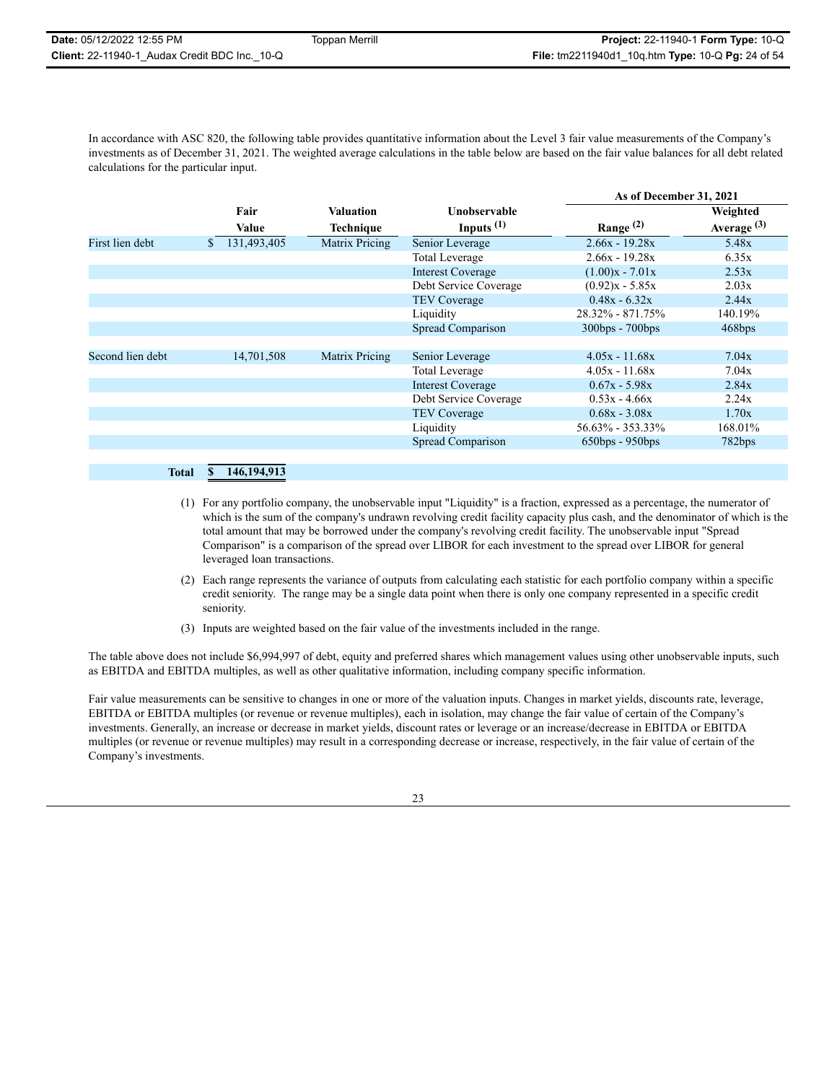In accordance with ASC 820, the following table provides quantitative information about the Level 3 fair value measurements of the Company's investments as of December 31, 2021. The weighted average calculations in the table below are based on the fair value balances for all debt related calculations for the particular input.

|                  |                          |                       |                                        | As of December 31, 2021 |               |  |
|------------------|--------------------------|-----------------------|----------------------------------------|-------------------------|---------------|--|
|                  | Fair<br><b>Valuation</b> |                       | <b>Unobservable</b>                    |                         | Weighted      |  |
|                  | Value                    | <b>Technique</b>      | Inputs $(1)$                           | Range $(2)$             | Average $(3)$ |  |
| First lien debt  | 131,493,405              | <b>Matrix Pricing</b> | Senior Leverage                        | $2.66x - 19.28x$        | 5.48x         |  |
|                  |                          |                       | Total Leverage                         | $2.66x - 19.28x$        | 6.35x         |  |
|                  |                          |                       | <b>Interest Coverage</b>               | $(1.00)x - 7.01x$       | 2.53x         |  |
|                  |                          |                       | Debt Service Coverage                  | $(0.92)x - 5.85x$       | 2.03x         |  |
|                  |                          |                       | <b>TEV Coverage</b>                    | $0.48x - 6.32x$         | 2.44x         |  |
|                  |                          |                       | Liquidity                              | 28.32% - 871.75%        | 140.19%       |  |
|                  |                          |                       | $300bps - 700bps$<br>Spread Comparison |                         | $468$ bps     |  |
|                  |                          |                       |                                        |                         |               |  |
| Second lien debt | 14,701,508               | Matrix Pricing        | Senior Leverage                        | $4.05x - 11.68x$        | 7.04x         |  |
|                  |                          |                       | <b>Total Leverage</b>                  | $4.05x - 11.68x$        | 7.04x         |  |
|                  |                          |                       | <b>Interest Coverage</b>               | $0.67x - 5.98x$         | 2.84x         |  |
|                  |                          |                       | Debt Service Coverage                  | $0.53x - 4.66x$         | 2.24x         |  |
|                  |                          |                       | <b>TEV Coverage</b>                    | $0.68x - 3.08x$         | 1.70x         |  |
|                  |                          |                       | Liquidity                              | $56.63\% - 353.33\%$    | 168.01%       |  |
|                  |                          |                       | Spread Comparison                      | $650$ bps - $950$ bps   | 782bps        |  |
|                  |                          |                       |                                        |                         |               |  |

**Total \$ 146,194,913**

- (1) For any portfolio company, the unobservable input "Liquidity" is a fraction, expressed as a percentage, the numerator of which is the sum of the company's undrawn revolving credit facility capacity plus cash, and the denominator of which is the total amount that may be borrowed under the company's revolving credit facility. The unobservable input "Spread Comparison" is a comparison of the spread over LIBOR for each investment to the spread over LIBOR for general leveraged loan transactions.
- (2) Each range represents the variance of outputs from calculating each statistic for each portfolio company within a specific credit seniority. The range may be a single data point when there is only one company represented in a specific credit seniority.
- (3) Inputs are weighted based on the fair value of the investments included in the range.

The table above does not include \$6,994,997 of debt, equity and preferred shares which management values using other unobservable inputs, such as EBITDA and EBITDA multiples, as well as other qualitative information, including company specific information.

Fair value measurements can be sensitive to changes in one or more of the valuation inputs. Changes in market yields, discounts rate, leverage, EBITDA or EBITDA multiples (or revenue or revenue multiples), each in isolation, may change the fair value of certain of the Company's investments. Generally, an increase or decrease in market yields, discount rates or leverage or an increase/decrease in EBITDA or EBITDA multiples (or revenue or revenue multiples) may result in a corresponding decrease or increase, respectively, in the fair value of certain of the Company's investments.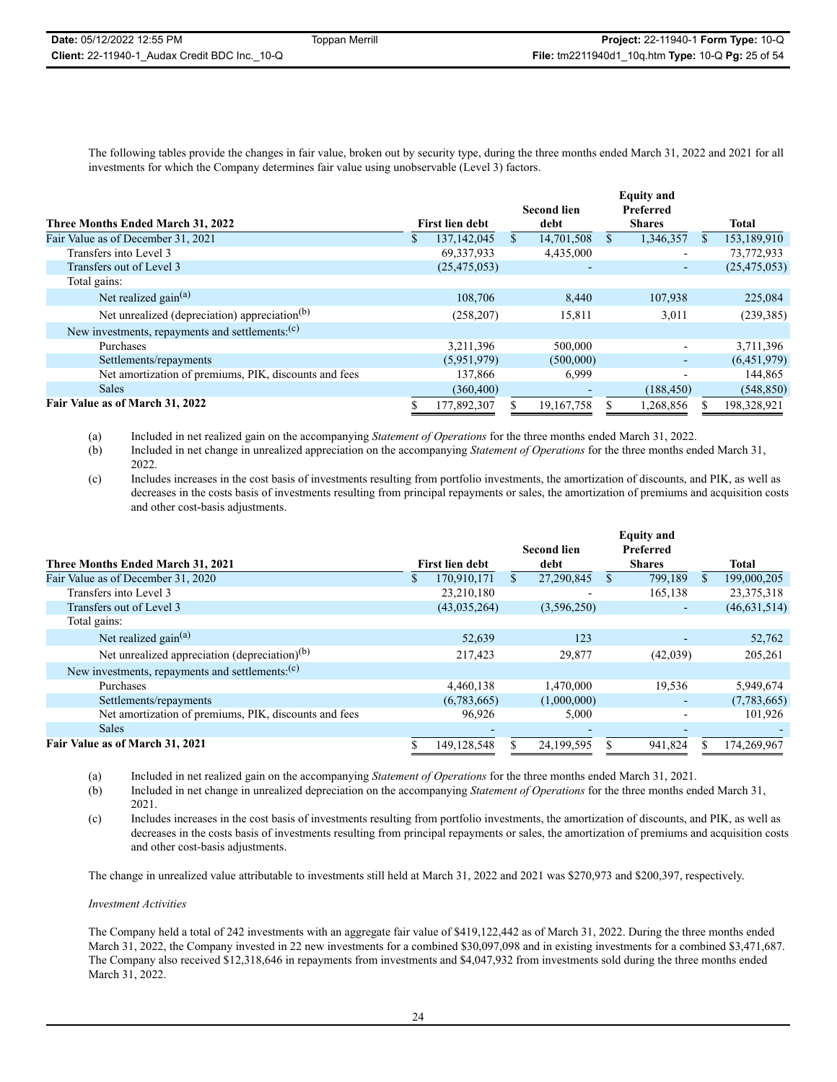The following tables provide the changes in fair value, broken out by security type, during the three months ended March 31, 2022 and 2021 for all investments for which the Company determines fair value using unobservable (Level 3) factors.

|                                                             |  |                        | <b>Equity</b> and |                    |  |                          |  |                |
|-------------------------------------------------------------|--|------------------------|-------------------|--------------------|--|--------------------------|--|----------------|
|                                                             |  |                        |                   | <b>Second lien</b> |  | <b>Preferred</b>         |  |                |
| <b>Three Months Ended March 31, 2022</b>                    |  | <b>First lien debt</b> |                   | debt               |  | <b>Shares</b>            |  | Total          |
| Fair Value as of December 31, 2021                          |  | 137,142,045            |                   | 14,701,508         |  | 1,346,357                |  | 153,189,910    |
| Transfers into Level 3                                      |  | 69,337,933             |                   | 4,435,000          |  |                          |  | 73,772,933     |
| Transfers out of Level 3                                    |  | (25, 475, 053)         |                   |                    |  |                          |  | (25, 475, 053) |
| Total gains:                                                |  |                        |                   |                    |  |                          |  |                |
| Net realized gain $(a)$                                     |  | 108,706                |                   | 8,440              |  | 107,938                  |  | 225,084        |
| Net unrealized (depreciation) appreciation <sup>(b)</sup>   |  | (258, 207)             |                   | 15,811             |  | 3,011                    |  | (239, 385)     |
| New investments, repayments and settlements: <sup>(c)</sup> |  |                        |                   |                    |  |                          |  |                |
| Purchases                                                   |  | 3,211,396              |                   | 500,000            |  | $\overline{\phantom{a}}$ |  | 3,711,396      |
| Settlements/repayments                                      |  | (5,951,979)            |                   | (500,000)          |  |                          |  | (6,451,979)    |
| Net amortization of premiums, PIK, discounts and fees       |  | 137,866                |                   | 6,999              |  |                          |  | 144,865        |
| <b>Sales</b>                                                |  | (360, 400)             |                   |                    |  | (188, 450)               |  | (548, 850)     |
| Fair Value as of March 31, 2022                             |  | 177,892,307            |                   | 19,167,758         |  | 1.268.856                |  | 198.328.921    |

(a) Included in net realized gain on the accompanying *Statement of Operations* for the three months ended March 31, 2022.

(b) Included in net change in unrealized appreciation on the accompanying *Statement of Operations* for the three months ended March 31, 2022.

(c) Includes increases in the cost basis of investments resulting from portfolio investments, the amortization of discounts, and PIK, as well as decreases in the costs basis of investments resulting from principal repayments or sales, the amortization of premiums and acquisition costs and other cost-basis adjustments.

|                                                             |    |                        | <b>Equity</b> and |                    |               |                          |     |                |
|-------------------------------------------------------------|----|------------------------|-------------------|--------------------|---------------|--------------------------|-----|----------------|
|                                                             |    |                        |                   | <b>Second lien</b> |               | <b>Preferred</b>         |     |                |
| <b>Three Months Ended March 31, 2021</b>                    |    | <b>First lien debt</b> | debt              |                    | <b>Shares</b> |                          |     | <b>Total</b>   |
| Fair Value as of December 31, 2020                          | \$ | 170.910.171            |                   | 27,290,845         |               | 799.189                  | \$. | 199,000,205    |
| Transfers into Level 3                                      |    | 23,210,180             |                   |                    |               | 165,138                  |     | 23, 375, 318   |
| Transfers out of Level 3                                    |    | (43,035,264)           |                   | (3,596,250)        |               | $\overline{\phantom{0}}$ |     | (46, 631, 514) |
| Total gains:                                                |    |                        |                   |                    |               |                          |     |                |
| Net realized gain $(a)$                                     |    | 52.639                 |                   | 123                |               |                          |     | 52,762         |
| Net unrealized appreciation (depreciation) <sup>(b)</sup>   |    | 217,423                |                   | 29,877             |               | (42,039)                 |     | 205,261        |
| New investments, repayments and settlements: <sup>(c)</sup> |    |                        |                   |                    |               |                          |     |                |
| Purchases                                                   |    | 4.460.138              |                   | 1,470,000          |               | 19,536                   |     | 5,949,674      |
| Settlements/repayments                                      |    | (6,783,665)            |                   | (1,000,000)        |               |                          |     | (7,783,665)    |
| Net amortization of premiums, PIK, discounts and fees       |    | 96,926                 |                   | 5,000              |               |                          |     | 101.926        |
| <b>Sales</b>                                                |    |                        |                   |                    |               | $\overline{\phantom{a}}$ |     |                |
| Fair Value as of March 31, 2021                             |    | 149, 128, 548          |                   | 24,199,595         |               | 941,824                  |     | 174.269.967    |

(a) Included in net realized gain on the accompanying *Statement of Operations* for the three months ended March 31, 2021.

(b) Included in net change in unrealized depreciation on the accompanying *Statement of Operations* for the three months ended March 31, 2021.

(c) Includes increases in the cost basis of investments resulting from portfolio investments, the amortization of discounts, and PIK, as well as decreases in the costs basis of investments resulting from principal repayments or sales, the amortization of premiums and acquisition costs and other cost-basis adjustments.

The change in unrealized value attributable to investments still held at March 31, 2022 and 2021 was \$270,973 and \$200,397, respectively.

*Investment Activities*

The Company held a total of 242 investments with an aggregate fair value of \$419,122,442 as of March 31, 2022. During the three months ended March 31, 2022, the Company invested in 22 new investments for a combined \$30,097,098 and in existing investments for a combined \$3,471,687. The Company also received \$12,318,646 in repayments from investments and \$4,047,932 from investments sold during the three months ended March 31, 2022.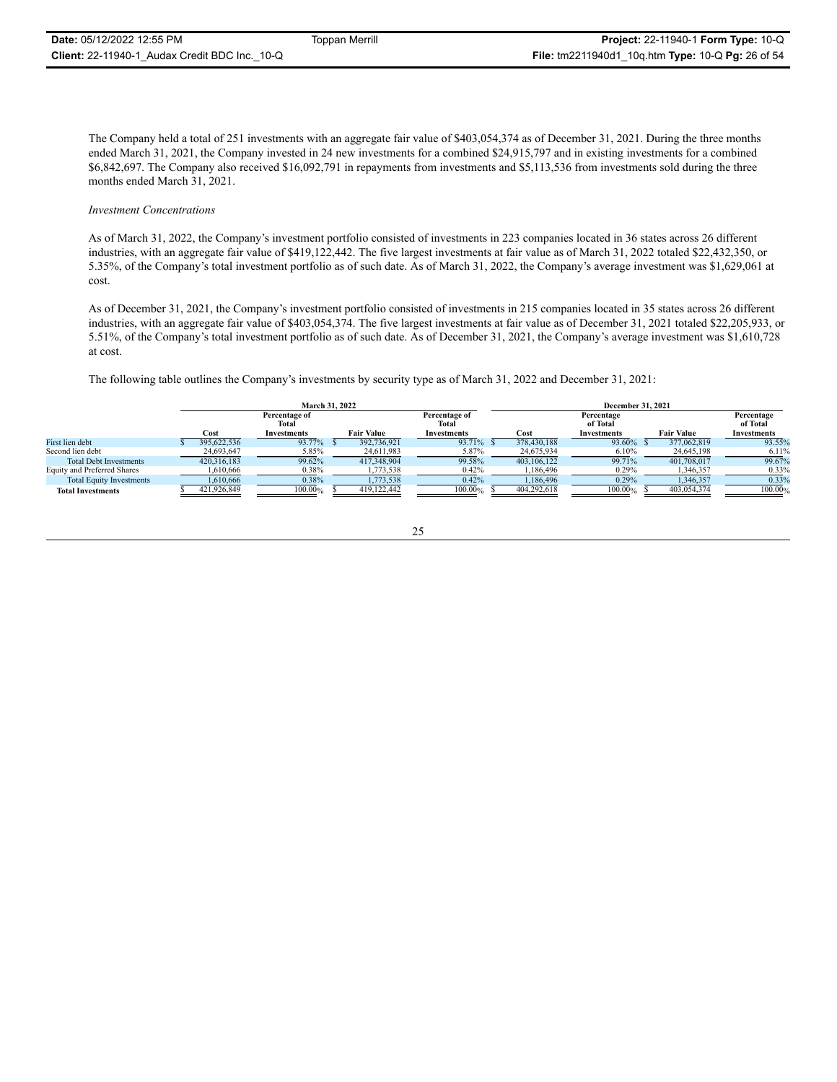The Company held a total of 251 investments with an aggregate fair value of \$403,054,374 as of December 31, 2021. During the three months ended March 31, 2021, the Company invested in 24 new investments for a combined \$24,915,797 and in existing investments for a combined \$6,842,697. The Company also received \$16,092,791 in repayments from investments and \$5,113,536 from investments sold during the three months ended March 31, 2021.

## *Investment Concentrations*

As of March 31, 2022, the Company's investment portfolio consisted of investments in 223 companies located in 36 states across 26 different industries, with an aggregate fair value of \$419,122,442. The five largest investments at fair value as of March 31, 2022 totaled \$22,432,350, or 5.35%, of the Company's total investment portfolio as of such date. As of March 31, 2022, the Company's average investment was \$1,629,061 at cost.

As of December 31, 2021, the Company's investment portfolio consisted of investments in 215 companies located in 35 states across 26 different industries, with an aggregate fair value of \$403,054,374. The five largest investments at fair value as of December 31, 2021 totaled \$22,205,933, or 5.51%, of the Company's total investment portfolio as of such date. As of December 31, 2021, the Company's average investment was \$1,610,728 at cost.

The following table outlines the Company's investments by security type as of March 31, 2022 and December 31, 2021:

|                                 | March 31, 2022 |               |                        |  |                   | <b>December 31, 2021</b> |  |             |                        |         |  |                   |                        |
|---------------------------------|----------------|---------------|------------------------|--|-------------------|--------------------------|--|-------------|------------------------|---------|--|-------------------|------------------------|
|                                 |                |               | Percentage of<br>Total |  |                   | Percentage of<br>Total   |  |             | Percentage<br>of Total |         |  |                   | Percentage<br>of Total |
|                                 | Cost           |               | Investments            |  | <b>Fair Value</b> | Investments              |  | Cost        | Investments            |         |  | <b>Fair Value</b> | Investments            |
| First lien debt                 |                | 395,622,536   | 93.77%                 |  | 392,736,921       | 93.71%                   |  | 378,430,188 |                        | 93.60%  |  | 377,062,819       | 93.55%                 |
| Second lien debt                |                | 24,693,647    | 5.85%                  |  | 24,611,983        | 5.87%                    |  | 24,675,934  |                        | 6.10%   |  | 24,645,198        | 6.11%                  |
| <b>Total Debt Investments</b>   |                | 420, 316, 183 | 99.62%                 |  | 417,348,904       | 99.58%                   |  | 403,106,122 |                        | 99.71%  |  | 401,708,017       | 99.67%                 |
| Equity and Preferred Shares     |                | 1,610,666     | 0.38%                  |  | 1,773,538         | 0.42%                    |  | 1,186,496   |                        | 0.29%   |  | 1,346,357         | 0.33%                  |
| <b>Total Equity Investments</b> |                | 1,610,666     | 0.38%                  |  | 1,773,538         | 0.42%                    |  | 1,186,496   |                        | 0.29%   |  | 1,346,357         | 0.33%                  |
| <b>Total Investments</b>        |                | 421.926.849   | 100.00%                |  | 419.122.442       | 100.00%                  |  | 404.292.618 |                        | 100.00% |  | 403,054,374       | 100.00%                |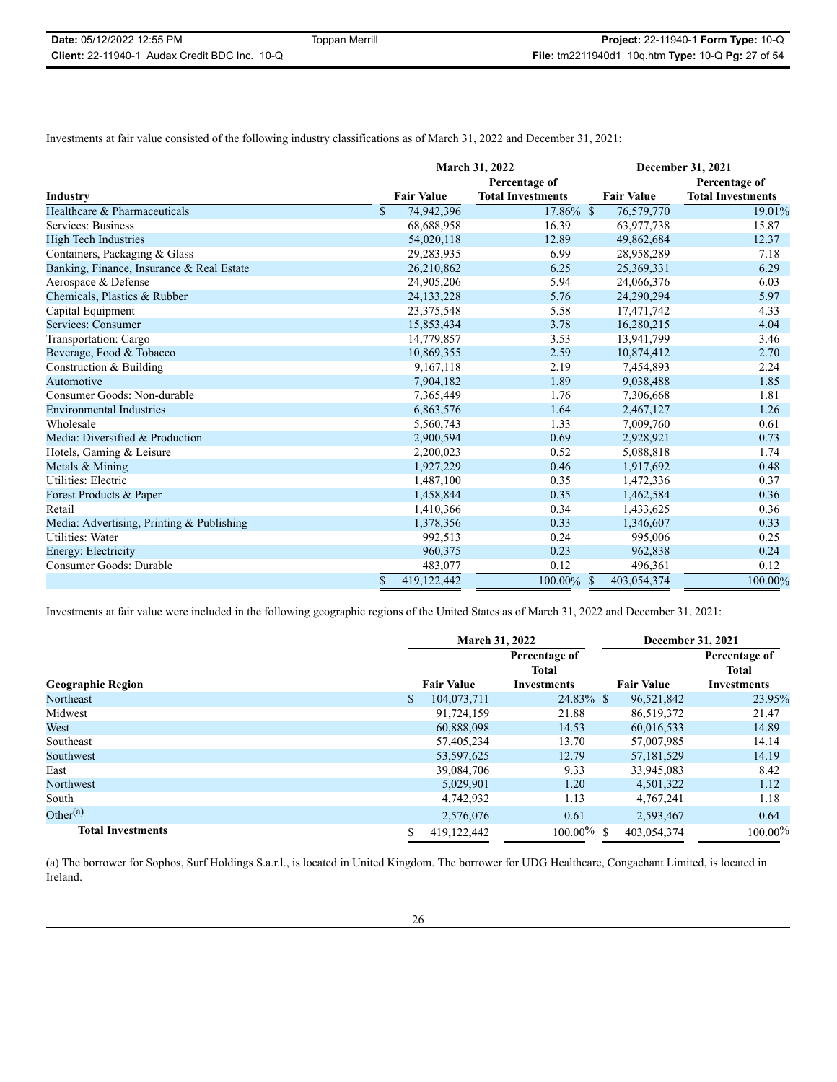| Date: 05/12/2022 12:55 PM                     | Toppan Merrill | <b>Project: 22-11940-1 Form Type: 10-Q</b>        |
|-----------------------------------------------|----------------|---------------------------------------------------|
| Client: 22-11940-1 Audax Credit BDC Inc. 10-Q |                | File: tm2211940d1_10q.htm Type: 10-Q Pg: 27 of 54 |

Investments at fair value consisted of the following industry classifications as of March 31, 2022 and December 31, 2021:

|                                           |                            | <b>March 31, 2022</b>    |                   | <b>December 31, 2021</b> |
|-------------------------------------------|----------------------------|--------------------------|-------------------|--------------------------|
|                                           |                            | Percentage of            |                   | Percentage of            |
| Industry                                  | <b>Fair Value</b>          | <b>Total Investments</b> | <b>Fair Value</b> | <b>Total Investments</b> |
| Healthcare & Pharmaceuticals              | $\mathbb{S}$<br>74,942,396 | 17.86% \$                | 76,579,770        | 19.01%                   |
| Services: Business                        | 68,688,958                 | 16.39                    | 63,977,738        | 15.87                    |
| <b>High Tech Industries</b>               | 54,020,118                 | 12.89                    | 49,862,684        | 12.37                    |
| Containers, Packaging & Glass             | 29,283,935                 | 6.99                     | 28,958,289        | 7.18                     |
| Banking, Finance, Insurance & Real Estate | 26,210,862                 | 6.25                     | 25,369,331        | 6.29                     |
| Aerospace & Defense                       | 24,905,206                 | 5.94                     | 24,066,376        | 6.03                     |
| Chemicals, Plastics & Rubber              | 24, 133, 228               | 5.76                     | 24,290,294        | 5.97                     |
| Capital Equipment                         | 23,375,548                 | 5.58                     | 17,471,742        | 4.33                     |
| Services: Consumer                        | 15,853,434                 | 3.78                     | 16,280,215        | 4.04                     |
| Transportation: Cargo                     | 14,779,857                 | 3.53                     | 13,941,799        | 3.46                     |
| Beverage, Food & Tobacco                  | 10,869,355                 | 2.59                     | 10,874,412        | 2.70                     |
| Construction & Building                   | 9,167,118                  | 2.19                     | 7,454,893         | 2.24                     |
| Automotive                                | 7,904,182                  | 1.89                     | 9,038,488         | 1.85                     |
| Consumer Goods: Non-durable               | 7,365,449                  | 1.76                     | 7,306,668         | 1.81                     |
| <b>Environmental Industries</b>           | 6,863,576                  | 1.64                     | 2,467,127         | 1.26                     |
| Wholesale                                 | 5,560,743                  | 1.33                     | 7,009,760         | 0.61                     |
| Media: Diversified & Production           | 2,900,594                  | 0.69                     | 2,928,921         | 0.73                     |
| Hotels, Gaming & Leisure                  | 2,200,023                  | 0.52                     | 5,088,818         | 1.74                     |
| Metals & Mining                           | 1,927,229                  | 0.46                     | 1,917,692         | 0.48                     |
| Utilities: Electric                       | 1,487,100                  | 0.35                     | 1,472,336         | 0.37                     |
| Forest Products & Paper                   | 1,458,844                  | 0.35                     | 1,462,584         | 0.36                     |
| Retail                                    | 1,410,366                  | 0.34                     | 1,433,625         | 0.36                     |
| Media: Advertising, Printing & Publishing | 1,378,356                  | 0.33                     | 1,346,607         | 0.33                     |
| Utilities: Water                          | 992,513                    | 0.24                     | 995,006           | 0.25                     |
| Energy: Electricity                       | 960,375                    | 0.23                     | 962,838           | 0.24                     |
| Consumer Goods: Durable                   | 483,077                    | 0.12                     | 496,361           | 0.12                     |
|                                           | \$<br>419,122,442          | $100.00\%$ \$            | 403,054,374       | 100.00%                  |

Investments at fair value were included in the following geographic regions of the United States as of March 31, 2022 and December 31, 2021:

|                          | <b>March 31, 2022</b> |                               | December 31, 2021 |                               |  |  |  |  |
|--------------------------|-----------------------|-------------------------------|-------------------|-------------------------------|--|--|--|--|
|                          |                       | Percentage of<br><b>Total</b> |                   | Percentage of<br><b>Total</b> |  |  |  |  |
| <b>Geographic Region</b> | <b>Fair Value</b>     | <b>Investments</b>            | <b>Fair Value</b> | Investments                   |  |  |  |  |
| Northeast                | \$<br>104,073,711     | 24.83% \$                     | 96,521,842        | 23.95%                        |  |  |  |  |
| Midwest                  | 91,724,159            | 21.88                         | 86,519,372        | 21.47                         |  |  |  |  |
| West                     | 60,888,098            | 14.53                         | 60,016,533        | 14.89                         |  |  |  |  |
| Southeast                | 57,405,234            | 13.70                         | 57,007,985        | 14.14                         |  |  |  |  |
| Southwest                | 53, 597, 625          | 12.79                         | 57,181,529        | 14.19                         |  |  |  |  |
| East                     | 39,084,706            | 9.33                          | 33,945,083        | 8.42                          |  |  |  |  |
| Northwest                | 5.029.901             | 1.20                          | 4.501.322         | 1.12                          |  |  |  |  |
| South                    | 4,742,932             | 1.13                          | 4,767,241         | 1.18                          |  |  |  |  |
| Other $(a)$              | 2,576,076             | 0.61                          | 2,593,467         | 0.64                          |  |  |  |  |
| <b>Total Investments</b> | 419.122.442           | $100.00\%$                    | 403,054,374       | $100.00\%$                    |  |  |  |  |

(a) The borrower for Sophos, Surf Holdings S.a.r.l., is located in United Kingdom. The borrower for UDG Healthcare, Congachant Limited, is located in Ireland.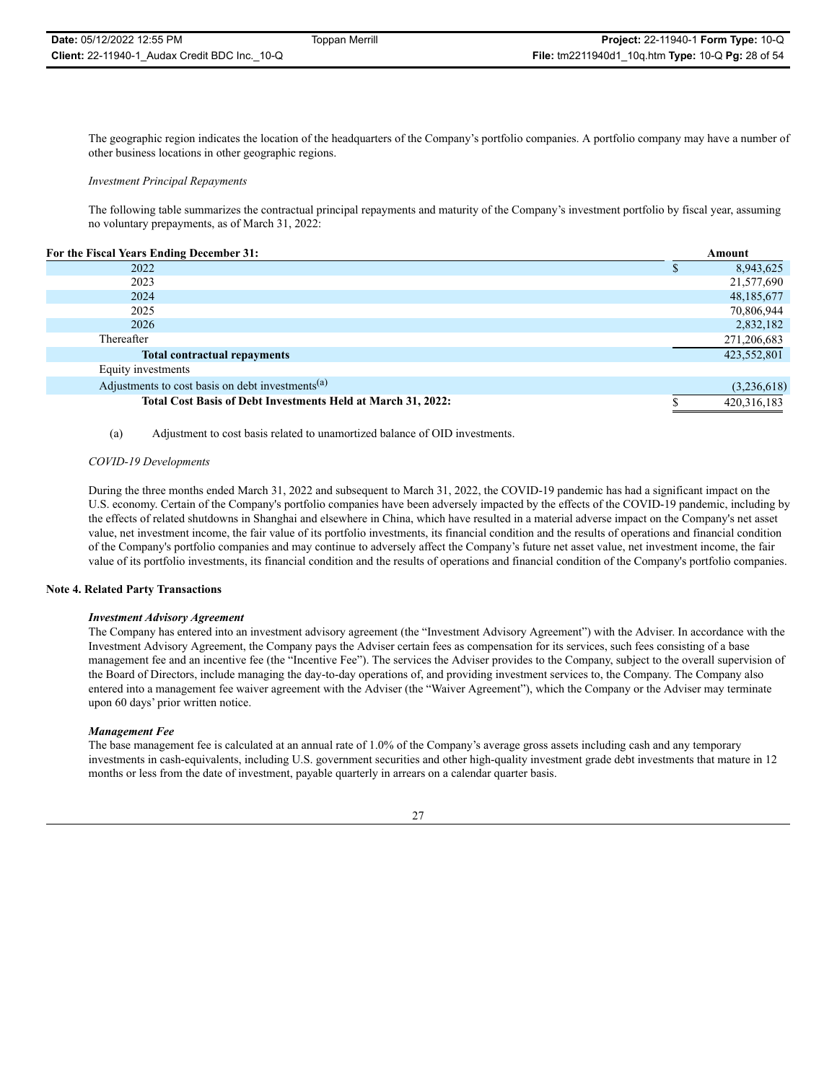The geographic region indicates the location of the headquarters of the Company's portfolio companies. A portfolio company may have a number of other business locations in other geographic regions.

#### *Investment Principal Repayments*

The following table summarizes the contractual principal repayments and maturity of the Company's investment portfolio by fiscal year, assuming no voluntary prepayments, as of March 31, 2022:

#### **For the Fiscal Years Ending December 31: Amount**

| 2022                                                                | 8,943,625   |
|---------------------------------------------------------------------|-------------|
| 2023                                                                | 21,577,690  |
| 2024                                                                | 48,185,677  |
| 2025                                                                | 70,806,944  |
| 2026                                                                | 2,832,182   |
| Thereafter                                                          | 271,206,683 |
| <b>Total contractual repayments</b>                                 | 423,552,801 |
| Equity investments                                                  |             |
| Adjustments to cost basis on debt investments <sup>(a)</sup>        | (3,236,618) |
| <b>Total Cost Basis of Debt Investments Held at March 31, 2022:</b> | 420,316,183 |

(a) Adjustment to cost basis related to unamortized balance of OID investments.

### *COVID-19 Developments*

During the three months ended March 31, 2022 and subsequent to March 31, 2022, the COVID-19 pandemic has had a significant impact on the U.S. economy. Certain of the Company's portfolio companies have been adversely impacted by the effects of the COVID-19 pandemic, including by the effects of related shutdowns in Shanghai and elsewhere in China, which have resulted in a material adverse impact on the Company's net asset value, net investment income, the fair value of its portfolio investments, its financial condition and the results of operations and financial condition of the Company's portfolio companies and may continue to adversely affect the Company's future net asset value, net investment income, the fair value of its portfolio investments, its financial condition and the results of operations and financial condition of the Company's portfolio companies.

### **Note 4. Related Party Transactions**

# *Investment Advisory Agreement*

The Company has entered into an investment advisory agreement (the "Investment Advisory Agreement") with the Adviser. In accordance with the Investment Advisory Agreement, the Company pays the Adviser certain fees as compensation for its services, such fees consisting of a base management fee and an incentive fee (the "Incentive Fee"). The services the Adviser provides to the Company, subject to the overall supervision of the Board of Directors, include managing the day-to-day operations of, and providing investment services to, the Company. The Company also entered into a management fee waiver agreement with the Adviser (the "Waiver Agreement"), which the Company or the Adviser may terminate upon 60 days' prior written notice.

#### *Management Fee*

The base management fee is calculated at an annual rate of 1.0% of the Company's average gross assets including cash and any temporary investments in cash-equivalents, including U.S. government securities and other high-quality investment grade debt investments that mature in 12 months or less from the date of investment, payable quarterly in arrears on a calendar quarter basis.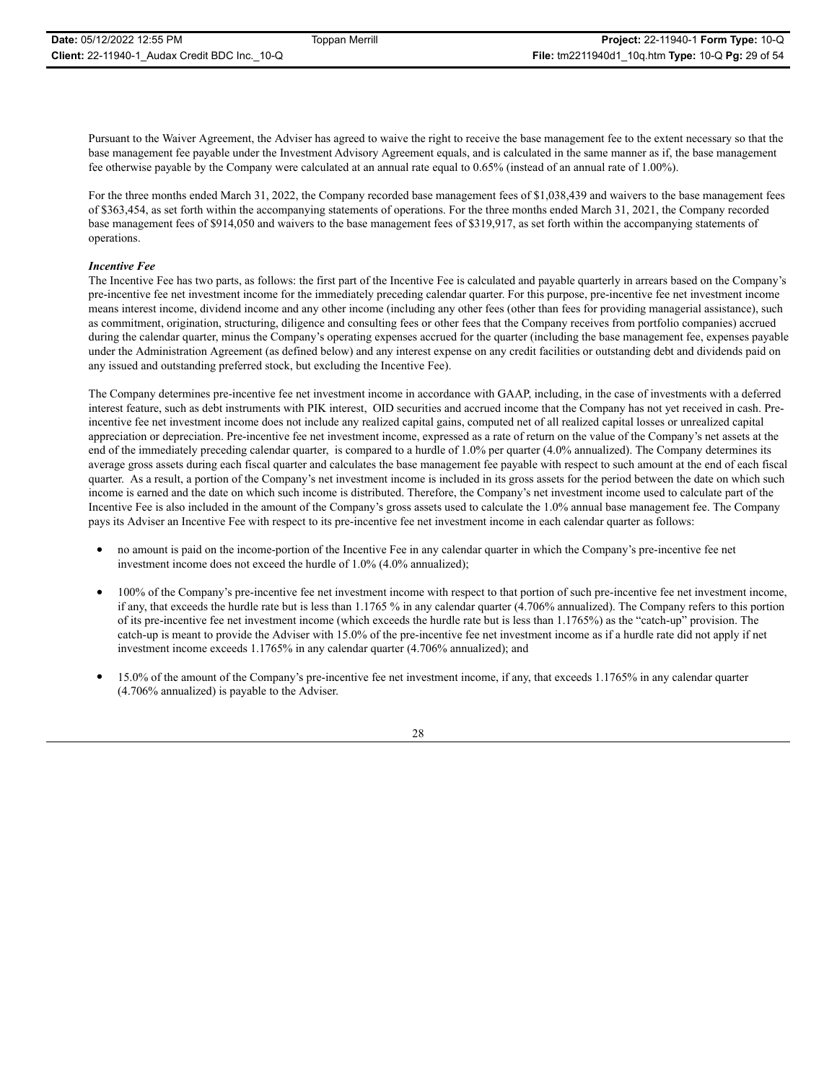Pursuant to the Waiver Agreement, the Adviser has agreed to waive the right to receive the base management fee to the extent necessary so that the base management fee payable under the Investment Advisory Agreement equals, and is calculated in the same manner as if, the base management fee otherwise payable by the Company were calculated at an annual rate equal to 0.65% (instead of an annual rate of 1.00%).

For the three months ended March 31, 2022, the Company recorded base management fees of \$1,038,439 and waivers to the base management fees of \$363,454, as set forth within the accompanying statements of operations. For the three months ended March 31, 2021, the Company recorded base management fees of \$914,050 and waivers to the base management fees of \$319,917, as set forth within the accompanying statements of operations.

### *Incentive Fee*

The Incentive Fee has two parts, as follows: the first part of the Incentive Fee is calculated and payable quarterly in arrears based on the Company's pre-incentive fee net investment income for the immediately preceding calendar quarter. For this purpose, pre-incentive fee net investment income means interest income, dividend income and any other income (including any other fees (other than fees for providing managerial assistance), such as commitment, origination, structuring, diligence and consulting fees or other fees that the Company receives from portfolio companies) accrued during the calendar quarter, minus the Company's operating expenses accrued for the quarter (including the base management fee, expenses payable under the Administration Agreement (as defined below) and any interest expense on any credit facilities or outstanding debt and dividends paid on any issued and outstanding preferred stock, but excluding the Incentive Fee).

The Company determines pre-incentive fee net investment income in accordance with GAAP, including, in the case of investments with a deferred interest feature, such as debt instruments with PIK interest, OID securities and accrued income that the Company has not yet received in cash. Preincentive fee net investment income does not include any realized capital gains, computed net of all realized capital losses or unrealized capital appreciation or depreciation. Pre-incentive fee net investment income, expressed as a rate of return on the value of the Company's net assets at the end of the immediately preceding calendar quarter, is compared to a hurdle of 1.0% per quarter (4.0% annualized). The Company determines its average gross assets during each fiscal quarter and calculates the base management fee payable with respect to such amount at the end of each fiscal quarter. As a result, a portion of the Company's net investment income is included in its gross assets for the period between the date on which such income is earned and the date on which such income is distributed. Therefore, the Company's net investment income used to calculate part of the Incentive Fee is also included in the amount of the Company's gross assets used to calculate the 1.0% annual base management fee. The Company pays its Adviser an Incentive Fee with respect to its pre-incentive fee net investment income in each calendar quarter as follows:

- no amount is paid on the income-portion of the Incentive Fee in any calendar quarter in which the Company's pre-incentive fee net investment income does not exceed the hurdle of 1.0% (4.0% annualized);
- 100% of the Company's pre-incentive fee net investment income with respect to that portion of such pre-incentive fee net investment income, if any, that exceeds the hurdle rate but is less than 1.1765 % in any calendar quarter (4.706% annualized). The Company refers to this portion of its pre-incentive fee net investment income (which exceeds the hurdle rate but is less than 1.1765%) as the "catch-up" provision. The catch-up is meant to provide the Adviser with 15.0% of the pre-incentive fee net investment income as if a hurdle rate did not apply if net investment income exceeds 1.1765% in any calendar quarter (4.706% annualized); and
- 15.0% of the amount of the Company's pre-incentive fee net investment income, if any, that exceeds 1.1765% in any calendar quarter (4.706% annualized) is payable to the Adviser.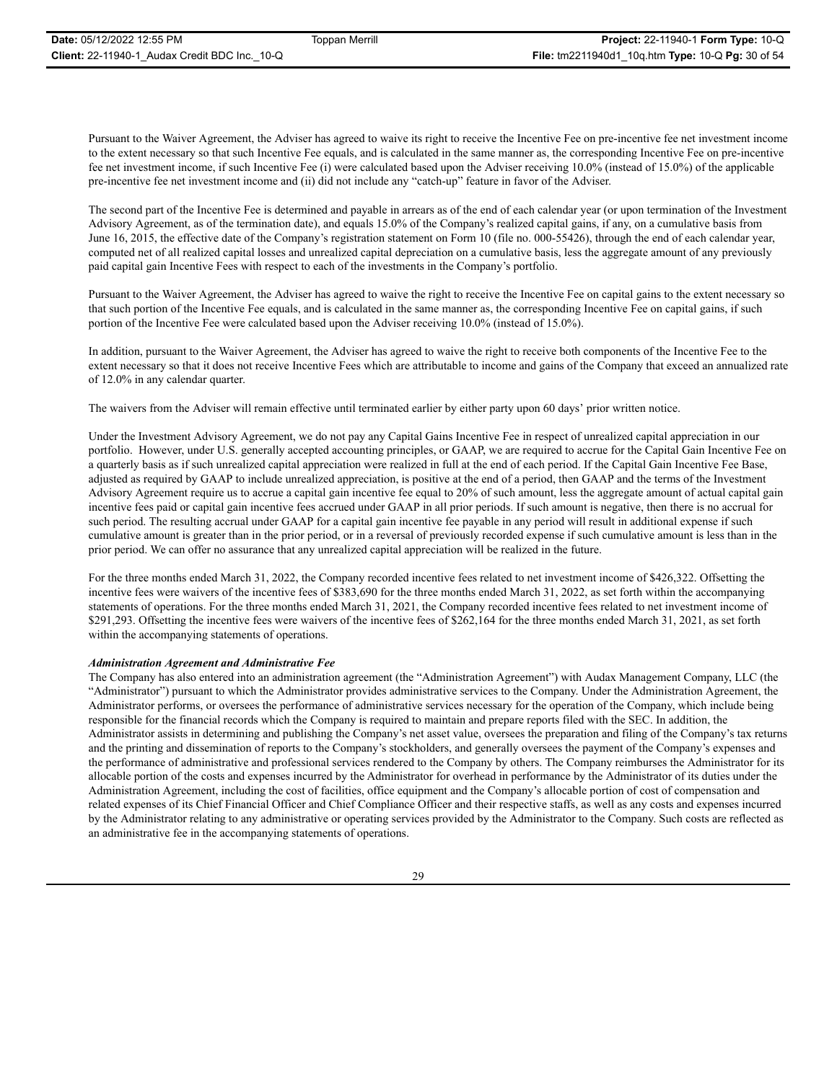Pursuant to the Waiver Agreement, the Adviser has agreed to waive its right to receive the Incentive Fee on pre-incentive fee net investment income to the extent necessary so that such Incentive Fee equals, and is calculated in the same manner as, the corresponding Incentive Fee on pre-incentive fee net investment income, if such Incentive Fee (i) were calculated based upon the Adviser receiving 10.0% (instead of 15.0%) of the applicable pre-incentive fee net investment income and (ii) did not include any "catch-up" feature in favor of the Adviser.

The second part of the Incentive Fee is determined and payable in arrears as of the end of each calendar year (or upon termination of the Investment Advisory Agreement, as of the termination date), and equals 15.0% of the Company's realized capital gains, if any, on a cumulative basis from June 16, 2015, the effective date of the Company's registration statement on Form 10 (file no. 000-55426), through the end of each calendar year, computed net of all realized capital losses and unrealized capital depreciation on a cumulative basis, less the aggregate amount of any previously paid capital gain Incentive Fees with respect to each of the investments in the Company's portfolio.

Pursuant to the Waiver Agreement, the Adviser has agreed to waive the right to receive the Incentive Fee on capital gains to the extent necessary so that such portion of the Incentive Fee equals, and is calculated in the same manner as, the corresponding Incentive Fee on capital gains, if such portion of the Incentive Fee were calculated based upon the Adviser receiving 10.0% (instead of 15.0%).

In addition, pursuant to the Waiver Agreement, the Adviser has agreed to waive the right to receive both components of the Incentive Fee to the extent necessary so that it does not receive Incentive Fees which are attributable to income and gains of the Company that exceed an annualized rate of 12.0% in any calendar quarter.

The waivers from the Adviser will remain effective until terminated earlier by either party upon 60 days' prior written notice.

Under the Investment Advisory Agreement, we do not pay any Capital Gains Incentive Fee in respect of unrealized capital appreciation in our portfolio. However, under U.S. generally accepted accounting principles, or GAAP, we are required to accrue for the Capital Gain Incentive Fee on a quarterly basis as if such unrealized capital appreciation were realized in full at the end of each period. If the Capital Gain Incentive Fee Base, adjusted as required by GAAP to include unrealized appreciation, is positive at the end of a period, then GAAP and the terms of the Investment Advisory Agreement require us to accrue a capital gain incentive fee equal to 20% of such amount, less the aggregate amount of actual capital gain incentive fees paid or capital gain incentive fees accrued under GAAP in all prior periods. If such amount is negative, then there is no accrual for such period. The resulting accrual under GAAP for a capital gain incentive fee payable in any period will result in additional expense if such cumulative amount is greater than in the prior period, or in a reversal of previously recorded expense if such cumulative amount is less than in the prior period. We can offer no assurance that any unrealized capital appreciation will be realized in the future.

For the three months ended March 31, 2022, the Company recorded incentive fees related to net investment income of \$426,322. Offsetting the incentive fees were waivers of the incentive fees of \$383,690 for the three months ended March 31, 2022, as set forth within the accompanying statements of operations. For the three months ended March 31, 2021, the Company recorded incentive fees related to net investment income of \$291,293. Offsetting the incentive fees were waivers of the incentive fees of \$262,164 for the three months ended March 31, 2021, as set forth within the accompanying statements of operations.

### *Administration Agreement and Administrative Fee*

The Company has also entered into an administration agreement (the "Administration Agreement") with Audax Management Company, LLC (the "Administrator") pursuant to which the Administrator provides administrative services to the Company. Under the Administration Agreement, the Administrator performs, or oversees the performance of administrative services necessary for the operation of the Company, which include being responsible for the financial records which the Company is required to maintain and prepare reports filed with the SEC. In addition, the Administrator assists in determining and publishing the Company's net asset value, oversees the preparation and filing of the Company's tax returns and the printing and dissemination of reports to the Company's stockholders, and generally oversees the payment of the Company's expenses and the performance of administrative and professional services rendered to the Company by others. The Company reimburses the Administrator for its allocable portion of the costs and expenses incurred by the Administrator for overhead in performance by the Administrator of its duties under the Administration Agreement, including the cost of facilities, office equipment and the Company's allocable portion of cost of compensation and related expenses of its Chief Financial Officer and Chief Compliance Officer and their respective staffs, as well as any costs and expenses incurred by the Administrator relating to any administrative or operating services provided by the Administrator to the Company. Such costs are reflected as an administrative fee in the accompanying statements of operations.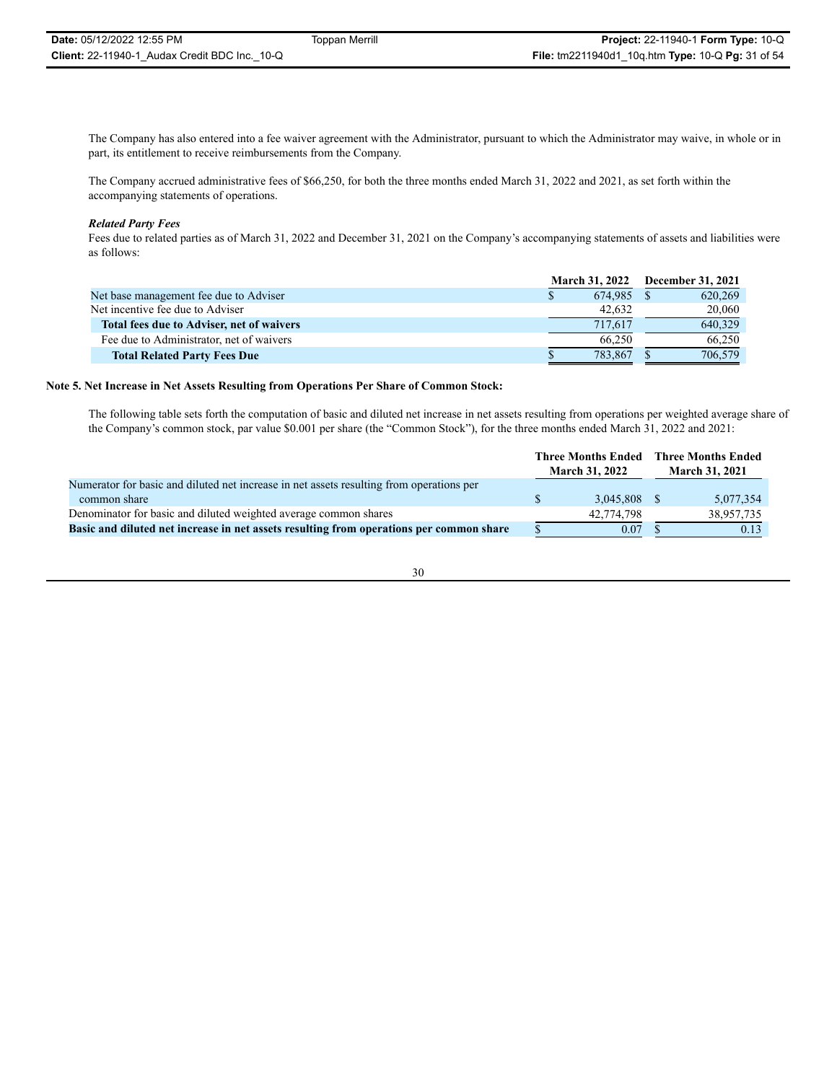The Company has also entered into a fee waiver agreement with the Administrator, pursuant to which the Administrator may waive, in whole or in part, its entitlement to receive reimbursements from the Company.

The Company accrued administrative fees of \$66,250, for both the three months ended March 31, 2022 and 2021, as set forth within the accompanying statements of operations.

### *Related Party Fees*

Fees due to related parties as of March 31, 2022 and December 31, 2021 on the Company's accompanying statements of assets and liabilities were as follows:

|                                           | <b>March 31, 2022</b> | December 31, 2021 |
|-------------------------------------------|-----------------------|-------------------|
| Net base management fee due to Adviser    | 674.985               | 620,269           |
| Net incentive fee due to Adviser          | 42,632                | 20,060            |
| Total fees due to Adviser, net of waivers | 717.617               | 640,329           |
| Fee due to Administrator, net of waivers  | 66,250                | 66,250            |
| <b>Total Related Party Fees Due</b>       | 783,867               | 706,579           |

### **Note 5. Net Increase in Net Assets Resulting from Operations Per Share of Common Stock:**

The following table sets forth the computation of basic and diluted net increase in net assets resulting from operations per weighted average share of the Company's common stock, par value \$0.001 per share (the "Common Stock"), for the three months ended March 31, 2022 and 2021:

|                                                                                          | <b>Three Months Ended</b> |                       |  | <b>Three Months Ended</b> |
|------------------------------------------------------------------------------------------|---------------------------|-----------------------|--|---------------------------|
|                                                                                          |                           | <b>March 31, 2022</b> |  | <b>March 31, 2021</b>     |
| Numerator for basic and diluted net increase in net assets resulting from operations per |                           |                       |  |                           |
| common share                                                                             |                           | 3.045.808 \$          |  | 5,077,354                 |
| Denominator for basic and diluted weighted average common shares                         |                           | 42,774,798            |  | 38,957,735                |
| Basic and diluted net increase in net assets resulting from operations per common share  |                           | 0.07                  |  | 0.13                      |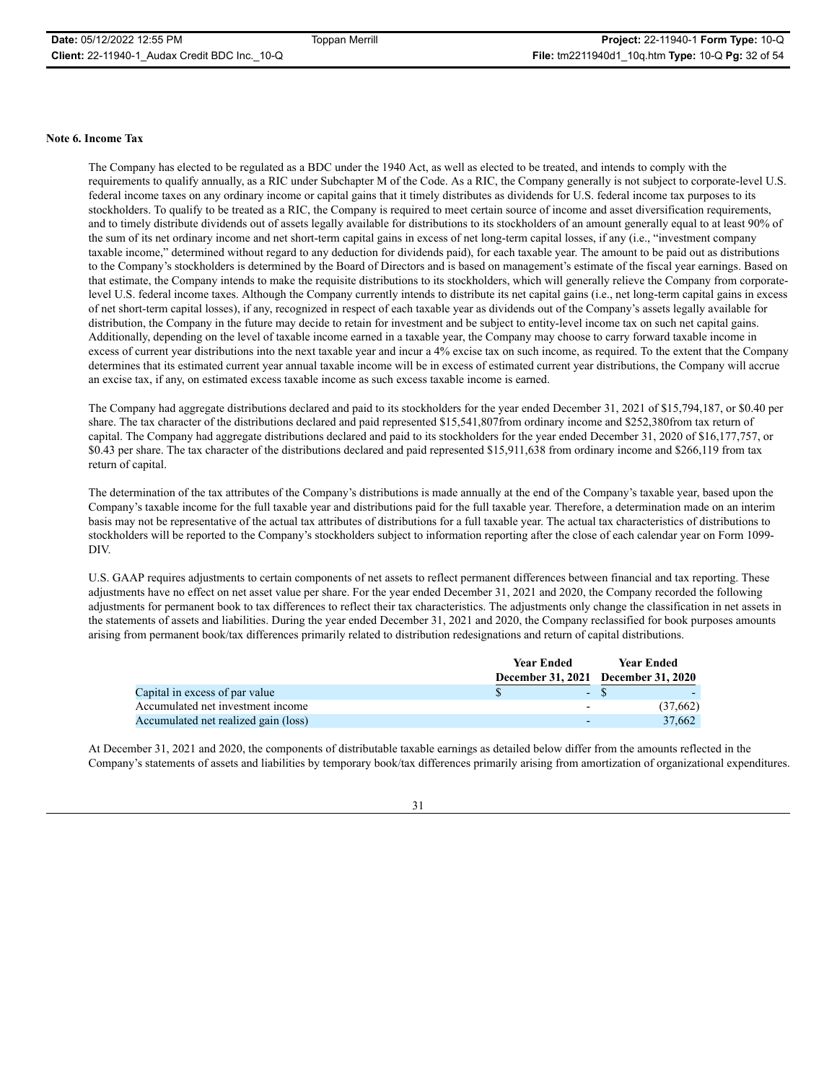### **Note 6. Income Tax**

The Company has elected to be regulated as a BDC under the 1940 Act, as well as elected to be treated, and intends to comply with the requirements to qualify annually, as a RIC under Subchapter M of the Code. As a RIC, the Company generally is not subject to corporate-level U.S. federal income taxes on any ordinary income or capital gains that it timely distributes as dividends for U.S. federal income tax purposes to its stockholders. To qualify to be treated as a RIC, the Company is required to meet certain source of income and asset diversification requirements, and to timely distribute dividends out of assets legally available for distributions to its stockholders of an amount generally equal to at least 90% of the sum of its net ordinary income and net short-term capital gains in excess of net long-term capital losses, if any (i.e., "investment company taxable income," determined without regard to any deduction for dividends paid), for each taxable year. The amount to be paid out as distributions to the Company's stockholders is determined by the Board of Directors and is based on management's estimate of the fiscal year earnings. Based on that estimate, the Company intends to make the requisite distributions to its stockholders, which will generally relieve the Company from corporatelevel U.S. federal income taxes. Although the Company currently intends to distribute its net capital gains (i.e., net long-term capital gains in excess of net short-term capital losses), if any, recognized in respect of each taxable year as dividends out of the Company's assets legally available for distribution, the Company in the future may decide to retain for investment and be subject to entity-level income tax on such net capital gains. Additionally, depending on the level of taxable income earned in a taxable year, the Company may choose to carry forward taxable income in excess of current year distributions into the next taxable year and incur a 4% excise tax on such income, as required. To the extent that the Company determines that its estimated current year annual taxable income will be in excess of estimated current year distributions, the Company will accrue an excise tax, if any, on estimated excess taxable income as such excess taxable income is earned.

The Company had aggregate distributions declared and paid to its stockholders for the year ended December 31, 2021 of \$15,794,187, or \$0.40 per share. The tax character of the distributions declared and paid represented \$15,541,807from ordinary income and \$252,380from tax return of capital. The Company had aggregate distributions declared and paid to its stockholders for the year ended December 31, 2020 of \$16,177,757, or \$0.43 per share. The tax character of the distributions declared and paid represented \$15,911,638 from ordinary income and \$266,119 from tax return of capital.

The determination of the tax attributes of the Company's distributions is made annually at the end of the Company's taxable year, based upon the Company's taxable income for the full taxable year and distributions paid for the full taxable year. Therefore, a determination made on an interim basis may not be representative of the actual tax attributes of distributions for a full taxable year. The actual tax characteristics of distributions to stockholders will be reported to the Company's stockholders subject to information reporting after the close of each calendar year on Form 1099- DIV.

U.S. GAAP requires adjustments to certain components of net assets to reflect permanent differences between financial and tax reporting. These adjustments have no effect on net asset value per share. For the year ended December 31, 2021 and 2020, the Company recorded the following adjustments for permanent book to tax differences to reflect their tax characteristics. The adjustments only change the classification in net assets in the statements of assets and liabilities. During the year ended December 31, 2021 and 2020, the Company reclassified for book purposes amounts arising from permanent book/tax differences primarily related to distribution redesignations and return of capital distributions.

|                                      | <b>Year Ended</b> | <b>Year Ended</b>                   |
|--------------------------------------|-------------------|-------------------------------------|
|                                      |                   | December 31, 2021 December 31, 2020 |
| Capital in excess of par value       |                   |                                     |
| Accumulated net investment income    |                   | (37,662)                            |
| Accumulated net realized gain (loss) |                   | 37,662                              |

At December 31, 2021 and 2020, the components of distributable taxable earnings as detailed below differ from the amounts reflected in the Company's statements of assets and liabilities by temporary book/tax differences primarily arising from amortization of organizational expenditures.

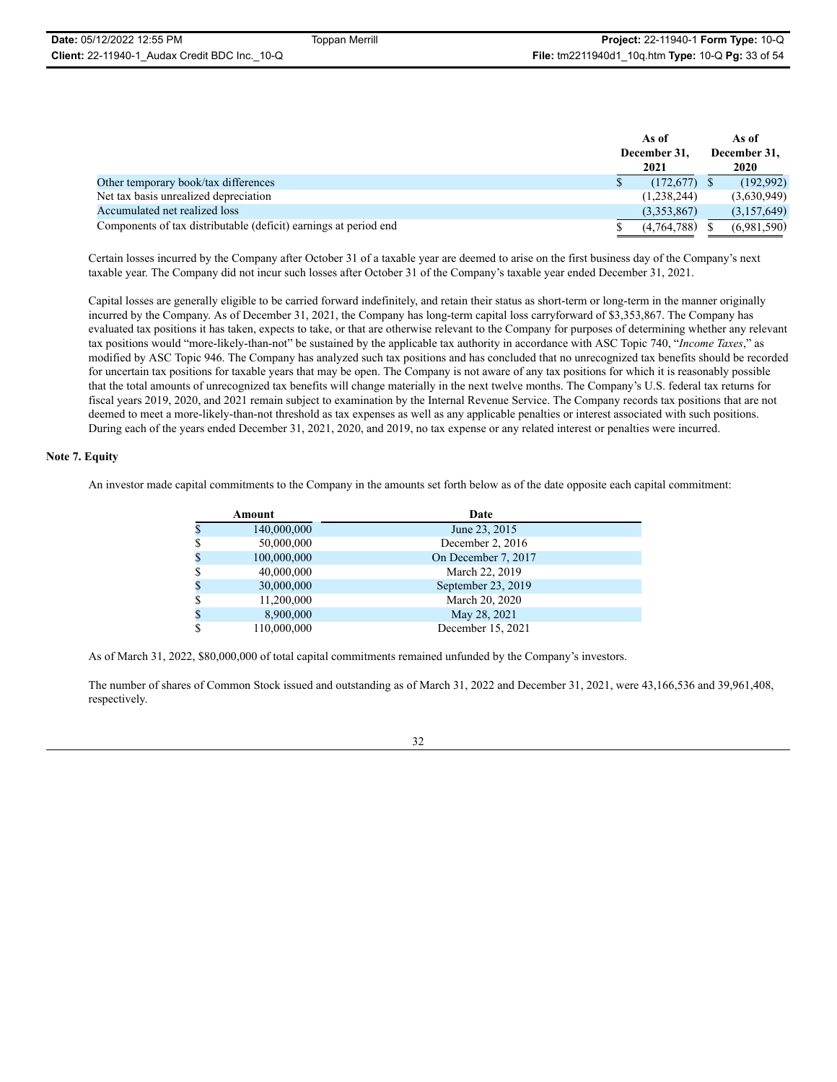|                                                                  | As of<br>December 31, |             | As of<br>December 31, |             |  |
|------------------------------------------------------------------|-----------------------|-------------|-----------------------|-------------|--|
|                                                                  |                       | 2021        |                       | 2020        |  |
| Other temporary book/tax differences                             |                       | (172,677)   |                       | (192,992)   |  |
| Net tax basis unrealized depreciation                            |                       | (1,238,244) |                       | (3,630,949) |  |
| Accumulated net realized loss                                    |                       | (3,353,867) |                       | (3,157,649) |  |
| Components of tax distributable (deficit) earnings at period end |                       | (4,764,788) |                       | (6,981,590) |  |

Certain losses incurred by the Company after October 31 of a taxable year are deemed to arise on the first business day of the Company's next taxable year. The Company did not incur such losses after October 31 of the Company's taxable year ended December 31, 2021.

Capital losses are generally eligible to be carried forward indefinitely, and retain their status as short-term or long-term in the manner originally incurred by the Company. As of December 31, 2021, the Company has long-term capital loss carryforward of \$3,353,867. The Company has evaluated tax positions it has taken, expects to take, or that are otherwise relevant to the Company for purposes of determining whether any relevant tax positions would "more-likely-than-not" be sustained by the applicable tax authority in accordance with ASC Topic 740, "*Income Taxes*," as modified by ASC Topic 946. The Company has analyzed such tax positions and has concluded that no unrecognized tax benefits should be recorded for uncertain tax positions for taxable years that may be open. The Company is not aware of any tax positions for which it is reasonably possible that the total amounts of unrecognized tax benefits will change materially in the next twelve months. The Company's U.S. federal tax returns for fiscal years 2019, 2020, and 2021 remain subject to examination by the Internal Revenue Service. The Company records tax positions that are not deemed to meet a more-likely-than-not threshold as tax expenses as well as any applicable penalties or interest associated with such positions. During each of the years ended December 31, 2021, 2020, and 2019, no tax expense or any related interest or penalties were incurred.

# **Note 7. Equity**

An investor made capital commitments to the Company in the amounts set forth below as of the date opposite each capital commitment:

|    | Amount      | Date                |
|----|-------------|---------------------|
| Ф  | 140,000,000 | June 23, 2015       |
| \$ | 50,000,000  | December 2, 2016    |
| \$ | 100,000,000 | On December 7, 2017 |
|    | 40,000,000  | March 22, 2019      |
| \$ | 30,000,000  | September 23, 2019  |
|    | 11,200,000  | March 20, 2020      |
|    | 8,900,000   | May 28, 2021        |
|    | 110,000,000 | December 15, 2021   |

As of March 31, 2022, \$80,000,000 of total capital commitments remained unfunded by the Company's investors.

The number of shares of Common Stock issued and outstanding as of March 31, 2022 and December 31, 2021, were 43,166,536 and 39,961,408, respectively.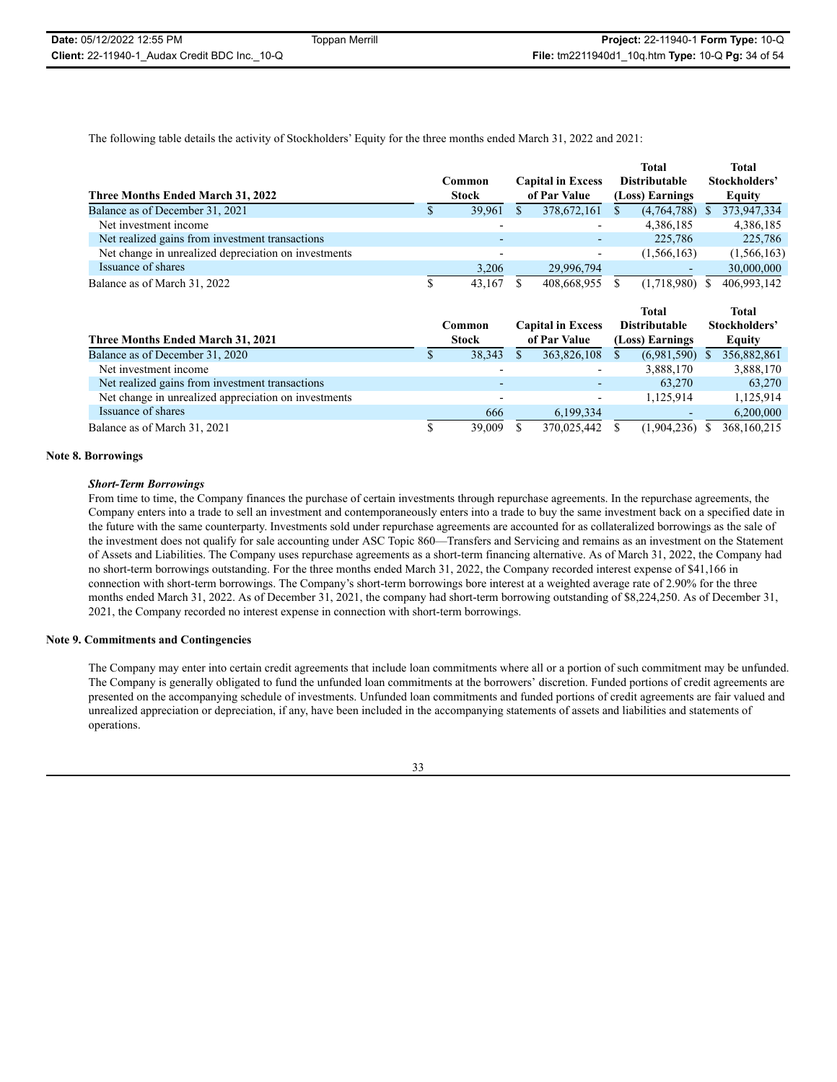**Total**

The following table details the activity of Stockholders' Equity for the three months ended March 31, 2022 and 2021:

|                                                      |                          | <b>Total</b> |                          |                      |               | Total |               |  |
|------------------------------------------------------|--------------------------|--------------|--------------------------|----------------------|---------------|-------|---------------|--|
|                                                      | Common                   |              | <b>Capital in Excess</b> | <b>Distributable</b> |               |       | Stockholders' |  |
| Three Months Ended March 31, 2022                    | <b>Stock</b>             |              | of Par Value             | (Loss) Earnings      |               |       | <b>Equity</b> |  |
| Balance as of December 31, 2021                      | 39.961                   |              | 378,672,161              |                      | (4,764,788)   |       | 373,947,334   |  |
| Net investment income                                | -                        |              |                          |                      | 4,386,185     |       | 4,386,185     |  |
| Net realized gains from investment transactions      | $\overline{\phantom{a}}$ |              |                          |                      | 225,786       |       | 225,786       |  |
| Net change in unrealized depreciation on investments | -                        |              |                          |                      | (1, 566, 163) |       | (1, 566, 163) |  |
| Issuance of shares                                   | 3.206                    |              | 29,996,794               |                      | ٠             |       | 30,000,000    |  |
| Balance as of March 31, 2022                         | 43.167                   |              | 408,668,955              |                      | (1,718,980)   |       | 406,993,142   |  |

|                                                      |                          |                          |                      | Total            |               | <b>Total</b>  |
|------------------------------------------------------|--------------------------|--------------------------|----------------------|------------------|---------------|---------------|
|                                                      | Common                   | <b>Capital in Excess</b> | <b>Distributable</b> |                  |               | Stockholders' |
| Three Months Ended March 31, 2021                    | <b>Stock</b>             | of Par Value             | (Loss) Earnings      |                  | <b>Equity</b> |               |
| Balance as of December 31, 2020                      | 38,343                   | 363,826,108              |                      | $(6,981,590)$ \$ |               | 356,882,861   |
| Net investment income                                | $\overline{\phantom{0}}$ |                          |                      | 3,888,170        |               | 3,888,170     |
| Net realized gains from investment transactions      | $\overline{\phantom{a}}$ |                          |                      | 63,270           |               | 63,270        |
| Net change in unrealized appreciation on investments | $\overline{\phantom{a}}$ |                          |                      | 1.125.914        |               | 1,125,914     |
| Issuance of shares                                   | 666                      | 6.199.334                |                      |                  |               | 6,200,000     |
| Balance as of March 31, 2021                         | 39,009                   | 370,025,442              |                      | (1,904,236)      |               | 368,160,215   |

#### **Note 8. Borrowings**

#### *Short-Term Borrowings*

From time to time, the Company finances the purchase of certain investments through repurchase agreements. In the repurchase agreements, the Company enters into a trade to sell an investment and contemporaneously enters into a trade to buy the same investment back on a specified date in the future with the same counterparty. Investments sold under repurchase agreements are accounted for as collateralized borrowings as the sale of the investment does not qualify for sale accounting under ASC Topic 860—Transfers and Servicing and remains as an investment on the Statement of Assets and Liabilities. The Company uses repurchase agreements as a short-term financing alternative. As of March 31, 2022, the Company had no short-term borrowings outstanding. For the three months ended March 31, 2022, the Company recorded interest expense of \$41,166 in connection with short-term borrowings. The Company's short-term borrowings bore interest at a weighted average rate of 2.90% for the three months ended March 31, 2022. As of December 31, 2021, the company had short-term borrowing outstanding of \$8,224,250. As of December 31, 2021, the Company recorded no interest expense in connection with short-term borrowings.

#### **Note 9. Commitments and Contingencies**

The Company may enter into certain credit agreements that include loan commitments where all or a portion of such commitment may be unfunded. The Company is generally obligated to fund the unfunded loan commitments at the borrowers' discretion. Funded portions of credit agreements are presented on the accompanying schedule of investments. Unfunded loan commitments and funded portions of credit agreements are fair valued and unrealized appreciation or depreciation, if any, have been included in the accompanying statements of assets and liabilities and statements of operations.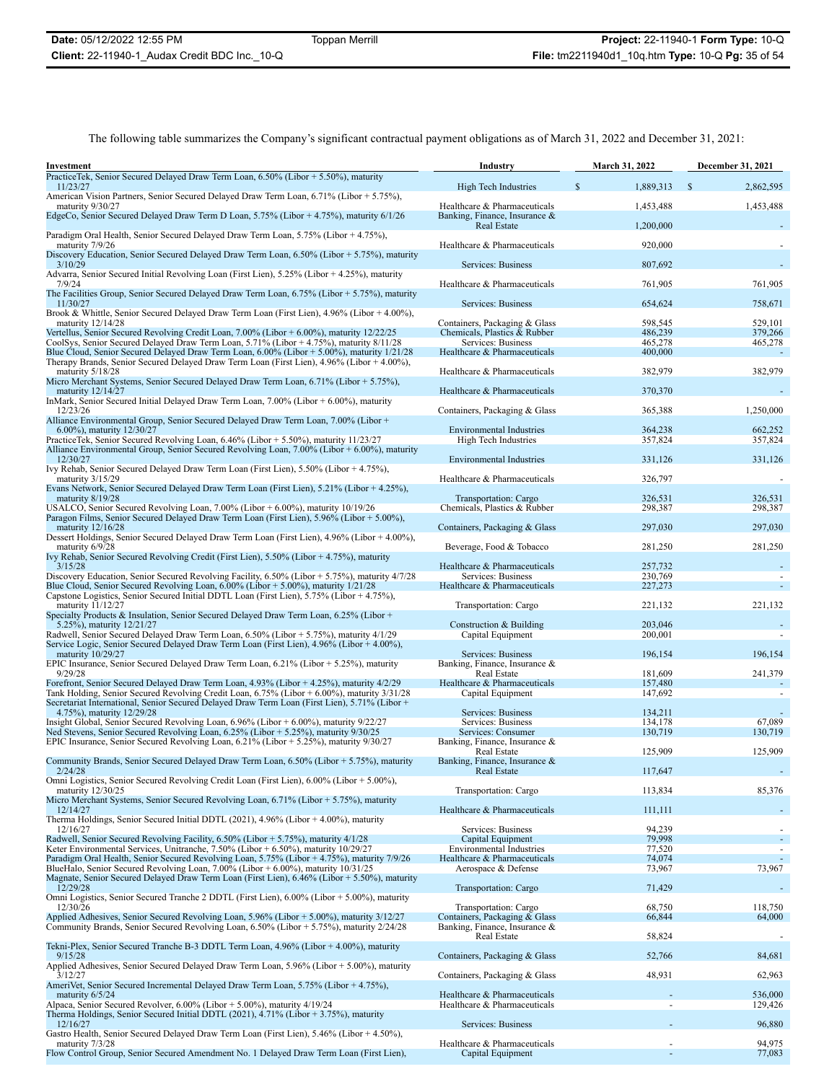The following table summarizes the Company's significant contractual payment obligations as of March 31, 2022 and December 31, 2021:

| Investment                                                                                                                                                                                   | Industry                                                      | March 31, 2022           | <b>December 31, 2021</b>  |
|----------------------------------------------------------------------------------------------------------------------------------------------------------------------------------------------|---------------------------------------------------------------|--------------------------|---------------------------|
| PracticeTek, Senior Secured Delayed Draw Term Loan, 6.50% (Libor + 5.50%), maturity                                                                                                          |                                                               |                          |                           |
| 11/23/27<br>American Vision Partners, Senior Secured Delayed Draw Term Loan, 6.71% (Libor + 5.75%),                                                                                          | <b>High Tech Industries</b>                                   | $\mathbf S$<br>1.889.313 | <sup>S</sup><br>2,862,595 |
| maturity 9/30/27<br>EdgeCo, Senior Secured Delayed Draw Term D Loan, 5.75% (Libor + 4.75%), maturity 6/1/26                                                                                  | Healthcare & Pharmaceuticals<br>Banking, Finance, Insurance & | 1,453,488                | 1,453,488                 |
|                                                                                                                                                                                              | <b>Real Estate</b>                                            | 1.200.000                |                           |
| Paradigm Oral Health, Senior Secured Delayed Draw Term Loan, 5.75% (Libor + 4.75%),<br>maturity 7/9/26                                                                                       | Healthcare & Pharmaceuticals                                  | 920,000                  |                           |
| Discovery Education, Senior Secured Delayed Draw Term Loan, 6.50% (Libor + 5.75%), maturity                                                                                                  |                                                               |                          |                           |
| 3/10/29<br>Advarra, Senior Secured Initial Revolving Loan (First Lien), 5.25% (Libor + 4.25%), maturity                                                                                      | Services: Business                                            | 807,692                  |                           |
| 7/9/24<br>The Facilities Group, Senior Secured Delayed Draw Term Loan, $6.75\%$ (Libor + 5.75%), maturity                                                                                    | Healthcare & Pharmaceuticals                                  | 761,905                  | 761,905                   |
| 11/30/27                                                                                                                                                                                     | Services: Business                                            | 654,624                  | 758,671                   |
| Brook & Whittle, Senior Secured Delayed Draw Term Loan (First Lien), 4.96% (Libor + 4.00%),<br>maturity 12/14/28                                                                             | Containers, Packaging & Glass                                 | 598,545                  | 529,101                   |
| Vertellus, Senior Secured Revolving Credit Loan, 7.00% (Libor + 6.00%), maturity 12/22/25                                                                                                    | Chemicals, Plastics & Rubber                                  | 486,239                  | 379,266                   |
| CoolSys, Senior Secured Delayed Draw Term Loan, 5.71% (Libor + 4.75%), maturity 8/11/28                                                                                                      | Services: Business                                            | 465,278                  | 465,278                   |
| Blue Cloud, Senior Secured Delayed Draw Term Loan, 6.00% (Libor + 5.00%), maturity 1/21/28<br>Therapy Brands, Senior Secured Delayed Draw Term Loan (First Lien), 4.96% (Libor + 4.00%),     | Healthcare & Pharmaceuticals                                  | 400,000                  |                           |
| maturity 5/18/28<br>Micro Merchant Systems, Senior Secured Delayed Draw Term Loan, 6.71% (Libor + 5.75%),                                                                                    | Healthcare & Pharmaceuticals                                  | 382,979                  | 382,979                   |
| maturity $12/14/27$                                                                                                                                                                          | Healthcare & Pharmaceuticals                                  | 370,370                  |                           |
| In Mark, Senior Secured Initial Delayed Draw Term Loan, $7.00\%$ (Libor + 6.00%), maturity<br>12/23/26                                                                                       | Containers, Packaging & Glass                                 | 365,388                  | 1,250,000                 |
| Alliance Environmental Group, Senior Secured Delayed Draw Term Loan, 7.00% (Libor +<br>6.00%), maturity 12/30/27                                                                             | <b>Environmental Industries</b>                               | 364,238                  | 662,252                   |
| PracticeTek, Senior Secured Revolving Loan, 6.46% (Libor + 5.50%), maturity 11/23/27                                                                                                         | High Tech Industries                                          | 357,824                  | 357,824                   |
| Alliance Environmental Group, Senior Secured Revolving Loan, 7.00% (Libor + 6.00%), maturity<br>12/30/27                                                                                     |                                                               |                          |                           |
| Ivy Rehab, Senior Secured Delayed Draw Term Loan (First Lien), 5.50% (Libor + 4.75%),                                                                                                        | <b>Environmental Industries</b>                               | 331,126                  | 331,126                   |
| maturity $3/15/29$<br>Evans Network, Senior Secured Delayed Draw Term Loan (First Lien), 5.21% (Libor + 4.25%),                                                                              | Healthcare & Pharmaceuticals                                  | 326,797                  |                           |
| maturity $8/19/28$                                                                                                                                                                           | Transportation: Cargo                                         | 326,531                  | 326,531                   |
| USALCO, Senior Secured Revolving Loan, $7.00\%$ (Libor $+ 6.00\%$ ), maturity $10/19/26$                                                                                                     | Chemicals, Plastics & Rubber                                  | 298,387                  | 298,387                   |
| Paragon Films, Senior Secured Delayed Draw Term Loan (First Lien), 5.96% (Libor + 5.00%),<br>maturity 12/16/28                                                                               | Containers, Packaging & Glass                                 | 297,030                  | 297,030                   |
| Dessert Holdings, Senior Secured Delayed Draw Term Loan (First Lien), 4.96% (Libor + 4.00%),<br>maturity $6/9/28$                                                                            | Beverage, Food & Tobacco                                      | 281,250                  | 281,250                   |
| Ivy Rehab, Senior Secured Revolving Credit (First Lien), 5.50% (Libor + 4.75%), maturity                                                                                                     |                                                               |                          |                           |
| 3/15/28                                                                                                                                                                                      | Healthcare & Pharmaceuticals                                  | 257,732                  |                           |
| Discovery Education, Senior Secured Revolving Facility, $6.50\%$ (Libor + 5.75%), maturity $4/7/28$                                                                                          | Services: Business                                            | 230,769                  |                           |
| Blue Cloud, Senior Secured Revolving Loan, $6.00\%$ (Libor + $5.00\%$ ), maturity $1/21/28$<br>Capstone Logistics, Senior Secured Initial DDTL Loan (First Lien), 5.75% (Libor + 4.75%),     | Healthcare & Pharmaceuticals                                  | 227,273                  |                           |
| maturity 11/12/27                                                                                                                                                                            | Transportation: Cargo                                         | 221,132                  | 221,132                   |
| Specialty Products & Insulation, Senior Secured Delayed Draw Term Loan, $6.25\%$ (Libor +                                                                                                    |                                                               |                          |                           |
| 5.25%), maturity 12/21/27<br>Radwell, Senior Secured Delayed Draw Term Loan, 6.50% (Libor + 5.75%), maturity 4/1/29                                                                          | Construction & Building<br>Capital Equipment                  | 203,046<br>200,001       |                           |
| Service Logic, Senior Secured Delayed Draw Term Loan (First Lien), 4.96% (Libor + 4.00%),                                                                                                    |                                                               |                          |                           |
| maturity 10/29/27<br>EPIC Insurance, Senior Secured Delayed Draw Term Loan, 6.21% (Libor + 5.25%), maturity                                                                                  | Services: Business<br>Banking, Finance, Insurance &           | 196,154                  | 196,154                   |
| 9/29/28                                                                                                                                                                                      | Real Estate                                                   | 181,609                  | 241,379                   |
| Forefront, Senior Secured Delayed Draw Term Loan, 4.93% (Libor + 4.25%), maturity 4/2/29                                                                                                     | Healthcare & Pharmaceuticals                                  | 157,480                  |                           |
| Tank Holding, Senior Secured Revolving Credit Loan, 6.75% (Libor + 6.00%), maturity 3/31/28<br>Secretariat International, Senior Secured Delayed Draw Term Loan (First Lien), 5.71% (Libor + | Capital Equipment                                             | 147,692                  |                           |
| 4.75%), maturity 12/29/28                                                                                                                                                                    | Services: Business                                            | 134,211                  |                           |
| Insight Global, Senior Secured Revolving Loan, 6.96% (Libor + 6.00%), maturity 9/22/27                                                                                                       | Services: Business                                            | 134,178                  | 67,089                    |
| Ned Stevens, Senior Secured Revolving Loan, 6.25% (Libor + 5.25%), maturity 9/30/25<br>EPIC Insurance, Senior Secured Revolving Loan, 6.21% (Libor + 5.25%), maturity 9/30/27                | Services: Consumer<br>Banking, Finance, Insurance &           | 130,719                  | 130,719                   |
|                                                                                                                                                                                              | Real Estate                                                   | 125,909                  | 125,909                   |
| Community Brands, Senior Secured Delayed Draw Term Loan, 6.50% (Libor + 5.75%), maturity<br>2/24/28                                                                                          | Banking, Finance, Insurance &<br>Real Estate                  | 117,647                  |                           |
| Omni Logistics, Senior Secured Revolving Credit Loan (First Lien), 6.00% (Libor + 5.00%),                                                                                                    |                                                               |                          |                           |
| maturity $12/30/25$<br>Micro Merchant Systems, Senior Secured Revolving Loan, 6.71% (Libor + 5.75%), maturity                                                                                | Transportation: Cargo                                         | 113,834                  | 85,376                    |
| 12/14/27                                                                                                                                                                                     | Healthcare & Pharmaceuticals                                  | 111,111                  |                           |
| Therma Holdings, Senior Secured Initial DDTL (2021), 4.96% (Libor + 4.00%), maturity<br>12/16/27                                                                                             | Services: Business                                            | 94,239                   |                           |
| Radwell, Senior Secured Revolving Facility, 6.50% (Libor + 5.75%), maturity 4/1/28                                                                                                           | Capital Equipment                                             | 79,998                   | $\blacksquare$            |
| Keter Environmental Services, Unitranche, $7.50\%$ (Libor + 6.50%), maturity 10/29/27                                                                                                        | <b>Environmental Industries</b>                               | 77,520                   | $\sim$                    |
| Paradigm Oral Health, Senior Secured Revolving Loan, 5.75% (Libor + 4.75%), maturity 7/9/26                                                                                                  | Healthcare & Pharmaceuticals                                  | 74,074                   |                           |
| BlueHalo, Senior Secured Revolving Loan, $7.00\%$ (Libor + 6.00%), maturity $10/31/25$<br>Magnate, Senior Secured Delayed Draw Term Loan (First Lien), 6.46% (Libor + 5.50%), maturity       | Aerospace & Defense                                           | 73,967                   | 73,967                    |
| 12/29/28                                                                                                                                                                                     | Transportation: Cargo                                         | 71,429                   |                           |
| Omni Logistics, Senior Secured Tranche 2 DDTL (First Lien), 6.00% (Libor + 5.00%), maturity<br>12/30/26                                                                                      | Transportation: Cargo                                         | 68,750                   | 118,750                   |
| Applied Adhesives, Senior Secured Revolving Loan, 5.96% (Libor + 5.00%), maturity 3/12/27                                                                                                    | Containers, Packaging & Glass                                 | 66,844                   | 64,000                    |
| Community Brands, Senior Secured Revolving Loan, 6.50% (Libor + 5.75%), maturity 2/24/28                                                                                                     | Banking, Finance, Insurance &<br>Real Estate                  | 58,824                   |                           |
| Tekni-Plex, Senior Secured Tranche B-3 DDTL Term Loan, 4.96% (Libor + 4.00%), maturity                                                                                                       |                                                               |                          |                           |
| 9/15/28<br>Applied Adhesives, Senior Secured Delayed Draw Term Loan, 5.96% (Libor + 5.00%), maturity                                                                                         | Containers, Packaging & Glass                                 | 52,766                   | 84,681                    |
| 3/12/27                                                                                                                                                                                      | Containers, Packaging & Glass                                 | 48,931                   | 62,963                    |
| AmeriVet, Senior Secured Incremental Delayed Draw Term Loan, 5.75% (Libor + 4.75%),<br>maturity $6/5/24$                                                                                     | Healthcare & Pharmaceuticals                                  |                          | 536,000                   |
| Alpaca, Senior Secured Revolver, $6.00\%$ (Libor $+ 5.00\%$ ), maturity $4/19/24$                                                                                                            | Healthcare & Pharmaceuticals                                  |                          | 129,426                   |
| Therma Holdings, Senior Secured Initial DDTL $(2021)$ , 4.71% (Libor + 3.75%), maturity                                                                                                      |                                                               |                          |                           |
| 12/16/27<br>Gastro Health, Senior Secured Delayed Draw Term Loan (First Lien), 5.46% (Libor + 4.50%),                                                                                        | Services: Business                                            |                          | 96,880                    |
| maturity 7/3/28                                                                                                                                                                              | Healthcare & Pharmaceuticals                                  |                          | 94,975                    |
| Flow Control Group, Senior Secured Amendment No. 1 Delayed Draw Term Loan (First Lien),                                                                                                      | Capital Equipment                                             |                          | 77,083                    |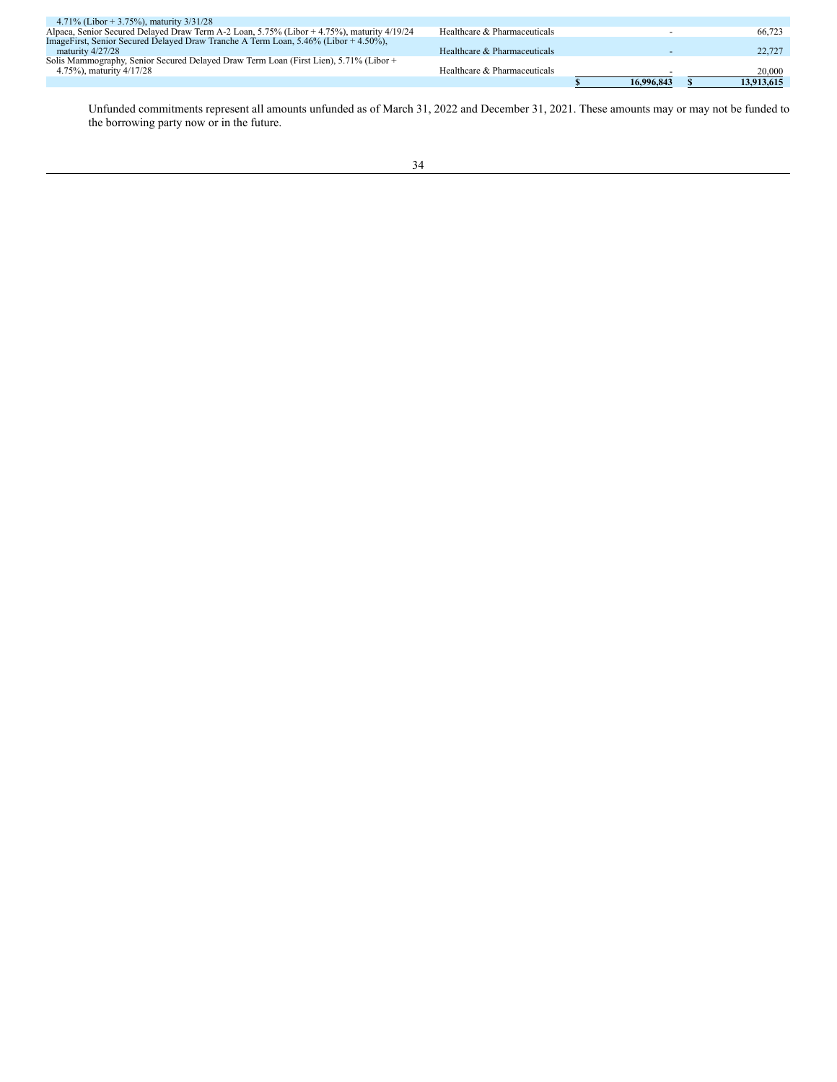| 4.71% (Libor + 3.75%), maturity $3/31/28$                                                  |                              |            |            |
|--------------------------------------------------------------------------------------------|------------------------------|------------|------------|
| Alpaca, Senior Secured Delayed Draw Term A-2 Loan, 5.75% (Libor + 4.75%), maturity 4/19/24 | Healthcare & Pharmaceuticals |            | 66,723     |
| ImageFirst, Senior Secured Delayed Draw Tranche A Term Loan, 5.46% (Libor + 4.50%),        |                              |            |            |
| maturity 4/27/28                                                                           | Healthcare & Pharmaceuticals |            | 22,727     |
| Solis Mammography, Senior Secured Delayed Draw Term Loan (First Lien), 5.71% (Libor +      |                              |            |            |
| 4.75%), maturity 4/17/28                                                                   | Healthcare & Pharmaceuticals |            | 20,000     |
|                                                                                            |                              | 16,996,843 | 13.913.615 |

Unfunded commitments represent all amounts unfunded as of March 31, 2022 and December 31, 2021. These amounts may or may not be funded to the borrowing party now or in the future.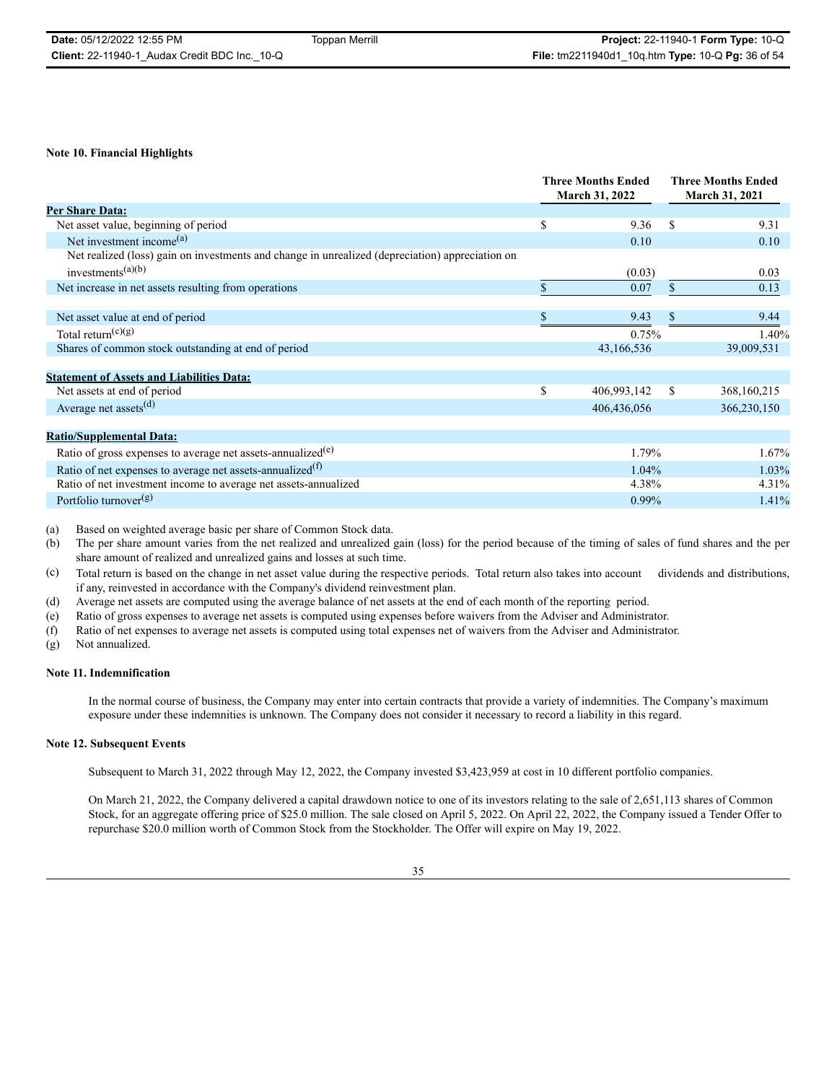### **Note 10. Financial Highlights**

|                                                                                                 |    | <b>Three Months Ended</b><br>March 31, 2022 |             | <b>Three Months Ended</b><br>March 31, 2021 |
|-------------------------------------------------------------------------------------------------|----|---------------------------------------------|-------------|---------------------------------------------|
| <b>Per Share Data:</b>                                                                          |    |                                             |             |                                             |
| Net asset value, beginning of period                                                            | \$ | 9.36                                        | \$.         | 9.31                                        |
| Net investment income $(a)$                                                                     |    | 0.10                                        |             | 0.10                                        |
| Net realized (loss) gain on investments and change in unrealized (depreciation) appreciation on |    |                                             |             |                                             |
| investments $(a)(b)$                                                                            |    | (0.03)                                      |             | 0.03                                        |
| Net increase in net assets resulting from operations                                            |    | 0.07                                        |             | 0.13                                        |
|                                                                                                 |    |                                             |             |                                             |
| Net asset value at end of period                                                                |    | 9.43                                        | $\mathbf S$ | 9.44                                        |
| Total return <sup>(c)(g)</sup>                                                                  |    | 0.75%                                       |             | 1.40%                                       |
| Shares of common stock outstanding at end of period                                             |    | 43,166,536                                  |             | 39,009,531                                  |
| <b>Statement of Assets and Liabilities Data:</b>                                                |    |                                             |             |                                             |
|                                                                                                 | S  | 406,993,142                                 | -S          | 368,160,215                                 |
| Net assets at end of period                                                                     |    |                                             |             |                                             |
| Average net assets $(d)$                                                                        |    | 406,436,056                                 |             | 366,230,150                                 |
| <b>Ratio/Supplemental Data:</b>                                                                 |    |                                             |             |                                             |
| Ratio of gross expenses to average net assets-annualized <sup>(e)</sup>                         |    | 1.79%                                       |             | 1.67%                                       |
| Ratio of net expenses to average net assets-annualized $(1)$                                    |    | $1.04\%$                                    |             | 1.03%                                       |
| Ratio of net investment income to average net assets-annualized                                 |    | 4.38%                                       |             | 4.31%                                       |
| Portfolio turnover $(g)$                                                                        |    | $0.99\%$                                    |             | 1.41%                                       |

(a) Based on weighted average basic per share of Common Stock data.

(b) The per share amount varies from the net realized and unrealized gain (loss) for the period because of the timing of sales of fund shares and the per share amount of realized and unrealized gains and losses at such time.

(c) Total return is based on the change in net asset value during the respective periods. Total return also takes into account dividends and distributions, if any, reinvested in accordance with the Company's dividend reinvestment plan.

(d) Average net assets are computed using the average balance of net assets at the end of each month of the reporting period.

(e) Ratio of gross expenses to average net assets is computed using expenses before waivers from the Adviser and Administrator.

(f) Ratio of net expenses to average net assets is computed using total expenses net of waivers from the Adviser and Administrator.

(g) Not annualized.

### **Note 11. Indemnification**

In the normal course of business, the Company may enter into certain contracts that provide a variety of indemnities. The Company's maximum exposure under these indemnities is unknown. The Company does not consider it necessary to record a liability in this regard.

#### **Note 12. Subsequent Events**

Subsequent to March 31, 2022 through May 12, 2022, the Company invested \$3,423,959 at cost in 10 different portfolio companies.

On March 21, 2022, the Company delivered a capital drawdown notice to one of its investors relating to the sale of 2,651,113 shares of Common Stock, for an aggregate offering price of \$25.0 million. The sale closed on April 5, 2022. On April 22, 2022, the Company issued a Tender Offer to repurchase \$20.0 million worth of Common Stock from the Stockholder. The Offer will expire on May 19, 2022.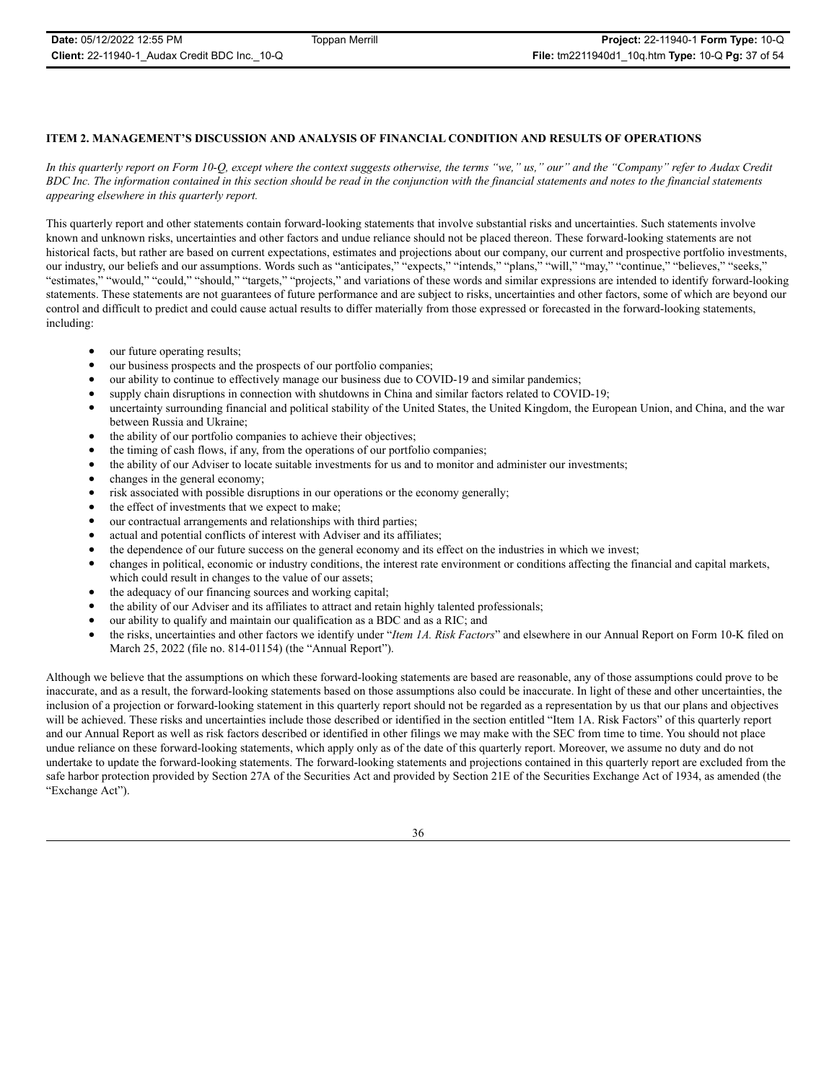# **ITEM 2. MANAGEMENT'S DISCUSSION AND ANALYSIS OF FINANCIAL CONDITION AND RESULTS OF OPERATIONS**

In this quarterly report on Form 10-Q, except where the context suggests otherwise, the terms "we," us," our" and the "Company" refer to Audax Credit BDC Inc. The information contained in this section should be read in the conjunction with the financial statements and notes to the financial statements *appearing elsewhere in this quarterly report.*

This quarterly report and other statements contain forward-looking statements that involve substantial risks and uncertainties. Such statements involve known and unknown risks, uncertainties and other factors and undue reliance should not be placed thereon. These forward-looking statements are not historical facts, but rather are based on current expectations, estimates and projections about our company, our current and prospective portfolio investments, our industry, our beliefs and our assumptions. Words such as "anticipates," "expects," "intends," "plans," "will," "may," "continue," "believes," "seeks," "estimates," "would," "could," "should," "targets," "projects," and variations of these words and similar expressions are intended to identify forward-looking statements. These statements are not guarantees of future performance and are subject to risks, uncertainties and other factors, some of which are beyond our control and difficult to predict and could cause actual results to differ materially from those expressed or forecasted in the forward-looking statements, including:

- our future operating results;
- our business prospects and the prospects of our portfolio companies;
- our ability to continue to effectively manage our business due to COVID-19 and similar pandemics;
- supply chain disruptions in connection with shutdowns in China and similar factors related to COVID-19;
- uncertainty surrounding financial and political stability of the United States, the United Kingdom, the European Union, and China, and the war between Russia and Ukraine;
- the ability of our portfolio companies to achieve their objectives;
- the timing of cash flows, if any, from the operations of our portfolio companies;
- the ability of our Adviser to locate suitable investments for us and to monitor and administer our investments;
- changes in the general economy;
- risk associated with possible disruptions in our operations or the economy generally;
- the effect of investments that we expect to make;
- our contractual arrangements and relationships with third parties;
- actual and potential conflicts of interest with Adviser and its affiliates;
- the dependence of our future success on the general economy and its effect on the industries in which we invest;
- changes in political, economic or industry conditions, the interest rate environment or conditions affecting the financial and capital markets, which could result in changes to the value of our assets;
- the adequacy of our financing sources and working capital;
- the ability of our Adviser and its affiliates to attract and retain highly talented professionals;
- our ability to qualify and maintain our qualification as a BDC and as a RIC; and
- the risks, uncertainties and other factors we identify under "*Item 1A. Risk Factors*" and elsewhere in our Annual Report on Form 10-K filed on March 25, 2022 (file no. 814-01154) (the "Annual Report").

Although we believe that the assumptions on which these forward-looking statements are based are reasonable, any of those assumptions could prove to be inaccurate, and as a result, the forward-looking statements based on those assumptions also could be inaccurate. In light of these and other uncertainties, the inclusion of a projection or forward-looking statement in this quarterly report should not be regarded as a representation by us that our plans and objectives will be achieved. These risks and uncertainties include those described or identified in the section entitled "Item 1A. Risk Factors" of this quarterly report and our Annual Report as well as risk factors described or identified in other filings we may make with the SEC from time to time. You should not place undue reliance on these forward-looking statements, which apply only as of the date of this quarterly report. Moreover, we assume no duty and do not undertake to update the forward-looking statements. The forward-looking statements and projections contained in this quarterly report are excluded from the safe harbor protection provided by Section 27A of the Securities Act and provided by Section 21E of the Securities Exchange Act of 1934, as amended (the "Exchange Act").

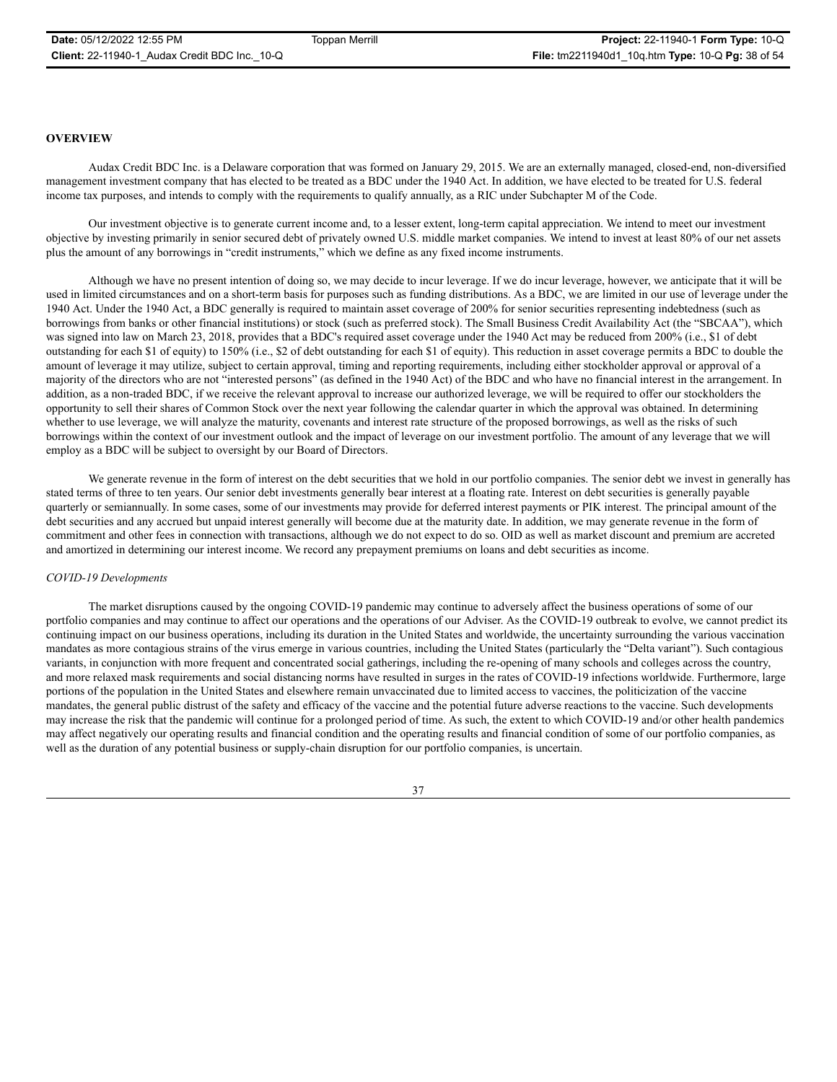### **OVERVIEW**

Audax Credit BDC Inc. is a Delaware corporation that was formed on January 29, 2015. We are an externally managed, closed-end, non-diversified management investment company that has elected to be treated as a BDC under the 1940 Act. In addition, we have elected to be treated for U.S. federal income tax purposes, and intends to comply with the requirements to qualify annually, as a RIC under Subchapter M of the Code.

Our investment objective is to generate current income and, to a lesser extent, long-term capital appreciation. We intend to meet our investment objective by investing primarily in senior secured debt of privately owned U.S. middle market companies. We intend to invest at least 80% of our net assets plus the amount of any borrowings in "credit instruments," which we define as any fixed income instruments.

Although we have no present intention of doing so, we may decide to incur leverage. If we do incur leverage, however, we anticipate that it will be used in limited circumstances and on a short-term basis for purposes such as funding distributions. As a BDC, we are limited in our use of leverage under the 1940 Act. Under the 1940 Act, a BDC generally is required to maintain asset coverage of 200% for senior securities representing indebtedness (such as borrowings from banks or other financial institutions) or stock (such as preferred stock). The Small Business Credit Availability Act (the "SBCAA"), which was signed into law on March 23, 2018, provides that a BDC's required asset coverage under the 1940 Act may be reduced from 200% (i.e., \$1 of debt outstanding for each \$1 of equity) to 150% (i.e., \$2 of debt outstanding for each \$1 of equity). This reduction in asset coverage permits a BDC to double the amount of leverage it may utilize, subject to certain approval, timing and reporting requirements, including either stockholder approval or approval of a majority of the directors who are not "interested persons" (as defined in the 1940 Act) of the BDC and who have no financial interest in the arrangement. In addition, as a non-traded BDC, if we receive the relevant approval to increase our authorized leverage, we will be required to offer our stockholders the opportunity to sell their shares of Common Stock over the next year following the calendar quarter in which the approval was obtained. In determining whether to use leverage, we will analyze the maturity, covenants and interest rate structure of the proposed borrowings, as well as the risks of such borrowings within the context of our investment outlook and the impact of leverage on our investment portfolio. The amount of any leverage that we will employ as a BDC will be subject to oversight by our Board of Directors.

We generate revenue in the form of interest on the debt securities that we hold in our portfolio companies. The senior debt we invest in generally has stated terms of three to ten years. Our senior debt investments generally bear interest at a floating rate. Interest on debt securities is generally payable quarterly or semiannually. In some cases, some of our investments may provide for deferred interest payments or PIK interest. The principal amount of the debt securities and any accrued but unpaid interest generally will become due at the maturity date. In addition, we may generate revenue in the form of commitment and other fees in connection with transactions, although we do not expect to do so. OID as well as market discount and premium are accreted and amortized in determining our interest income. We record any prepayment premiums on loans and debt securities as income.

#### *COVID-19 Developments*

The market disruptions caused by the ongoing COVID-19 pandemic may continue to adversely affect the business operations of some of our portfolio companies and may continue to affect our operations and the operations of our Adviser. As the COVID-19 outbreak to evolve, we cannot predict its continuing impact on our business operations, including its duration in the United States and worldwide, the uncertainty surrounding the various vaccination mandates as more contagious strains of the virus emerge in various countries, including the United States (particularly the "Delta variant"). Such contagious variants, in conjunction with more frequent and concentrated social gatherings, including the re-opening of many schools and colleges across the country, and more relaxed mask requirements and social distancing norms have resulted in surges in the rates of COVID-19 infections worldwide. Furthermore, large portions of the population in the United States and elsewhere remain unvaccinated due to limited access to vaccines, the politicization of the vaccine mandates, the general public distrust of the safety and efficacy of the vaccine and the potential future adverse reactions to the vaccine. Such developments may increase the risk that the pandemic will continue for a prolonged period of time. As such, the extent to which COVID-19 and/or other health pandemics may affect negatively our operating results and financial condition and the operating results and financial condition of some of our portfolio companies, as well as the duration of any potential business or supply-chain disruption for our portfolio companies, is uncertain.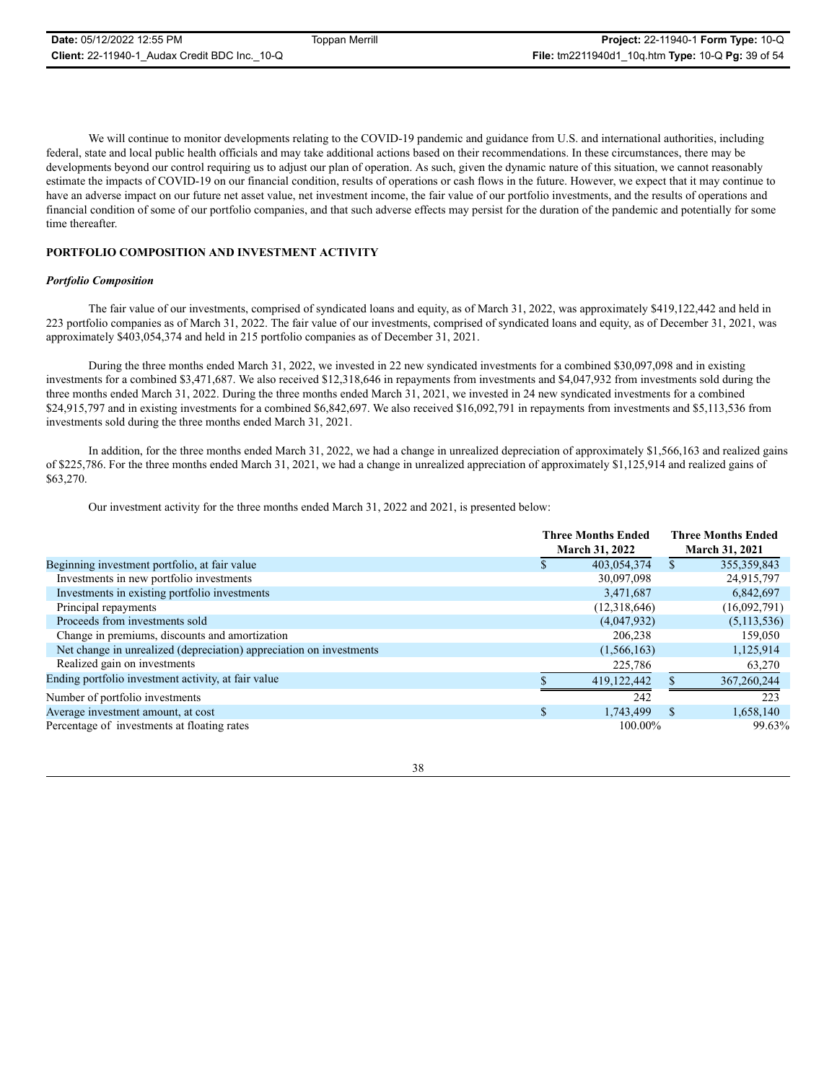We will continue to monitor developments relating to the COVID-19 pandemic and guidance from U.S. and international authorities, including federal, state and local public health officials and may take additional actions based on their recommendations. In these circumstances, there may be developments beyond our control requiring us to adjust our plan of operation. As such, given the dynamic nature of this situation, we cannot reasonably estimate the impacts of COVID-19 on our financial condition, results of operations or cash flows in the future. However, we expect that it may continue to have an adverse impact on our future net asset value, net investment income, the fair value of our portfolio investments, and the results of operations and financial condition of some of our portfolio companies, and that such adverse effects may persist for the duration of the pandemic and potentially for some time thereafter.

### **PORTFOLIO COMPOSITION AND INVESTMENT ACTIVITY**

#### *Portfolio Composition*

The fair value of our investments, comprised of syndicated loans and equity, as of March 31, 2022, was approximately \$419,122,442 and held in 223 portfolio companies as of March 31, 2022. The fair value of our investments, comprised of syndicated loans and equity, as of December 31, 2021, was approximately \$403,054,374 and held in 215 portfolio companies as of December 31, 2021.

During the three months ended March 31, 2022, we invested in 22 new syndicated investments for a combined \$30,097,098 and in existing investments for a combined \$3,471,687. We also received \$12,318,646 in repayments from investments and \$4,047,932 from investments sold during the three months ended March 31, 2022. During the three months ended March 31, 2021, we invested in 24 new syndicated investments for a combined \$24,915,797 and in existing investments for a combined \$6,842,697. We also received \$16,092,791 in repayments from investments and \$5,113,536 from investments sold during the three months ended March 31, 2021.

In addition, for the three months ended March 31, 2022, we had a change in unrealized depreciation of approximately \$1,566,163 and realized gains of \$225,786. For the three months ended March 31, 2021, we had a change in unrealized appreciation of approximately \$1,125,914 and realized gains of \$63,270.

Our investment activity for the three months ended March 31, 2022 and 2021, is presented below:

|                                                                     |     | <b>Three Months Ended</b><br><b>March 31, 2022</b> |    | <b>Three Months Ended</b><br><b>March 31, 2021</b> |
|---------------------------------------------------------------------|-----|----------------------------------------------------|----|----------------------------------------------------|
| Beginning investment portfolio, at fair value                       |     | 403,054,374                                        |    | 355, 359, 843                                      |
| Investments in new portfolio investments                            |     | 30,097,098                                         |    | 24,915,797                                         |
| Investments in existing portfolio investments                       |     | 3,471,687                                          |    | 6,842,697                                          |
| Principal repayments                                                |     | (12,318,646)                                       |    | (16,092,791)                                       |
| Proceeds from investments sold                                      |     | (4,047,932)                                        |    | (5,113,536)                                        |
| Change in premiums, discounts and amortization                      |     | 206.238                                            |    | 159,050                                            |
| Net change in unrealized (depreciation) appreciation on investments |     | (1, 566, 163)                                      |    | 1,125,914                                          |
| Realized gain on investments                                        |     | 225,786                                            |    | 63,270                                             |
| Ending portfolio investment activity, at fair value                 |     | 419,122,442                                        |    | 367,260,244                                        |
| Number of portfolio investments                                     |     | 242                                                |    | 223                                                |
| Average investment amount, at cost                                  | \$. | 1,743,499                                          | -S | 1,658,140                                          |
| Percentage of investments at floating rates                         |     | 100.00%                                            |    | 99.63%                                             |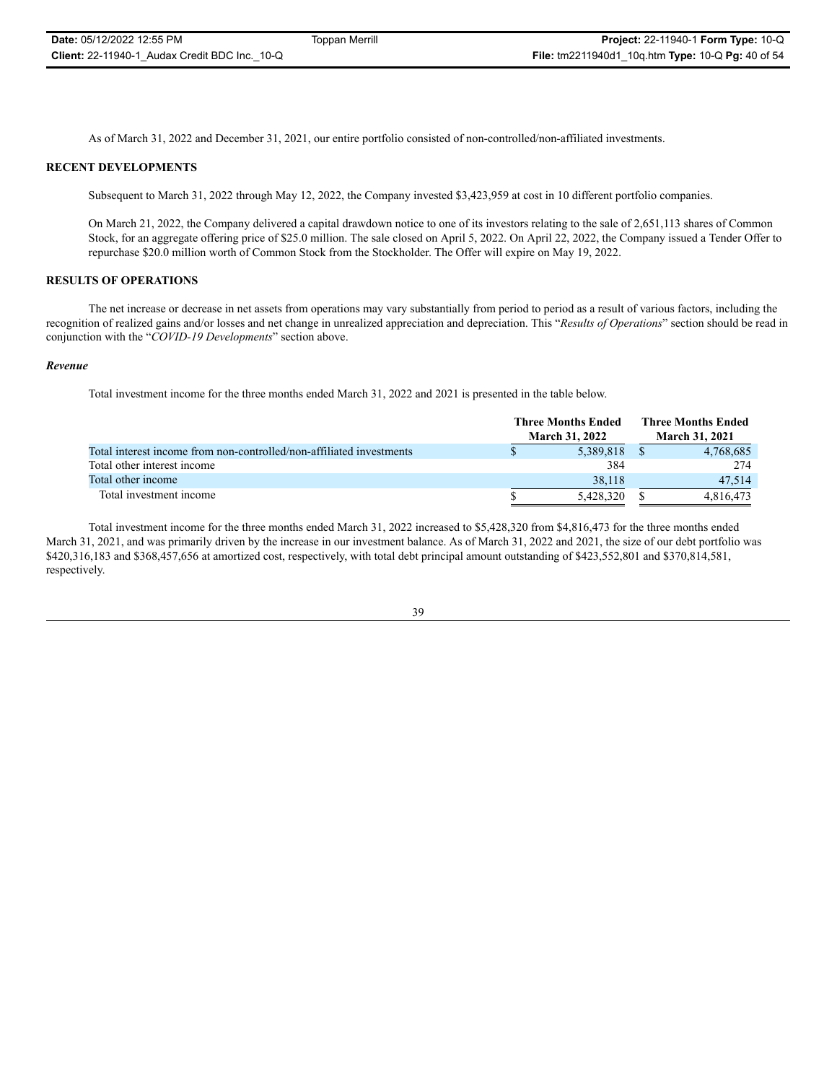As of March 31, 2022 and December 31, 2021, our entire portfolio consisted of non-controlled/non-affiliated investments.

### **RECENT DEVELOPMENTS**

Subsequent to March 31, 2022 through May 12, 2022, the Company invested \$3,423,959 at cost in 10 different portfolio companies.

On March 21, 2022, the Company delivered a capital drawdown notice to one of its investors relating to the sale of 2,651,113 shares of Common Stock, for an aggregate offering price of \$25.0 million. The sale closed on April 5, 2022. On April 22, 2022, the Company issued a Tender Offer to repurchase \$20.0 million worth of Common Stock from the Stockholder. The Offer will expire on May 19, 2022.

### **RESULTS OF OPERATIONS**

The net increase or decrease in net assets from operations may vary substantially from period to period as a result of various factors, including the recognition of realized gains and/or losses and net change in unrealized appreciation and depreciation. This "*Results of Operations*" section should be read in conjunction with the "*COVID-19 Developments*" section above.

#### *Revenue*

Total investment income for the three months ended March 31, 2022 and 2021 is presented in the table below.

|                                                                      | <b>Three Months Ended</b><br><b>March 31, 2022</b> | <b>Three Months Ended</b><br><b>March 31, 2021</b> |
|----------------------------------------------------------------------|----------------------------------------------------|----------------------------------------------------|
| Total interest income from non-controlled/non-affiliated investments | 5,389,818                                          | 4,768,685                                          |
| Total other interest income                                          | 384                                                | 274                                                |
| Total other income                                                   | 38.118                                             | 47.514                                             |
| Total investment income                                              | 5.428.320                                          | 4.816.473                                          |

Total investment income for the three months ended March 31, 2022 increased to \$5,428,320 from \$4,816,473 for the three months ended March 31, 2021, and was primarily driven by the increase in our investment balance. As of March 31, 2022 and 2021, the size of our debt portfolio was \$420,316,183 and \$368,457,656 at amortized cost, respectively, with total debt principal amount outstanding of \$423,552,801 and \$370,814,581, respectively.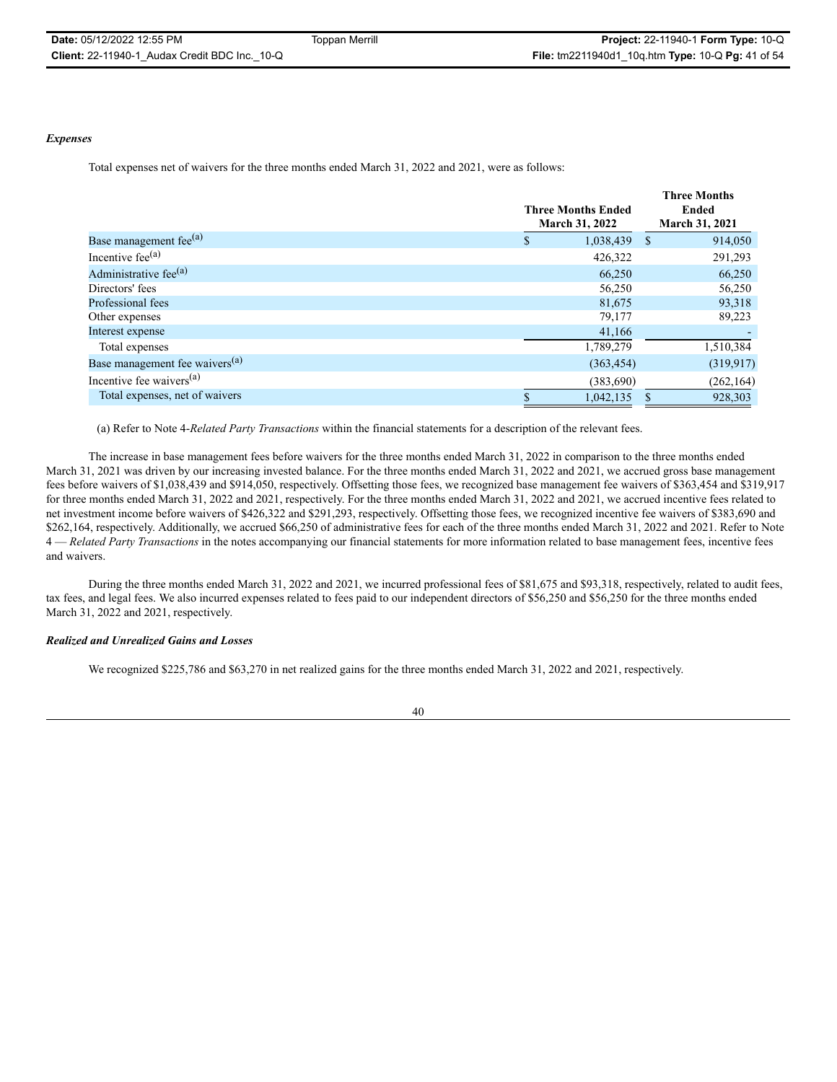### *Expenses*

Total expenses net of waivers for the three months ended March 31, 2022 and 2021, were as follows:

|                                            | <b>Three Months Ended</b><br><b>March 31, 2022</b> | <b>Three Months</b><br>Ended<br><b>March 31, 2021</b> |
|--------------------------------------------|----------------------------------------------------|-------------------------------------------------------|
| Base management fee <sup>(a)</sup>         | 1,038,439                                          | 914,050                                               |
| Incentive fee $(a)$                        | 426,322                                            | 291,293                                               |
| Administrative fee <sup>(a)</sup>          | 66,250                                             | 66,250                                                |
| Directors' fees                            | 56,250                                             | 56,250                                                |
| Professional fees                          | 81,675                                             | 93,318                                                |
| Other expenses                             | 79,177                                             | 89,223                                                |
| Interest expense                           | 41,166                                             |                                                       |
| Total expenses                             | 1,789,279                                          | 1,510,384                                             |
| Base management fee waivers <sup>(a)</sup> | (363, 454)                                         | (319, 917)                                            |
| Incentive fee waivers <sup>(a)</sup>       | (383,690)                                          | (262, 164)                                            |
| Total expenses, net of waivers             | 1,042,135                                          | 928,303                                               |

(a) Refer to Note 4-*Related Party Transactions* within the financial statements for a description of the relevant fees.

The increase in base management fees before waivers for the three months ended March 31, 2022 in comparison to the three months ended March 31, 2021 was driven by our increasing invested balance. For the three months ended March 31, 2022 and 2021, we accrued gross base management fees before waivers of \$1,038,439 and \$914,050, respectively. Offsetting those fees, we recognized base management fee waivers of \$363,454 and \$319,917 for three months ended March 31, 2022 and 2021, respectively. For the three months ended March 31, 2022 and 2021, we accrued incentive fees related to net investment income before waivers of \$426,322 and \$291,293, respectively. Offsetting those fees, we recognized incentive fee waivers of \$383,690 and \$262,164, respectively. Additionally, we accrued \$66,250 of administrative fees for each of the three months ended March 31, 2022 and 2021. Refer to Note 4 — *Related Party Transactions* in the notes accompanying our financial statements for more information related to base management fees, incentive fees and waivers.

During the three months ended March 31, 2022 and 2021, we incurred professional fees of \$81,675 and \$93,318, respectively, related to audit fees, tax fees, and legal fees. We also incurred expenses related to fees paid to our independent directors of \$56,250 and \$56,250 for the three months ended March 31, 2022 and 2021, respectively.

### *Realized and Unrealized Gains and Losses*

We recognized \$225,786 and \$63,270 in net realized gains for the three months ended March 31, 2022 and 2021, respectively.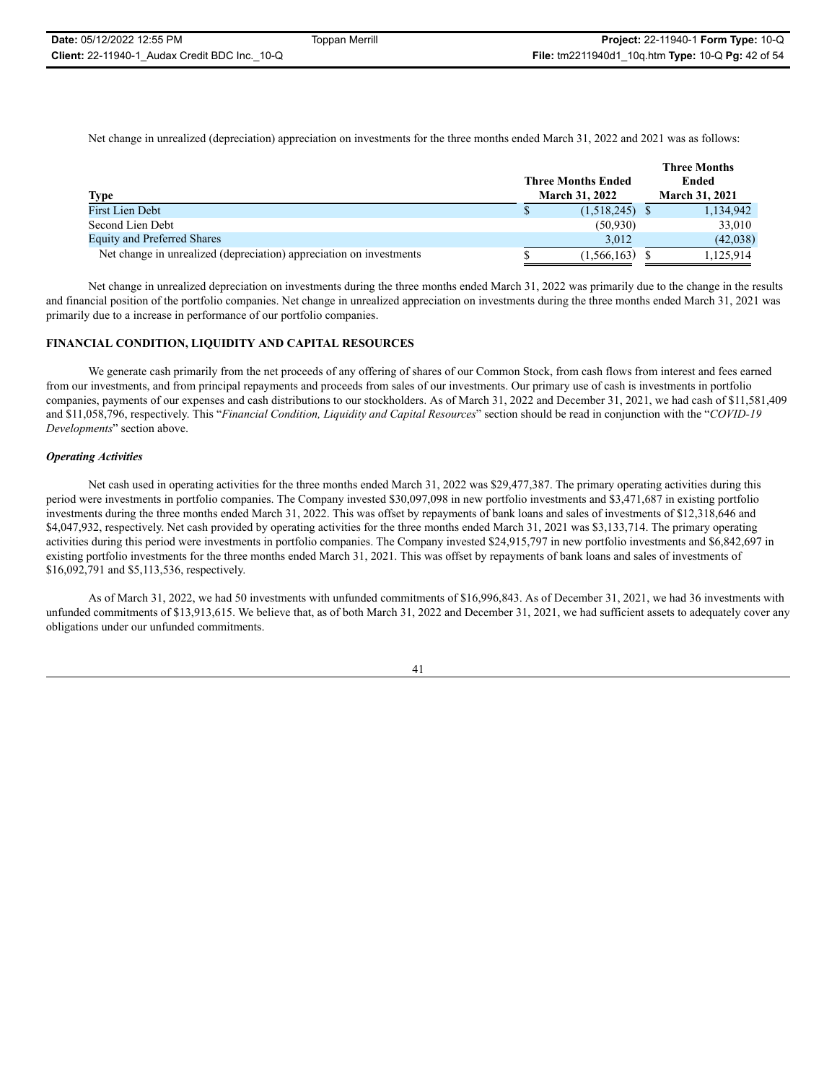Net change in unrealized (depreciation) appreciation on investments for the three months ended March 31, 2022 and 2021 was as follows:

|                                                                     |                           | <b>Three Months</b>   |
|---------------------------------------------------------------------|---------------------------|-----------------------|
|                                                                     | <b>Three Months Ended</b> | Ended                 |
| <b>Type</b>                                                         | <b>March 31, 2022</b>     | <b>March 31, 2021</b> |
| <b>First Lien Debt</b>                                              | $(1,518,245)$ \$          | 1,134,942             |
| Second Lien Debt                                                    | (50,930)                  | 33,010                |
| <b>Equity and Preferred Shares</b>                                  | 3.012                     | (42,038)              |
| Net change in unrealized (depreciation) appreciation on investments | (1, 566, 163)             | 1,125,914             |

Net change in unrealized depreciation on investments during the three months ended March 31, 2022 was primarily due to the change in the results and financial position of the portfolio companies. Net change in unrealized appreciation on investments during the three months ended March 31, 2021 was primarily due to a increase in performance of our portfolio companies.

### **FINANCIAL CONDITION, LIQUIDITY AND CAPITAL RESOURCES**

We generate cash primarily from the net proceeds of any offering of shares of our Common Stock, from cash flows from interest and fees earned from our investments, and from principal repayments and proceeds from sales of our investments. Our primary use of cash is investments in portfolio companies, payments of our expenses and cash distributions to our stockholders. As of March 31, 2022 and December 31, 2021, we had cash of \$11,581,409 and \$11,058,796, respectively. This "*Financial Condition, Liquidity and Capital Resources*" section should be read in conjunction with the "*COVID-19 Developments*" section above.

#### *Operating Activities*

Net cash used in operating activities for the three months ended March 31, 2022 was \$29,477,387. The primary operating activities during this period were investments in portfolio companies. The Company invested \$30,097,098 in new portfolio investments and \$3,471,687 in existing portfolio investments during the three months ended March 31, 2022. This was offset by repayments of bank loans and sales of investments of \$12,318,646 and \$4,047,932, respectively. Net cash provided by operating activities for the three months ended March 31, 2021 was \$3,133,714. The primary operating activities during this period were investments in portfolio companies. The Company invested \$24,915,797 in new portfolio investments and \$6,842,697 in existing portfolio investments for the three months ended March 31, 2021. This was offset by repayments of bank loans and sales of investments of \$16,092,791 and \$5,113,536, respectively.

As of March 31, 2022, we had 50 investments with unfunded commitments of \$16,996,843. As of December 31, 2021, we had 36 investments with unfunded commitments of \$13,913,615. We believe that, as of both March 31, 2022 and December 31, 2021, we had sufficient assets to adequately cover any obligations under our unfunded commitments.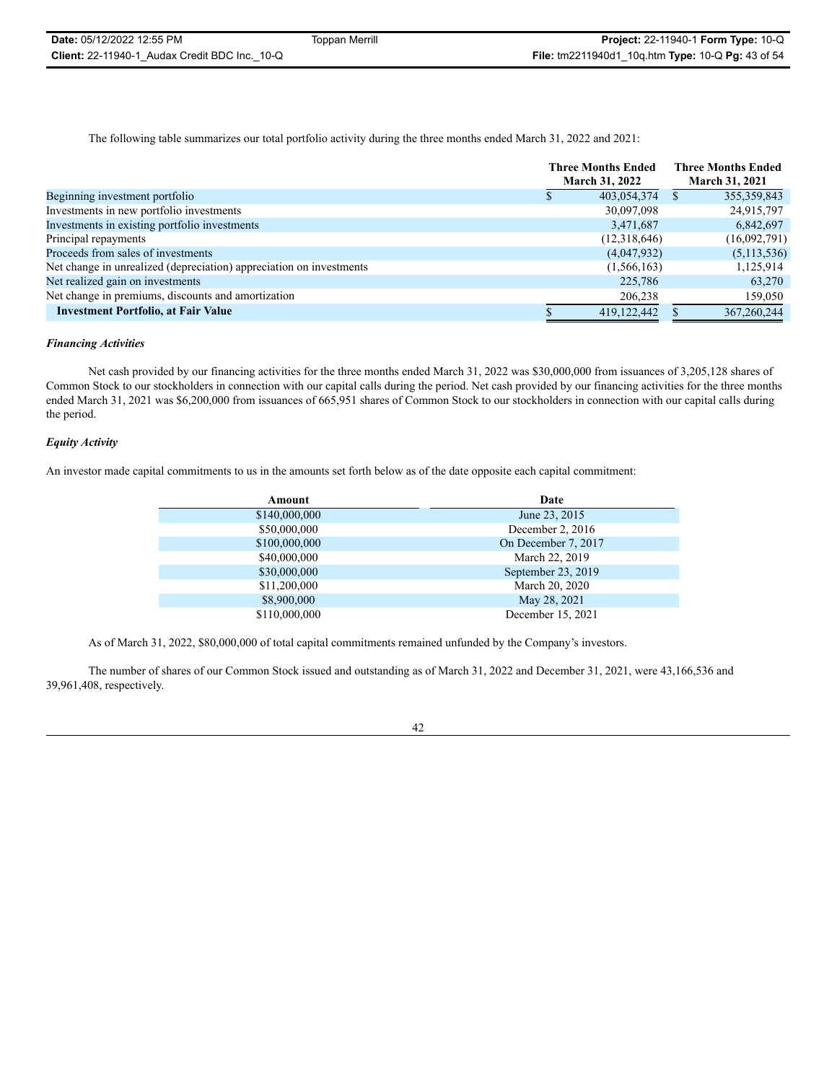The following table summarizes our total portfolio activity during the three months ended March 31, 2022 and 2021:

|                                                                     | <b>Three Months Ended</b><br><b>March 31, 2022</b> | <b>Three Months Ended</b><br><b>March 31, 2021</b> |
|---------------------------------------------------------------------|----------------------------------------------------|----------------------------------------------------|
| Beginning investment portfolio                                      | 403,054,374                                        | 355, 359, 843                                      |
| Investments in new portfolio investments                            | 30,097,098                                         | 24,915,797                                         |
| Investments in existing portfolio investments                       | 3,471,687                                          | 6,842,697                                          |
| Principal repayments                                                | (12,318,646)                                       | (16,092,791)                                       |
| Proceeds from sales of investments                                  | (4,047,932)                                        | (5,113,536)                                        |
| Net change in unrealized (depreciation) appreciation on investments | (1, 566, 163)                                      | 1,125,914                                          |
| Net realized gain on investments                                    | 225,786                                            | 63,270                                             |
| Net change in premiums, discounts and amortization                  | 206,238                                            | 159,050                                            |
| <b>Investment Portfolio, at Fair Value</b>                          | 419, 122, 442                                      | 367,260,244                                        |

### *Financing Activities*

Net cash provided by our financing activities for the three months ended March 31, 2022 was \$30,000,000 from issuances of 3,205,128 shares of Common Stock to our stockholders in connection with our capital calls during the period. Net cash provided by our financing activities for the three months ended March 31, 2021 was \$6,200,000 from issuances of 665,951 shares of Common Stock to our stockholders in connection with our capital calls during the period.

## *Equity Activity*

An investor made capital commitments to us in the amounts set forth below as of the date opposite each capital commitment:

| Amount        | Date                |
|---------------|---------------------|
| \$140,000,000 | June 23, 2015       |
| \$50,000,000  | December 2, $2016$  |
| \$100,000,000 | On December 7, 2017 |
| \$40,000,000  | March 22, 2019      |
| \$30,000,000  | September 23, 2019  |
| \$11,200,000  | March 20, 2020      |
| \$8,900,000   | May 28, 2021        |
| \$110,000,000 | December 15, 2021   |

As of March 31, 2022, \$80,000,000 of total capital commitments remained unfunded by the Company's investors.

The number of shares of our Common Stock issued and outstanding as of March 31, 2022 and December 31, 2021, were 43,166,536 and 39,961,408, respectively.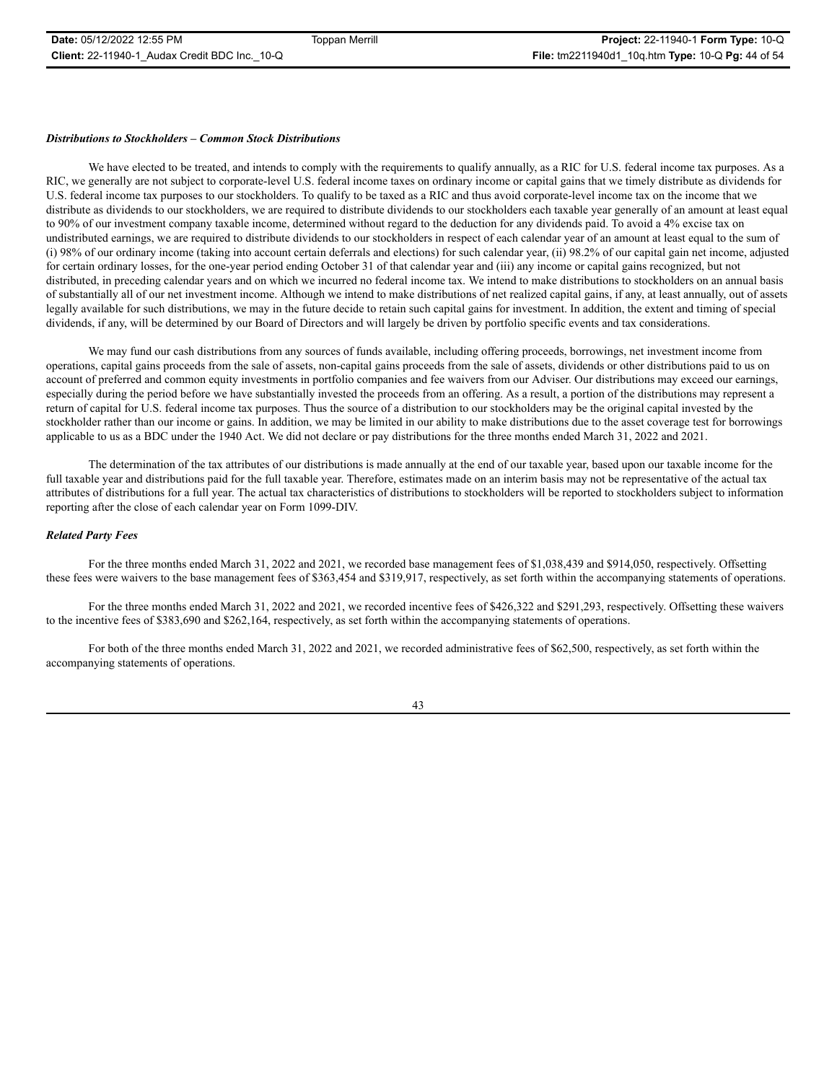#### *Distributions to Stockholders – Common Stock Distributions*

We have elected to be treated, and intends to comply with the requirements to qualify annually, as a RIC for U.S. federal income tax purposes. As a RIC, we generally are not subject to corporate-level U.S. federal income taxes on ordinary income or capital gains that we timely distribute as dividends for U.S. federal income tax purposes to our stockholders. To qualify to be taxed as a RIC and thus avoid corporate-level income tax on the income that we distribute as dividends to our stockholders, we are required to distribute dividends to our stockholders each taxable year generally of an amount at least equal to 90% of our investment company taxable income, determined without regard to the deduction for any dividends paid. To avoid a 4% excise tax on undistributed earnings, we are required to distribute dividends to our stockholders in respect of each calendar year of an amount at least equal to the sum of (i) 98% of our ordinary income (taking into account certain deferrals and elections) for such calendar year, (ii) 98.2% of our capital gain net income, adjusted for certain ordinary losses, for the one-year period ending October 31 of that calendar year and (iii) any income or capital gains recognized, but not distributed, in preceding calendar years and on which we incurred no federal income tax. We intend to make distributions to stockholders on an annual basis of substantially all of our net investment income. Although we intend to make distributions of net realized capital gains, if any, at least annually, out of assets legally available for such distributions, we may in the future decide to retain such capital gains for investment. In addition, the extent and timing of special dividends, if any, will be determined by our Board of Directors and will largely be driven by portfolio specific events and tax considerations.

We may fund our cash distributions from any sources of funds available, including offering proceeds, borrowings, net investment income from operations, capital gains proceeds from the sale of assets, non-capital gains proceeds from the sale of assets, dividends or other distributions paid to us on account of preferred and common equity investments in portfolio companies and fee waivers from our Adviser. Our distributions may exceed our earnings, especially during the period before we have substantially invested the proceeds from an offering. As a result, a portion of the distributions may represent a return of capital for U.S. federal income tax purposes. Thus the source of a distribution to our stockholders may be the original capital invested by the stockholder rather than our income or gains. In addition, we may be limited in our ability to make distributions due to the asset coverage test for borrowings applicable to us as a BDC under the 1940 Act. We did not declare or pay distributions for the three months ended March 31, 2022 and 2021.

The determination of the tax attributes of our distributions is made annually at the end of our taxable year, based upon our taxable income for the full taxable year and distributions paid for the full taxable year. Therefore, estimates made on an interim basis may not be representative of the actual tax attributes of distributions for a full year. The actual tax characteristics of distributions to stockholders will be reported to stockholders subject to information reporting after the close of each calendar year on Form 1099-DIV.

#### *Related Party Fees*

For the three months ended March 31, 2022 and 2021, we recorded base management fees of \$1,038,439 and \$914,050, respectively. Offsetting these fees were waivers to the base management fees of \$363,454 and \$319,917, respectively, as set forth within the accompanying statements of operations.

For the three months ended March 31, 2022 and 2021, we recorded incentive fees of \$426,322 and \$291,293, respectively. Offsetting these waivers to the incentive fees of \$383,690 and \$262,164, respectively, as set forth within the accompanying statements of operations.

For both of the three months ended March 31, 2022 and 2021, we recorded administrative fees of \$62,500, respectively, as set forth within the accompanying statements of operations.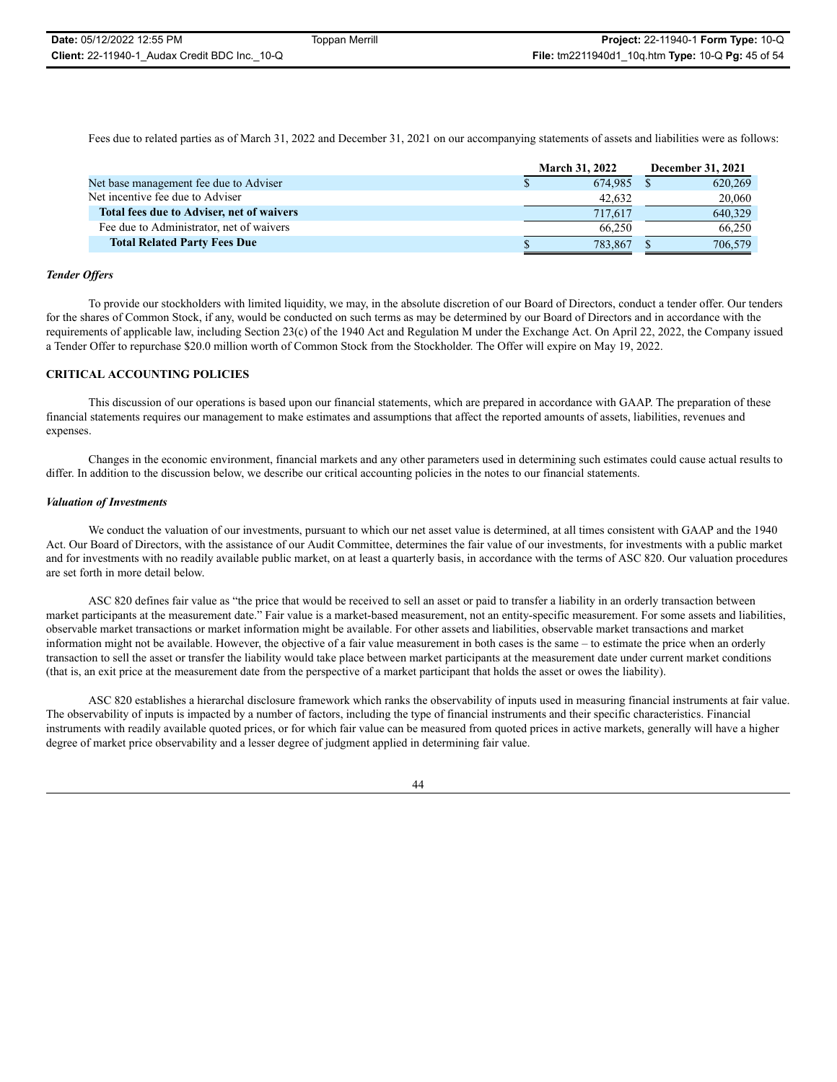Fees due to related parties as of March 31, 2022 and December 31, 2021 on our accompanying statements of assets and liabilities were as follows:

|                                           | <b>March 31, 2022</b> | December 31, 2021 |
|-------------------------------------------|-----------------------|-------------------|
| Net base management fee due to Adviser    | 674.985               | 620,269           |
| Net incentive fee due to Adviser          | 42,632                | 20,060            |
| Total fees due to Adviser, net of waivers | 717,617               | 640,329           |
| Fee due to Administrator, net of waivers  | 66,250                | 66,250            |
| <b>Total Related Party Fees Due</b>       | 783,867               | 706,579           |

#### *Tender Of ers*

To provide our stockholders with limited liquidity, we may, in the absolute discretion of our Board of Directors, conduct a tender offer. Our tenders for the shares of Common Stock, if any, would be conducted on such terms as may be determined by our Board of Directors and in accordance with the requirements of applicable law, including Section 23(c) of the 1940 Act and Regulation M under the Exchange Act. On April 22, 2022, the Company issued a Tender Offer to repurchase \$20.0 million worth of Common Stock from the Stockholder. The Offer will expire on May 19, 2022.

# **CRITICAL ACCOUNTING POLICIES**

This discussion of our operations is based upon our financial statements, which are prepared in accordance with GAAP. The preparation of these financial statements requires our management to make estimates and assumptions that affect the reported amounts of assets, liabilities, revenues and expenses.

Changes in the economic environment, financial markets and any other parameters used in determining such estimates could cause actual results to differ. In addition to the discussion below, we describe our critical accounting policies in the notes to our financial statements.

### *Valuation of Investments*

We conduct the valuation of our investments, pursuant to which our net asset value is determined, at all times consistent with GAAP and the 1940 Act. Our Board of Directors, with the assistance of our Audit Committee, determines the fair value of our investments, for investments with a public market and for investments with no readily available public market, on at least a quarterly basis, in accordance with the terms of ASC 820. Our valuation procedures are set forth in more detail below.

ASC 820 defines fair value as "the price that would be received to sell an asset or paid to transfer a liability in an orderly transaction between market participants at the measurement date." Fair value is a market-based measurement, not an entity-specific measurement. For some assets and liabilities, observable market transactions or market information might be available. For other assets and liabilities, observable market transactions and market information might not be available. However, the objective of a fair value measurement in both cases is the same – to estimate the price when an orderly transaction to sell the asset or transfer the liability would take place between market participants at the measurement date under current market conditions (that is, an exit price at the measurement date from the perspective of a market participant that holds the asset or owes the liability).

ASC 820 establishes a hierarchal disclosure framework which ranks the observability of inputs used in measuring financial instruments at fair value. The observability of inputs is impacted by a number of factors, including the type of financial instruments and their specific characteristics. Financial instruments with readily available quoted prices, or for which fair value can be measured from quoted prices in active markets, generally will have a higher degree of market price observability and a lesser degree of judgment applied in determining fair value.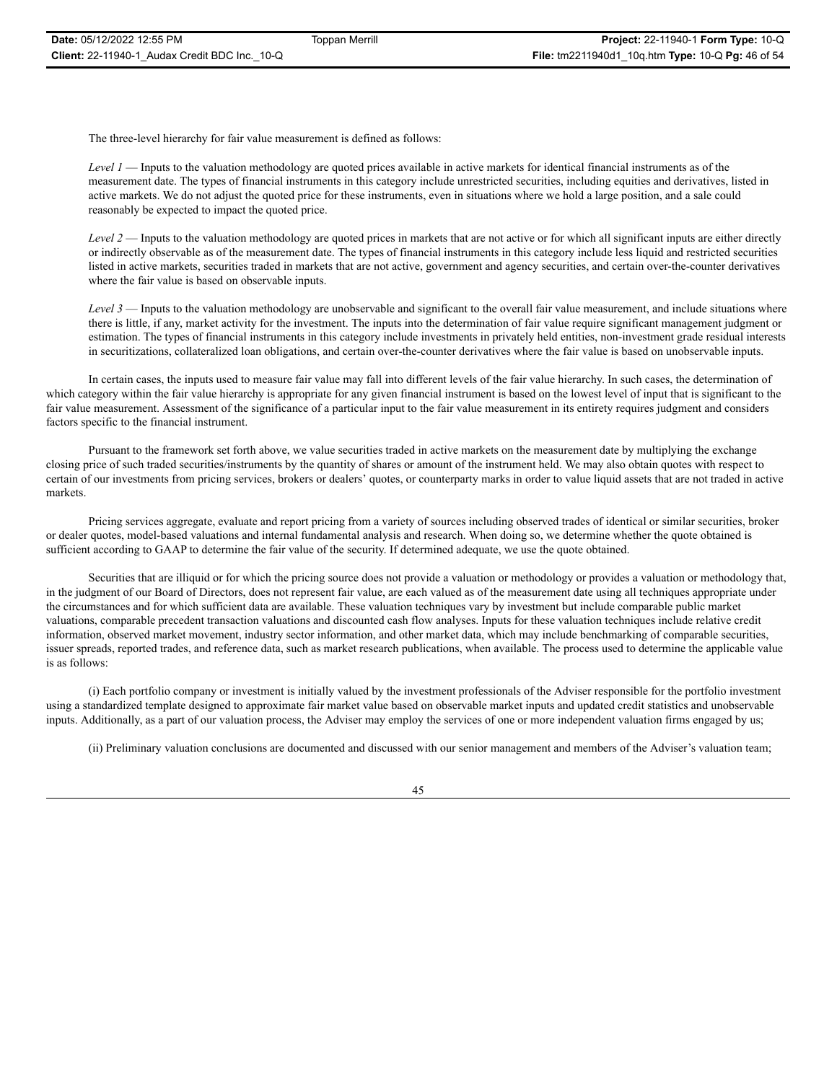The three-level hierarchy for fair value measurement is defined as follows:

*Level 1* — Inputs to the valuation methodology are quoted prices available in active markets for identical financial instruments as of the measurement date. The types of financial instruments in this category include unrestricted securities, including equities and derivatives, listed in active markets. We do not adjust the quoted price for these instruments, even in situations where we hold a large position, and a sale could reasonably be expected to impact the quoted price.

*Level* 2 — Inputs to the valuation methodology are quoted prices in markets that are not active or for which all significant inputs are either directly or indirectly observable as of the measurement date. The types of financial instruments in this category include less liquid and restricted securities listed in active markets, securities traded in markets that are not active, government and agency securities, and certain over-the-counter derivatives where the fair value is based on observable inputs.

Level 3 — Inputs to the valuation methodology are unobservable and significant to the overall fair value measurement, and include situations where there is little, if any, market activity for the investment. The inputs into the determination of fair value require significant management judgment or estimation. The types of financial instruments in this category include investments in privately held entities, non-investment grade residual interests in securitizations, collateralized loan obligations, and certain over-the-counter derivatives where the fair value is based on unobservable inputs.

In certain cases, the inputs used to measure fair value may fall into different levels of the fair value hierarchy. In such cases, the determination of which category within the fair value hierarchy is appropriate for any given financial instrument is based on the lowest level of input that is significant to the fair value measurement. Assessment of the significance of a particular input to the fair value measurement in its entirety requires judgment and considers factors specific to the financial instrument.

Pursuant to the framework set forth above, we value securities traded in active markets on the measurement date by multiplying the exchange closing price of such traded securities/instruments by the quantity of shares or amount of the instrument held. We may also obtain quotes with respect to certain of our investments from pricing services, brokers or dealers' quotes, or counterparty marks in order to value liquid assets that are not traded in active markets.

Pricing services aggregate, evaluate and report pricing from a variety of sources including observed trades of identical or similar securities, broker or dealer quotes, model-based valuations and internal fundamental analysis and research. When doing so, we determine whether the quote obtained is sufficient according to GAAP to determine the fair value of the security. If determined adequate, we use the quote obtained.

Securities that are illiquid or for which the pricing source does not provide a valuation or methodology or provides a valuation or methodology that, in the judgment of our Board of Directors, does not represent fair value, are each valued as of the measurement date using all techniques appropriate under the circumstances and for which sufficient data are available. These valuation techniques vary by investment but include comparable public market valuations, comparable precedent transaction valuations and discounted cash flow analyses. Inputs for these valuation techniques include relative credit information, observed market movement, industry sector information, and other market data, which may include benchmarking of comparable securities, issuer spreads, reported trades, and reference data, such as market research publications, when available. The process used to determine the applicable value is as follows:

(i) Each portfolio company or investment is initially valued by the investment professionals of the Adviser responsible for the portfolio investment using a standardized template designed to approximate fair market value based on observable market inputs and updated credit statistics and unobservable inputs. Additionally, as a part of our valuation process, the Adviser may employ the services of one or more independent valuation firms engaged by us;

(ii) Preliminary valuation conclusions are documented and discussed with our senior management and members of the Adviser's valuation team;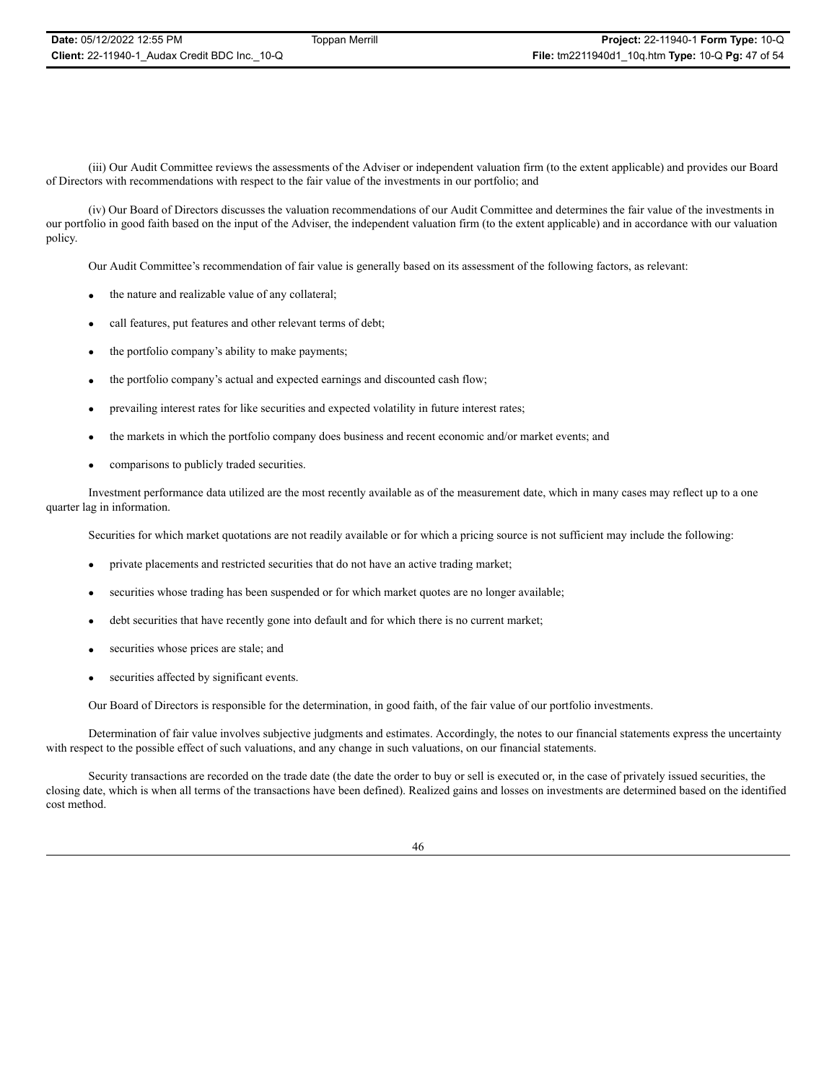(iii) Our Audit Committee reviews the assessments of the Adviser or independent valuation firm (to the extent applicable) and provides our Board of Directors with recommendations with respect to the fair value of the investments in our portfolio; and

(iv) Our Board of Directors discusses the valuation recommendations of our Audit Committee and determines the fair value of the investments in our portfolio in good faith based on the input of the Adviser, the independent valuation firm (to the extent applicable) and in accordance with our valuation policy.

Our Audit Committee's recommendation of fair value is generally based on its assessment of the following factors, as relevant:

- the nature and realizable value of any collateral;
- call features, put features and other relevant terms of debt;
- the portfolio company's ability to make payments;
- the portfolio company's actual and expected earnings and discounted cash flow;
- prevailing interest rates for like securities and expected volatility in future interest rates;
- the markets in which the portfolio company does business and recent economic and/or market events; and
- comparisons to publicly traded securities.

Investment performance data utilized are the most recently available as of the measurement date, which in many cases may reflect up to a one quarter lag in information.

Securities for which market quotations are not readily available or for which a pricing source is not sufficient may include the following:

- private placements and restricted securities that do not have an active trading market;
- securities whose trading has been suspended or for which market quotes are no longer available;
- debt securities that have recently gone into default and for which there is no current market;
- securities whose prices are stale; and
- securities affected by significant events.

Our Board of Directors is responsible for the determination, in good faith, of the fair value of our portfolio investments.

Determination of fair value involves subjective judgments and estimates. Accordingly, the notes to our financial statements express the uncertainty with respect to the possible effect of such valuations, and any change in such valuations, on our financial statements.

Security transactions are recorded on the trade date (the date the order to buy or sell is executed or, in the case of privately issued securities, the closing date, which is when all terms of the transactions have been defined). Realized gains and losses on investments are determined based on the identified cost method.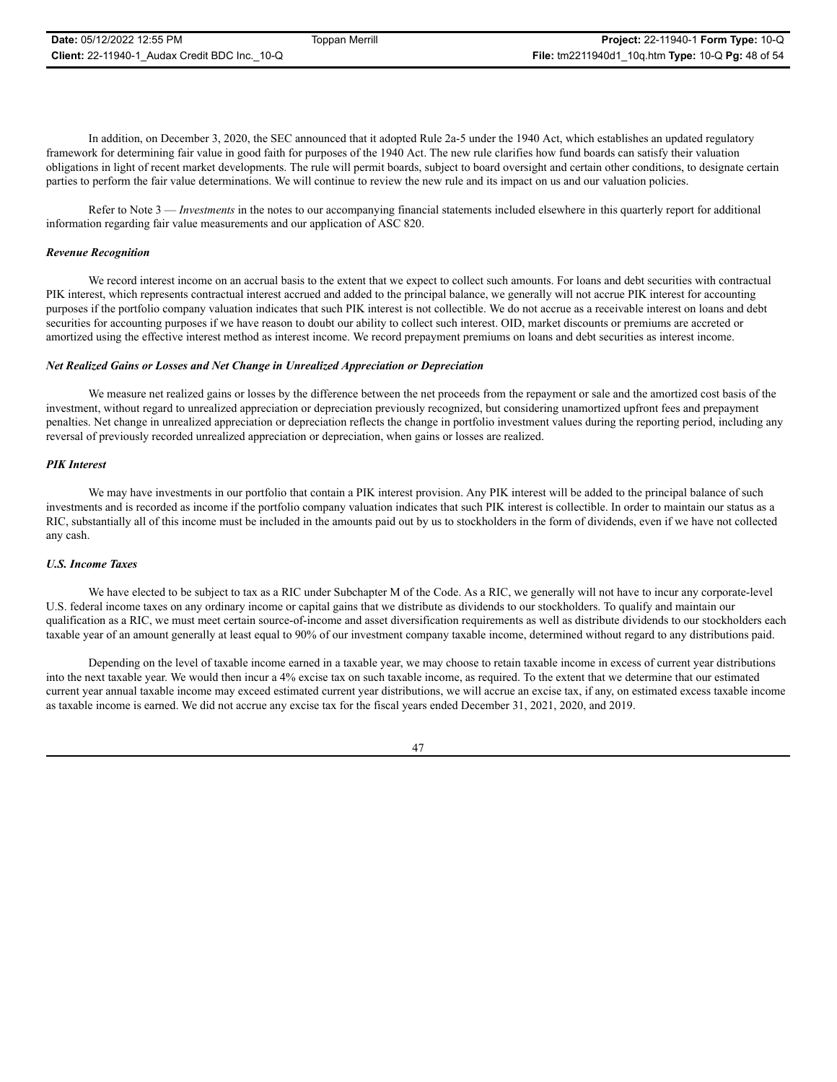In addition, on December 3, 2020, the SEC announced that it adopted Rule 2a-5 under the 1940 Act, which establishes an updated regulatory framework for determining fair value in good faith for purposes of the 1940 Act. The new rule clarifies how fund boards can satisfy their valuation obligations in light of recent market developments. The rule will permit boards, subject to board oversight and certain other conditions, to designate certain parties to perform the fair value determinations. We will continue to review the new rule and its impact on us and our valuation policies.

Refer to Note 3 — *Investments* in the notes to our accompanying financial statements included elsewhere in this quarterly report for additional information regarding fair value measurements and our application of ASC 820.

### *Revenue Recognition*

We record interest income on an accrual basis to the extent that we expect to collect such amounts. For loans and debt securities with contractual PIK interest, which represents contractual interest accrued and added to the principal balance, we generally will not accrue PIK interest for accounting purposes if the portfolio company valuation indicates that such PIK interest is not collectible. We do not accrue as a receivable interest on loans and debt securities for accounting purposes if we have reason to doubt our ability to collect such interest. OID, market discounts or premiums are accreted or amortized using the effective interest method as interest income. We record prepayment premiums on loans and debt securities as interest income.

#### *Net Realized Gains or Losses and Net Change in Unrealized Appreciation or Depreciation*

We measure net realized gains or losses by the difference between the net proceeds from the repayment or sale and the amortized cost basis of the investment, without regard to unrealized appreciation or depreciation previously recognized, but considering unamortized upfront fees and prepayment penalties. Net change in unrealized appreciation or depreciation reflects the change in portfolio investment values during the reporting period, including any reversal of previously recorded unrealized appreciation or depreciation, when gains or losses are realized.

#### *PIK Interest*

We may have investments in our portfolio that contain a PIK interest provision. Any PIK interest will be added to the principal balance of such investments and is recorded as income if the portfolio company valuation indicates that such PIK interest is collectible. In order to maintain our status as a RIC, substantially all of this income must be included in the amounts paid out by us to stockholders in the form of dividends, even if we have not collected any cash.

### *U.S. Income Taxes*

We have elected to be subject to tax as a RIC under Subchapter M of the Code. As a RIC, we generally will not have to incur any corporate-level U.S. federal income taxes on any ordinary income or capital gains that we distribute as dividends to our stockholders. To qualify and maintain our qualification as a RIC, we must meet certain source-of-income and asset diversification requirements as well as distribute dividends to our stockholders each taxable year of an amount generally at least equal to 90% of our investment company taxable income, determined without regard to any distributions paid.

Depending on the level of taxable income earned in a taxable year, we may choose to retain taxable income in excess of current year distributions into the next taxable year. We would then incur a 4% excise tax on such taxable income, as required. To the extent that we determine that our estimated current year annual taxable income may exceed estimated current year distributions, we will accrue an excise tax, if any, on estimated excess taxable income as taxable income is earned. We did not accrue any excise tax for the fiscal years ended December 31, 2021, 2020, and 2019.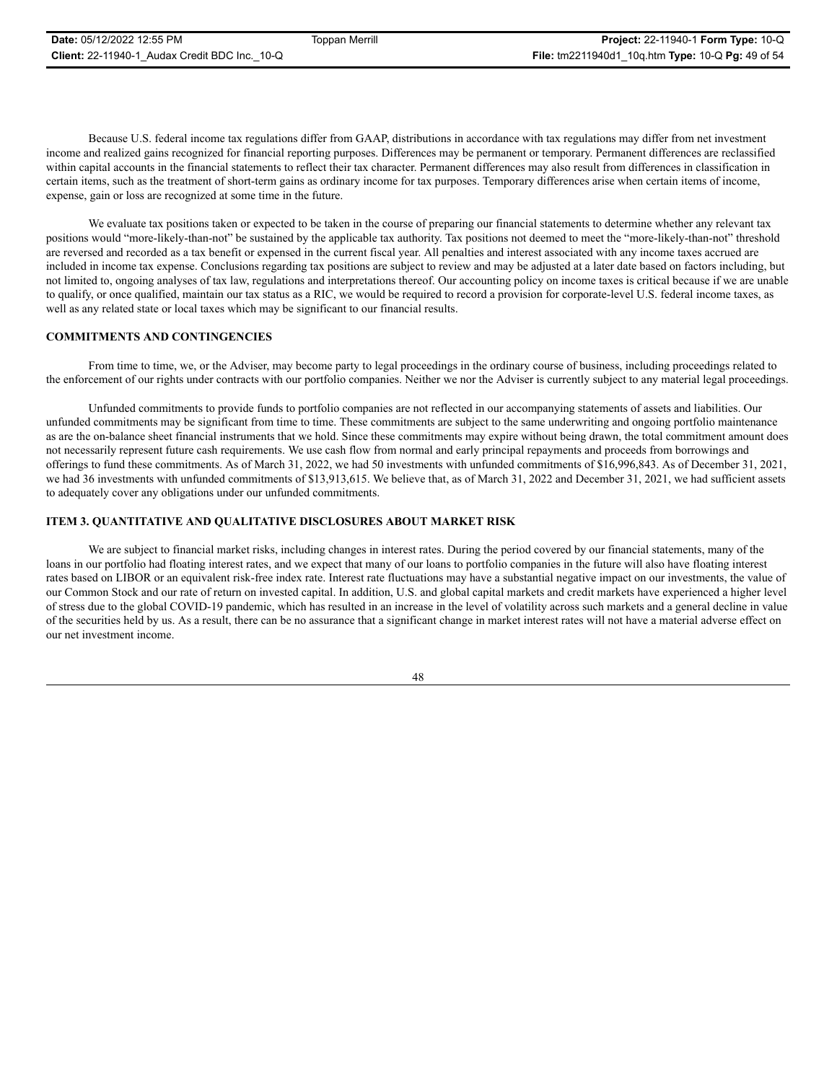Because U.S. federal income tax regulations differ from GAAP, distributions in accordance with tax regulations may differ from net investment income and realized gains recognized for financial reporting purposes. Differences may be permanent or temporary. Permanent differences are reclassified within capital accounts in the financial statements to reflect their tax character. Permanent differences may also result from differences in classification in certain items, such as the treatment of short-term gains as ordinary income for tax purposes. Temporary differences arise when certain items of income, expense, gain or loss are recognized at some time in the future.

We evaluate tax positions taken or expected to be taken in the course of preparing our financial statements to determine whether any relevant tax positions would "more-likely-than-not" be sustained by the applicable tax authority. Tax positions not deemed to meet the "more-likely-than-not" threshold are reversed and recorded as a tax benefit or expensed in the current fiscal year. All penalties and interest associated with any income taxes accrued are included in income tax expense. Conclusions regarding tax positions are subject to review and may be adjusted at a later date based on factors including, but not limited to, ongoing analyses of tax law, regulations and interpretations thereof. Our accounting policy on income taxes is critical because if we are unable to qualify, or once qualified, maintain our tax status as a RIC, we would be required to record a provision for corporate-level U.S. federal income taxes, as well as any related state or local taxes which may be significant to our financial results.

### **COMMITMENTS AND CONTINGENCIES**

From time to time, we, or the Adviser, may become party to legal proceedings in the ordinary course of business, including proceedings related to the enforcement of our rights under contracts with our portfolio companies. Neither we nor the Adviser is currently subject to any material legal proceedings.

Unfunded commitments to provide funds to portfolio companies are not reflected in our accompanying statements of assets and liabilities. Our unfunded commitments may be significant from time to time. These commitments are subject to the same underwriting and ongoing portfolio maintenance as are the on-balance sheet financial instruments that we hold. Since these commitments may expire without being drawn, the total commitment amount does not necessarily represent future cash requirements. We use cash flow from normal and early principal repayments and proceeds from borrowings and offerings to fund these commitments. As of March 31, 2022, we had 50 investments with unfunded commitments of \$16,996,843. As of December 31, 2021, we had 36 investments with unfunded commitments of \$13,913,615. We believe that, as of March 31, 2022 and December 31, 2021, we had sufficient assets to adequately cover any obligations under our unfunded commitments.

### **ITEM 3. QUANTITATIVE AND QUALITATIVE DISCLOSURES ABOUT MARKET RISK**

We are subject to financial market risks, including changes in interest rates. During the period covered by our financial statements, many of the loans in our portfolio had floating interest rates, and we expect that many of our loans to portfolio companies in the future will also have floating interest rates based on LIBOR or an equivalent risk-free index rate. Interest rate fluctuations may have a substantial negative impact on our investments, the value of our Common Stock and our rate of return on invested capital. In addition, U.S. and global capital markets and credit markets have experienced a higher level of stress due to the global COVID-19 pandemic, which has resulted in an increase in the level of volatility across such markets and a general decline in value of the securities held by us. As a result, there can be no assurance that a significant change in market interest rates will not have a material adverse effect on our net investment income.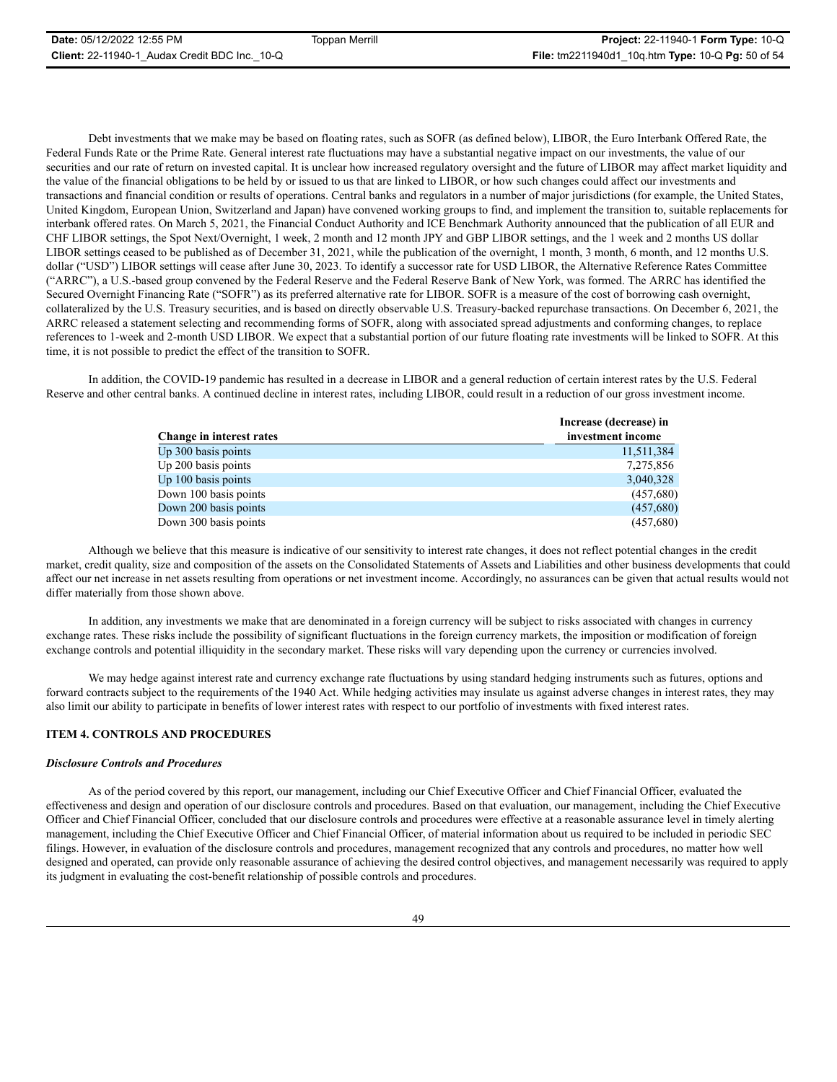Debt investments that we make may be based on floating rates, such as SOFR (as defined below), LIBOR, the Euro Interbank Offered Rate, the Federal Funds Rate or the Prime Rate. General interest rate fluctuations may have a substantial negative impact on our investments, the value of our securities and our rate of return on invested capital. It is unclear how increased regulatory oversight and the future of LIBOR may affect market liquidity and the value of the financial obligations to be held by or issued to us that are linked to LIBOR, or how such changes could affect our investments and transactions and financial condition or results of operations. Central banks and regulators in a number of major jurisdictions (for example, the United States, United Kingdom, European Union, Switzerland and Japan) have convened working groups to find, and implement the transition to, suitable replacements for interbank offered rates. On March 5, 2021, the Financial Conduct Authority and ICE Benchmark Authority announced that the publication of all EUR and CHF LIBOR settings, the Spot Next/Overnight, 1 week, 2 month and 12 month JPY and GBP LIBOR settings, and the 1 week and 2 months US dollar LIBOR settings ceased to be published as of December 31, 2021, while the publication of the overnight, 1 month, 3 month, 6 month, and 12 months U.S. dollar ("USD") LIBOR settings will cease after June 30, 2023. To identify a successor rate for USD LIBOR, the Alternative Reference Rates Committee ("ARRC"), a U.S.-based group convened by the Federal Reserve and the Federal Reserve Bank of New York, was formed. The ARRC has identified the Secured Overnight Financing Rate ("SOFR") as its preferred alternative rate for LIBOR. SOFR is a measure of the cost of borrowing cash overnight, collateralized by the U.S. Treasury securities, and is based on directly observable U.S. Treasury-backed repurchase transactions. On December 6, 2021, the ARRC released a statement selecting and recommending forms of SOFR, along with associated spread adjustments and conforming changes, to replace references to 1-week and 2-month USD LIBOR. We expect that a substantial portion of our future floating rate investments will be linked to SOFR. At this time, it is not possible to predict the effect of the transition to SOFR.

In addition, the COVID-19 pandemic has resulted in a decrease in LIBOR and a general reduction of certain interest rates by the U.S. Federal Reserve and other central banks. A continued decline in interest rates, including LIBOR, could result in a reduction of our gross investment income.

| Change in interest rates | Increase (decrease) in<br>investment income |
|--------------------------|---------------------------------------------|
| $Up$ 300 basis points    | 11,511,384                                  |
| Up 200 basis points      | 7,275,856                                   |
| Up $100$ basis points    | 3,040,328                                   |
| Down 100 basis points    | (457,680)                                   |
| Down 200 basis points    | (457,680)                                   |
| Down 300 basis points    | (457,680)                                   |

Although we believe that this measure is indicative of our sensitivity to interest rate changes, it does not reflect potential changes in the credit market, credit quality, size and composition of the assets on the Consolidated Statements of Assets and Liabilities and other business developments that could affect our net increase in net assets resulting from operations or net investment income. Accordingly, no assurances can be given that actual results would not differ materially from those shown above.

In addition, any investments we make that are denominated in a foreign currency will be subject to risks associated with changes in currency exchange rates. These risks include the possibility of significant fluctuations in the foreign currency markets, the imposition or modification of foreign exchange controls and potential illiquidity in the secondary market. These risks will vary depending upon the currency or currencies involved.

We may hedge against interest rate and currency exchange rate fluctuations by using standard hedging instruments such as futures, options and forward contracts subject to the requirements of the 1940 Act. While hedging activities may insulate us against adverse changes in interest rates, they may also limit our ability to participate in benefits of lower interest rates with respect to our portfolio of investments with fixed interest rates.

# **ITEM 4. CONTROLS AND PROCEDURES**

#### *Disclosure Controls and Procedures*

As of the period covered by this report, our management, including our Chief Executive Officer and Chief Financial Officer, evaluated the effectiveness and design and operation of our disclosure controls and procedures. Based on that evaluation, our management, including the Chief Executive Officer and Chief Financial Officer, concluded that our disclosure controls and procedures were effective at a reasonable assurance level in timely alerting management, including the Chief Executive Officer and Chief Financial Officer, of material information about us required to be included in periodic SEC filings. However, in evaluation of the disclosure controls and procedures, management recognized that any controls and procedures, no matter how well designed and operated, can provide only reasonable assurance of achieving the desired control objectives, and management necessarily was required to apply its judgment in evaluating the cost-benefit relationship of possible controls and procedures.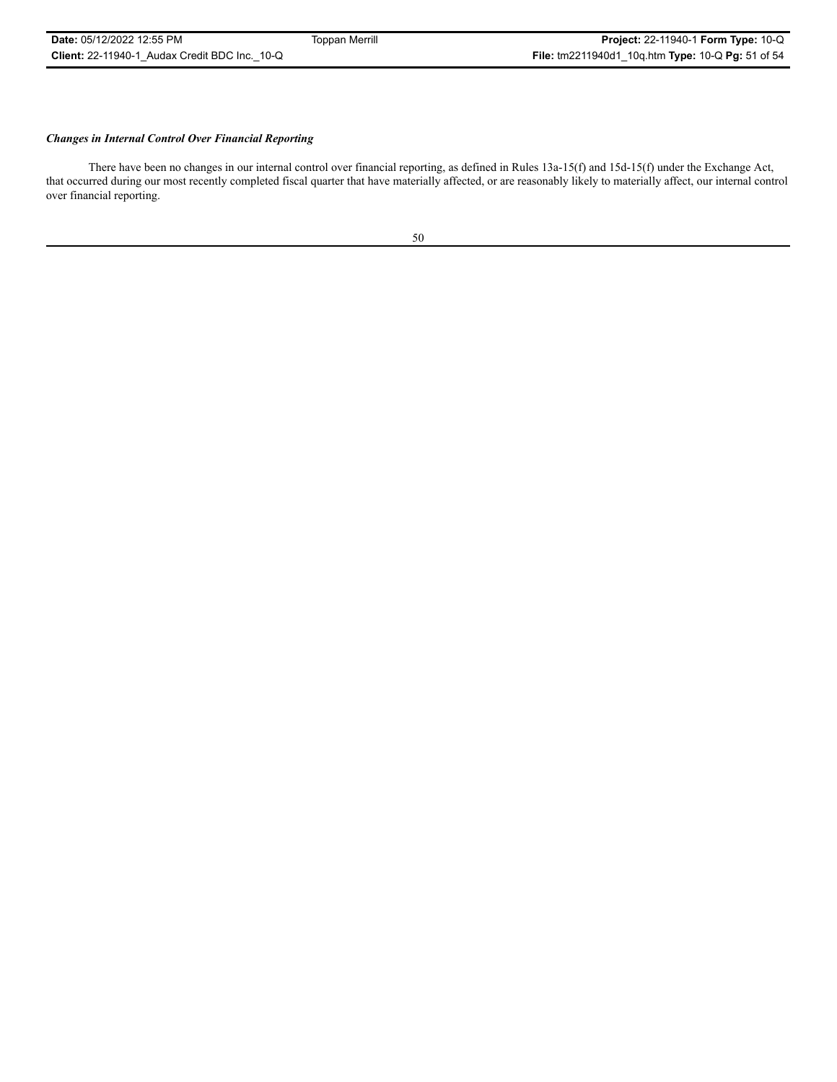# *Changes in Internal Control Over Financial Reporting*

There have been no changes in our internal control over financial reporting, as defined in Rules 13a-15(f) and 15d-15(f) under the Exchange Act, that occurred during our most recently completed fiscal quarter that have materially affected, or are reasonably likely to materially affect, our internal control over financial reporting.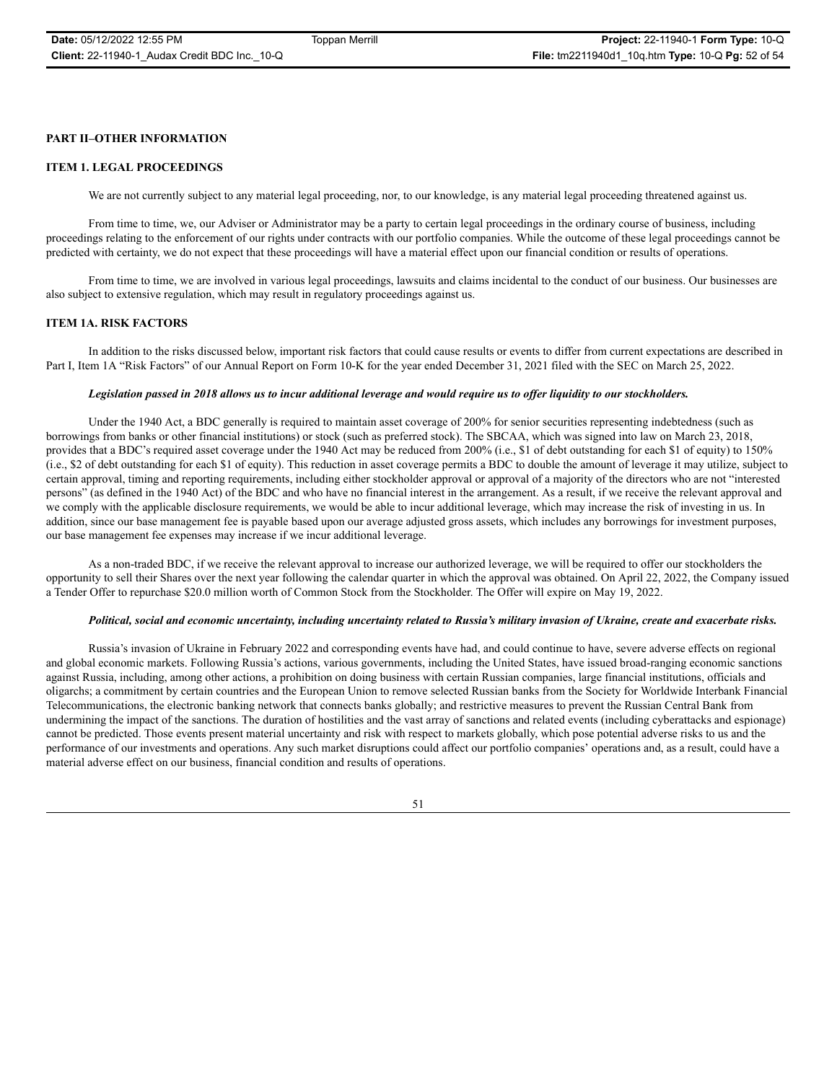### **PART II–OTHER INFORMATION**

### **ITEM 1. LEGAL PROCEEDINGS**

We are not currently subject to any material legal proceeding, nor, to our knowledge, is any material legal proceeding threatened against us.

From time to time, we, our Adviser or Administrator may be a party to certain legal proceedings in the ordinary course of business, including proceedings relating to the enforcement of our rights under contracts with our portfolio companies. While the outcome of these legal proceedings cannot be predicted with certainty, we do not expect that these proceedings will have a material effect upon our financial condition or results of operations.

From time to time, we are involved in various legal proceedings, lawsuits and claims incidental to the conduct of our business. Our businesses are also subject to extensive regulation, which may result in regulatory proceedings against us.

### **ITEM 1A. RISK FACTORS**

In addition to the risks discussed below, important risk factors that could cause results or events to differ from current expectations are described in Part I, Item 1A "Risk Factors" of our Annual Report on Form 10-K for the year ended December 31, 2021 filed with the SEC on March 25, 2022.

#### Legislation passed in 2018 allows us to incur additional leverage and would require us to offer liquidity to our stockholders.

Under the 1940 Act, a BDC generally is required to maintain asset coverage of 200% for senior securities representing indebtedness (such as borrowings from banks or other financial institutions) or stock (such as preferred stock). The SBCAA, which was signed into law on March 23, 2018, provides that a BDC's required asset coverage under the 1940 Act may be reduced from 200% (i.e., \$1 of debt outstanding for each \$1 of equity) to 150% (i.e., \$2 of debt outstanding for each \$1 of equity). This reduction in asset coverage permits a BDC to double the amount of leverage it may utilize, subject to certain approval, timing and reporting requirements, including either stockholder approval or approval of a majority of the directors who are not "interested persons" (as defined in the 1940 Act) of the BDC and who have no financial interest in the arrangement. As a result, if we receive the relevant approval and we comply with the applicable disclosure requirements, we would be able to incur additional leverage, which may increase the risk of investing in us. In addition, since our base management fee is payable based upon our average adjusted gross assets, which includes any borrowings for investment purposes, our base management fee expenses may increase if we incur additional leverage.

As a non-traded BDC, if we receive the relevant approval to increase our authorized leverage, we will be required to offer our stockholders the opportunity to sell their Shares over the next year following the calendar quarter in which the approval was obtained. On April 22, 2022, the Company issued a Tender Offer to repurchase \$20.0 million worth of Common Stock from the Stockholder. The Offer will expire on May 19, 2022.

#### Political, social and economic uncertainty, including uncertainty related to Russia's military invasion of Ukraine, create and exacerbate risks.

Russia's invasion of Ukraine in February 2022 and corresponding events have had, and could continue to have, severe adverse effects on regional and global economic markets. Following Russia's actions, various governments, including the United States, have issued broad-ranging economic sanctions against Russia, including, among other actions, a prohibition on doing business with certain Russian companies, large financial institutions, officials and oligarchs; a commitment by certain countries and the European Union to remove selected Russian banks from the Society for Worldwide Interbank Financial Telecommunications, the electronic banking network that connects banks globally; and restrictive measures to prevent the Russian Central Bank from undermining the impact of the sanctions. The duration of hostilities and the vast array of sanctions and related events (including cyberattacks and espionage) cannot be predicted. Those events present material uncertainty and risk with respect to markets globally, which pose potential adverse risks to us and the performance of our investments and operations. Any such market disruptions could affect our portfolio companies' operations and, as a result, could have a material adverse effect on our business, financial condition and results of operations.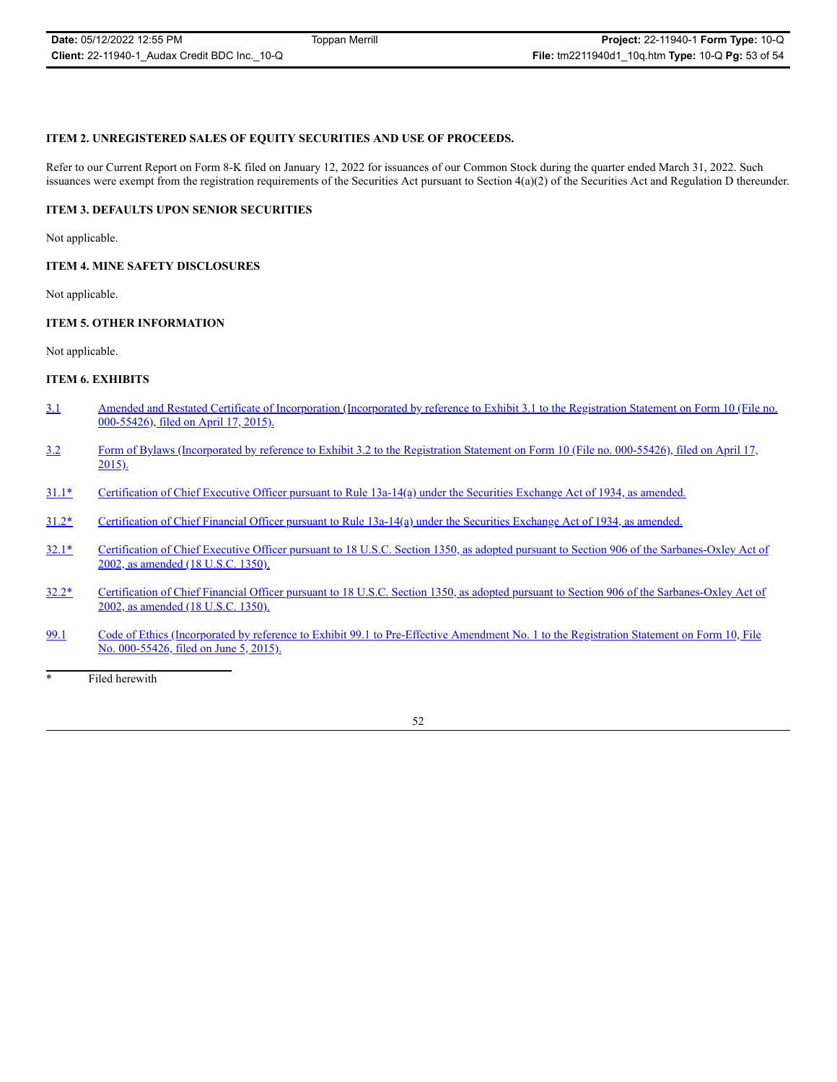# **ITEM 2. UNREGISTERED SALES OF EQUITY SECURITIES AND USE OF PROCEEDS.**

Refer to our Current Report on Form 8-K filed on January 12, 2022 for issuances of our Common Stock during the quarter ended March 31, 2022. Such issuances were exempt from the registration requirements of the Securities Act pursuant to Section 4(a)(2) of the Securities Act and Regulation D thereunder.

# **ITEM 3. DEFAULTS UPON SENIOR SECURITIES**

Not applicable.

### **ITEM 4. MINE SAFETY DISCLOSURES**

Not applicable.

# **ITEM 5. OTHER INFORMATION**

Not applicable.

### **ITEM 6. EXHIBITS**

- 3.1 Amended and Restated Certificate of Incorporation (Incorporated by reference to Exhibit 3.1 to the Registration Statement on Form 10 (File no. 000-55426), filed on April 17, 2015).
- 3.2 Form of Bylaws (Incorporated by reference to Exhibit 3.2 to the Registration Statement on Form 10 (File no. 000-55426), filed on April 17, 2015).
- 31.1\* Certification of Chief Executive Officer pursuant to Rule 13a-14(a) under the Securities Exchange Act of 1934, as amended.
- 31.2\* Certification of Chief Financial Officer pursuant to Rule 13a-14(a) under the Securities Exchange Act of 1934, as amended.
- 32.1\* Certification of Chief Executive Officer pursuant to 18 U.S.C. Section 1350, as adopted pursuant to Section 906 of the Sarbanes-Oxley Act of 2002, as amended (18 U.S.C. 1350).
- 32.2\* Certification of Chief Financial Officer pursuant to 18 U.S.C. Section 1350, as adopted pursuant to Section 906 of the Sarbanes-Oxley Act of 2002, as amended (18 U.S.C. 1350).
- 99.1 Code of Ethics (Incorporated by reference to Exhibit 99.1 to Pre-Effective Amendment No. 1 to the Registration Statement on Form 10, File No. 000-55426, filed on June 5, 2015).
- \* Filed herewith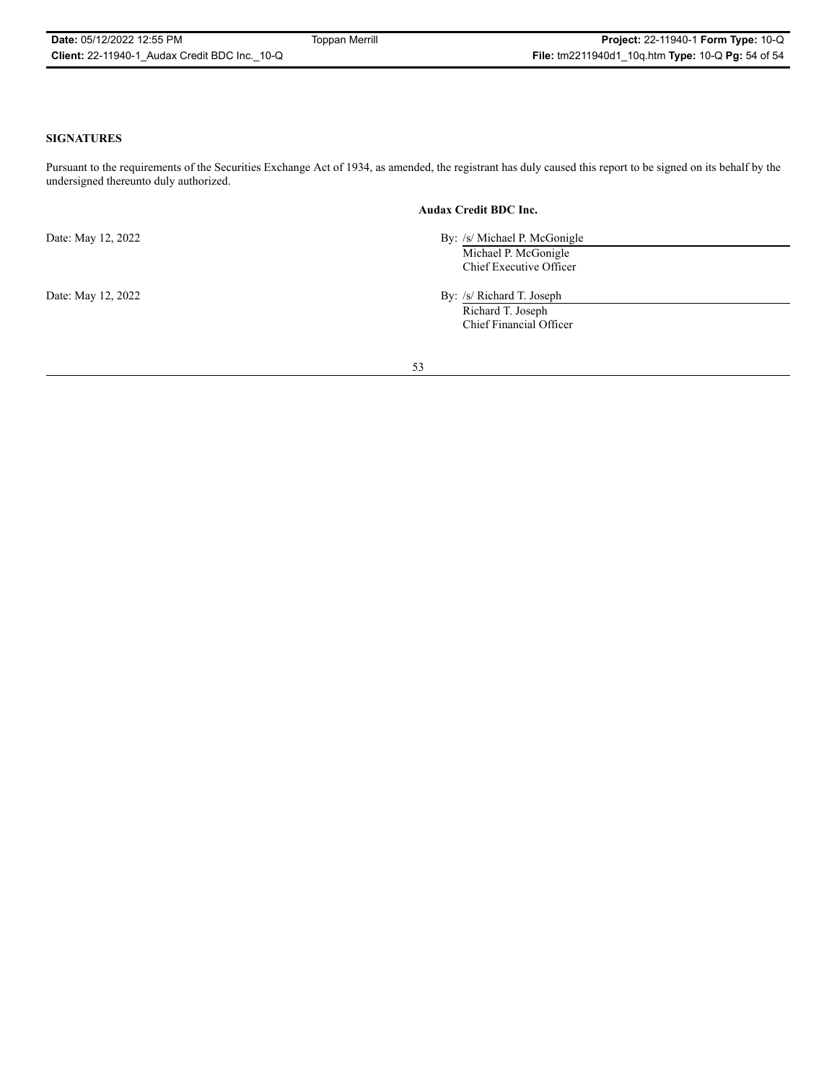# **SIGNATURES**

Pursuant to the requirements of the Securities Exchange Act of 1934, as amended, the registrant has duly caused this report to be signed on its behalf by the undersigned thereunto duly authorized.

# **Audax Credit BDC Inc.**

Date: May 12, 2022 By: /s/ Michael P. McGonigle Michael P. McGonigle Chief Executive Officer

Date: May 12, 2022 By: /s/ Richard T. Joseph

Richard T. Joseph Chief Financial Officer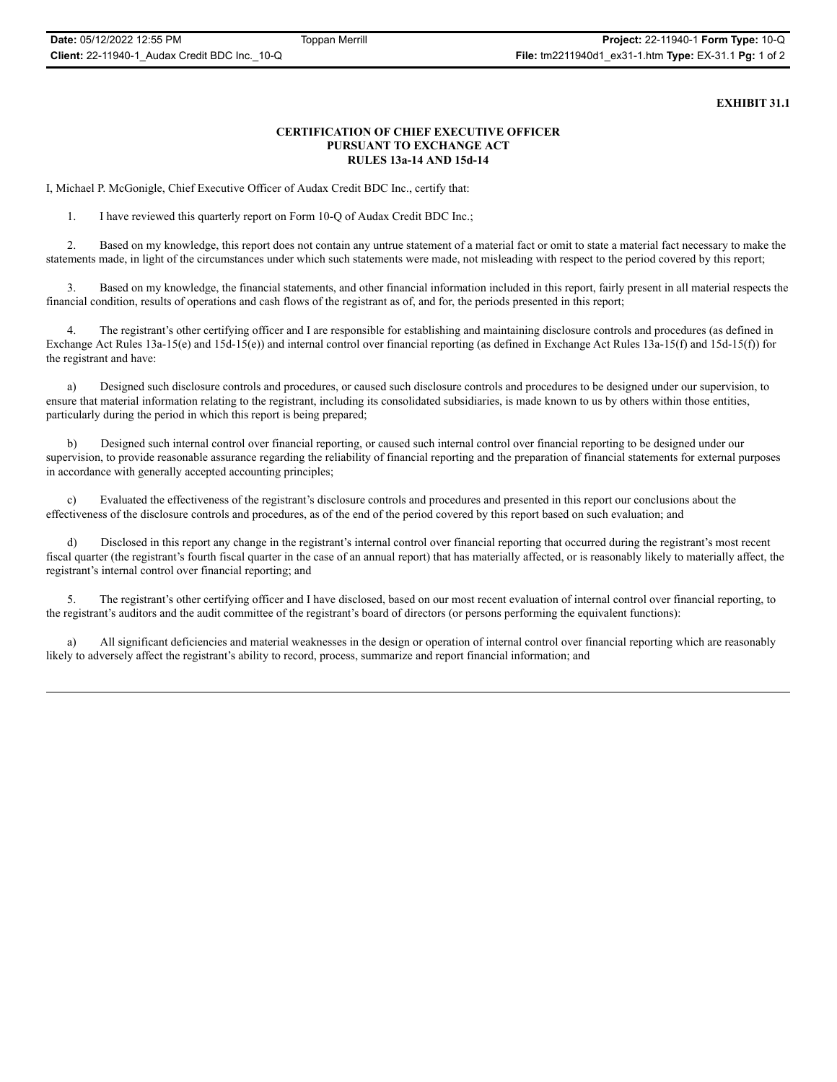**EXHIBIT 31.1**

# **CERTIFICATION OF CHIEF EXECUTIVE OFFICER PURSUANT TO EXCHANGE ACT RULES 13a-14 AND 15d-14**

I, Michael P. McGonigle, Chief Executive Officer of Audax Credit BDC Inc., certify that:

1. I have reviewed this quarterly report on Form 10-Q of Audax Credit BDC Inc.;

2. Based on my knowledge, this report does not contain any untrue statement of a material fact or omit to state a material fact necessary to make the statements made, in light of the circumstances under which such statements were made, not misleading with respect to the period covered by this report;

3. Based on my knowledge, the financial statements, and other financial information included in this report, fairly present in all material respects the financial condition, results of operations and cash flows of the registrant as of, and for, the periods presented in this report;

4. The registrant's other certifying officer and I are responsible for establishing and maintaining disclosure controls and procedures (as defined in Exchange Act Rules 13a-15(e) and 15d-15(e)) and internal control over financial reporting (as defined in Exchange Act Rules 13a-15(f) and 15d-15(f)) for the registrant and have:

a) Designed such disclosure controls and procedures, or caused such disclosure controls and procedures to be designed under our supervision, to ensure that material information relating to the registrant, including its consolidated subsidiaries, is made known to us by others within those entities, particularly during the period in which this report is being prepared;

b) Designed such internal control over financial reporting, or caused such internal control over financial reporting to be designed under our supervision, to provide reasonable assurance regarding the reliability of financial reporting and the preparation of financial statements for external purposes in accordance with generally accepted accounting principles;

c) Evaluated the effectiveness of the registrant's disclosure controls and procedures and presented in this report our conclusions about the effectiveness of the disclosure controls and procedures, as of the end of the period covered by this report based on such evaluation; and

d) Disclosed in this report any change in the registrant's internal control over financial reporting that occurred during the registrant's most recent fiscal quarter (the registrant's fourth fiscal quarter in the case of an annual report) that has materially affected, or is reasonably likely to materially affect, the registrant's internal control over financial reporting; and

5. The registrant's other certifying officer and I have disclosed, based on our most recent evaluation of internal control over financial reporting, to the registrant's auditors and the audit committee of the registrant's board of directors (or persons performing the equivalent functions):

a) All significant deficiencies and material weaknesses in the design or operation of internal control over financial reporting which are reasonably likely to adversely affect the registrant's ability to record, process, summarize and report financial information; and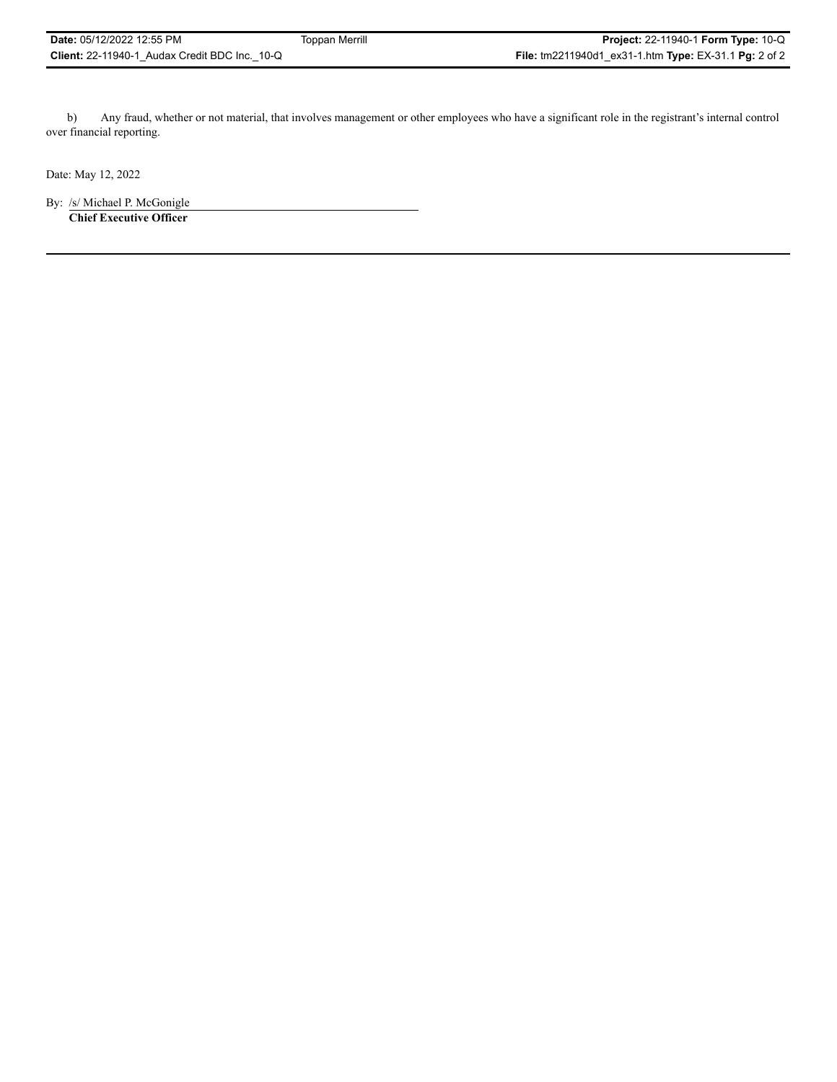b) Any fraud, whether or not material, that involves management or other employees who have a significant role in the registrant's internal control over financial reporting.

Date: May 12, 2022

By: /s/ Michael P. McGonigle **Chief Executive Officer**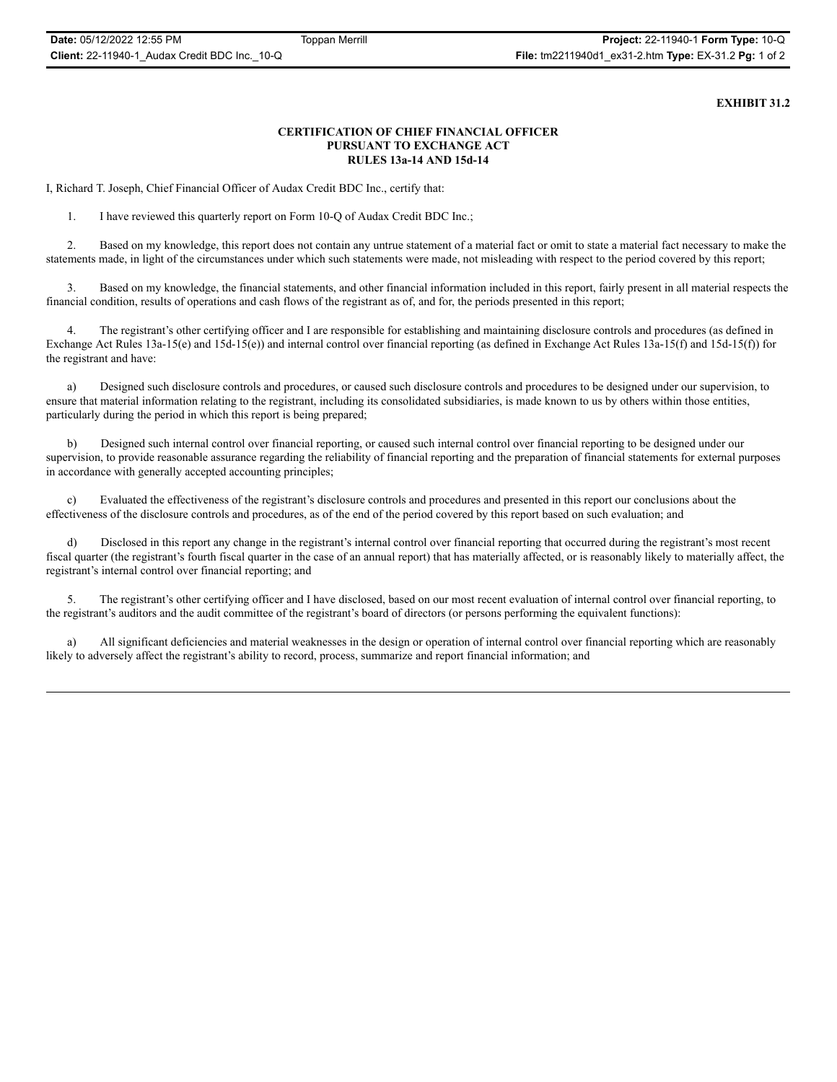**EXHIBIT 31.2**

## **CERTIFICATION OF CHIEF FINANCIAL OFFICER PURSUANT TO EXCHANGE ACT RULES 13a-14 AND 15d-14**

I, Richard T. Joseph, Chief Financial Officer of Audax Credit BDC Inc., certify that:

1. I have reviewed this quarterly report on Form 10-Q of Audax Credit BDC Inc.;

2. Based on my knowledge, this report does not contain any untrue statement of a material fact or omit to state a material fact necessary to make the statements made, in light of the circumstances under which such statements were made, not misleading with respect to the period covered by this report;

3. Based on my knowledge, the financial statements, and other financial information included in this report, fairly present in all material respects the financial condition, results of operations and cash flows of the registrant as of, and for, the periods presented in this report;

4. The registrant's other certifying officer and I are responsible for establishing and maintaining disclosure controls and procedures (as defined in Exchange Act Rules 13a-15(e) and 15d-15(e)) and internal control over financial reporting (as defined in Exchange Act Rules 13a-15(f) and 15d-15(f)) for the registrant and have:

a) Designed such disclosure controls and procedures, or caused such disclosure controls and procedures to be designed under our supervision, to ensure that material information relating to the registrant, including its consolidated subsidiaries, is made known to us by others within those entities, particularly during the period in which this report is being prepared;

b) Designed such internal control over financial reporting, or caused such internal control over financial reporting to be designed under our supervision, to provide reasonable assurance regarding the reliability of financial reporting and the preparation of financial statements for external purposes in accordance with generally accepted accounting principles;

c) Evaluated the effectiveness of the registrant's disclosure controls and procedures and presented in this report our conclusions about the effectiveness of the disclosure controls and procedures, as of the end of the period covered by this report based on such evaluation; and

d) Disclosed in this report any change in the registrant's internal control over financial reporting that occurred during the registrant's most recent fiscal quarter (the registrant's fourth fiscal quarter in the case of an annual report) that has materially affected, or is reasonably likely to materially affect, the registrant's internal control over financial reporting; and

5. The registrant's other certifying officer and I have disclosed, based on our most recent evaluation of internal control over financial reporting, to the registrant's auditors and the audit committee of the registrant's board of directors (or persons performing the equivalent functions):

a) All significant deficiencies and material weaknesses in the design or operation of internal control over financial reporting which are reasonably likely to adversely affect the registrant's ability to record, process, summarize and report financial information; and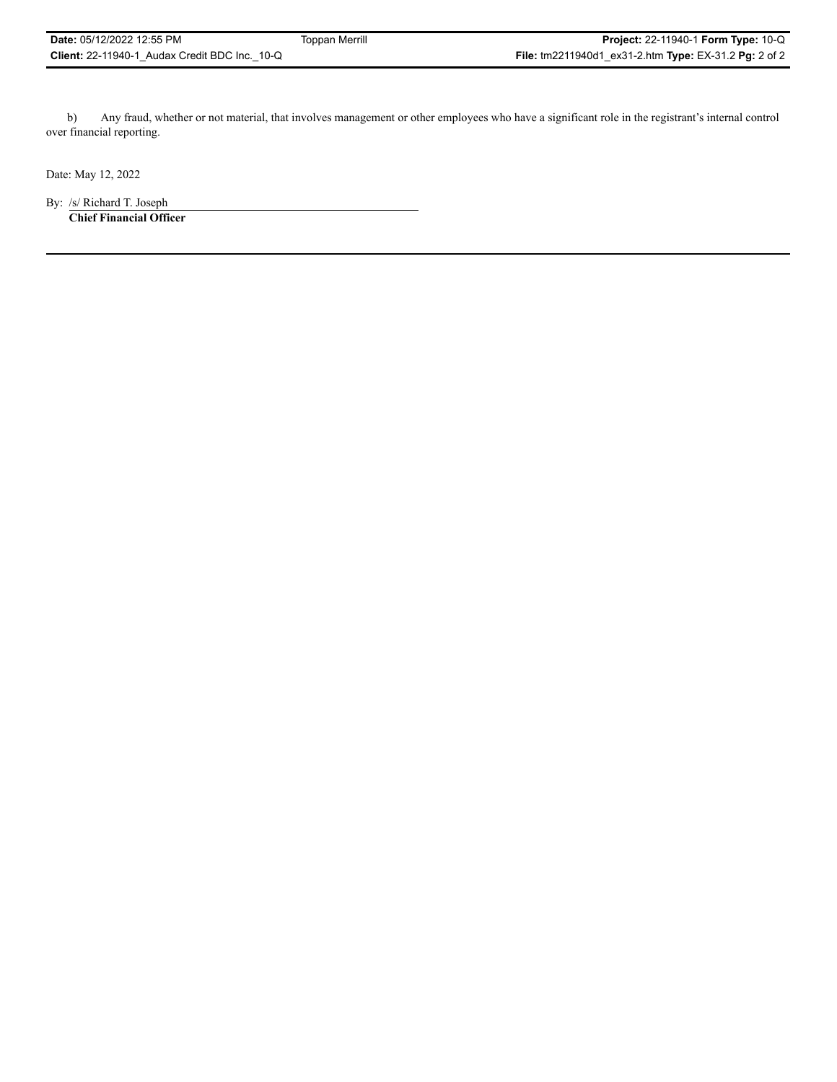b) Any fraud, whether or not material, that involves management or other employees who have a significant role in the registrant's internal control over financial reporting.

Date: May 12, 2022

By: /s/ Richard T. Joseph **Chief Financial Officer**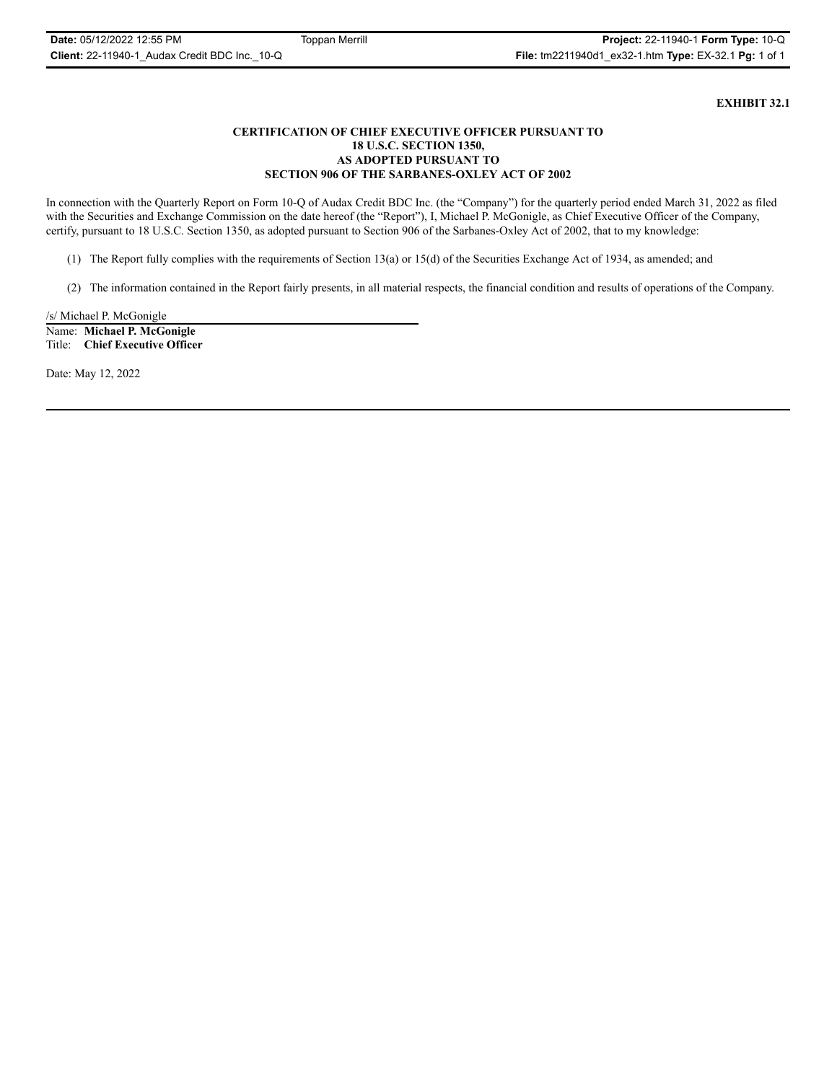**EXHIBIT 32.1**

# **CERTIFICATION OF CHIEF EXECUTIVE OFFICER PURSUANT TO 18 U.S.C. SECTION 1350, AS ADOPTED PURSUANT TO SECTION 906 OF THE SARBANES-OXLEY ACT OF 2002**

In connection with the Quarterly Report on Form 10-Q of Audax Credit BDC Inc. (the "Company") for the quarterly period ended March 31, 2022 as filed with the Securities and Exchange Commission on the date hereof (the "Report"), I, Michael P. McGonigle, as Chief Executive Officer of the Company, certify, pursuant to 18 U.S.C. Section 1350, as adopted pursuant to Section 906 of the Sarbanes-Oxley Act of 2002, that to my knowledge:

(1) The Report fully complies with the requirements of Section 13(a) or 15(d) of the Securities Exchange Act of 1934, as amended; and

(2) The information contained in the Report fairly presents, in all material respects, the financial condition and results of operations of the Company.

/s/ Michael P. McGonigle Name: **Michael P. McGonigle** Title: **Chief Executive Officer**

Date: May 12, 2022